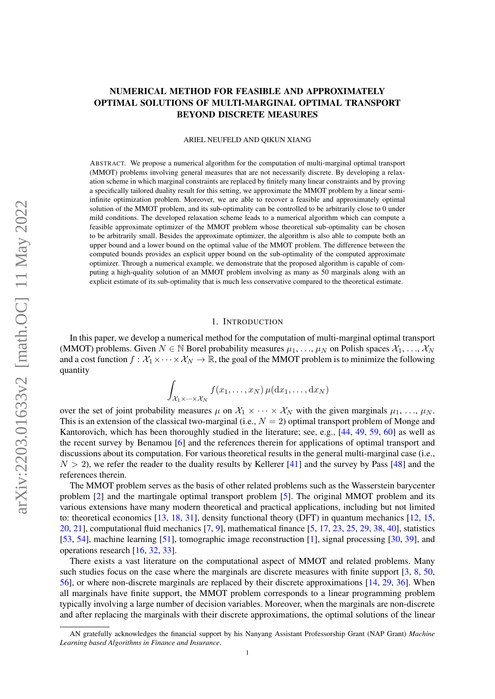# <span id="page-0-0"></span>NUMERICAL METHOD FOR FEASIBLE AND APPROXIMATELY OPTIMAL SOLUTIONS OF MULTI-MARGINAL OPTIMAL TRANSPORT BEYOND DISCRETE MEASURES

ARIEL NEUFELD AND QIKUN XIANG

ABSTRACT. We propose a numerical algorithm for the computation of multi-marginal optimal transport (MMOT) problems involving general measures that are not necessarily discrete. By developing a relaxation scheme in which marginal constraints are replaced by finitely many linear constraints and by proving a specifically tailored duality result for this setting, we approximate the MMOT problem by a linear semiinfinite optimization problem. Moreover, we are able to recover a feasible and approximately optimal solution of the MMOT problem, and its sub-optimality can be controlled to be arbitrarily close to 0 under mild conditions. The developed relaxation scheme leads to a numerical algorithm which can compute a feasible approximate optimizer of the MMOT problem whose theoretical sub-optimality can be chosen to be arbitrarily small. Besides the approximate optimizer, the algorithm is also able to compute both an upper bound and a lower bound on the optimal value of the MMOT problem. The difference between the computed bounds provides an explicit upper bound on the sub-optimality of the computed approximate optimizer. Through a numerical example, we demonstrate that the proposed algorithm is capable of computing a high-quality solution of an MMOT problem involving as many as 50 marginals along with an explicit estimate of its sub-optimality that is much less conservative compared to the theoretical estimate.

## 1. INTRODUCTION

In this paper, we develop a numerical method for the computation of multi-marginal optimal transport (MMOT) problems. Given  $N \in \mathbb{N}$  Borel probability measures  $\mu_1, \ldots, \mu_N$  on Polish spaces  $\mathcal{X}_1, \ldots, \mathcal{X}_N$ and a cost function  $f : \mathcal{X}_1 \times \cdots \times \mathcal{X}_N \to \mathbb{R}$ , the goal of the MMOT problem is to minimize the following quantity

$$
\int_{\mathcal{X}_1 \times \cdots \times \mathcal{X}_N} f(x_1, \ldots, x_N) \,\mu(\mathrm{d} x_1, \ldots, \mathrm{d} x_N)
$$

over the set of joint probability measures  $\mu$  on  $\mathcal{X}_1 \times \cdots \times \mathcal{X}_N$  with the given marginals  $\mu_1, \ldots, \mu_N$ . This is an extension of the classical two-marginal (i.e.,  $N = 2$ ) optimal transport problem of Monge and Kantorovich, which has been thoroughly studied in the literature; see, e.g., [\[44,](#page-46-0) [49,](#page-47-0) [59,](#page-47-1) [60\]](#page-47-2) as well as the recent survey by Benamou [\[6\]](#page-45-0) and the references therein for applications of optimal transport and discussions about its computation. For various theoretical results in the general multi-marginal case (i.e.,  $N > 2$ ), we refer the reader to the duality results by Kellerer [\[41\]](#page-46-1) and the survey by Pass [\[48\]](#page-47-3) and the references therein.

The MMOT problem serves as the basis of other related problems such as the Wasserstein barycenter problem [\[2\]](#page-45-1) and the martingale optimal transport problem [\[5\]](#page-45-2). The original MMOT problem and its various extensions have many modern theoretical and practical applications, including but not limited to: theoretical economics [\[13,](#page-45-3) [18,](#page-45-4) [31\]](#page-46-2), density functional theory (DFT) in quantum mechanics [\[12,](#page-45-5) [15,](#page-45-6) [20,](#page-45-7) [21\]](#page-45-8), computational fluid mechanics [\[7,](#page-45-9) [9\]](#page-45-10), mathematical finance [\[5,](#page-45-2) [17,](#page-45-11) [23,](#page-46-3) [25,](#page-46-4) [29,](#page-46-5) [38,](#page-46-6) [40\]](#page-46-7), statistics [\[53,](#page-47-4) [54\]](#page-47-5), machine learning [\[51\]](#page-47-6), tomographic image reconstruction [\[1\]](#page-45-12), signal processing [\[30,](#page-46-8) [39\]](#page-46-9), and operations research [\[16,](#page-45-13) [32,](#page-46-10) [33\]](#page-46-11).

There exists a vast literature on the computational aspect of MMOT and related problems. Many such studies focus on the case where the marginals are discrete measures with finite support [\[3,](#page-45-14) [8,](#page-45-15) [50,](#page-47-7) [56\]](#page-47-8), or where non-discrete marginals are replaced by their discrete approximations [\[14,](#page-45-16) [29,](#page-46-5) [36\]](#page-46-12). When all marginals have finite support, the MMOT problem corresponds to a linear programming problem typically involving a large number of decision variables. Moreover, when the marginals are non-discrete and after replacing the marginals with their discrete approximations, the optimal solutions of the linear

AN gratefully acknowledges the financial support by his Nanyang Assistant Professorship Grant (NAP Grant) *Machine Learning based Algorithms in Finance and Insurance*.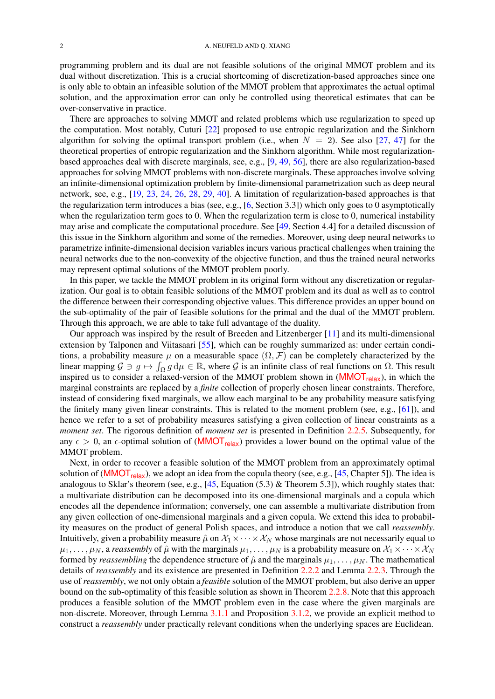<span id="page-1-0"></span>programming problem and its dual are not feasible solutions of the original MMOT problem and its dual without discretization. This is a crucial shortcoming of discretization-based approaches since one is only able to obtain an infeasible solution of the MMOT problem that approximates the actual optimal solution, and the approximation error can only be controlled using theoretical estimates that can be over-conservative in practice.

There are approaches to solving MMOT and related problems which use regularization to speed up the computation. Most notably, Cuturi [\[22\]](#page-46-13) proposed to use entropic regularization and the Sinkhorn algorithm for solving the optimal transport problem (i.e., when  $N = 2$ ). See also [\[27,](#page-46-14) [47\]](#page-47-9) for the theoretical properties of entropic regularization and the Sinkhorn algorithm. While most regularizationbased approaches deal with discrete marginals, see, e.g., [\[9,](#page-45-10) [49,](#page-47-0) [56\]](#page-47-8), there are also regularization-based approaches for solving MMOT problems with non-discrete marginals. These approaches involve solving an infinite-dimensional optimization problem by finite-dimensional parametrization such as deep neural network, see, e.g., [\[19,](#page-45-17) [23,](#page-46-3) [24,](#page-46-15) [26,](#page-46-16) [28,](#page-46-17) [29,](#page-46-5) [40\]](#page-46-7). A limitation of regularization-based approaches is that the regularization term introduces a bias (see, e.g.,  $[6, Section 3.3]$  $[6, Section 3.3]$ ) which only goes to 0 asymptotically when the regularization term goes to 0. When the regularization term is close to 0, numerical instability may arise and complicate the computational procedure. See [\[49,](#page-47-0) Section 4.4] for a detailed discussion of this issue in the Sinkhorn algorithm and some of the remedies. Moreover, using deep neural networks to parametrize infinite-dimensional decision variables incurs various practical challenges when training the neural networks due to the non-convexity of the objective function, and thus the trained neural networks may represent optimal solutions of the MMOT problem poorly.

In this paper, we tackle the MMOT problem in its original form without any discretization or regularization. Our goal is to obtain feasible solutions of the MMOT problem and its dual as well as to control the difference between their corresponding objective values. This difference provides an upper bound on the sub-optimality of the pair of feasible solutions for the primal and the dual of the MMOT problem. Through this approach, we are able to take full advantage of the duality.

Our approach was inspired by the result of Breeden and Litzenberger [\[11\]](#page-45-18) and its multi-dimensional extension by Talponen and Viitasaari [\[55\]](#page-47-10), which can be roughly summarized as: under certain conditions, a probability measure  $\mu$  on a measurable space  $(\Omega, \mathcal{F})$  can be completely characterized by the linear mapping  $\mathcal{G} \ni g \mapsto \int_{\Omega} g d\mu \in \mathbb{R}$ , where  $\mathcal{G}$  is an infinite class of real functions on  $\Omega$ . This result inspired us to consider a relaxed-version of the [MMOT](#page-5-0) problem shown in  $(MMOT_{relax})$ , in which the marginal constraints are replaced by a *finite* collection of properly chosen linear constraints. Therefore, instead of considering fixed marginals, we allow each marginal to be any probability measure satisfying the finitely many given linear constraints. This is related to the moment problem (see, e.g., [\[61\]](#page-47-11)), and hence we refer to a set of probability measures satisfying a given collection of linear constraints as a *moment set*. The rigorous definition of *moment set* is presented in Definition [2.2.5.](#page-5-1) Subsequently, for any  $\epsilon > 0$ , an  $\epsilon$ -optimal solution of ([MMOT](#page-5-0)<sub>relax</sub>) provides a lower bound on the optimal value of the MMOT problem.

Next, in order to recover a feasible solution of the MMOT problem from an approximately optimal solution of ([MMOT](#page-5-0)<sub>relax</sub>), we adopt an idea from the copula theory (see, e.g., [\[45,](#page-46-18) Chapter 5]). The idea is analogous to Sklar's theorem (see, e.g.,  $[45, Equation (5.3) &$  $[45, Equation (5.3) &$  Theorem 5.3]), which roughly states that: a multivariate distribution can be decomposed into its one-dimensional marginals and a copula which encodes all the dependence information; conversely, one can assemble a multivariate distribution from any given collection of one-dimensional marginals and a given copula. We extend this idea to probability measures on the product of general Polish spaces, and introduce a notion that we call *reassembly*. Intuitively, given a probability measure  $\hat{\mu}$  on  $\mathcal{X}_1 \times \cdots \times \mathcal{X}_N$  whose marginals are not necessarily equal to  $\mu_1, \ldots, \mu_N$ , a *reassembly* of  $\hat{\mu}$  with the marginals  $\mu_1, \ldots, \mu_N$  is a probability measure on  $\mathcal{X}_1 \times \cdots \times \mathcal{X}_N$ formed by *reassembling* the dependence structure of  $\hat{\mu}$  and the marginals  $\mu_1, \dots, \mu_N$ . The mathematical details of *reassembly* and its existence are presented in Definition [2.2.2](#page-4-0) and Lemma [2.2.3.](#page-4-1) Through the use of *reassembly*, we not only obtain a *feasible* solution of the MMOT problem, but also derive an upper bound on the sub-optimality of this feasible solution as shown in Theorem [2.2.8.](#page-6-0) Note that this approach produces a feasible solution of the MMOT problem even in the case where the given marginals are non-discrete. Moreover, through Lemma [3.1.1](#page-10-0) and Proposition [3.1.2,](#page-11-0) we provide an explicit method to construct a *reassembly* under practically relevant conditions when the underlying spaces are Euclidean.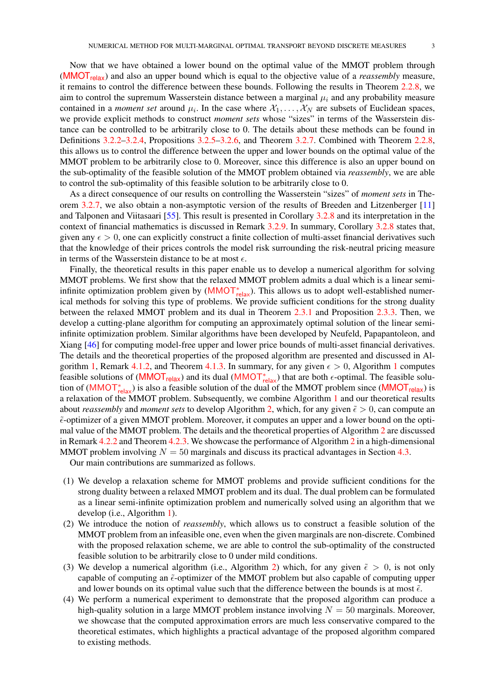<span id="page-2-0"></span>Now that we have obtained a lower bound on the optimal value of the MMOT problem through ([MMOT](#page-5-0)relax) and also an upper bound which is equal to the objective value of a *reassembly* measure, it remains to control the difference between these bounds. Following the results in Theorem [2.2.8,](#page-6-0) we aim to control the supremum Wasserstein distance between a marginal  $\mu_i$  and any probability measure contained in a *moment set* around  $\mu_i$ . In the case where  $\mathcal{X}_1, \ldots, \mathcal{X}_N$  are subsets of Euclidean spaces, we provide explicit methods to construct *moment sets* whose "sizes" in terms of the Wasserstein distance can be controlled to be arbitrarily close to 0. The details about these methods can be found in Definitions [3.2.2](#page-11-1)[–3.2.4,](#page-12-0) Propositions [3.2.5–](#page-12-1)[3.2.6,](#page-13-0) and Theorem [3.2.7.](#page-13-1) Combined with Theorem [2.2.8,](#page-6-0) this allows us to control the difference between the upper and lower bounds on the optimal value of the MMOT problem to be arbitrarily close to 0. Moreover, since this difference is also an upper bound on the sub-optimality of the feasible solution of the MMOT problem obtained via *reassembly*, we are able to control the sub-optimality of this feasible solution to be arbitrarily close to 0.

As a direct consequence of our results on controlling the Wasserstein "sizes" of *moment sets* in Theorem [3.2.7,](#page-13-1) we also obtain a non-asymptotic version of the results of Breeden and Litzenberger [\[11\]](#page-45-18) and Talponen and Viitasaari [\[55\]](#page-47-10). This result is presented in Corollary [3.2.8](#page-13-2) and its interpretation in the context of financial mathematics is discussed in Remark [3.2.9.](#page-14-0) In summary, Corollary [3.2.8](#page-13-2) states that, given any  $\epsilon > 0$ , one can explicitly construct a finite collection of multi-asset financial derivatives such that the knowledge of their prices controls the model risk surrounding the risk-neutral pricing measure in terms of the Wasserstein distance to be at most  $\epsilon$ .

Finally, the theoretical results in this paper enable us to develop a numerical algorithm for solving MMOT problems. We first show that the relaxed MMOT problem admits a dual which is a linear semiinfinite optimization problem given by  $(MMOT_{relax}^*)$  $(MMOT_{relax}^*)$  $(MMOT_{relax}^*)$ . This allows us to adopt well-established numerical methods for solving this type of problems. We provide sufficient conditions for the strong duality between the relaxed MMOT problem and its dual in Theorem [2.3.1](#page-9-0) and Proposition [2.3.3.](#page-9-1) Then, we develop a cutting-plane algorithm for computing an approximately optimal solution of the linear semiinfinite optimization problem. Similar algorithms have been developed by Neufeld, Papapantoleon, and Xiang [\[46\]](#page-46-19) for computing model-free upper and lower price bounds of multi-asset financial derivatives. The details and the theoretical properties of the proposed algorithm are presented and discussed in Al-gorithm [1,](#page-15-0) Remark [4.1.2,](#page-15-1) and Theorem [4.1.3.](#page-16-0) In summary, for any given  $\epsilon > 0$ , Algorithm [1](#page-15-0) computes feasible solutions of ([MMOT](#page-8-0)<sub>relax</sub>) and its dual (MMOT<sub>relax</sub>) that are both  $\epsilon$ -optimal. The feasible solu-tion of ([MMOT](#page-5-0)<sub>relax</sub>) is also a feasible solution of the dual of the MMOT problem since (MMOT<sub>relax</sub>) is a relaxation of the MMOT problem. Subsequently, we combine Algorithm [1](#page-15-0) and our theoretical results about *reassembly* and *moment sets* to develop Algorithm [2,](#page-17-0) which, for any given  $\tilde{\epsilon} > 0$ , can compute an  $\tilde{\epsilon}$ -optimizer of a given MMOT problem. Moreover, it computes an upper and a lower bound on the optimal value of the MMOT problem. The details and the theoretical properties of Algorithm [2](#page-17-0) are discussed in Remark [4.2.2](#page-17-1) and Theorem [4.2.3.](#page-18-0) We showcase the performance of Algorithm [2](#page-17-0) in a high-dimensional MMOT problem involving  $N = 50$  marginals and discuss its practical advantages in Section [4.3.](#page-18-1)

Our main contributions are summarized as follows.

- (1) We develop a relaxation scheme for MMOT problems and provide sufficient conditions for the strong duality between a relaxed MMOT problem and its dual. The dual problem can be formulated as a linear semi-infinite optimization problem and numerically solved using an algorithm that we develop (i.e., Algorithm [1\)](#page-15-0).
- (2) We introduce the notion of *reassembly*, which allows us to construct a feasible solution of the MMOT problem from an infeasible one, even when the given marginals are non-discrete. Combined with the proposed relaxation scheme, we are able to control the sub-optimality of the constructed feasible solution to be arbitrarily close to 0 under mild conditions.
- (3) We develop a numerical algorithm (i.e., Algorithm [2\)](#page-17-0) which, for any given  $\tilde{\epsilon} > 0$ , is not only capable of computing an  $\tilde{\epsilon}$ -optimizer of the MMOT problem but also capable of computing upper and lower bounds on its optimal value such that the difference between the bounds is at most  $\tilde{\epsilon}$ .
- (4) We perform a numerical experiment to demonstrate that the proposed algorithm can produce a high-quality solution in a large MMOT problem instance involving  $N = 50$  marginals. Moreover, we showcase that the computed approximation errors are much less conservative compared to the theoretical estimates, which highlights a practical advantage of the proposed algorithm compared to existing methods.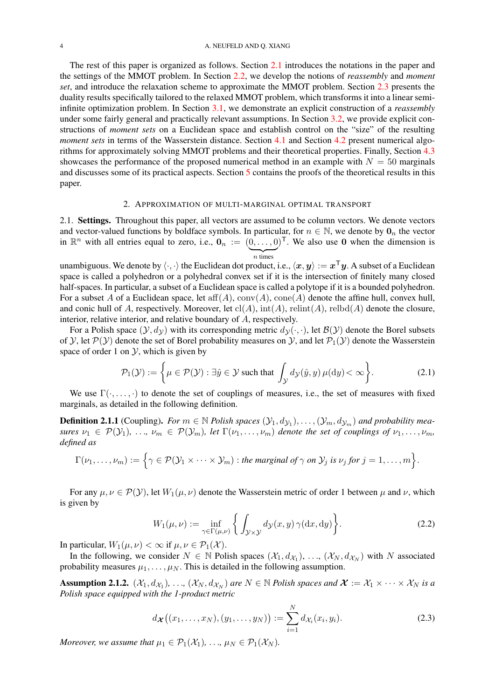The rest of this paper is organized as follows. Section [2.1](#page-3-0) introduces the notations in the paper and the settings of the MMOT problem. In Section [2.2,](#page-4-2) we develop the notions of *reassembly* and *moment set*, and introduce the relaxation scheme to approximate the MMOT problem. Section [2.3](#page-8-1) presents the duality results specifically tailored to the relaxed MMOT problem, which transforms it into a linear semiinfinite optimization problem. In Section [3.1,](#page-10-1) we demonstrate an explicit construction of a *reassembly* under some fairly general and practically relevant assumptions. In Section [3.2,](#page-11-2) we provide explicit constructions of *moment sets* on a Euclidean space and establish control on the "size" of the resulting *moment sets* in terms of the Wasserstein distance. Section [4.1](#page-15-2) and Section [4.2](#page-16-1) present numerical algorithms for approximately solving MMOT problems and their theoretical properties. Finally, Section [4.3](#page-18-1) showcases the performance of the proposed numerical method in an example with  $N = 50$  marginals and discusses some of its practical aspects. Section [5](#page-20-0) contains the proofs of the theoretical results in this paper.

#### 2. APPROXIMATION OF MULTI-MARGINAL OPTIMAL TRANSPORT

<span id="page-3-2"></span><span id="page-3-0"></span>2.1. Settings. Throughout this paper, all vectors are assumed to be column vectors. We denote vectors and vector-valued functions by boldface symbols. In particular, for  $n \in \mathbb{N}$ , we denote by  $\mathbf{0}_n$  the vector in  $\mathbb{R}^n$  with all entries equal to zero, i.e.,  $\mathbf{0}_n := (0, \ldots, 0)^\top$ . We also use 0 when the dimension is  $\overline{n}$  times

unambiguous. We denote by  $\langle\cdot,\cdot\rangle$  the Euclidean dot product, i.e.,  $\langle x,y\rangle:=x^\top y.$  A subset of a Euclidean space is called a polyhedron or a polyhedral convex set if it is the intersection of finitely many closed half-spaces. In particular, a subset of a Euclidean space is called a polytope if it is a bounded polyhedron. For a subset A of a Euclidean space, let  $aff(A)$ ,  $conv(A)$ ,  $cone(A)$  denote the affine hull, convex hull, and conic hull of A, respectively. Moreover, let  $\text{cl}(A)$ ,  $\text{int}(A)$ ,  $\text{relint}(A)$ ,  $\text{relodd}(A)$  denote the closure, interior, relative interior, and relative boundary of A, respectively.

For a Polish space  $(\mathcal{Y}, d_{\mathcal{Y}})$  with its corresponding metric  $d_{\mathcal{Y}}(\cdot, \cdot)$ , let  $\mathcal{B}(\mathcal{Y})$  denote the Borel subsets of Y, let  $P(Y)$  denote the set of Borel probability measures on Y, and let  $P_1(Y)$  denote the Wasserstein space of order 1 on  $\mathcal{Y}$ , which is given by

$$
\mathcal{P}_1(\mathcal{Y}) := \left\{ \mu \in \mathcal{P}(\mathcal{Y}) : \exists \hat{y} \in \mathcal{Y} \text{ such that } \int_{\mathcal{Y}} d_{\mathcal{Y}}(\hat{y}, y) \,\mu(\mathrm{d}y) < \infty \right\}. \tag{2.1}
$$

We use  $\Gamma(\cdot, \ldots, \cdot)$  to denote the set of couplings of measures, i.e., the set of measures with fixed marginals, as detailed in the following definition.

**Definition 2.1.1** (Coupling). For  $m \in \mathbb{N}$  Polish spaces  $(\mathcal{Y}_1, d_{\mathcal{Y}_1}), \ldots, (\mathcal{Y}_m, d_{\mathcal{Y}_m})$  and probability mea*sures*  $\nu_1 \in \mathcal{P}(\mathcal{Y}_1), \ldots, \nu_m \in \mathcal{P}(\mathcal{Y}_m)$ , let  $\Gamma(\nu_1, \ldots, \nu_m)$  denote the set of couplings of  $\nu_1, \ldots, \nu_m$ , *defined as*

$$
\Gamma(\nu_1,\ldots,\nu_m):=\Big\{\gamma\in\mathcal{P}(\mathcal{Y}_1\times\cdots\times\mathcal{Y}_m): \text{the marginal of } \gamma \text{ on } \mathcal{Y}_j \text{ is } \nu_j \text{ for } j=1,\ldots,m\Big\}.
$$

For any  $\mu, \nu \in \mathcal{P}(\mathcal{Y})$ , let  $W_1(\mu, \nu)$  denote the Wasserstein metric of order 1 between  $\mu$  and  $\nu$ , which is given by

$$
W_1(\mu, \nu) := \inf_{\gamma \in \Gamma(\mu, \nu)} \left\{ \int_{\mathcal{Y} \times \mathcal{Y}} d\mathcal{Y}(x, y) \, \gamma(\mathrm{d}x, \mathrm{d}y) \right\}.
$$
 (2.2)

In particular,  $W_1(\mu, \nu) < \infty$  if  $\mu, \nu \in \mathcal{P}_1(\mathcal{X})$ .

In the following, we consider  $N \in \mathbb{N}$  Polish spaces  $(\mathcal{X}_1, d_{\mathcal{X}_1}), \ldots, (\mathcal{X}_N, d_{\mathcal{X}_N})$  with N associated probability measures  $\mu_1, \ldots, \mu_N$ . This is detailed in the following assumption.

**Assumption 2.1.2.**  $(\mathcal{X}_1, d_{\mathcal{X}_1})$ , ...,  $(\mathcal{X}_N, d_{\mathcal{X}_N})$  are  $N \in \mathbb{N}$  Polish spaces and  $\mathcal{X} := \mathcal{X}_1 \times \cdots \times \mathcal{X}_N$  is a *Polish space equipped with the 1-product metric*

<span id="page-3-1"></span>
$$
d_{\mathcal{X}}((x_1,\ldots,x_N),(y_1,\ldots,y_N)) := \sum_{i=1}^N d_{\mathcal{X}_i}(x_i,y_i).
$$
 (2.3)

*Moreover, we assume that*  $\mu_1 \in \mathcal{P}_1(\mathcal{X}_1), \ldots, \mu_N \in \mathcal{P}_1(\mathcal{X}_N)$ *.*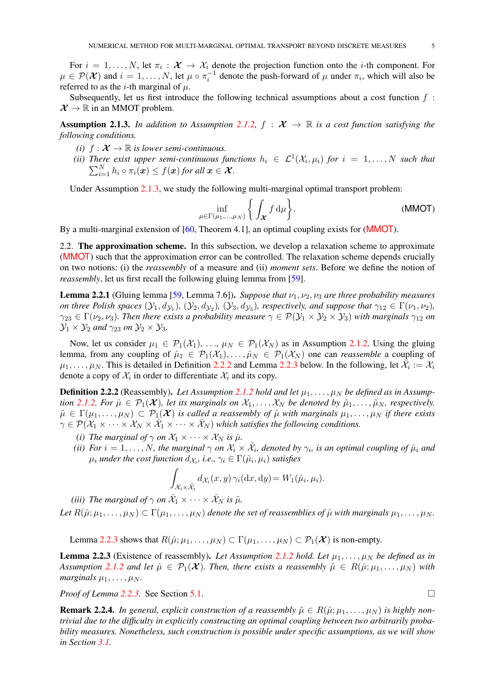<span id="page-4-6"></span>For  $i = 1, \ldots, N$ , let  $\pi_i : \mathcal{X} \to \mathcal{X}_i$  denote the projection function onto the *i*-th component. For  $\mu \in \mathcal{P}(\mathcal{X})$  and  $i = 1, \ldots, N$ , let  $\mu \circ \pi_i^{-1}$  denote the push-forward of  $\mu$  under  $\pi_i$ , which will also be referred to as the *i*-th marginal of  $\mu$ .

Subsequently, let us first introduce the following technical assumptions about a cost function  $f$ :  $\mathcal{X} \to \mathbb{R}$  in an MMOT problem.

Assumption 2.1.3. In addition to Assumption [2.1.2,](#page-3-1)  $f : \mathcal{X} \to \mathbb{R}$  is a cost function satisfying the *following conditions.*

- *(i)*  $f: \mathcal{X} \to \mathbb{R}$  *is lower semi-continuous.*
- <span id="page-4-3"></span>*(ii)* There exist upper semi-continuous functions  $h_i \in \mathcal{L}^1(\mathcal{X}_i, \mu_i)$  for  $i = 1, \ldots, N$  such that  $\sum_{i=1}^N h_i \circ \pi_i(\boldsymbol{x}) \leq f(\boldsymbol{x})$  for all  $\boldsymbol{x} \in \mathcal{X}$ *.*

Under Assumption [2.1.3,](#page-4-3) we study the following multi-marginal optimal transport problem:

<span id="page-4-4"></span>
$$
\inf_{\mu \in \Gamma(\mu_1, \dots, \mu_N)} \left\{ \int_{\mathcal{X}} f d\mu \right\}.
$$
 (MMOT)

By a multi-marginal extension of [\[60,](#page-47-2) Theorem 4.1], an optimal coupling exists for ([MMOT](#page-4-4)).

<span id="page-4-2"></span>2.2. The approximation scheme. In this subsection, we develop a relaxation scheme to approximate ([MMOT](#page-4-4)) such that the approximation error can be controlled. The relaxation scheme depends crucially on two notions: (i) the *reassembly* of a measure and (ii) *moment sets*. Before we define the notion of *reassembly*, let us first recall the following gluing lemma from [\[59\]](#page-47-1).

<span id="page-4-5"></span>**Lemma 2.2.1** (Gluing lemma [\[59,](#page-47-1) Lemma 7.6]). *Suppose that*  $\nu_1, \nu_2, \nu_3$  *are three probability measures on three Polish spaces*  $(y_1, d_{y_1})$ ,  $(y_2, d_{y_2})$ ,  $(y_3, d_{y_3})$ , respectively, and suppose that  $\gamma_{12} \in \Gamma(\nu_1, \nu_2)$ ,  $\gamma_{23} \in \Gamma(\nu_2, \nu_3)$ *. Then there exists a probability measure*  $\gamma \in \mathcal{P}(\mathcal{Y}_1 \times \mathcal{Y}_2 \times \mathcal{Y}_3)$  *with marginals*  $\gamma_{12}$  *on*  $\mathcal{Y}_1 \times \mathcal{Y}_2$  *and*  $\gamma_{23}$  *on*  $\mathcal{Y}_2 \times \mathcal{Y}_3$ *.* 

Now, let us consider  $\mu_1 \in \mathcal{P}_1(\mathcal{X}_1), \ldots, \mu_N \in \mathcal{P}_1(\mathcal{X}_N)$  as in Assumption [2.1.2.](#page-3-1) Using the gluing lemma, from any coupling of  $\hat{\mu}_1 \in \mathcal{P}_1(\mathcal{X}_1), \ldots, \hat{\mu}_N \in \mathcal{P}_1(\mathcal{X}_N)$  one can *reassemble* a coupling of  $\mu_1,\ldots,\mu_N$ . This is detailed in Definition [2.2.2](#page-4-0) and Lemma [2.2.3](#page-4-1) below. In the following, let  $\bar{\mathcal{X}}_i := \mathcal{X}_i$ denote a copy of  $\mathcal{X}_i$  in order to differentiate  $\mathcal{X}_i$  and its copy.

**Definition 2.2.2** (Reassembly). Let Assumption [2.1.2](#page-3-1) hold and let  $\mu_1, \ldots, \mu_N$  be defined as in Assump*tion* [2.1.2.](#page-3-1) For  $\hat{\mu} \in \mathcal{P}_1(\mathcal{X})$ , let its marginals on  $\mathcal{X}_1, \ldots, \mathcal{X}_N$  be denoted by  $\hat{\mu}_1, \ldots, \hat{\mu}_N$ , respectively.  $\tilde{\mu} \in \Gamma(\mu_1, \ldots, \mu_N) \subset \mathcal{P}_1(\mathcal{X})$  *is called a reassembly of*  $\hat{\mu}$  *with marginals*  $\mu_1, \ldots, \mu_N$  *if there exists*  $\tilde{\gamma} \in \mathcal{P}(\mathcal{X}_1 \times \cdots \times \mathcal{X}_N \times \overline{\mathcal{X}}_1 \times \cdots \times \overline{\mathcal{X}}_N)$  which satisfies the following conditions.

- *(i) The marginal of*  $\gamma$  *on*  $\mathcal{X}_1 \times \cdots \times \mathcal{X}_N$  *is*  $\hat{\mu}$ *.*
- *(ii)* For  $i = 1, \ldots, N$ , the marginal  $\gamma$  on  $\mathcal{X}_i \times \bar{\mathcal{X}}_i$ , denoted by  $\gamma_i$ , is an optimal coupling of  $\hat{\mu}_i$  and  $\mu_i$  *under the cost function*  $d_{\mathcal{X}_i}$ *, i.e.,*  $\gamma_i \in \Gamma(\hat{\mu}_i, \mu_i)$  *satisfies*

$$
\int_{\mathcal{X}_i \times \bar{\mathcal{X}}_i} d\chi_i(x, y) \, \gamma_i(\mathrm{d}x, \mathrm{d}y) = W_1(\hat{\mu}_i, \mu_i).
$$

<span id="page-4-0"></span>*(iii) The marginal of*  $\gamma$  *on*  $\bar{\mathcal{X}}_1 \times \cdots \times \bar{\mathcal{X}}_N$  *is*  $\tilde{\mu}$ *. Let*  $R(\hat{\mu}; \mu_1, \ldots, \mu_N) \subset \Gamma(\mu_1, \ldots, \mu_N)$  *denote the set of reassemblies of*  $\hat{\mu}$  *with marginals*  $\mu_1, \ldots, \mu_N$ .

Lemma [2.2.3](#page-4-1) shows that  $R(\hat{\mu}; \mu_1, \ldots, \mu_N) \subset \Gamma(\mu_1, \ldots, \mu_N) \subset \mathcal{P}_1(\mathcal{X})$  is non-empty.

<span id="page-4-1"></span>**Lemma 2.2.3** (Existence of reassembly). Let Assumption [2.1.2](#page-3-1) hold. Let  $\mu_1, \ldots, \mu_N$  be defined as in *Assumption* [2.1.2](#page-3-1) *and let*  $\hat{\mu} \in \mathcal{P}_1(\mathcal{X})$ *. Then, there exists a reassembly*  $\tilde{\mu} \in R(\hat{\mu}; \mu_1, \dots, \mu_N)$  *with marginals*  $\mu_1, \ldots, \mu_N$ .

*Proof of Lemma* [2.2.3.](#page-4-1) See Section [5.1.](#page-20-1) □

**Remark 2.2.4.** *In general, explicit construction of a reassembly*  $\tilde{\mu} \in R(\hat{\mu}; \mu_1, \dots, \mu_N)$  *is highly nontrivial due to the difficulty in explicitly constructing an optimal coupling between two arbitrarily probability measures. Nonetheless, such construction is possible under specific assumptions, as we will show in Section [3.1.](#page-10-1)*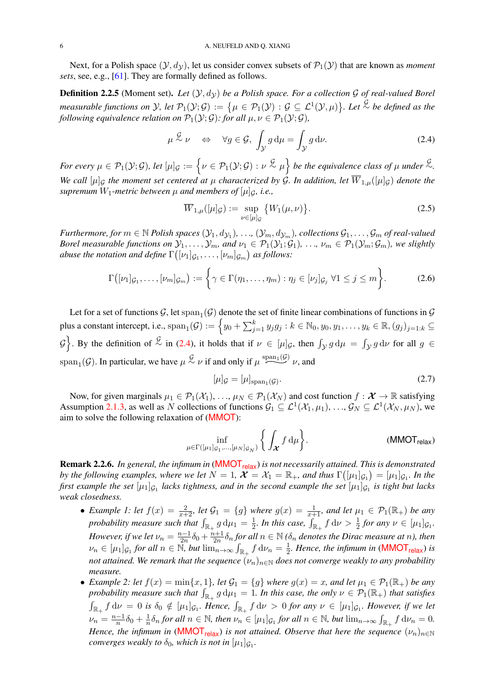<span id="page-5-3"></span>Next, for a Polish space  $(\mathcal{Y}, d_{\mathcal{Y}})$ , let us consider convex subsets of  $\mathcal{P}_1(\mathcal{Y})$  that are known as *moment sets*, see, e.g., [\[61\]](#page-47-11). They are formally defined as follows.

**Definition 2.2.5** (Moment set). Let  $(\mathcal{Y}, d_{\mathcal{Y}})$  be a Polish space. For a collection  $\mathcal{G}$  of real-valued Borel *measurable functions on*  $\mathcal Y$ *, let*  $\mathcal P_1(\mathcal Y;\mathcal G):=\big\{\mu\in\mathcal P_1(\mathcal Y):\mathcal G\subseteq\mathcal L^1(\mathcal Y,\mu)\big\}.$  Let  $\stackrel{\mathcal G}{\sim}$  be defined as the *following equivalence relation on*  $\mathcal{P}_1(\mathcal{Y}; \mathcal{G})$ *: for all*  $\mu, \nu \in \mathcal{P}_1(\mathcal{Y}; \mathcal{G})$ *,* 

$$
\mu \stackrel{\mathcal{G}}{\sim} \nu \quad \Leftrightarrow \quad \forall g \in \mathcal{G}, \ \int_{\mathcal{Y}} g \, \mathrm{d}\mu = \int_{\mathcal{Y}} g \, \mathrm{d}\nu. \tag{2.4}
$$

*For every*  $\mu \in \mathcal{P}_1(\mathcal{Y}; \mathcal{G})$ , let  $[\mu]_{\mathcal{G}} := \left\{ \nu \in \mathcal{P}_1(\mathcal{Y}; \mathcal{G}) : \nu \stackrel{\mathcal{G}}{\sim} \mu \right\}$  be the equivalence class of  $\mu$  under  $\stackrel{\mathcal{G}}{\sim}$ . *We call*  $[\mu]_G$  *the moment set centered at*  $\mu$  *characterized by G. In addition, let*  $\overline{W}_{1,\mu}([\mu]_G)$  *denote the supremum*  $W_1$ *-metric between*  $\mu$  *and members of*  $[\mu]_G$ *, i.e.,* 

<span id="page-5-2"></span>
$$
\overline{W}_{1,\mu}([\mu]_{\mathcal{G}}) := \sup_{\nu \in [\mu]_{\mathcal{G}}} \{ W_1(\mu,\nu) \}.
$$
\n(2.5)

 $Furthermore, for m \in \mathbb{N}$  Polish spaces  $(\mathcal{Y}_1, d_{\mathcal{Y}_1}), \ldots, (\mathcal{Y}_m, d_{\mathcal{Y}_m})$ , collections  $\mathcal{G}_1, \ldots, \mathcal{G}_m$  of real-valued *Borel measurable functions on*  $\mathcal{Y}_1, \ldots, \mathcal{Y}_m$ *, and*  $\nu_1 \in \mathcal{P}_1(\mathcal{Y}_1; \mathcal{G}_1), \ldots, \nu_m \in \mathcal{P}_1(\mathcal{Y}_m; \mathcal{G}_m)$ *, we slightly* abuse the notation and define  $\Gamma\big([\nu_1]_{\mathcal{G}_1},\ldots,[\nu_m]_{\mathcal{G}_m}\big)$  as follows:

$$
\Gamma\big([\nu_1]_{\mathcal{G}_1},\ldots,[\nu_m]_{\mathcal{G}_m}\big) := \left\{\gamma \in \Gamma(\eta_1,\ldots,\eta_m) : \eta_j \in [\nu_j]_{\mathcal{G}_j} \,\forall 1 \leq j \leq m\right\}.
$$
 (2.6)

Let for a set of functions G, let  $\text{span}_1(\mathcal{G})$  denote the set of finite linear combinations of functions in  $\mathcal G$ plus a constant intercept, i.e.,  $\text{span}_1(\mathcal{G}) := \left\{ y_0 + \sum_{j=1}^k y_jg_j : k \in \mathbb{N}_0, y_0, y_1, \dots, y_k \in \mathbb{R}, (g_j)_{j=1:k} \subseteq \mathbb{N}_0 \right\}$  $\{\mathcal{G}\}\right\}$ . By the definition of  $\stackrel{\mathcal{G}}{\sim}$  in [\(2.4\)](#page-5-2), it holds that if  $\nu \in [\mu]_{\mathcal{G}}$ , then  $\int_{\mathcal{Y}} g d\mu = \int_{\mathcal{Y}} g d\nu$  for all  $g \in$  $\mathcal{G}$ . By the definition of  $\stackrel{\sim}{\sim}$  in (2.4), it holds that if  $\nu \in [\mu]$ <br>span<sub>1</sub>( $\mathcal{G}$ ). In particular, we have  $\mu \stackrel{\mathcal{G}}{\sim} \nu$  if and only if  $\mu \stackrel{\text{span}_1(\mathcal{G})}{\sim}$  $\overset{(\mathcal{G})}{\smile}$   $\nu$ , and

<span id="page-5-1"></span><span id="page-5-0"></span>
$$
[\mu]_{\mathcal{G}} = [\mu]_{\text{span}_1(\mathcal{G})}. \tag{2.7}
$$

Now, for given marginals  $\mu_1 \in \mathcal{P}_1(\mathcal{X}_1), \ldots, \mu_N \in \mathcal{P}_1(\mathcal{X}_N)$  and cost function  $f : \mathcal{X} \to \mathbb{R}$  satisfying Assumption [2.1.3,](#page-4-3) as well as N collections of functions  $G_1 \subseteq L^1(\mathcal{X}_1, \mu_1), \ldots, G_N \subseteq L^1(\mathcal{X}_N, \mu_N)$ , we aim to solve the following relaxation of ([MMOT](#page-4-4)):

$$
\inf_{\mu \in \Gamma([\mu_1]_{\mathcal{G}_1}, \dots, [\mu_N]_{\mathcal{G}_N})} \left\{ \int_{\mathcal{X}} f d\mu \right\}.
$$
 (MMOT<sub>relax</sub>)

Remark 2.2.6. *In general, the infimum in* ([MMOT](#page-5-0)<sub>relax</sub>) *is not necessarily attained. This is demonstrated by the following examples, where we let*  $N = 1$ ,  $\mathcal{X} = \mathcal{X}_1 = \mathbb{R}_+$ , and thus  $\Gamma([\mu_1]_{\mathcal{G}_1}) = [\mu_1]_{\mathcal{G}_1}$ . In the first example the set  $[\mu_1]_{\mathcal{G}_1}$  lacks tightness, and in the second example the set  $[\mu_1]_{\mathcal{G}_1}$  is tight but lacks *weak closedness.*

- *Example 1: let*  $f(x) = \frac{2}{x+2}$ , let  $\mathcal{G}_1 = \{g\}$  where  $g(x) = \frac{1}{x+1}$ , and let  $\mu_1 \in \mathcal{P}_1(\mathbb{R}_+)$  be any probability measure such that  $\int_{\mathbb{R}_+} g \, \mathrm{d}\mu_1 = \frac{1}{2}$  $\frac{1}{2}$ *. In this case,*  $\int_{\mathbb{R}_+} f \, \mathrm{d} \nu > \frac{1}{2}$  for any  $\nu \in [\mu_1]_{\mathcal{G}_1}$ *. However, if we let*  $\nu_n = \frac{n-1}{2n}$  $\frac{n-1}{2n}\delta_0 + \frac{n+1}{2n}$  $\frac{2n+1}{2n} \delta_n$  for all  $n \in \mathbb{N}$  ( $\delta_n$  denotes the Dirac measure at  $n$ ), then  $\nu_n \in [\mu_1]_{\mathcal{G}_1}$  for all  $n \in \mathbb{N}$ , but  $\lim_{n \to \infty} \int_{\mathbb{R}_+} f d\nu_n = \frac{1}{2}$  $\frac{1}{2}$ *. Hence, the infimum in* (**[MMOT](#page-5-0)**<sub>relax</sub>) *is not attained. We remark that the sequence*  $(\nu_n)_{n\in\mathbb{N}}$  *does not converge weakly to any probability measure.*
- *Example 2: let*  $f(x) = \min\{x, 1\}$ *, let*  $\mathcal{G}_1 = \{g\}$  *where*  $g(x) = x$ *, and let*  $\mu_1 \in \mathcal{P}_1(\mathbb{R}_+)$  *be any probability measure such that*  $\int_{\mathbb{R}_+} g d\mu_1 = 1$ . In this case, the only  $\nu \in \mathcal{P}_1(\mathbb{R}_+)$  that satisfies  $\int_{\mathbb{R}_+} f d\nu = 0$  is  $\delta_0 \notin [\mu_1]_{\mathcal{G}_1}$ . Hence,  $\int_{\mathbb{R}_+} f d\nu > 0$  for any  $\nu \in [\mu_1]_{\mathcal{G}_1}$ . However, if we let  $\nu_n = \frac{n-1}{n}$  $\frac{-1}{n}\delta_0 + \frac{1}{n}$  $\frac{1}{n}\delta_n$  *for all*  $n \in \mathbb{N}$ *, then*  $\nu_n \in [\mu_1]_{\mathcal{G}_1}$  *for all*  $n \in \mathbb{N}$ *, but*  $\lim_{n\to\infty} \int_{\mathbb{R}_+} f d\nu_n = 0$ *. Hence, the infimum in* ([MMOT](#page-5-0)<sub>relax</sub>) *is not attained. Observe that here the sequence*  $(\nu_n)_{n\in\mathbb{N}}$  $converges$  weakly to  $\delta_0$ , which is not in  $[\mu_1]_{\mathcal{G}_1}$ .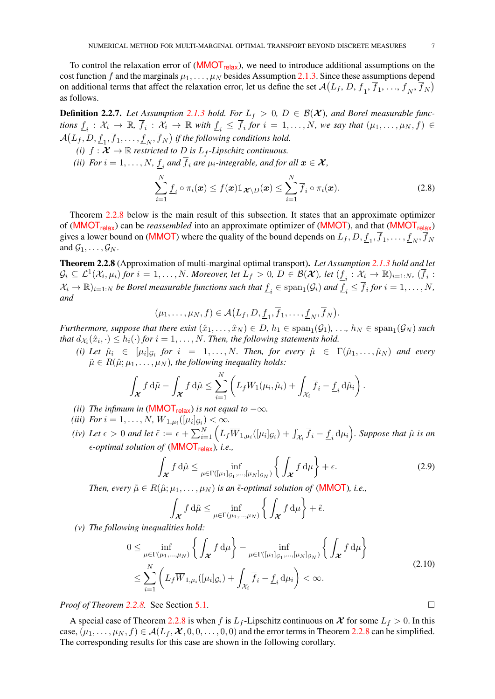To control the relaxation error of  $(MMOT_{relax})$  $(MMOT_{relax})$  $(MMOT_{relax})$ , we need to introduce additional assumptions on the cost function f and the marginals  $\mu_1, \ldots, \mu_N$  besides Assumption [2.1.3.](#page-4-3) Since these assumptions depend on additional terms that affect the relaxation error, let us define the set  $\mathcal{A}(L_f, D, \underline{f}_1, \overline{f}_1, \dots, \underline{f}_N, \overline{f}_N)$ as follows.

**Definition 2.2.7.** Let Assumption [2.1.3](#page-4-3) hold. For  $L_f > 0$ ,  $D \in \mathcal{B}(\mathcal{X})$ , and Borel measurable func $tions \underline{f}_i : \mathcal{X}_i \to \mathbb{R}, \overline{f}_i : \mathcal{X}_i \to \mathbb{R}$  with  $\underline{f}_i \leq \overline{f}_i$  for  $i = 1, \ldots, N$ , we say that  $(\mu_1, \ldots, \mu_N, f) \in$  $\mathcal{A}(L_f, D, \underline{f}_1, \overline{f}_1, \dots, \underline{f}_N, \overline{f}_N)$  if the following conditions hold.

- *(i)*  $f: \mathcal{X} \to \mathbb{R}$  *restricted to D is*  $L_f$ -*Lipschitz continuous.*
- *(ii) For*  $i = 1, \ldots, N$ ,  $\underline{f}_i$  *and*  $f_i$  *are*  $\mu_i$ *-integrable, and for all*  $\boldsymbol{x} \in \boldsymbol{\mathcal{X}}$ *,*

$$
\sum_{i=1}^{N} \underline{f}_i \circ \pi_i(\boldsymbol{x}) \leq f(\boldsymbol{x}) \mathbb{1}_{\boldsymbol{\mathcal{X}} \setminus D}(\boldsymbol{x}) \leq \sum_{i=1}^{N} \overline{f}_i \circ \pi_i(\boldsymbol{x}). \tag{2.8}
$$

Theorem [2.2.8](#page-6-0) below is the main result of this subsection. It states that an approximate optimizer of ([MMOT](#page-5-0)<sub>relax</sub>) can be *reassembled* into an approximate optimizer of (MMOT), and that (MMOT<sub>relax</sub>) gives a lower bound on ([MMOT](#page-4-4)) where the quality of the bound depends on  $L_f$ ,  $D$ ,  $\underline{f}_1$ ,  $f_1$ , ...,  $\underline{f}_N$ ,  $f_N$ and  $\mathcal{G}_1, \ldots, \mathcal{G}_N$ .

Theorem 2.2.8 (Approximation of multi-marginal optimal transport). *Let Assumption [2.1.3](#page-4-3) hold and let*  $\mathcal{G}_i \subseteq \mathcal{L}^1(\mathcal{X}_i, \mu_i)$  for  $i = 1, \ldots, N$ . Moreover, let  $L_f > 0$ ,  $D \in \mathcal{B}(\mathcal{X})$ , let  $(\underline{f}_i : \mathcal{X}_i \to \mathbb{R})_{i=1:N}$ ,  $(\overline{f}_i : \mathcal{X}_i \to \mathbb{R})_{i=1:N}$  $\mathcal{X}_i \to \mathbb{R}$ <sub>i=1:N</sub> be Borel measurable functions such that  $\underline{f}_i \in \text{span}_1(\mathcal{G}_i)$  and  $\underline{f}_i \leq \overline{f}_i$  for  $i = 1, \ldots, N$ , *and*

$$
(\mu_1,\ldots,\mu_N,f)\in \mathcal{A}(L_f,D,\underline{f}_1,\overline{f}_1,\ldots,\underline{f}_N,\overline{f}_N).
$$

*Furthermore, suppose that there exist*  $(\hat{x}_1, \ldots, \hat{x}_N) \in D$ ,  $h_1 \in \text{span}_1(\mathcal{G}_1), \ldots, h_N \in \text{span}_1(\mathcal{G}_N)$  such that  $d_{\mathcal{X}_i}(\hat{x}_i, \cdot) \leq h_i(\cdot)$  for  $i = 1, \ldots, N$ . Then, the following statements hold.

<span id="page-6-4"></span>*(i)* Let  $\hat{\mu}_i \in [\mu_i]_{\mathcal{G}_i}$  for  $i = 1, ..., N$ . Then, for every  $\hat{\mu} \in \Gamma(\hat{\mu}_1, ..., \hat{\mu}_N)$  and every  $\tilde{\mu} \in R(\hat{\mu}; \mu_1, \ldots, \mu_N)$ , the following inequality holds:

$$
\int_{\boldsymbol{\mathcal{X}}} f \, d\tilde{\mu} - \int_{\boldsymbol{\mathcal{X}}} f \, d\hat{\mu} \leq \sum_{i=1}^N \left( L_f W_1(\mu_i, \hat{\mu}_i) + \int_{\mathcal{X}_i} \overline{f}_i - \underline{f}_i \, d\hat{\mu}_i \right).
$$

- <span id="page-6-3"></span>*(ii) The infimum in* ([MMOT](#page-5-0)<sub>relax</sub>) *is not equal to*  $-\infty$ *.*
- <span id="page-6-5"></span>*(iii) For*  $i = 1, ..., N$ ,  $W_{1,\mu_i}([\mu_i]_{\mathcal{G}_i}) < \infty$ .
- <span id="page-6-1"></span>*(iv)* Let  $\epsilon > 0$  and let  $\tilde{\epsilon} := \epsilon + \sum_{i=1}^{N} \left( L_f \overline{W}_{1,\mu_i}([\mu_i]_{\mathcal{G}_i}) + \int_{\mathcal{X}_i} \overline{f}_i - \underline{f}_i d\mu_i \right)$ . Suppose that  $\hat{\mu}$  is an *-optimal solution of* ([MMOT](#page-5-0)relax)*, i.e.,*

$$
\int_{\mathcal{X}} f d\hat{\mu} \le \inf_{\mu \in \Gamma([{\mu_1}]g_1,\ldots,[{\mu_N}]g_N)} \left\{ \int_{\mathcal{X}} f d\mu \right\} + \epsilon.
$$
\n(2.9)

*Then, every*  $\tilde{\mu} \in R(\hat{\mu}; \mu_1, \dots, \mu_N)$  *is an*  $\tilde{\epsilon}$ -*optimal solution of* (**[MMOT](#page-4-4)**)*, i.e.*,

<span id="page-6-6"></span><span id="page-6-0"></span>
$$
\int_{\boldsymbol{\mathcal{X}}} f \, d\tilde{\mu} \le \inf_{\mu \in \Gamma(\mu_1, \dots, \mu_N)} \left\{ \int_{\boldsymbol{\mathcal{X}}} f \, d\mu \right\} + \tilde{\epsilon}.
$$

<span id="page-6-2"></span>*(v) The following inequalities hold:*

$$
0 \leq \inf_{\mu \in \Gamma(\mu_1, \dots, \mu_N)} \left\{ \int_{\mathcal{X}} f d\mu \right\} - \inf_{\mu \in \Gamma([\mu_1]_{\mathcal{G}_1}, \dots, [\mu_N]_{\mathcal{G}_N})} \left\{ \int_{\mathcal{X}} f d\mu \right\}
$$
  

$$
\leq \sum_{i=1}^N \left( L_f \overline{W}_{1, \mu_i}([\mu_i]_{\mathcal{G}_i}) + \int_{\mathcal{X}_i} \overline{f}_i - \underline{f}_i d\mu_i \right) < \infty.
$$
 (2.10)

*Proof of Theorem [2.2.8.](#page-6-0)* See Section [5.1.](#page-20-1)

A special case of Theorem [2.2.8](#page-6-0) is when f is  $L_f$ -Lipschitz continuous on X for some  $L_f > 0$ . In this case,  $(\mu_1, \ldots, \mu_N, f) \in \mathcal{A}(L_f, \mathcal{X}, 0, 0, \ldots, 0, 0)$  and the error terms in Theorem [2.2.8](#page-6-0) can be simplified. The corresponding results for this case are shown in the following corollary.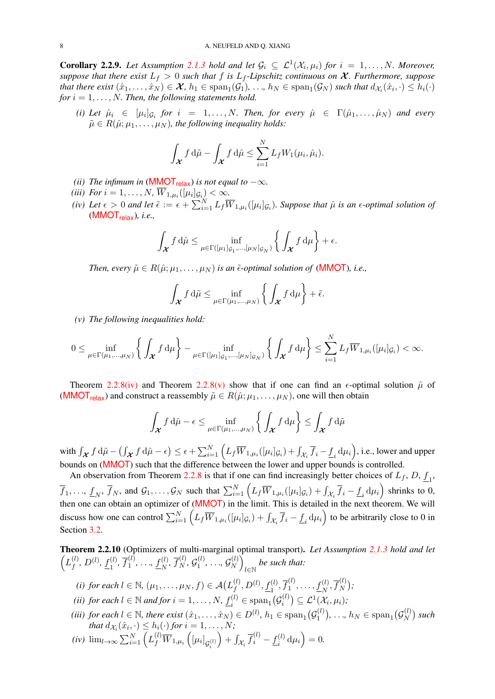**Corollary 2.2.9.** Let Assumption [2.1.3](#page-4-3) hold and let  $\mathcal{G}_i \subseteq \mathcal{L}^1(\mathcal{X}_i, \mu_i)$  for  $i = 1, ..., N$ . Moreover, *suppose that there exist*  $L_f > 0$  *such that* f *is*  $L_f$ -*Lipschitz continuous on*  $\mathcal{X}$ *. Furthermore, suppose*  $\mathit{that~there~ exist~}(\hat{x}_1,\ldots,\hat{x}_N) \in \mathcal{X},\,h_1\in \mathrm{span}_1(\mathcal{G}_1),\,\ldots,\,h_N\in \mathrm{span}_1(\mathcal{G}_N) \text{ such that } d_{\mathcal{X}_i}(\hat{x}_i,\cdot)\leq h_i(\cdot)$ *for*  $i = 1, \ldots, N$ . *Then, the following statements hold.* 

<span id="page-7-1"></span>*(i)* Let  $\hat{\mu}_i \in [\mu_i]_{\mathcal{G}_i}$  for  $i = 1, ..., N$ . Then, for every  $\hat{\mu} \in \Gamma(\hat{\mu}_1, ..., \hat{\mu}_N)$  and every  $\tilde{\mu} \in R(\hat{\mu}; \mu_1, \ldots, \mu_N)$ , the following inequality holds:

$$
\int_{\boldsymbol{\mathcal{X}}} f \, \mathrm{d}\tilde{\mu} - \int_{\boldsymbol{\mathcal{X}}} f \, \mathrm{d}\hat{\mu} \leq \sum_{i=1}^N L_f W_1(\mu_i, \hat{\mu}_i).
$$

- *(ii) The infimum in* (**[MMOT](#page-5-0)**<sub>relax</sub>) *is not equal to*  $-\infty$ *.*
- *(iii) For*  $i = 1, ..., N$ ,  $\overline{W}_{1,\mu_i}([\mu_i]_{\mathcal{G}_i}) < \infty$ .
- *(iv)* Let  $\epsilon > 0$  and let  $\tilde{\epsilon} := \epsilon + \sum_{i=1}^{N} L_f \overline{W}_{1,\mu_i}([\mu_i]_{\mathcal{G}_i})$ . Suppose that  $\hat{\mu}$  is an  $\epsilon$ -optimal solution of ([MMOT](#page-5-0)relax)*, i.e.,*

$$
\int_{\boldsymbol{\mathcal{X}}} f \, d\hat{\mu} \leq \inf_{\mu \in \Gamma([\mu_1]_{\mathcal{G}_1}, \dots, [\mu_N]_{\mathcal{G}_N})} \left\{ \int_{\boldsymbol{\mathcal{X}}} f \, d\mu \right\} + \epsilon.
$$

*Then, every*  $\tilde{\mu} \in R(\hat{\mu}; \mu_1, \ldots, \mu_N)$  *is an*  $\tilde{\epsilon}$ -*optimal solution of* (**[MMOT](#page-4-4)**)*, i.e.*,

$$
\int_{\boldsymbol{\mathcal{X}}} f \, \mathrm{d}\tilde{\mu} \leq \inf_{\mu \in \Gamma(\mu_1, \ldots, \mu_N)} \left\{ \int_{\boldsymbol{\mathcal{X}}} f \, \mathrm{d}\mu \right\} + \tilde{\epsilon}.
$$

<span id="page-7-0"></span>*(v) The following inequalities hold:*

$$
0 \leq \inf_{\mu \in \Gamma(\mu_1, \dots, \mu_N)} \left\{ \int_{\mathcal{X}} f d\mu \right\} - \inf_{\mu \in \Gamma([\mu_1]_{\mathcal{G}_1}, \dots, [\mu_N]_{\mathcal{G}_N})} \left\{ \int_{\mathcal{X}} f d\mu \right\} \leq \sum_{i=1}^N L_f \overline{W}_{1, \mu_i}([\mu_i]_{\mathcal{G}_i}) < \infty.
$$

Theorem [2.2.8](#page-6-0)[\(iv\)](#page-6-1) and Theorem 2.2.8[\(v\)](#page-6-2) show that if one can find an  $\epsilon$ -optimal solution  $\hat{\mu}$  of ([MMOT](#page-5-0)<sub>relax</sub>) and construct a reassembly  $\tilde{\mu} \in R(\hat{\mu}; \mu_1, \dots, \mu_N)$ , one will then obtain

$$
\int_{\boldsymbol{\mathcal{X}}} f \, \mathrm{d}\hat{\mu} - \epsilon \leq \inf_{\mu \in \Gamma(\mu_1, \dots, \mu_N)} \left\{ \int_{\boldsymbol{\mathcal{X}}} f \, \mathrm{d}\mu \right\} \leq \int_{\boldsymbol{\mathcal{X}}} f \, \mathrm{d}\tilde{\mu}
$$

with  $\int_{\boldsymbol{\mathcal{X}}} f \, \mathrm{d}\tilde{\mu} - \left( \int_{\boldsymbol{\mathcal{X}}} f \, \mathrm{d}\hat{\mu} - \epsilon \right) \leq \epsilon + \sum_{i=1}^N \left( L_f \overline{W}_{1,\mu_i}([\mu_i]_{\mathcal{G}_i}) + \int_{\mathcal{X}_i} \overline{f}_i - \underline{f}_i \, \mathrm{d}\mu_i \right),$  i.e., lower and upper bounds on ([MMOT](#page-4-4)) such that the difference between the lower and upper bounds is controlled.

An observation from Theorem [2.2.8](#page-6-0) is that if one can find increasingly better choices of  $L_f$ ,  $D$ ,  $\underline{f}_1$ ,  $\overline{f}_1, \ldots, \underline{f}_N, \overline{f}_N$ , and  $\mathcal{G}_1, \ldots, \mathcal{G}_N$  such that  $\sum_{i=1}^N \left( L_f \overline{W}_{1,\mu_i}([\mu_i] \mathcal{G}_i) + \int_{\mathcal{X}_i} \overline{f}_i - \underline{f}_i d\mu_i \right)$  shrinks to 0, then one can obtain an optimizer of ([MMOT](#page-4-4)) in the limit. This is detailed in the next theorem. We will discuss how one can control  $\sum_{i=1}^{N} \left( L_f \overline{W}_{1,\mu_i}([\mu_i]_{\mathcal{G}_i}) + \int_{\mathcal{X}_i} \overline{f}_i - \underline{f}_i \, d\mu_i \right)$  to be arbitrarily close to 0 in Section [3.2.](#page-11-2)

Theorem 2.2.10 (Optimizers of multi-marginal optimal transport). *Let Assumption [2.1.3](#page-4-3) hold and let*  $\left( L_{\ell}^{(l)}\right)$  $f^{(l)}, D^{(l)}, \underline{f_1^{(l)}}$  $\bar{f}_1^{(l)}$ ,  $\bar{f}_1^{(l)}$  $\frac{f^{(l)}}{1}, \ldots, \frac{f^{(l)}}{N}$  $\overline{f}_N^{(l)}, \overline{f}_N^{(l)}, \mathcal{G}_1^{(l)}$  $\mathcal{G}_1^{(l)},\, \ldots,\, \mathcal{G}_N^{(l)}$  $\binom{l}{N}$ l∈N *be such that:*

- (i) for each  $l \in \mathbb{N}$ ,  $(\mu_1, \ldots, \mu_N, f) \in \mathcal{A}(L_f^{(l)})$  $f^{(l)}, D^{(l)}, \underline{f_1^{(l)}}, \overline{f_1^{(l)}}$  $f_1^{(l)},\ldots,f_N^{(l)},\overline{f}_N^{(l)}$  $\binom{l}{N};$ *(ii) for each*  $l \in \mathbb{N}$  *and for*  $i = 1, \ldots, N$ ,  $f_i^{(l)}$  $\mathcal{G}_i^{(l)} \in \text{span}_1(\mathcal{G}_i^{(l)})$  $\mathcal{L}^{(l)}_i$ )  $\subseteq$   $\mathcal{L}^1(\mathcal{X}_i, \mu_i)$ ;
- *(iii) for each*  $l \in \mathbb{N}$ *, there exist*  $(\hat{x}_1, \ldots, \hat{x}_N) \in D^{(l)}$ *,*  $h_1 \in \text{span}_1(\mathcal{G}_1^{(l)}$  $h_1^{(l)}), \ldots, h_N \in \text{span}_1(\mathcal{G}_N^{(l)})$

 $S_N^{(l)}$  such

that  $d_{\mathcal{X}_i}(\hat{x}_i, \cdot) \leq h_i(\cdot)$  for  $i = 1, \ldots, N$ ;  $(iv)$   $\lim_{l\to\infty}\sum_{i=1}^N \left(L_f^{(l)} \overline{W}_{1,\mu_i}\left(\left[\mu_i\right]_{\mathcal{G}_i^{(l)}}\right)\right)$  $\Big) + \int_{\mathcal{X}_i} \overline{f}_i^{(l)} - \underline{f}_i^{(l)}$  $\left(\begin{matrix} l \end{matrix}\right) d\mu_i$  = 0.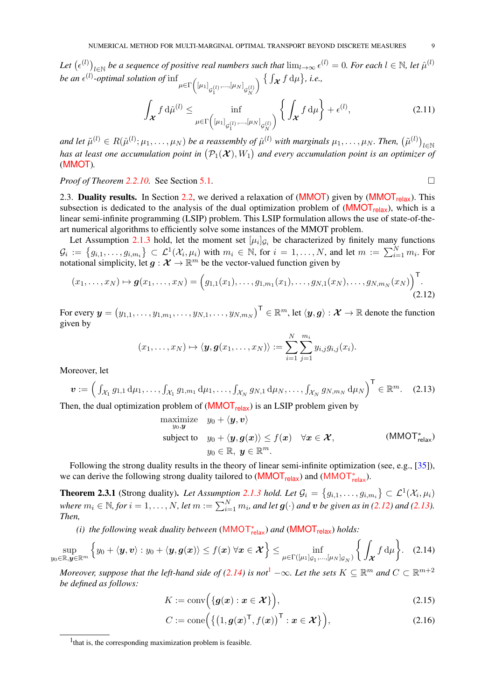<span id="page-8-9"></span>Let  $(\epsilon^{(l)})_{l\in\mathbb{N}}$  be a sequence of positive real numbers such that  $\lim_{l\to\infty}\epsilon^{(l)}=0$ . For each  $l\in\mathbb{N}$ , let  $\hat{\mu}^{(l)}$ *be an*  $\epsilon^{(l)}$ -optimal solution of  $\inf_{\mu \in \Gamma \left( [\mu_1]_{\mathcal{G}_1^{(l)}},...,[\mu_N]_{\mathcal{G}_N^{(l)}} \right)} \left\{ \int_{\mathcal{X}} f d\mu \right\}$ , i.e.,

$$
\int_{\mathcal{X}} f d\hat{\mu}^{(l)} \le \inf_{\mu \in \Gamma\left([\mu_1]_{\mathcal{G}_1^{(l)}}, \dots, [\mu_N]_{\mathcal{G}_N^{(l)}}\right)} \left\{ \int_{\mathcal{X}} f d\mu \right\} + \epsilon^{(l)},\tag{2.11}
$$

and let  $\tilde{\mu}^{(l)} \in R(\hat{\mu}^{(l)};\mu_1,\ldots,\mu_N)$  be a reassembly of  $\hat{\mu}^{(l)}$  with marginals  $\mu_1,\ldots,\mu_N$ . Then,  $(\tilde{\mu}^{(l)})_{l\in\mathbb{N}}$ has at least one accumulation point in  $(\mathcal{P}_1(\mathcal{X}), W_1)$  and every accumulation point is an optimizer of ([MMOT](#page-4-4))*.*

*Proof of Theorem [2.2.10.](#page-8-2)* See Section [5.1.](#page-20-1)

<span id="page-8-4"></span><span id="page-8-3"></span><span id="page-8-2"></span>

<span id="page-8-1"></span>2.3. Duality results. In Section [2.2,](#page-4-2) we derived a relaxation of ([MMOT](#page-5-0)) given by (MMOT<sub>relax</sub>). This subsection is dedicated to the analysis of the dual optimization problem of  $(MMOT<sub>relax</sub>)$  $(MMOT<sub>relax</sub>)$  $(MMOT<sub>relax</sub>)$ , which is a linear semi-infinite programming (LSIP) problem. This LSIP formulation allows the use of state-of-theart numerical algorithms to efficiently solve some instances of the MMOT problem.

Let Assumption [2.1.3](#page-4-3) hold, let the moment set  $[\mu_i]_{\mathcal{G}_i}$  be characterized by finitely many functions  $\mathcal{G}_i := \{g_{i,1}, \ldots, g_{i,m_i}\} \subset \mathcal{L}^1(\mathcal{X}_i, \mu_i)$  with  $m_i \in \mathbb{N}$ , for  $i = 1, \ldots, N$ , and let  $m := \sum_{i=1}^N m_i$ . For notational simplicity, let  $g : \mathcal{X} \to \mathbb{R}^m$  be the vector-valued function given by

$$
(x_1, \ldots, x_N) \mapsto \boldsymbol{g}(x_1, \ldots, x_N) = \left( g_{1,1}(x_1), \ldots, g_{1,m_1}(x_1), \ldots, g_{N,1}(x_N), \ldots, g_{N,m_N}(x_N) \right)^{\mathsf{T}}.\tag{2.12}
$$

For every  $\bm{y}=\left(y_{1,1},\ldots,y_{1,m_1},\ldots,y_{N,1},\ldots,y_{N,m_N}\right)^{\mathsf{T}}\in\mathbb{R}^m,$  let  $\langle\bm{y},\bm{g}\rangle:\mathcal{X}\to\mathbb{R}$  denote the function given by

$$
(x_1,\ldots,x_N)\mapsto \langle \boldsymbol{y},\boldsymbol{g}(x_1,\ldots,x_N)\rangle:=\sum_{i=1}^N\sum_{j=1}^{m_i}y_{i,j}g_{i,j}(x_i).
$$

Moreover, let

$$
\boldsymbol{v} := \left( \int_{\mathcal{X}_1} g_{1,1} \, \mathrm{d}\mu_1, \dots, \int_{\mathcal{X}_1} g_{1,m_1} \, \mathrm{d}\mu_1, \dots, \int_{\mathcal{X}_N} g_{N,1} \, \mathrm{d}\mu_N, \dots, \int_{\mathcal{X}_N} g_{N,m_N} \, \mathrm{d}\mu_N \right)^{\mathrm{T}} \in \mathbb{R}^m. \tag{2.13}
$$

Then, the dual optimization problem of  $(MMOT_{relax})$  $(MMOT_{relax})$  $(MMOT_{relax})$  is an LSIP problem given by

<span id="page-8-0"></span>maximize 
$$
y_0 + \langle y, v \rangle
$$
  
\nsubject to  $y_0 + \langle y, g(x) \rangle \le f(x) \quad \forall x \in \mathcal{X}$ ,  
\n $y_0 \in \mathbb{R}, y \in \mathbb{R}^m$ .  
\n(MMOT<sup>\*</sup><sub>relax</sub>)

Following the strong duality results in the theory of linear semi-infinite optimization (see, e.g., [\[35\]](#page-46-20)), we can derive the following strong duality tailored to  $(MMOT<sub>relax</sub>)$  $(MMOT<sub>relax</sub>)$  $(MMOT<sub>relax</sub>)$  and  $(MMOT<sub>relax</sub>)$ .

**Theorem 2.3.1** (Strong duality). Let Assumption [2.1.3](#page-4-3) hold. Let  $\mathcal{G}_i = \{g_{i,1}, \ldots, g_{i,m_i}\} \subset \mathcal{L}^1(\mathcal{X}_i, \mu_i)$ where  $m_i \in \mathbb{N}$ , for  $i = 1, \ldots, N$ , let  $m := \sum_{i=1}^N m_i$ , and let  $\bm{g}(\cdot)$  and  $\bm{v}$  be given as in [\(2.12\)](#page-8-3) and [\(2.13\)](#page-8-4). *Then,*

<span id="page-8-7"></span>*(i) the following weak duality between* ([MMOT](#page-8-0)<sup>∗</sup> relax) *and* ([MMOT](#page-5-0)relax) *holds:*

$$
\sup_{y_0 \in \mathbb{R}, \mathbf{y} \in \mathbb{R}^m} \Big\{ y_0 + \langle \mathbf{y}, \mathbf{v} \rangle : y_0 + \langle \mathbf{y}, \mathbf{g}(\mathbf{x}) \rangle \leq f(\mathbf{x}) \; \forall \mathbf{x} \in \mathcal{X} \Big\} \leq \inf_{\mu \in \Gamma([\mu_1]_{\mathcal{G}_1}, \ldots, [\mu_N]_{\mathcal{G}_N})} \Big\{ \int_{\mathcal{X}} f \, \mathrm{d}\mu \Big\}. \tag{2.14}
$$

*Moreover, suppose that the left-hand side of [\(2.14\)](#page-8-5) is not*<sup>[1](#page-8-6)</sup>  $-\infty$ *. Let the sets*  $K \subseteq \mathbb{R}^m$  and  $C \subset \mathbb{R}^{m+2}$ *be defined as follows:*

<span id="page-8-8"></span><span id="page-8-5"></span>
$$
K := \text{conv}\Big(\{g(x) : x \in \mathcal{X}\}\Big),\tag{2.15}
$$

$$
C := \text{cone}\Big(\big\{\big(1, \boldsymbol{g}(\boldsymbol{x})^{\mathsf{T}}, f(\boldsymbol{x})\big)^{\mathsf{T}} : \boldsymbol{x} \in \boldsymbol{\mathcal{X}}\big\}\Big),\tag{2.16}
$$

<span id="page-8-6"></span><sup>&</sup>lt;sup>1</sup> that is, the corresponding maximization problem is feasible.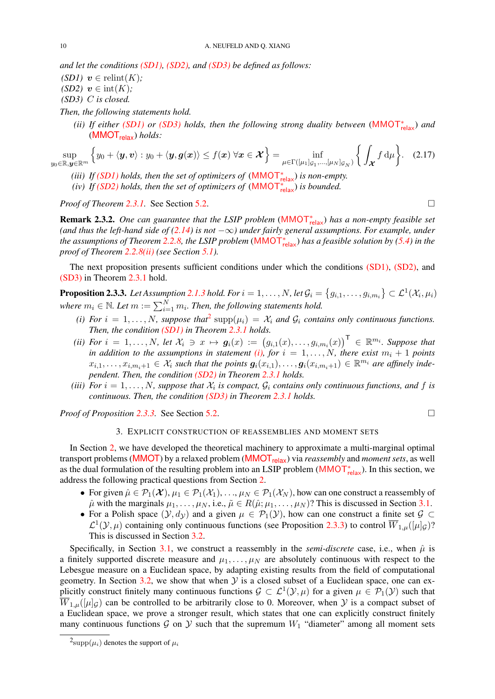*and let the conditions [\(SD1\),](#page-9-2) [\(SD2\),](#page-9-3) and [\(SD3\)](#page-9-4) be defined as follows:*

<span id="page-9-3"></span><span id="page-9-2"></span>*(SD1)*  $v \in$  relint $(K)$ ;  $(SD2)$   $v \in \text{int}(K)$ ; *(SD3)* C *is closed.*

<span id="page-9-7"></span><span id="page-9-4"></span>*Then, the following statements hold.*

*(ii) If either [\(SD1\)](#page-9-2) or [\(SD3\)](#page-9-4) holds, then the following strong duality between* ([MMOT](#page-8-0)<sup>∗</sup> relax) *and* ([MMOT](#page-5-0)relax) *holds:*

$$
\sup_{y_0 \in \mathbb{R}, y \in \mathbb{R}^m} \left\{ y_0 + \langle y, v \rangle : y_0 + \langle y, g(x) \rangle \le f(x) \; \forall x \in \mathcal{X} \right\} = \inf_{\mu \in \Gamma([\mu_1]_{\mathcal{G}_1}, \ldots, [\mu_N]_{\mathcal{G}_N})} \left\{ \int_{\mathcal{X}} f \, d\mu \right\}.
$$
 (2.17)

- <span id="page-9-9"></span>*(iii) If [\(SD1\)](#page-9-2) holds, then the set of optimizers of*  $(MMOT<sup>*</sup><sub>relax</sub>)$  $(MMOT<sup>*</sup><sub>relax</sub>)$  $(MMOT<sup>*</sup><sub>relax</sub>)$  *is non-empty.*
- <span id="page-9-0"></span>*(iv) If [\(SD2\)](#page-9-3) holds, then the set of optimizers of*  $(MMOT<sup>*</sup><sub>relax</sub>)$  $(MMOT<sup>*</sup><sub>relax</sub>)$  $(MMOT<sup>*</sup><sub>relax</sub>)$  *is bounded.*

*Proof of Theorem* [2.3.1.](#page-9-0) See Section [5.2.](#page-22-0) □

**Remark 2.3.2.** One can guarantee that the LSIP problem ([MMOT](#page-8-0)<sub>relax</sub>) has a non-empty feasible set *(and thus the left-hand side of [\(2.14\)](#page-8-5) is not* −∞*) under fairly general assumptions. For example, under the assumptions of Theorem [2.2.8,](#page-6-0) the LSIP problem* ([MMOT](#page-8-0)<sup>∗</sup> relax) *has a feasible solution by [\(5.4\)](#page-21-0) in the proof of Theorem [2.2.8](#page-6-0)[\(ii\)](#page-6-3) (see Section [5.1\)](#page-20-1).*

The next proposition presents sufficient conditions under which the conditions [\(SD1\),](#page-9-2) [\(SD2\),](#page-9-3) and [\(SD3\)](#page-9-4) in Theorem [2.3.1](#page-9-0) hold.

**Proposition 2.3.3.** Let Assumption [2.1.3](#page-4-3) hold. For  $i=1,\ldots,N$  , let  $\mathcal{G}_i=\big\{g_{i,1},\ldots,g_{i,m_i}\big\}\subset\mathcal{L}^1(\mathcal{X}_i,\mu_i)$ where  $m_i \in \mathbb{N}$ . Let  $m := \sum_{i=1}^{N} m_i$ . Then, the following statements hold.

- <span id="page-9-6"></span>(*i*) For  $i = 1, ..., N$ , suppose that<sup>[2](#page-9-5)</sup> supp $(\mu_i) = X_i$  and  $\mathcal{G}_i$  contains only continuous functions. *Then, the condition [\(SD1\)](#page-9-2) in Theorem [2.3.1](#page-9-0) holds.*
- <span id="page-9-10"></span>*(ii)* For  $i = 1, \ldots, N$ , let  $\mathcal{X}_i \ni x \mapsto g_i(x) := (g_{i,1}(x), \ldots, g_{i,m_i}(x))^{\sf T} \in \mathbb{R}^{m_i}$ . Suppose that *in addition to the assumptions in statement [\(i\),](#page-9-6) for*  $i = 1, ..., N$ *, there exist*  $m_i + 1$  *points*  $x_{i,1},\ldots,x_{i,m_i+1}\in\mathcal{X}_i$  such that the points  $\boldsymbol{g}_i(x_{i,1}),\ldots,\boldsymbol{g}_i(x_{i,m_i+1})\in\mathbb{R}^{m_i}$  are affinely inde*pendent. Then, the condition [\(SD2\)](#page-9-3) in Theorem [2.3.1](#page-9-0) holds.*
- <span id="page-9-1"></span>(*iii*) For  $i = 1, \ldots, N$ , suppose that  $\mathcal{X}_i$  is compact,  $\mathcal{G}_i$  contains only continuous functions, and f is *continuous. Then, the condition [\(SD3\)](#page-9-4) in Theorem [2.3.1](#page-9-0) holds.*

*Proof of Proposition [2.3.3.](#page-9-1)* See Section [5.2.](#page-22-0)

<span id="page-9-8"></span>
$$
\qquad \qquad \Box
$$

# 3. EXPLICIT CONSTRUCTION OF REASSEMBLIES AND MOMENT SETS

In Section [2,](#page-3-2) we have developed the theoretical machinery to approximate a multi-marginal optimal transport problems ([MMOT](#page-5-0)) by a relaxed problem (MMOT<sub>relax</sub>) via *reassembly* and *moment sets*, as well as the dual formulation of the resulting problem into an LSIP problem ([MMOT](#page-8-0)<sub><sup>\*elax</sub>). In this section, we</sub></sup> address the following practical questions from Section [2.](#page-3-2)

- For given  $\hat{\mu} \in \mathcal{P}_1(\mathcal{X}), \mu_1 \in \mathcal{P}_1(\mathcal{X}_1), \ldots, \mu_N \in \mathcal{P}_1(\mathcal{X}_N)$ , how can one construct a reassembly of  $\hat{\mu}$  with the marginals  $\mu_1, \ldots, \mu_N$ , i.e.,  $\tilde{\mu} \in R(\hat{\mu}; \mu_1, \ldots, \mu_N)$ ? This is discussed in Section [3.1.](#page-10-1)
- For a Polish space  $(\mathcal{Y}, d_{\mathcal{Y}})$  and a given  $\mu \in \mathcal{P}_1(\mathcal{Y})$ , how can one construct a finite set  $\mathcal{G} \subset$  $\mathcal{L}^1(\mathcal{Y},\mu)$  containing only continuous functions (see Proposition [2.3.3\)](#page-9-1) to control  $\overline{W}_{1,\mu}([\mu]_{\mathcal{G}})$ ? This is discussed in Section [3.2.](#page-11-2)

Specifically, in Section [3.1,](#page-10-1) we construct a reassembly in the *semi-discrete* case, i.e., when  $\hat{\mu}$  is a finitely supported discrete measure and  $\mu_1, \ldots, \mu_N$  are absolutely continuous with respect to the Lebesgue measure on a Euclidean space, by adapting existing results from the field of computational geometry. In Section [3.2,](#page-11-2) we show that when  $\mathcal Y$  is a closed subset of a Euclidean space, one can explicitly construct finitely many continuous functions  $\mathcal{G} \subset \mathcal{L}^1(\mathcal{Y}, \mu)$  for a given  $\mu \in \mathcal{P}_1(\mathcal{Y})$  such that  $\overline{W}_{1,u}([\mu]_G)$  can be controlled to be arbitrarily close to 0. Moreover, when Y is a compact subset of a Euclidean space, we prove a stronger result, which states that one can explicitly construct finitely many continuous functions  $G$  on  $Y$  such that the supremum  $W_1$  "diameter" among all moment sets

<span id="page-9-5"></span> $^{2}$ supp $(\mu_{i})$  denotes the support of  $\mu_{i}$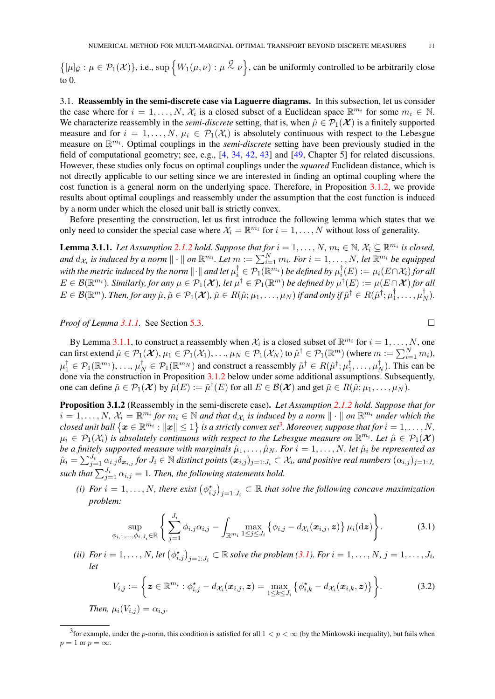<span id="page-10-7"></span> $\{[\mu]_G : \mu \in \mathcal{P}_1(\mathcal{X})\},\$ i.e., sup  $\{W_1(\mu,\nu): \mu \stackrel{\mathcal{G}}{\sim} \nu\}$ , can be uniformly controlled to be arbitrarily close to 0.

<span id="page-10-1"></span>3.1. Reassembly in the semi-discrete case via Laguerre diagrams. In this subsection, let us consider the case where for  $i = 1, ..., N$ ,  $\mathcal{X}_i$  is a closed subset of a Euclidean space  $\mathbb{R}^{m_i}$  for some  $m_i \in \mathbb{N}$ . We characterize reassembly in the *semi-discrete* setting, that is, when  $\hat{\mu} \in \mathcal{P}_1(\mathcal{X})$  is a finitely supported measure and for  $i = 1, \ldots, N$ ,  $\mu_i \in \mathcal{P}_1(\mathcal{X}_i)$  is absolutely continuous with respect to the Lebesgue measure on  $\mathbb{R}^{m_i}$ . Optimal couplings in the *semi-discrete* setting have been previously studied in the field of computational geometry; see, e.g., [\[4,](#page-45-19) [34,](#page-46-21) [42,](#page-46-22) [43\]](#page-46-23) and [\[49,](#page-47-0) Chapter 5] for related discussions. However, these studies only focus on optimal couplings under the *squared* Euclidean distance, which is not directly applicable to our setting since we are interested in finding an optimal coupling where the cost function is a general norm on the underlying space. Therefore, in Proposition [3.1.2,](#page-11-0) we provide results about optimal couplings and reassembly under the assumption that the cost function is induced by a norm under which the closed unit ball is strictly convex.

Before presenting the construction, let us first introduce the following lemma which states that we only need to consider the special case where  $\mathcal{X}_i = \mathbb{R}^{m_i}$  for  $i = 1, ..., N$  without loss of generality.

<span id="page-10-0"></span>**Lemma 3.1.1.** Let Assumption [2.1.2](#page-3-1) hold. Suppose that for  $i = 1, ..., N$ ,  $m_i \in \mathbb{N}$ ,  $\mathcal{X}_i \subseteq \mathbb{R}^{m_i}$  is closed, and  $d_{X_i}$  is induced by a norm  $\|\cdot\|$  on  $\mathbb{R}^{m_i}$ . Let  $m:=\sum_{i=1}^Nm_i$ . For  $i=1,\ldots,N$ , let  $\mathbb{R}^{m_i}$  be equipped with the metric induced by the norm  $\|\cdot\|$  and let  $\mu_i^\dagger\in\mathcal{P}_1(\R^{m_i})$  be defined by  $\mu_i^\dagger$  $\mathcal{J}_i^{\intercal}(E) := \mu_i(E \cap \mathcal{X}_i)$  for all  $E\in\mathcal{B}(\mathbb{R}^{m_i})$ . Similarly, for any  $\mu\in\mathcal{P}_1(\mathcal{X})$ , let  $\mu^\dagger\in\mathcal{P}_1(\mathbb{R}^m)$  be defined by  $\mu^\dagger(E):=\mu(E\cap\mathcal{X})$  for all  $E\in\mathcal{B}(\mathbb{R}^m)$ . Then, for any  $\hat{\mu},\tilde{\mu}\in\mathcal{P}_1(\mathcal{X}),\,\tilde{\mu}\in R(\hat{\mu};\mu_1,\ldots,\mu_N)$  if and only if  $\tilde{\mu}^\dagger\in R(\hat{\mu}^\dagger;\mu_1^\dagger)$  $\mu_1^\dagger,\ldots,\mu_I^\dagger$  $\frac{1}{N}$ ).

*Proof of Lemma [3.1.1.](#page-10-0)* See Section [5.3.](#page-24-0)

<span id="page-10-4"></span><span id="page-10-3"></span>

By Lemma [3.1.1,](#page-10-0) to construct a reassembly when  $\mathcal{X}_i$  is a closed subset of  $\mathbb{R}^{m_i}$  for  $i = 1, \ldots, N$ , one can first extend  $\hat{\mu}\in \mathcal{P}_1(\boldsymbol{\mathcal{X}}),\mu_1\in \mathcal{P}_1(\mathcal{X}_1),\ldots,\mu_N\in \mathcal{P}_1(\mathcal{X}_N)$  to  $\hat{\mu}^\dagger\in \mathcal{P}_1(\mathbb{R}^m)$  (where  $m:=\sum_{i=1}^Nm_i)$ ,  $\mu_1^\dagger\in\mathcal{P}_1(\mathbb{R}^{m_1}),$   $\dots,$   $\mu_N^\dagger\in\mathcal{P}_1(\mathbb{R}^{m_N})$  and construct a reassembly  $\tilde{\mu}^\dagger\in R(\hat{\mu}^\dagger;\mu_1^\dagger)$  $\mu_1^\dagger,\ldots,\mu_I^\dagger$  $\binom{1}{N}$ . This can be done via the construction in Proposition [3.1.2](#page-11-0) below under some additional assumptions. Subsequently, one can define  $\tilde{\mu} \in \mathcal{P}_1(\mathcal{X})$  by  $\tilde{\mu}(E) := \tilde{\mu}^{\dagger}(E)$  for all  $E \in \mathcal{B}(\mathcal{X})$  and get  $\tilde{\mu} \in R(\hat{\mu}; \mu_1, \dots, \mu_N)$ .

Proposition 3.1.2 (Reassembly in the semi-discrete case). *Let Assumption [2.1.2](#page-3-1) hold. Suppose that for*  $i = 1, \ldots, N$ ,  $\mathcal{X}_i = \mathbb{R}^{m_i}$  for  $m_i \in \mathbb{N}$  and that  $d_{\mathcal{X}_i}$  is induced by a norm  $\|\cdot\|$  on  $\mathbb{R}^{m_i}$  under which the  $closed$  unit ball  $\left\{\bm{x} \in \mathbb{R}^{m_i}: \|\bm{x}\| \leq 1\right\}$  is a strictly convex set<sup>[3](#page-10-2)</sup>. Moreover, suppose that for  $i=1,\ldots,N,$  $\mu_i \in \mathcal{P}_1(\mathcal{X}_i)$  is absolutely continuous with respect to the Lebesgue measure on  $\mathbb{R}^{m_i}$ . Let  $\hat{\mu} \in \mathcal{P}_1(\mathcal{X})$ *be a finitely supported measure with marginals*  $\hat{\mu}_1, \ldots, \hat{\mu}_N$ *. For*  $i = 1, \ldots, N$ *, let*  $\hat{\mu}_i$  *be represented as*  $\hat{\mu}_i=\sum_{j=1}^{J_i}\alpha_{i,j}\delta_{\bm{x}_{i,j}}$  for  $J_i\in\mathbb{N}$  distinct points  $(\bm{x}_{i,j})_{j=1:J_i}\subset\mathcal{X}_i$ , and positive real numbers  $(\alpha_{i,j})_{j=1:J_i}$ such that  $\sum_{j=1}^{J_i} \alpha_{i,j} = 1$ . Then, the following statements hold.

<span id="page-10-5"></span>(*i*) For  $i = 1, ..., N$ , there exist  $(\phi_{i,j}^{\star})_{j=1:J_i} \subset \mathbb{R}$  that solve the following concave maximization *problem:*

$$
\sup_{\phi_{i,1},\ldots,\phi_{i,J_i}\in\mathbb{R}}\left\{\sum_{j=1}^{J_i}\phi_{i,j}\alpha_{i,j}-\int_{\mathbb{R}^{m_i}}\max_{1\leq j\leq J_i}\left\{\phi_{i,j}-d_{\mathcal{X}_i}(\boldsymbol{x}_{i,j},\boldsymbol{z})\right\}\mu_i(\mathrm{d}\boldsymbol{z})\right\}.
$$
 (3.1)

<span id="page-10-6"></span>(*ii*) For  $i = 1, \ldots, N$ , let  $(\phi_{i,j}^{\star})_{j=1:J_i} \subset \mathbb{R}$  solve the problem [\(3.1\)](#page-10-3). For  $i = 1, \ldots, N$ ,  $j = 1, \ldots, J_i$ , *let*

$$
V_{i,j} := \left\{ \boldsymbol{z} \in \mathbb{R}^{m_i} : \phi_{i,j}^{\star} - d_{\mathcal{X}_i}(\boldsymbol{x}_{i,j}, \boldsymbol{z}) = \max_{1 \leq k \leq J_i} \left\{ \phi_{i,k}^{\star} - d_{\mathcal{X}_i}(\boldsymbol{x}_{i,k}, \boldsymbol{z}) \right\} \right\}.
$$
 (3.2)

*Then,*  $\mu_i(V_{i,j}) = \alpha_{i,j}$ *.* 

<span id="page-10-2"></span><sup>&</sup>lt;sup>3</sup> for example, under the p-norm, this condition is satisfied for all  $1 < p < \infty$  (by the Minkowski inequality), but fails when  $p = 1$  or  $p = \infty$ .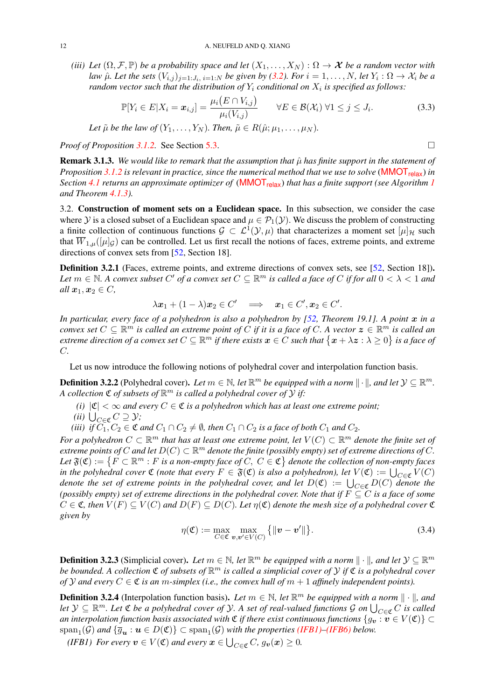<span id="page-11-5"></span><span id="page-11-4"></span>*(iii) Let*  $(\Omega, \mathcal{F}, \mathbb{P})$  *be a probability space and let*  $(X_1, \ldots, X_N) : \Omega \to \mathcal{X}$  *be a random vector with law*  $\hat{\mu}$ *. Let the sets*  $(V_{i,j})_{j=1:J_i, i=1:N}$  *be given by* [\(3.2\)](#page-10-4)*. For*  $i=1,\ldots,N$ *, let*  $Y_i:\Omega\to\mathcal{X}_i$  *be a* random vector such that the distribution of  $Y_i$  conditional on  $X_i$  is specified as follows:

$$
\mathbb{P}[Y_i \in E | X_i = \boldsymbol{x}_{i,j}] = \frac{\mu_i(E \cap V_{i,j})}{\mu_i(V_{i,j})} \qquad \forall E \in \mathcal{B}(\mathcal{X}_i) \ \forall 1 \leq j \leq J_i. \tag{3.3}
$$

*Let*  $\tilde{\mu}$  *be the law of*  $(Y_1, \ldots, Y_N)$ *. Then,*  $\tilde{\mu} \in R(\hat{\mu}; \mu_1, \ldots, \mu_N)$ *.* 

*Proof of Proposition [3.1.2.](#page-11-0)* See Section [5.3.](#page-24-0)

**Remark 3.1.3.** We would like to remark that the assumption that  $\hat{\mu}$  has finite support in the statement of *Proposition* [3.1.2](#page-11-0) *is relevant in practice, since the numerical method that we use to solve* (**[MMOT](#page-5-0)**<sub>relax</sub>) *in Section* [4.1](#page-15-2) *returns an approximate optimizer of* ([MMOT](#page-5-0)<sub>relax</sub>) *that has a finite support* (see Algorithm [1](#page-15-0) *and Theorem [4.1.3\)](#page-16-0).*

<span id="page-11-2"></span>3.2. Construction of moment sets on a Euclidean space. In this subsection, we consider the case where Y is a closed subset of a Euclidean space and  $\mu \in \mathcal{P}_1(\mathcal{Y})$ . We discuss the problem of constructing a finite collection of continuous functions  $\mathcal{G} \subset \mathcal{L}^1(\mathcal{Y}, \mu)$  that characterizes a moment set  $[\mu]_{\mathcal{H}}$  such that  $\overline{W}_{1,\mu}([\mu]_G)$  can be controlled. Let us first recall the notions of faces, extreme points, and extreme directions of convex sets from [\[52,](#page-47-12) Section 18].

Definition 3.2.1 (Faces, extreme points, and extreme directions of convex sets, see [\[52,](#page-47-12) Section 18]). Let  $m \in \mathbb{N}$ . A convex subset  $C'$  of a convex set  $C \subseteq \mathbb{R}^m$  is called a face of C if for all  $0 < \lambda < 1$  and *all*  $x_1, x_2 \in C$ *,* 

$$
\lambda x_1 + (1 - \lambda)x_2 \in C' \implies x_1 \in C', x_2 \in C'.
$$

*In particular, every face of a polyhedron is also a polyhedron by [\[52,](#page-47-12) Theorem 19.1]. A point* x *in a convex set*  $C \subseteq \mathbb{R}^m$  *is called an extreme point of*  $C$  *if it is a face of*  $C$ *. A vector*  $\boldsymbol{z} \in \mathbb{R}^m$  *is called an extreme direction of a convex set*  $C \subseteq \mathbb{R}^m$  *if there exists*  $x \in C$  *such that*  $\{x + \lambda z : \lambda \ge 0\}$  *is a face of* C*.*

Let us now introduce the following notions of polyhedral cover and interpolation function basis.

**Definition 3.2.2** (Polyhedral cover). Let  $m \in \mathbb{N}$ , let  $\mathbb{R}^m$  be equipped with a norm  $\|\cdot\|$ , and let  $\mathcal{Y} \subseteq \mathbb{R}^m$ . A collection  $\mathfrak C$  of subsets of  $\mathbb R^m$  is called a polyhedral cover of  $\mathcal Y$  if:

- *(i)*  $|C| < \infty$  *and every*  $C \in \mathfrak{C}$  *is a polyhedron which has at least one extreme point;*
- *(ii)*  $\bigcup_{C \in \mathfrak{C}} C \supseteq \mathcal{Y}$ *;*

*(iii) if*  $C_1$ ,  $C_2 \in \mathfrak{C}$  *and*  $C_1 \cap C_2 \neq \emptyset$ *, then*  $C_1 \cap C_2$  *is a face of both*  $C_1$  *and*  $C_2$ *.* 

*For a polyhedron*  $C \subset \mathbb{R}^m$  *that has at least one extreme point, let*  $V(C) \subset \mathbb{R}^m$  *denote the finite set of*  $e$ xtreme points of  $C$  and let  $D(C) \subset \mathbb{R}^m$  denote the finite (possibly empty) set of extreme directions of  $C$ . Let  $\mathfrak{F}(\mathfrak{C}):=\{F\subset \mathbb{R}^m : F \text{ is a non-empty face of } C, C\in \mathfrak{C}\}\$  denote the collection of non-empty faces *in the polyhedral cover*  $\mathfrak C$  *(note that every*  $F \in \mathfrak{F}(\mathfrak C)$  *is also a polyhedron), let*  $V(\mathfrak C) := \bigcup_{C \in \mathfrak C} V(C)$ *denote the set of extreme points in the polyhedral cover, and let*  $D(\mathfrak{C}) := \bigcup_{C \in \mathfrak{C}} D(C)$  *denote the (possibly empty) set of extreme directions in the polyhedral cover. Note that if*  $F \subseteq C$  *is a face of some*  $C \in \mathfrak{C}$ , then  $V(F) \subset V(C)$  and  $D(F) \subset D(C)$ *. Let*  $\eta(\mathfrak{C})$  denote the mesh size of a polyhedral cover  $\mathfrak{C}$ *given by*

<span id="page-11-1"></span>
$$
\eta(\mathfrak{C}) := \max_{C \in \mathfrak{C}} \max_{\mathbf{v}, \mathbf{v}' \in V(C)} \{ ||\mathbf{v} - \mathbf{v}'|| \}.
$$
\n(3.4)

**Definition 3.2.3** (Simplicial cover). Let  $m \in \mathbb{N}$ , let  $\mathbb{R}^m$  be equipped with a norm  $\|\cdot\|$ , and let  $\mathcal{Y} \subseteq \mathbb{R}^m$ *be bounded. A collection* C *of subsets of* R <sup>m</sup> *is called a simplicial cover of* Y *if* C *is a polyhedral cover of*  $Y$  *and every*  $C \in \mathfrak{C}$  *is an* m-simplex (*i.e., the convex hull of*  $m + 1$  *affinely independent points).* 

**Definition 3.2.4** (Interpolation function basis). Let  $m \in \mathbb{N}$ , let  $\mathbb{R}^m$  be equipped with a norm  $\|\cdot\|$ , and  $let \, \mathcal{Y} \subseteq \mathbb{R}^m$ . Let  $\mathfrak C$  *be a polyhedral cover of*  $\mathcal{Y}$ . A set of real-valued functions  $\mathcal G$  on  $\bigcup_{C\in\mathfrak C} C$  is called *an interpolation function basis associated with*  $\mathfrak C$  *if there exist continuous functions*  $\{g_v : v \in V(\mathfrak C)\}$  $\text{span}_{1}(\mathcal{G})$  and  $\{\overline{g}_{\bm{u}}: \bm{u} \in D(\mathfrak{C})\} \subset \text{span}_{1}(\mathcal{G})$  with the properties [\(IFB1\)–](#page-11-3)[\(IFB6\)](#page-12-0) below.

<span id="page-11-3"></span>(*IFB1*) *For every*  $v \in V(\mathfrak{C})$  *and every*  $x \in \bigcup_{C \in \mathfrak{C}} C$ ,  $g_v(x) \geq 0$ .

<span id="page-11-0"></span>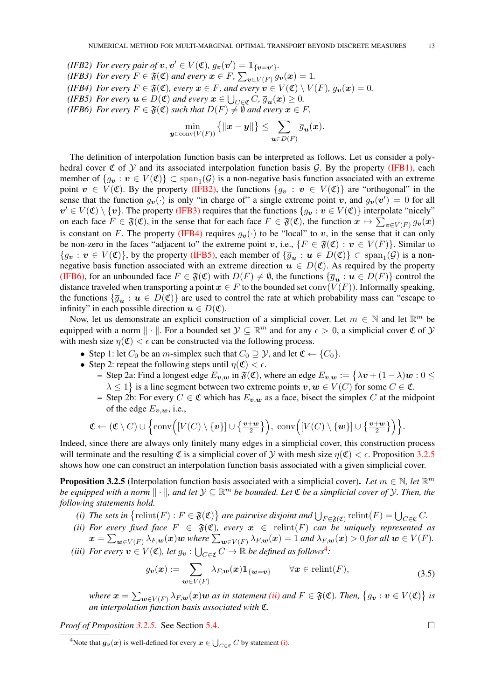$u \in D(F)$ 

<span id="page-12-5"></span><span id="page-12-4"></span><span id="page-12-3"></span><span id="page-12-2"></span><span id="page-12-0"></span>(*IFB2*) For every pair of  $v, v' \in V(\mathfrak{C}), g_v(v') = \mathbb{1}_{\{v = v'\}}.$ *(IFB3)* For every  $F \in \mathfrak{F}(\mathfrak{C})$  and every  $\boldsymbol{x} \in F$ ,  $\sum_{\boldsymbol{v} \in V(F)} g_{\boldsymbol{v}}(\boldsymbol{x}) = 1$ . *(IFB4) For every*  $F \in \mathfrak{F}(\mathfrak{C})$ *, every*  $x \in F$ *, and every*  $v \in V(\mathfrak{C}) \setminus V(F)$ *,*  $g_v(x) = 0$ *.* (*IFB5*) *For every*  $u \in D(\mathfrak{C})$  *and every*  $x \in \bigcup_{C \in \mathfrak{C}} C$ ,  $\overline{g}_u(x) \geq 0$ . *(IFB6) For every*  $F \in \mathfrak{F}(\mathfrak{C})$  *such that*  $D(F) \neq \emptyset$  *and every*  $\mathbf{x} \in F$ *,*  $\min_{\bm{y} \in \text{conv}(V(F))}$  $\{\|x-y\|\}\leq \sum$  $\overline{g}_{\bm{u}}(\bm{x}).$ 

The definition of interpolation function basis can be interpreted as follows. Let us consider a polyhedral cover  $\mathfrak C$  of  $\mathfrak Y$  and its associated interpolation function basis  $\mathcal G$ . By the property [\(IFB1\),](#page-11-3) each member of  $\{g_v : v \in V(\mathfrak{C})\} \subset \text{span}_{1}(\mathcal{G})$  is a non-negative basis function associated with an extreme point  $v \in V(\mathfrak{C})$ . By the property [\(IFB2\),](#page-12-2) the functions  $\{g_v : v \in V(\mathfrak{C})\}$  are "orthogonal" in the sense that the function  $g_v(\cdot)$  is only "in charge of" a single extreme point v, and  $g_v(v') = 0$  for all  $v' \in V(\mathfrak{C}) \setminus \{v\}$ . The property [\(IFB3\)](#page-12-3) requires that the functions  $\{g_v : v \in V(\mathfrak{C})\}$  interpolate "nicely" on each face  $F \in \mathfrak{F}(\mathfrak{C})$ , in the sense that for each face  $F \in \mathfrak{F}(\mathfrak{C})$ , the function  $x \mapsto \sum_{v \in V(F)} g_v(x)$ is constant on F. The property [\(IFB4\)](#page-12-4) requires  $g_v(\cdot)$  to be "local" to v, in the sense that it can only be non-zero in the faces "adjacent to" the extreme point v, i.e.,  $\{F \in \mathfrak{F}(\mathfrak{C}) : v \in V(F)\}\)$ . Similar to  $\{g_{\bm{v}} : \bm{v} \in V(\mathfrak{C})\}$ , by the property [\(IFB5\),](#page-12-5) each member of  $\{\overline{g}_{\bm{u}} : \bm{u} \in D(\mathfrak{C})\} \subset \text{span}_{1}(\mathcal{G})$  is a nonnegative basis function associated with an extreme direction  $u \in D(\mathfrak{C})$ . As required by the property [\(IFB6\),](#page-12-0) for an unbounded face  $F \in \mathfrak{F}(\mathfrak{C})$  with  $D(F) \neq \emptyset$ , the functions  $\{\overline{g}_{u} : u \in D(F)\}$  control the distance traveled when transporting a point  $x \in F$  to the bounded set conv $(V(F))$ . Informally speaking, the functions  $\{\overline{g}_{u} : u \in D(\mathfrak{C})\}$  are used to control the rate at which probability mass can "escape to infinity" in each possible direction  $u \in D(\mathfrak{C})$ .

Now, let us demonstrate an explicit construction of a simplicial cover. Let  $m \in \mathbb{N}$  and let  $\mathbb{R}^m$  be equipped with a norm  $\|\cdot\|$ . For a bounded set  $\mathcal{Y} \subseteq \mathbb{R}^m$  and for any  $\epsilon > 0$ , a simplicial cover  $\mathfrak C$  of  $\mathcal Y$ with mesh size  $\eta(\mathfrak{C}) < \epsilon$  can be constructed via the following process.

- Step 1: let  $C_0$  be an m-simplex such that  $C_0 \supseteq \mathcal{Y}$ , and let  $\mathfrak{C} \leftarrow \{C_0\}$ .
- Step 2: repeat the following steps until  $\eta(\mathfrak{C}) < \epsilon$ .
	- Step 2a: Find a longest edge  $E_{v,w}$  in  $\mathfrak{F}(\mathfrak{C})$ , where an edge  $E_{v,w} := \big\{\lambda v + (1-\lambda)w : 0 \leq v\big\}$  $\lambda \leq 1$  is a line segment between two extreme points  $v, w \in V(C)$  for some  $C \in \mathfrak{C}$ .
	- Step 2b: For every  $C \in \mathfrak{C}$  which has  $E_{v,w}$  as a face, bisect the simplex C at the midpoint of the edge  $E_{v,w}$ , i.e.,

$$
\mathfrak{C} \leftarrow (\mathfrak{C} \setminus C) \cup \left\{ \mathrm{conv}\Big( [V(C) \setminus \{v\}] \cup \left\{ \tfrac{\boldsymbol{v}+\boldsymbol{w}}{2} \right\} \Big), \ \mathrm{conv}\Big( [V(C) \setminus \{\boldsymbol{w}\}] \cup \left\{ \tfrac{\boldsymbol{v}+\boldsymbol{w}}{2} \right\} \Big) \right\}.
$$

Indeed, since there are always only finitely many edges in a simplicial cover, this construction process will terminate and the resulting  $\mathfrak C$  is a simplicial cover of  $\mathcal Y$  with mesh size  $\eta(\mathfrak C) < \epsilon$ . Proposition [3.2.5](#page-12-1) shows how one can construct an interpolation function basis associated with a given simplicial cover.

**Proposition 3.2.5** (Interpolation function basis associated with a simplicial cover). Let  $m \in \mathbb{N}$ , let  $\mathbb{R}^m$ *be equipped with a norm*  $\|\cdot\|$ , and let  $\mathcal{Y} \subseteq \mathbb{R}^m$  *be bounded. Let*  $\mathfrak C$  *be a simplicial cover of*  $\mathcal Y$ *. Then, the following statements hold.*

- <span id="page-12-8"></span>*(i)* The sets in  $\{\text{relint}(F) : F \in \mathfrak{F}(\mathfrak{C})\}$  are pairwise disjoint and  $\bigcup_{F \in \mathfrak{F}(\mathfrak{C})} \text{relint}(F) = \bigcup_{C \in \mathfrak{C}} C$ .
- <span id="page-12-7"></span>*(ii)* For every fixed face  $F \in \mathfrak{F}(\mathfrak{C})$ , every  $x \in \text{relint}(F)$  *can be uniquely represented as*  $\bm{x} = \sum_{\bm{w} \in V(F)} \lambda_{F, \bm{w}}(\bm{x}) \bm{w}$  where  $\sum_{\bm{w} \in V(F)} \lambda_{F, \bm{w}}(\bm{x}) = 1$  and  $\lambda_{F, \bm{w}}(\bm{x}) > 0$  for all  $\bm{w} \in V(F)$ .
- <span id="page-12-9"></span>(*iii*) For every  $v \in V(\mathfrak{C})$ , let  $g_v : \bigcup_{C \in \mathfrak{C}} C \to \mathbb{R}$  be defined as follows<sup>[4](#page-12-6)</sup>:

$$
g_{\boldsymbol{v}}(\boldsymbol{x}) := \sum_{\boldsymbol{w} \in V(F)} \lambda_{F,\boldsymbol{w}}(\boldsymbol{x}) \mathbb{1}_{\{\boldsymbol{w} = \boldsymbol{v}\}} \qquad \forall \boldsymbol{x} \in \text{relint}(F), \tag{3.5}
$$

where  $x=\sum_{\bm{w}\in V(F)}\lambda_{F,\bm{w}}(\bm{x})\bm{w}$  as in statement [\(ii\)](#page-12-7) and  $F\in \mathfrak{F}(\mathfrak{C}).$  Then,  $\big\{g_{\bm{v}}:\bm{v}\in V(\mathfrak{C})\big\}$  is *an interpolation function basis associated with* C*.*

*Proof of Proposition [3.2.5.](#page-12-1)* See Section [5.4.](#page-30-0)

<span id="page-12-1"></span>

<span id="page-12-6"></span><sup>&</sup>lt;sup>4</sup>Note that  $\bm{g}_{\bm{v}}(\bm{x})$  is well-defined for every  $\bm{x} \in \bigcup_{C \in \mathfrak{C}} C$  by statement [\(i\).](#page-12-8)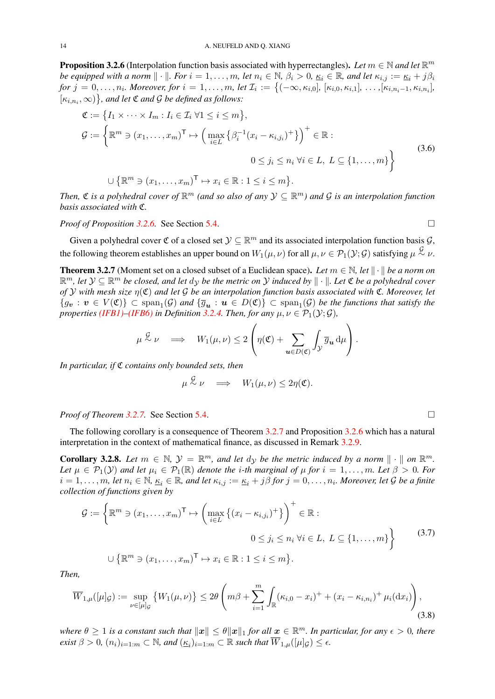**Proposition 3.2.6** (Interpolation function basis associated with hyperrectangles). Let  $m \in \mathbb{N}$  and let  $\mathbb{R}^m$ *be equipped with a norm*  $\|\cdot\|$ *. For*  $i = 1, \ldots, m$ *, let*  $n_i \in \mathbb{N}$ *,*  $\beta_i > 0$ *,*  $\underline{\kappa}_i \in \mathbb{R}$ *, and let*  $\kappa_{i,j} := \underline{\kappa}_i + j\beta_i$ *for*  $j = 0, \ldots, n_i$ . Moreover, for  $i = 1, \ldots, m$ , let  $\mathcal{I}_i := \{(-\infty, \kappa_{i,0}], [ \kappa_{i,0}, \kappa_{i,1}], \ldots, [\kappa_{i,n_i-1}, \kappa_{i,n_i}],$  $\{\kappa_{i,n_i},\infty)\}\$ , and let  $\mathfrak C$  and  $\mathcal G$  be defined as follows:

$$
\mathfrak{C} := \left\{ I_1 \times \cdots \times I_m : I_i \in \mathcal{I}_i \,\forall 1 \leq i \leq m \right\},
$$
\n
$$
\mathcal{G} := \left\{ \mathbb{R}^m \ni (x_1, \dots, x_m)^{\mathsf{T}} \mapsto \left( \max_{i \in L} \left\{ \beta_i^{-1} (x_i - \kappa_{i,j_i})^+ \right\} \right)^+ \in \mathbb{R} :
$$
\n
$$
0 \leq j_i \leq n_i \,\forall i \in L, \ L \subseteq \{1, \dots, m\} \right\}
$$
\n
$$
\cup \left\{ \mathbb{R}^m \ni (x_1, \dots, x_m)^{\mathsf{T}} \mapsto x_i \in \mathbb{R} : 1 \leq i \leq m \right\}.
$$
\n(3.6)

*Then,*  $\mathfrak C$  *is a polyhedral cover of*  $\mathbb R^m$  *(and so also of any*  $\mathcal Y \subseteq \mathbb R^m$ *) and*  $\mathcal G$  *is an interpolation function basis associated with* C*.*

*Proof of Proposition [3.2.6.](#page-13-0)* See Section [5.4.](#page-30-0)

<span id="page-13-0"></span>

Given a polyhedral cover  $\mathfrak C$  of a closed set  $\mathcal Y \subseteq \mathbb R^m$  and its associated interpolation function basis  $\mathcal G$ , the following theorem establishes an upper bound on  $W_1(\mu,\nu)$  for all  $\mu,\nu \in \mathcal{P}_1(\mathcal{Y};\mathcal{G})$  satisfying  $\mu \stackrel{\mathcal{G}}{\sim} \nu$ .

<span id="page-13-1"></span>**Theorem 3.2.7** (Moment set on a closed subset of a Euclidean space). Let  $m \in \mathbb{N}$ , let  $\|\cdot\|$  be a norm on  $\mathbb{R}^m$ , let  $\mathcal{Y} \subseteq \mathbb{R}^m$  be closed, and let  $d_{\mathcal{Y}}$  be the metric on  $\mathcal{Y}$  induced by  $\|\cdot\|$ . Let  $\mathfrak{C}$  be a polyhedral cover *of* Y *with mesh size* η(C) *and let* G *be an interpolation function basis associated with* C*. Moreover, let*  $\{g_{\bm{v}}: \bm{v} \in V(\mathfrak{C})\} \subset \text{span}_{1}(\mathcal{G})$  and  $\{\overline{g}_{\bm{u}}: \bm{u} \in D(\mathfrak{C})\} \subset \text{span}_{1}(\mathcal{G})$  be the functions that satisfy the *properties [\(IFB1\)–](#page-11-3)[\(IFB6\)](#page-12-0) in Definition* [3.2.4.](#page-12-0) *Then, for any*  $\mu, \nu \in \mathcal{P}_1(\mathcal{Y}; \mathcal{G})$ *,* 

$$
\mu \stackrel{\mathcal{G}}{\sim} \nu \implies W_1(\mu, \nu) \leq 2 \left( \eta(\mathfrak{C}) + \sum_{\mathbf{u} \in D(\mathfrak{C})} \int_{\mathcal{Y}} \overline{g}_{\mathbf{u}} \, d\mu \right).
$$

*In particular, if* C *contains only bounded sets, then*

<span id="page-13-3"></span><span id="page-13-2"></span>
$$
\mu \stackrel{\mathcal{G}}{\sim} \nu \quad \Longrightarrow \quad W_1(\mu,\nu) \leq 2\eta(\mathfrak{C}).
$$

*Proof of Theorem [3.2.7.](#page-13-1)* See Section [5.4.](#page-30-0)

The following corollary is a consequence of Theorem [3.2.7](#page-13-1) and Proposition [3.2.6](#page-13-0) which has a natural interpretation in the context of mathematical finance, as discussed in Remark [3.2.9.](#page-14-0)

**Corollary 3.2.8.** Let  $m \in \mathbb{N}$ ,  $\mathcal{Y} = \mathbb{R}^m$ , and let  $dy$  be the metric induced by a norm  $\|\cdot\|$  on  $\mathbb{R}^m$ . *Let*  $\mu \in \mathcal{P}_1(\mathcal{Y})$  *and let*  $\mu_i \in \mathcal{P}_1(\mathbb{R})$  *denote the i-th marginal of*  $\mu$  *for*  $i = 1, \ldots, m$ *. Let*  $\beta > 0$ *. For*  $i = 1, \ldots, m$ , let  $n_i \in \mathbb{N}$ ,  $\underline{\kappa}_i \in \mathbb{R}$ , and let  $\kappa_{i,j} := \underline{\kappa}_i + j\beta$  for  $j = 0, \ldots, n_i$ . Moreover, let G be a finite *collection of functions given by*

$$
\mathcal{G} := \left\{ \mathbb{R}^m \ni (x_1, \dots, x_m)^\top \mapsto \left( \max_{i \in L} \left\{ (x_i - \kappa_{i,j_i})^+ \right\} \right)^+ \in \mathbb{R} : \right. \\
0 \le j_i \le n_i \; \forall i \in L, \ L \subseteq \{1, \dots, m\} \right\}
$$
\n
$$
\cup \left\{ \mathbb{R}^m \ni (x_1, \dots, x_m)^\top \mapsto x_i \in \mathbb{R} : 1 \le i \le m \right\}.
$$
\n(3.7)

*Then,*

$$
\overline{W}_{1,\mu}([\mu]_{\mathcal{G}}) := \sup_{\nu \in [\mu]_{\mathcal{G}}} \left\{ W_1(\mu,\nu) \right\} \le 2\theta \left( m\beta + \sum_{i=1}^m \int_{\mathbb{R}} (\kappa_{i,0} - x_i)^+ + (x_i - \kappa_{i,n_i})^+ \mu_i(\mathrm{d}x_i) \right),\tag{3.8}
$$

where  $\theta \geq 1$  is a constant such that  $\|\bm{x}\| \leq \theta \|\bm{x}\|_1$  for all  $\bm{x} \in \mathbb{R}^m$ . In particular, for any  $\epsilon > 0$ , there *exist*  $\beta > 0$ ,  $(n_i)_{i=1:m} \subset \mathbb{N}$ , and  $(\underline{\kappa}_i)_{i=1:m} \subset \mathbb{R}$  such that  $\overline{W}_{1,\mu}([\mu]_{\mathcal{G}}) \leq \epsilon$ .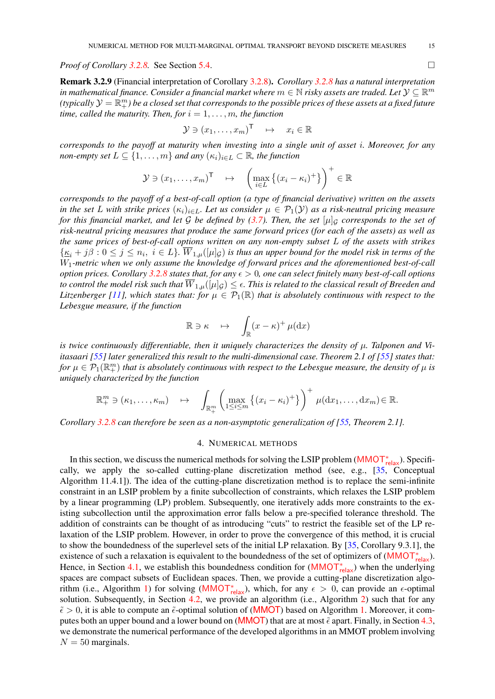<span id="page-14-1"></span>*Proof of Corollary [3.2.8.](#page-13-2)* See Section [5.4.](#page-30-0)

<span id="page-14-0"></span>Remark 3.2.9 (Financial interpretation of Corollary [3.2.8\)](#page-13-2). *Corollary [3.2.8](#page-13-2) has a natural interpretation* in mathematical finance. Consider a financial market where  $m\in\mathbb{N}$  risky assets are traded. Let  $\mathcal{Y}\subseteq\mathbb{R}^m$ (typically  $\mathcal{Y}=\mathbb{R}^m_+$ ) be a closed set that corresponds to the possible prices of these assets at a fixed future *time, called the maturity. Then, for*  $i = 1, \ldots, m$ *, the function* 

$$
\mathcal{Y} \ni (x_1, \dots, x_m)^\mathsf{T} \quad \mapsto \quad x_i \in \mathbb{R}
$$

*corresponds to the payoff at maturity when investing into a single unit of asset* i*. Moreover, for any non-empty set*  $L \subseteq \{1, \ldots, m\}$  *and any*  $(\kappa_i)_{i \in L} \subset \mathbb{R}$ *, the function* 

$$
\mathcal{Y} \ni (x_1, \dots, x_m)^{\mathsf{T}} \quad \mapsto \quad \left( \max_{i \in L} \left\{ (x_i - \kappa_i)^+ \right\} \right)^+ \in \mathbb{R}
$$

*corresponds to the payoff of a best-of-call option (a type of financial derivative) written on the assets in the set* L *with strike prices*  $(\kappa_i)_{i \in L}$ *. Let us consider*  $\mu \in \mathcal{P}_1(\mathcal{Y})$  *as a risk-neutral pricing measure for this financial market, and let* G *be defined by [\(3.7\)](#page-13-3). Then, the set*  $[\mu]_G$  *corresponds to the set of risk-neutral pricing measures that produce the same forward prices (for each of the assets) as well as the same prices of best-of-call options written on any non-empty subset* L *of the assets with strikes*  $\{\underline{\kappa}_i + j\beta : 0 \leq j \leq n_i, i \in L\}$ .  $W_{1,\mu}([\mu]_{\mathcal{G}})$  is thus an upper bound for the model risk in terms of the W1*-metric when we only assume the knowledge of forward prices and the aforementioned best-of-call option prices. Corollary* [3.2.8](#page-13-2) *states that, for any*  $\epsilon > 0$ *, one can select finitely many best-of-call options to control the model risk such that*  $\overline{W}_{1,\mu}([\mu]_{\mathcal{G}}) \leq \epsilon$ . This is related to the classical result of Breeden and *Litzenberger [\[11\]](#page-45-18), which states that: for*  $\mu \in \mathcal{P}_1(\mathbb{R})$  *that is absolutely continuous with respect to the Lebesgue measure, if the function*

$$
\mathbb{R} \ni \kappa \quad \mapsto \quad \int_{\mathbb{R}} (x - \kappa)^+ \, \mu(\mathrm{d}x)
$$

*is twice continuously differentiable, then it uniquely characterizes the density of*  $\mu$ *. Talponen and Viitasaari* [\[55\]](#page-47-10) later generalized this result to the multi-dimensional case. Theorem 2.1 of [55] states that: for  $\mu\in\mathcal{P}_1(\mathbb{R}^m_+)$  that is absolutely continuous with respect to the Lebesgue measure, the density of  $\mu$  is *uniquely characterized by the function*

$$
\mathbb{R}^m_+ \ni (\kappa_1,\ldots,\kappa_m) \quad \mapsto \quad \int_{\mathbb{R}^m_+} \left( \max_{1 \leq i \leq m} \left\{ (x_i - \kappa_i)^+ \right\} \right)^+ \mu(dx_1,\ldots,dx_m) \in \mathbb{R}.
$$

*Corollary* [3.2.8](#page-13-2) *can therefore be seen as a non-asymptotic generalization of [\[55,](#page-47-10) Theorem 2.1].* 

#### 4. NUMERICAL METHODS

In this section, we discuss the numerical methods for solving the LSIP problem ([MMOT](#page-8-0)<sub>relax</sub>). Specifically, we apply the so-called cutting-plane discretization method (see, e.g., [\[35,](#page-46-20) Conceptual Algorithm 11.4.1]). The idea of the cutting-plane discretization method is to replace the semi-infinite constraint in an LSIP problem by a finite subcollection of constraints, which relaxes the LSIP problem by a linear programming (LP) problem. Subsequently, one iteratively adds more constraints to the existing subcollection until the approximation error falls below a pre-specified tolerance threshold. The addition of constraints can be thought of as introducing "cuts" to restrict the feasible set of the LP relaxation of the LSIP problem. However, in order to prove the convergence of this method, it is crucial to show the boundedness of the superlevel sets of the initial LP relaxation. By [\[35,](#page-46-20) Corollary 9.3.1], the existence of such a relaxation is equivalent to the boundedness of the set of optimizers of  $(MMOT<sub>relax</sub><sup>*</sup>)$  $(MMOT<sub>relax</sub><sup>*</sup>)$  $(MMOT<sub>relax</sub><sup>*</sup>)$ . Hence, in Section [4.1,](#page-15-2) we establish this boundedness condition for  $(MMOT_{relax}^*)$  $(MMOT_{relax}^*)$  $(MMOT_{relax}^*)$  when the underlying spaces are compact subsets of Euclidean spaces. Then, we provide a cutting-plane discretization algo-rithm (i.e., Algorithm [1\)](#page-15-0) for solving ([MMOT](#page-8-0)<sub>relax</sub>), which, for any  $\epsilon > 0$ , can provide an  $\epsilon$ -optimal solution. Subsequently, in Section [4.2,](#page-16-1) we provide an algorithm (i.e., Algorithm [2\)](#page-17-0) such that for any  $\tilde{\epsilon} > 0$ , it is able to compute an  $\tilde{\epsilon}$ -optimal solution of ([MMOT](#page-4-4)) based on Algorithm [1.](#page-15-0) Moreover, it com-putes both an upper bound and a lower bound on ([MMOT](#page-4-4)) that are at most  $\tilde{\epsilon}$  apart. Finally, in Section [4.3,](#page-18-1) we demonstrate the numerical performance of the developed algorithms in an MMOT problem involving  $N = 50$  marginals.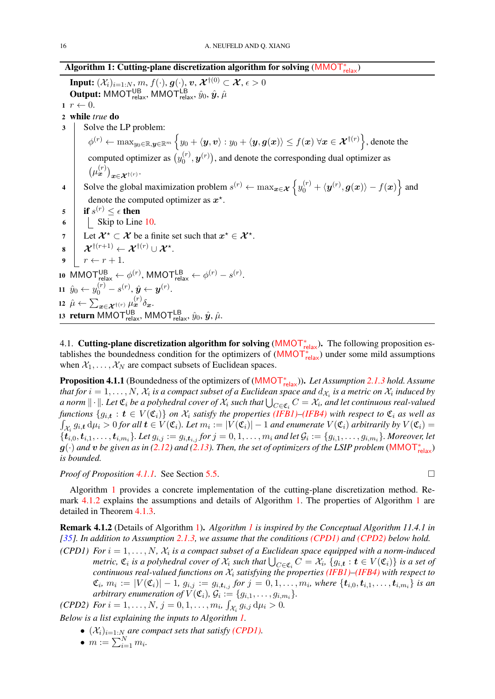<span id="page-15-14"></span>Algorithm 1: Cutting-plane discretization algorithm for solving ([MMOT](#page-8-0)<sub>relax</sub>)

<span id="page-15-11"></span><span id="page-15-8"></span><span id="page-15-6"></span>Input:  $(\mathcal{X}_i)_{i=1:N},$   $m,$   $f(\cdot),$   $\boldsymbol{g}(\cdot),$   $\boldsymbol{v},$   $\mathcal{X}^{\dagger(0)}\subset \boldsymbol{\mathcal{X}},$   $\epsilon>0$ **Output:** MMOT $_{\text{relax}}^{\text{UB}}$ , MMOT $_{\text{relax}}^{\text{LB}}, \hat{y}_0, \hat{y}, \hat{\mu}$  $r \leftarrow 0$ . 2 while *true* do 3 | Solve the LP problem:  $\phi^{(r)} \leftarrow \max_{y_0 \in \mathbb{R}, \bm{y} \in \mathbb{R}^m} \Big\{ y_0 + \langle \bm{y}, \bm{v} \rangle : y_0 + \langle \bm{y}, \bm{g}(\bm{x}) \rangle \leq f(\bm{x}) \ \forall \bm{x} \in \bm{\mathcal{X}}^{\dagger(r)} \Big\},$  denote the computed optimizer as  $(y_0^{(r)})$  $\mathbf{u}_{0}^{(r)}, \boldsymbol{y}^{(r)}$ ), and denote the corresponding dual optimizer as  $\left(\mu_{\bm{x}}^{(r)}\right)_{\bm{x}\in\bm{\mathcal{X}}^{\dagger(r)}}.$ 4 Solve the global maximization problem  $s^{(r)} \leftarrow \max_{\bm{x} \in \mathcal{X}} \left\{ y_0^{(r)} + \langle \bm{y}^{(r)}, \bm{g}(\bm{x}) \rangle - f(\bm{x}) \right\}$  and denote the computed optimizer as  $x^*$ . 5 if  $s^{(r)} \leq \epsilon$  then  $\vert \vert$  Skip to Line [10.](#page-15-3) 7 Let  $\mathcal{X}^{\star} \subset \mathcal{X}$  be a finite set such that  $x^{\star} \in \mathcal{X}^{\star}$ . <sup>8</sup> X †(r+1) ← X †(r) ∪ X ? .  $r \leftarrow r + 1.$ 10 MMOT $_{\text{relax}}^{\text{UB}} \leftarrow \phi^{(r)}$ , MMOT $_{\text{relax}}^{\text{LB}} \leftarrow \phi^{(r)} - s^{(r)}$ . 11  $\hat{y}_0 \leftarrow y_0^{(r)} - s^{(r)}, \hat{\bm{y}} \leftarrow \bm{y}^{(r)}.$ 12  $\hat{\mu} \leftarrow \sum_{\bm{x} \in \mathcal{X}^{\dagger(r)}} \mu_{\bm{x}}^{(r)} \delta_{\bm{x}}.$ 13 return MMOT $_{\text{relax}}^{\text{UB}}$ , MMOT $_{\text{relax}}^{\text{LB}}, \hat{y}_0, \hat{y}, \hat{\mu}$ .

<span id="page-15-13"></span><span id="page-15-12"></span><span id="page-15-10"></span><span id="page-15-9"></span><span id="page-15-7"></span><span id="page-15-3"></span><span id="page-15-2"></span><span id="page-15-0"></span>4.1. Cutting-plane discretization algorithm for solving ([MMOT](#page-8-0)<sub><sup>\*elax</sub>). The following proposition es-</sub></sup> tablishes the boundedness condition for the optimizers of  $(MMOT<sub>relax</sub><sup>*</sup>)$  $(MMOT<sub>relax</sub><sup>*</sup>)$  $(MMOT<sub>relax</sub><sup>*</sup>)$  under some mild assumptions when  $X_1, \ldots, X_N$  are compact subsets of Euclidean spaces.

<span id="page-15-4"></span>Proposition 4.1.1 (Boundedness of the optimizers of ([MMOT](#page-8-0)<sub>relax</sub>)). *Let Assumption [2.1.3](#page-4-3) hold. Assume* that for  $i=1,\ldots,N$ ,  $\mathcal{X}_i$  is a compact subset of a Euclidean space and  $d_{\mathcal{X}_i}$  is a metric on  $\mathcal{X}_i$  induced by a norm  $\|\cdot\|$ . Let  ${\mathfrak C}_i$  be a polyhedral cover of  $\mathcal X_i$  such that  $\bigcup_{C\in {\mathfrak C}_i}C=\mathcal X_i$ , and let continuous real-valued *functions*  $\{g_{i,t}: t \in V(\mathfrak{C}_i)\}$  *on*  $\mathcal{X}_i$  *satisfy the properties [\(IFB1\)–](#page-11-3)[\(IFB4\)](#page-12-4) with respect to*  $\mathfrak{C}_i$  *as well as*  $\int_{\mathcal{X}_i} g_{i,t} d\mu_i > 0$  for all  $t \in V(\mathfrak{C}_i)$ . Let  $m_i := |V(\mathfrak{C}_i)| - 1$  and enumerate  $V(\mathfrak{C}_i)$  arbitrarily by  $V(\mathfrak{C}_i) =$  $\{t_{i,0}, t_{i,1}, \ldots, t_{i,m_i}\}$ . Let  $g_{i,j} := g_{i,t_{i,j}}$  for  $j = 0,1,\ldots,m_i$  and let  $\mathcal{G}_i := \{g_{i,1}, \ldots, g_{i,m_i}\}$ . Moreover, let  $g(\cdot)$  and  $v$  be given as in [\(2.12\)](#page-8-3) and [\(2.13\)](#page-8-4). Then, the set of optimizers of the LSIP problem ([MMOT](#page-8-0)<sub>relax</sub>) *is bounded.*

*Proof of Proposition [4.1.1.](#page-15-4)* See Section [5.5.](#page-40-0)

Algorithm [1](#page-15-0) provides a concrete implementation of the cutting-plane discretization method. Re-mark [4.1.2](#page-15-1) explains the assumptions and details of Algorithm [1.](#page-15-0) The properties of Algorithm [1](#page-15-0) are detailed in Theorem [4.1.3.](#page-16-0)

Remark 4.1.2 (Details of Algorithm [1\)](#page-15-0). *Algorithm [1](#page-15-0) is inspired by the Conceptual Algorithm 11.4.1 in [\[35\]](#page-46-20). In addition to Assumption [2.1.3,](#page-4-3) we assume that the conditions [\(CPD1\)](#page-15-5) and [\(CPD2\)](#page-15-1) below hold.*

<span id="page-15-5"></span>*(CPD1)* For  $i = 1, \ldots, N$ ,  $\mathcal{X}_i$  is a compact subset of a Euclidean space equipped with a norm-induced *metric,*  $\mathfrak{C}_i$  *is a polyhedral cover of*  $\mathcal{X}_i$  *such that*  $\bigcup_{C\in\mathfrak{C}_i}C=\mathcal{X}_i$ ,  $\{g_{i,t}:t\in V(\mathfrak{C}_i)\}$  *is a set of continuous real-valued functions on*  $\mathcal{X}_i$  *satisfying the properties [\(IFB1\)](#page-11-3)[–\(IFB4\)](#page-12-4) with respect to*  $\mathfrak{C}_i$ ,  $m_i := |V(\mathfrak{C}_i)| - 1$ ,  $g_{i,j} := g_{i, t_{i,j}}$  for  $j = 0, 1, \ldots, m_i$ , where  $\{t_{i,0}, t_{i,1}, \ldots, t_{i,m_i}\}$  is an arbitrary enumeration of  $V(\mathfrak{C}_i)$ ,  $\mathcal{G}_i := \{g_{i,1}, \ldots, g_{i,m_i}\}.$ 

<span id="page-15-1"></span>*(CPD2) For*  $i = 1, ..., N$ ,  $j = 0, 1, ..., m_i$ ,  $\int_{\mathcal{X}_i} g_{i,j} d\mu_i > 0$ .

*Below is a list explaining the inputs to Algorithm [1.](#page-15-0)*

- $(X_i)_{i=1:N}$  *are compact sets that satisfy [\(CPD1\).](#page-15-5)*
- $m := \sum_{i=1}^{N} m_i$ .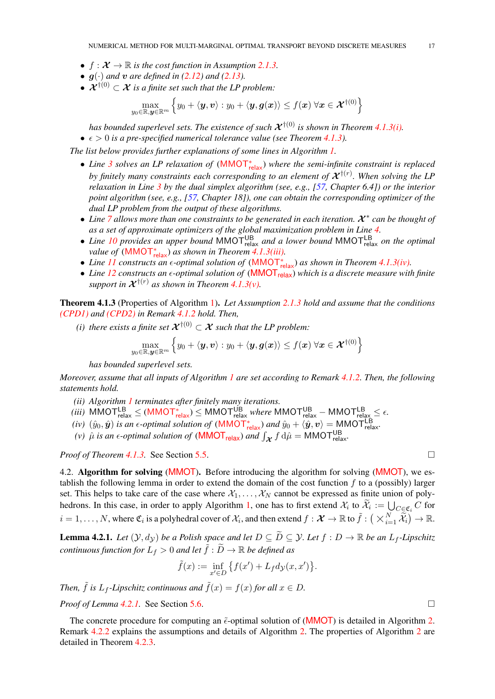- <span id="page-16-7"></span>•  $f: \mathcal{X} \to \mathbb{R}$  *is the cost function in Assumption [2.1.3.](#page-4-3)*
- $g(\cdot)$  *and*  $v$  *are defined in* [\(2.12\)](#page-8-3) *and* [\(2.13\)](#page-8-4)*.*
- $\mathcal{X}^{\dagger(0)} \subset \mathcal{X}$  *is a finite set such that the LP problem:*

$$
\max_{y_0 \in \mathbb{R}, \bm{y} \in \mathbb{R}^m} \left\{y_0 + \langle \bm{y}, \bm{v} \rangle : y_0 + \langle \bm{y}, \bm{g}(\bm{x}) \rangle \leq f(\bm{x}) \; \forall \bm{x} \in \bm{\mathcal{X}}^{\dagger(0)} \right\}
$$

*has bounded superlevel sets. The existence of such*  $\mathcal{X}^{\dagger(0)}$  *is shown in Theorem [4.1.3](#page-16-0)[\(i\).](#page-16-2)* 

 $\bullet \epsilon > 0$  *is a pre-specified numerical tolerance value (see Theorem [4.1.3\)](#page-16-0).* 

*The list below provides further explanations of some lines in Algorithm [1.](#page-15-0)*

- *Line [3](#page-15-6) solves an LP relaxation of* ([MMOT](#page-8-0)<sup>∗</sup> relax) *where the semi-infinite constraint is replaced* by finitely many constraints each corresponding to an element of  $\mathcal{X}^{\dagger(r)}$ . When solving the LP *relaxation in Line [3](#page-15-6) by the dual simplex algorithm (see, e.g., [\[57,](#page-47-13) Chapter 6.4]) or the interior point algorithm (see, e.g., [\[57,](#page-47-13) Chapter 18]), one can obtain the corresponding optimizer of the dual LP problem from the output of these algorithms.*
- **•** Line [7](#page-15-7) allows more than one constraints to be generated in each iteration.  $\mathcal{X}^*$  can be thought of *as a set of approximate optimizers of the global maximization problem in Line [4.](#page-15-8)*
- Line [10](#page-15-3) provides an upper bound MMOT<sup>UB</sup><sub>relax</sub> and a lower bound MMOT<sup>LB</sup><sub>relax</sub> on the optimal *value of* ([MMOT](#page-8-0)<sub><sup>\*</sup>relax</sub>) *as shown in Theorem* [4.1.3](#page-16-0)*(iii)*.
- *Line [11](#page-15-9) constructs an -optimal solution of* ([MMOT](#page-8-0)<sup>∗</sup> relax) *as shown in Theorem [4.1.3](#page-16-0)[\(iv\).](#page-16-4)*
- *Line* [12](#page-15-10) *constructs an*  $\epsilon$ -optimal solution of ([MMOT](#page-5-0)<sub>relax</sub>) which is a discrete measure with finite support in  $\mathcal{X}^{\dagger(r)}$  as shown in Theorem [4.1.3\(v\).](#page-16-0)

Theorem 4.1.3 (Properties of Algorithm [1\)](#page-15-0). *Let Assumption [2.1.3](#page-4-3) hold and assume that the conditions [\(CPD1\)](#page-15-5) and [\(CPD2\)](#page-15-1) in Remark [4.1.2](#page-15-1) hold. Then,*

<span id="page-16-2"></span>*(i) there exists a finite set*  $\mathcal{X}^{\dagger(0)} \subset \mathcal{X}$  *such that the LP problem:* 

$$
\max_{y_0 \in \mathbb{R}, \bm{y} \in \mathbb{R}^m} \left\{ y_0 + \langle \bm{y}, \bm{v} \rangle : y_0 + \langle \bm{y}, \bm{g}(\bm{x}) \rangle \leq f(\bm{x}) \; \forall \bm{x} \in \bm{\mathcal{X}}^{\dagger(0)} \right\}
$$

*has bounded superlevel sets.*

*Moreover, assume that all inputs of Algorithm [1](#page-15-0) are set according to Remark [4.1.2.](#page-15-1) Then, the following statements hold.*

- <span id="page-16-6"></span>*(ii) Algorithm [1](#page-15-0) terminates after finitely many iterations.*
- <span id="page-16-3"></span> $(iii)$  <code>[MMOT](#page-8-0) $_{\text{relax}}^{\text{LB}}$   $\leq$  <code>(MMOT $_{\text{relax}}^*$ )</code>  $\leq$  <code>MMOT $_{\text{relax}}^{\text{UB}}$  where <code>MMOT $_{\text{relax}}^{\text{UB}}$   $-$  MMOT $_{\text{relax}}^{\text{LB}}$   $\leq$   $\epsilon$ .</code></code></code>
- <span id="page-16-4"></span>*(iv)*  $(\hat{y}_0, \hat{y})$  *is an*  $\epsilon$ *-optimal solution of*  $(MMOT^*_{relax})$  $(MMOT^*_{relax})$  $(MMOT^*_{relax})$  *and*  $\hat{y}_0 + \langle \hat{y}, v \rangle = MMOT^{\text{LB}}_{relax}$ .
- <span id="page-16-0"></span>(*v*)  $\hat{\mu}$  *is an*  $\epsilon$ *-optimal solution of* (**[MMOT](#page-5-0)**<sub>relax</sub>) *and*  $\int_{\mathcal{X}} f d\hat{\mu} = \text{MMOT}_{relax}^{UB}$ .

*Proof of Theorem [4.1.3.](#page-16-0)* See Section [5.5.](#page-40-0)

<span id="page-16-1"></span>4.2. Algorithm for solving ([MMOT](#page-4-4)). Before introducing the algorithm for solving (MMOT), we establish the following lemma in order to extend the domain of the cost function  $f$  to a (possibly) larger set. This helps to take care of the case where  $\mathcal{X}_1, \ldots, \mathcal{X}_N$  cannot be expressed as finite union of poly-hedrons. In this case, in order to apply Algorithm [1,](#page-15-0) one has to first extend  $\mathcal{X}_i$  to  $\mathcal{X}_i := \bigcup_{C \in \mathfrak{C}_i} C$  for i  $i = 1, ..., N$ , where  $\mathfrak{C}_i$  is a polyhedral cover of  $\mathcal{X}_i$ , and then extend  $f : \mathcal{X} \to \mathbb{R}$  to  $\tilde{f} : (\times_{i=1}^N \tilde{\mathcal{X}}_i) \to \mathbb{R}$ .

<span id="page-16-5"></span>**Lemma 4.2.1.** *Let*  $(\mathcal{Y}, d_{\mathcal{Y}})$  *be a Polish space and let*  $D \subseteq \widetilde{D} \subseteq \mathcal{Y}$ *. Let*  $f : D \to \mathbb{R}$  *be an*  $L_f$ *-Lipschitz continuous function for*  $L_f > 0$  *and let*  $\tilde{f} : \tilde{D} \to \mathbb{R}$  *be defined as* 

$$
\tilde{f}(x) := \inf_{x' \in D} \left\{ f(x') + L_f d_{\mathcal{Y}}(x, x') \right\}.
$$

*Then,*  $\tilde{f}$  *is*  $L_f$ -*Lipschitz continuous and*  $\tilde{f}(x) = f(x)$  *for all*  $x \in D$ *.* 

*Proof of Lemma [4.2.1.](#page-16-5)* See Section [5.6.](#page-42-0) □

The concrete procedure for computing an  $\tilde{\epsilon}$ -optimal solution of ([MMOT](#page-4-4)) is detailed in Algorithm [2.](#page-17-0) Remark [4.2.2](#page-17-1) explains the assumptions and details of Algorithm [2.](#page-17-0) The properties of Algorithm [2](#page-17-0) are detailed in Theorem [4.2.3.](#page-18-0)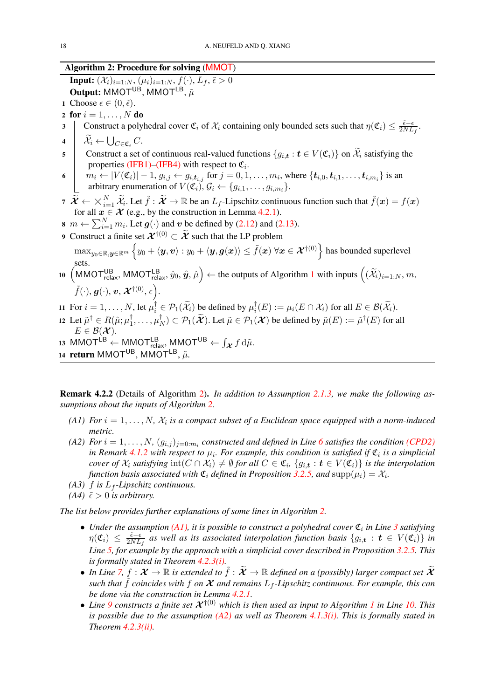# Algorithm 2: Procedure for solving ([MMOT](#page-4-4))

**Input:**  $(\mathcal{X}_i)_{i=1:N}, (\mu_i)_{i=1:N}, f(\cdot), L_f, \tilde{\epsilon} > 0$  $\mathbf{Output:} \mathsf{MMOT}^\mathsf{UB}, \mathsf{MMOT}^\mathsf{LB}, \tilde{\mu}$ 

- 1 Choose  $\epsilon \in (0, \tilde{\epsilon}).$
- 2 for  $i = 1, \ldots, N$  do
- <span id="page-17-4"></span>3 Construct a polyhedral cover  $\mathfrak{C}_i$  of  $\mathcal{X}_i$  containing only bounded sets such that  $\eta(\mathfrak{C}_i) \leq \frac{\tilde{\epsilon}-\epsilon}{2NL}$  $\frac{\epsilon-\epsilon}{2NL_f}$ .
- $4 \mid \mathcal{X}_i \leftarrow \bigcup_{C \in \mathfrak{C}_i} C.$
- <span id="page-17-5"></span>5 Construct a set of continuous real-valued functions  $\{g_{i,t} : t \in V(\mathfrak{C}_i)\}\$  on  $\widetilde{\mathcal{X}}_i$  satisfying the properties [\(IFB1\)–](#page-11-3)[\(IFB4\)](#page-12-4) with respect to  $\mathfrak{C}_i$ .
- <span id="page-17-2"></span>6  $m_i \leftarrow |V(\mathfrak{C}_i)| - 1, g_{i,j} \leftarrow g_{i, t_{i,j}}$  for  $j = 0, 1, ..., m_i$ , where  $\{t_{i,0}, t_{i,1}, ..., t_{i,m_i}\}$  is an arbitrary enumeration of  $V(\mathfrak{C}_i)$ ,  $\mathcal{G}_i \leftarrow \{g_{i,1}, \ldots, g_{i,m_i}\}.$
- <span id="page-17-6"></span> $7$   $\mathcal{X} \leftarrow$  $\bigvee^N$  $\widetilde{X}_{i-1}$ ,  $\widetilde{X}_i$ . Let  $\widetilde{f}$  :  $\widetilde{X} \to \mathbb{R}$  be an  $L_f$ -Lipschitz continuous function such that  $\widetilde{f}(x) = f(x)$ for all  $x \in \mathcal{X}$  (e.g., by the construction in Lemma [4.2.1\)](#page-16-5).
- 8  $m \leftarrow \sum_{i=1}^{N} m_i$ . Let  $g(\cdot)$  and v be defined by [\(2.12\)](#page-8-3) and [\(2.13\)](#page-8-4).
- <span id="page-17-7"></span>9 Construct a finite set  $\mathcal{X}^{\dagger(0)} \subset \widetilde{\mathcal{X}}$  such that the LP problem  $\max_{y_0 \in \mathbb R, \bm{y} \in \mathbb R^m} \left\{ y_0 + \langle \bm{y}, \bm{v} \rangle : y_0 + \langle \bm{y}, \bm{g}(\bm{x}) \rangle \leq \tilde{f}(\bm{x}) \; \forall \bm{x} \in \bm{\mathcal{X}}^{\dagger(0)} \right\}$  has bounded superlevel sets.

# <span id="page-17-8"></span>[1](#page-15-0)0  $(MMOT_{relax}^{UB}, MMOT_{relax}^{LB}, \hat{y}_0, \hat{y}, \hat{\mu}) \leftarrow$  the outputs of Algorithm 1 with inputs  $((\widetilde{\mathcal{X}}_i)_{i=1:N}, m,$  $\tilde{f}(\cdot),\boldsymbol{g}(\cdot),\boldsymbol{v},\boldsymbol{\mathcal{X}}^{\dagger(0)},\epsilon\big).$

- <span id="page-17-12"></span>11 For  $i = 1, ..., N$ , let  $\mu_i^{\dagger} \in \mathcal{P}_1(\widetilde{\mathcal{X}}_i)$  be defined by  $\mu_i^{\dagger}$  $I_i^{\dagger}(E) := \mu_i(E \cap \mathcal{X}_i)$  for all  $E \in \mathcal{B}(\mathcal{X}_i)$ .
- <span id="page-17-13"></span>12 Let  $\tilde{\mu}^{\dagger} \in R(\hat{\mu}; \mu_1^{\dagger})$  $\frac{1}{1}, \ldots, \mu_I^{\dagger}$  $N^{\dagger}_{N}$ )  $\subset$   $\mathcal{P}_1(\widetilde{\mathcal{X}})$ . Let  $\tilde{\mu} \in \mathcal{P}_1(\mathcal{X})$  be defined by  $\tilde{\mu}(E) := \tilde{\mu}^{\dagger}(E)$  for all  $E \in \mathcal{B}(\mathcal{X})$ .
- <span id="page-17-11"></span><span id="page-17-10"></span><span id="page-17-0"></span>13 MMOT<sup>LB</sup>  $\leftarrow$  MMOT $_{\text{relax}}^{\text{LB}}$ , MMOT<sup>UB</sup>  $\leftarrow$   $\int_{\mathcal{X}} f d\tilde{\mu}$ . 14 return MMOT<sup>UB</sup>, MMOT<sup>LB</sup>,  $\tilde{\mu}$ .

Remark 4.2.2 (Details of Algorithm [2\)](#page-17-0). *In addition to Assumption [2.1.3,](#page-4-3) we make the following assumptions about the inputs of Algorithm [2.](#page-17-0)*

- <span id="page-17-3"></span>(A1) For  $i = 1, \ldots, N$ ,  $\mathcal{X}_i$  is a compact subset of a Euclidean space equipped with a norm-induced *metric.*
- <span id="page-17-9"></span>(A2) For  $i = 1, \ldots, N$ ,  $(g_{i,j})_{j=0:m_i}$  constructed and defined in Line [6](#page-17-2) satisfies the condition *[\(CPD2\)](#page-15-1) in Remark [4.1.2](#page-15-1) with respect to*  $\mu_i$ *. For example, this condition is satisfied if*  $\mathfrak{C}_i$  *is a simplicial cover of*  $\mathcal{X}_i$  *satisfying*  $\text{int}(C \cap \mathcal{X}_i) \neq \emptyset$  for all  $C \in \mathfrak{C}_i$ ,  $\{g_{i,t} : t \in V(\mathfrak{C}_i)\}$  is the interpolation *function basis associated with*  $\mathfrak{C}_i$  *defined in Proposition [3.2.5,](#page-12-1) and*  $\text{supp}(\mu_i) = \mathcal{X}_i$ *.*
- *(A3)*  $f$  *is*  $L_f$ -*Lipschitz continuous.*
- <span id="page-17-1"></span>*(A4)*  $\tilde{\epsilon} > 0$  *is arbitrary.*

*The list below provides further explanations of some lines in Algorithm [2.](#page-17-0)*

- Under the assumption  $(AI)$ , it is possible to construct a polyhedral cover  $\mathfrak{C}_i$  in Line [3](#page-17-4) satisfying  $\eta(\mathfrak{C}_i) \leq \frac{\tilde{\epsilon}-\epsilon}{2NL}$  $\frac{\epsilon - \epsilon}{2NL_f}$  as well as its associated interpolation function basis  $\{g_{i,t} : t \in V(\mathfrak{C}_i)\}\$ in *Line [5,](#page-17-5) for example by the approach with a simplicial cover described in Proposition [3.2.5.](#page-12-1) This is formally stated in Theorem [4.2.3](#page-18-0)[\(i\).](#page-18-2)*
- In Line [7,](#page-17-6)  $f: \mathcal{X} \to \mathbb{R}$  is extended to  $\tilde{f}: \tilde{\mathcal{X}} \to \mathbb{R}$  defined on a (possibly) larger compact set  $\tilde{\mathcal{X}}$ *such that*  $\hat{f}$  *coincides with*  $f$  *on*  $\hat{\mathcal{X}}$  *and remains*  $L_f$ -Lipschitz *continuous. For example, this can be done via the construction in Lemma [4.2.1.](#page-16-5)*
- *Line* [9](#page-17-7) *constructs a finite set*  $\mathcal{X}^{\dagger(0)}$  *which is then used as input to Algorithm [1](#page-15-0) in Line [10.](#page-17-8) This is possible due to the assumption [\(A2\)](#page-17-9) as well as Theorem [4.1.3](#page-16-0)[\(i\).](#page-16-2) This is formally stated in Theorem [4.2.3](#page-18-0)[\(ii\).](#page-18-3)*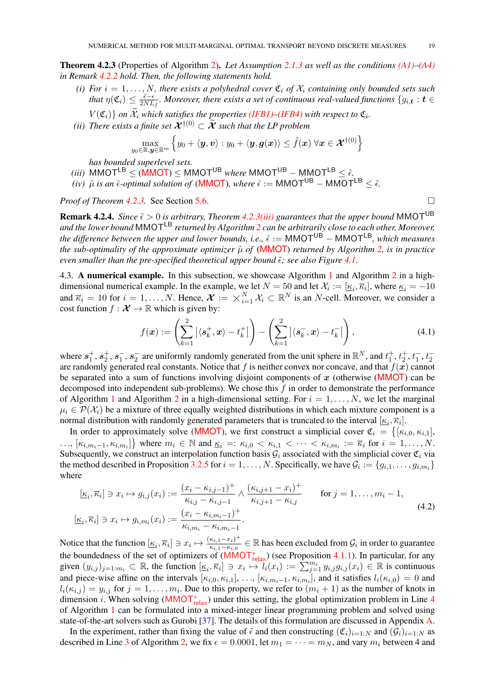<span id="page-18-7"></span>Theorem 4.2.3 (Properties of Algorithm [2\)](#page-17-0). *Let Assumption [2.1.3](#page-4-3) as well as the conditions [\(A1\)](#page-17-3)[–\(A4\)](#page-17-1) in Remark [4.2.2](#page-17-1) hold. Then, the following statements hold.*

- <span id="page-18-2"></span>*(i)* For  $i = 1, ..., N$ , there exists a polyhedral cover  $\mathfrak{C}_i$  of  $\mathfrak{X}_i$  containing only bounded sets such *that*  $\eta(\mathfrak{C}_i) \leq \frac{\tilde{\epsilon} - \epsilon}{2NL}$  $\frac{\epsilon-\epsilon}{2NL_f}$ . Moreover, there exists a set of continuous real-valued functions  $\{g_{i,\boldsymbol{t}}: \boldsymbol{t} \in$ 
	- $V(\mathfrak{C}_i)$  *on*  $\mathcal{X}_i$  *which satisfies the properties [\(IFB1\)](#page-11-3)*–(*IFB4*) *with respect to*  $\mathfrak{C}_i$ *.*
- <span id="page-18-3"></span>*(ii) There exists a finite set*  $\mathcal{X}^{\dagger(0)} \subset \widetilde{\mathcal{X}}$  *such that the LP problem*

$$
\max_{y_0 \in \mathbb{R}, y \in \mathbb{R}^m} \left\{ y_0 + \langle \boldsymbol{y}, \boldsymbol{v} \rangle : y_0 + \langle \boldsymbol{y}, \boldsymbol{g}(\boldsymbol{x}) \rangle \leq \tilde{f}(\boldsymbol{x}) \; \forall \boldsymbol{x} \in \boldsymbol{\mathcal{X}}^{\dagger(0)} \right\}
$$

*has bounded superlevel sets.*

- <span id="page-18-4"></span> $(iii)$  [MMOT](#page-4-4)<sup>LB</sup>  $\leq$  (**MMOT**)  $\leq$  MMOT<sup>UB</sup> *where* MMOT<sup>UB</sup> – MMOT<sup>LB</sup>  $\leq$   $\tilde{\epsilon}.$
- <span id="page-18-0"></span>*(iv)*  $\tilde{\mu}$  *is an*  $\hat{\epsilon}$ -optimal solution of ([MMOT](#page-4-4)), where  $\hat{\epsilon}$  := MMOT<sup>UB</sup> − MMOT<sup>LB</sup> ≤  $\tilde{\epsilon}$ .

*Proof of Theorem [4.2.3.](#page-18-0)* See Section [5.6.](#page-42-0)

**Remark 4.2.4.** *Since*  $\tilde{\epsilon} > 0$  *is arbitrary, Theorem [4.2.3](#page-18-0)[\(iii\)](#page-18-4)* guarantees that the upper bound MMOT<sup>UB</sup> *and the lower bound* MMOTLB *returned by Algorithm [2](#page-17-0) can be arbitrarily close to each other. Moreover, the difference between the upper and lower bounds, i.e.,*  $\hat{\epsilon}$  := MMOT<sup>UB</sup> − MMOT<sup>LB</sup>, which measures *the sub-optimality of the approximate optimizer*  $\tilde{\mu}$  *of* (**[MMOT](#page-4-4)**) *returned by Algorithm* [2,](#page-17-0) *is in practice even smaller than the pre-specified theoretical upper bound*  $\tilde{\epsilon}$ *; see also Figure [4.1.](#page-19-0)* 

<span id="page-18-1"></span>4.3. A numerical example. In this subsection, we showcase Algorithm [1](#page-15-0) and Algorithm [2](#page-17-0) in a highdimensional numerical example. In the example, we let  $N = 50$  and let  $\mathcal{X}_i := [\underline{\kappa}_i, \overline{\kappa}_i]$ , where  $\underline{\kappa}_i = -10$ dimensional numerical example. In the example, we let  $N = 50$  and let  $\mathcal{X}_i := [\underline{\kappa}_i, \kappa_i]$ , where  $\underline{\kappa}_i = -10$ <br>and  $\overline{\kappa}_i = 10$  for  $i = 1, ..., N$ . Hence,  $\mathcal{X} := \chi_{i=1}^N \mathcal{X}_i \subset \mathbb{R}^N$  is an N-cell. Moreover, we c cost function  $f : \mathcal{X} \to \mathbb{R}$  which is given by:

$$
f(\boldsymbol{x}) := \left(\sum_{k=1}^{2} |\langle \boldsymbol{s}_k^+, \boldsymbol{x} \rangle - t_k^+| \right) - \left(\sum_{k=1}^{2} |\langle \boldsymbol{s}_k^-, \boldsymbol{x} \rangle - t_k^-| \right), \tag{4.1}
$$

where  $s_1^+, s_2^+, s_1^-, s_2^-$  are uniformly randomly generated from the unit sphere in  $\mathbb{R}^N$ , and  $t_1^+, t_2^+, t_1^-, t_2^$ are randomly generated real constants. Notice that f is neither convex nor concave, and that  $f(x)$  cannot be separated into a sum of functions involving disjoint components of x (otherwise ([MMOT](#page-4-4)) can be decomposed into independent sub-problems). We chose this  $f$  in order to demonstrate the performance of Algorithm [1](#page-15-0) and Algorithm [2](#page-17-0) in a high-dimensional setting. For  $i = 1, \ldots, N$ , we let the marginal  $\mu_i \in \mathcal{P}(\mathcal{X}_i)$  be a mixture of three equally weighted distributions in which each mixture component is a normal distribution with randomly generated parameters that is truncated to the interval  $[\underline{\kappa}_i, \overline{\kappa}_i]$ .

In order to approximately solve ([MMOT](#page-4-4)), we first construct a simplicial cover  $\mathfrak{C}_i = \{[\kappa_{i,0}, \kappa_{i,1}],$  $\ldots, [\kappa_{i,m_i-1}, \kappa_{i,m_i}] \}$  where  $m_i \in \mathbb{N}$  and  $\underline{\kappa}_i =: \kappa_{i,0} < \kappa_{i,1} < \cdots < \kappa_{i,m_i} := \overline{\kappa}_i$  for  $i = 1, \ldots, N$ . Subsequently, we construct an interpolation function basis  $G_i$  associated with the simplicial cover  $\mathfrak{C}_i$  via the method described in Proposition [3.2.5](#page-12-1) for  $i = 1, \ldots, N$ . Specifically, we have  $\mathcal{G}_i := \{g_{i,1}, \ldots, g_{i,m_i}\}\$ where

$$
[\underline{\kappa}_{i}, \overline{\kappa}_{i}] \ni x_{i} \mapsto g_{i,j}(x_{i}) := \frac{(x_{i} - \kappa_{i,j-1})^{+}}{\kappa_{i,j} - \kappa_{i,j-1}} \wedge \frac{(\kappa_{i,j+1} - x_{i})^{+}}{\kappa_{i,j+1} - \kappa_{i,j}} \quad \text{for } j = 1, ..., m_{i} - 1,
$$
  

$$
[\underline{\kappa}_{i}, \overline{\kappa}_{i}] \ni x_{i} \mapsto g_{i,m_{i}}(x_{i}) := \frac{(x_{i} - \kappa_{i,m_{i-1}})^{+}}{\kappa_{i,m_{i} - \kappa_{i,m_{i-1}}}}.
$$
(4.2)

Notice that the function  $[\underline{\kappa}_i, \overline{\kappa}_i] \ni x_i \mapsto \frac{(\kappa_{i,1}-x_i)^+}{\kappa_{i,1}-\kappa_{i,0}}$  $\frac{(\kappa_{i,1}-x_i)^+}{(\kappa_{i,1}-\kappa_{i,0})}\in\mathbb{R}$  has been excluded from  $\mathcal{G}_i$  in order to guarantee the boundedness of the set of optimizers of  $(MMOT<sub>relax</sub><sup>*</sup>)$  $(MMOT<sub>relax</sub><sup>*</sup>)$  $(MMOT<sub>relax</sub><sup>*</sup>)$  (see Proposition [4.1.1\)](#page-15-4). In particular, for any given  $(y_{i,j})_{j=1:m_i} \subset \mathbb{R}$ , the function  $[\underline{\kappa}_i, \overline{\kappa}_i] \ni x_i \mapsto l_i(x_i) := \sum_{j=1}^{m_i} y_{i,j} g_{i,j}(x_i) \in \mathbb{R}$  is continuous and piece-wise affine on the intervals  $[\kappa_{i,0}, \kappa_{i,1}], \ldots, [\kappa_{i,m_i-1}, \kappa_{i,m_i}]$ , and it satisfies  $l_i(\kappa_{i,0}) = 0$  and  $l_i(\kappa_{i,j}) = y_{i,j}$  for  $j = 1, \ldots, m_i$ . Due to this property, we refer to  $(m_i + 1)$  as the number of knots in dimension *i*. When solving ([MMOT](#page-8-0)<sub>relax</sub>) under this setting, the global optimization problem in Line [4](#page-15-8) of Algorithm [1](#page-15-0) can be formulated into a mixed-integer linear programming problem and solved using state-of-the-art solvers such as Gurobi [\[37\]](#page-46-24). The details of this formulation are discussed in Appendix [A.](#page-44-0)

In the experiment, rather than fixing the value of  $\tilde{\epsilon}$  and then constructing  $(\mathfrak{C}_i)_{i=1:N}$  and  $(\mathcal{G}_i)_{i=1:N}$  as described in Line [3](#page-17-4) of Algorithm [2,](#page-17-0) we fix  $\epsilon = 0.0001$ , let  $m_1 = \cdots = m_N$ , and vary  $m_i$  between 4 and

<span id="page-18-6"></span><span id="page-18-5"></span>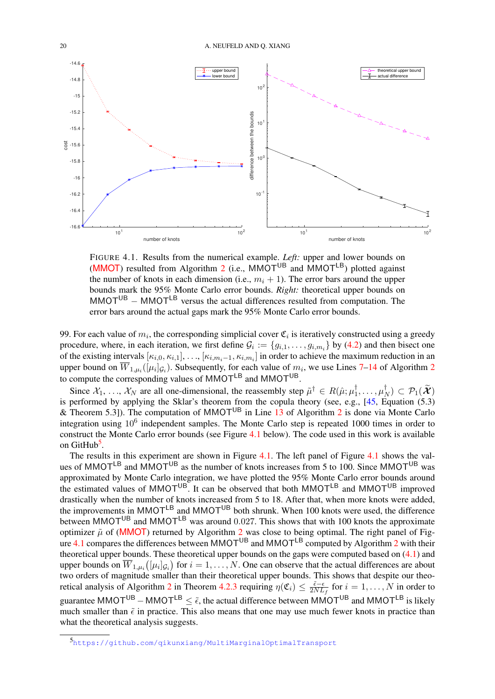<span id="page-19-2"></span>

<span id="page-19-0"></span>FIGURE 4.1. Results from the numerical example. *Left:* upper and lower bounds on ([MMOT](#page-4-4)) resulted from Algorithm [2](#page-17-0) (i.e.,  $M\dot{M}$ OT<sup>UB</sup> and  $\dot{M}$ MOT<sup>LB</sup>) plotted against the number of knots in each dimension (i.e.,  $m_i + 1$ ). The error bars around the upper bounds mark the 95% Monte Carlo error bounds. *Right:* theoretical upper bounds on  $MMOT<sup>UB</sup> - MMOT<sup>LB</sup>$  versus the actual differences resulted from computation. The error bars around the actual gaps mark the 95% Monte Carlo error bounds.

99. For each value of  $m_i$ , the corresponding simplicial cover  $\mathfrak{C}_i$  is iteratively constructed using a greedy procedure, where, in each iteration, we first define  $G_i := \{g_{i,1}, \ldots, g_{i,m_i}\}\$  by [\(4.2\)](#page-18-5) and then bisect one of the existing intervals  $[\kappa_{i,0}, \kappa_{i,1}], \ldots, [\kappa_{i,m_i-1}, \kappa_{i,m_i}]$  in order to achieve the maximum reduction in an upper bound on  $W_{1,\mu_i}([\mu_i]_{\mathcal{G}_i})$ . Subsequently, for each value of  $m_i$ , we use Lines [7](#page-17-6)[–14](#page-17-10) of Algorithm [2](#page-17-0) to compute the corresponding values of MMOT<sup>LB</sup> and MMOT<sup>UB</sup>.

Since  $\mathcal{X}_1, \ldots, \mathcal{X}_N$  are all one-dimensional, the reassembly step  $\tilde{\mu}^\dagger \in R(\hat{\mu}; \mu_1^\dagger)$  $\mu_1^\dagger,\ldots,\mu_I^\dagger$  $(\mathcal{P}_N) \subset \mathcal{P}_1(\mathcal{X})$ is performed by applying the Sklar's theorem from the copula theory (see, e.g.,  $[45,$  Equation (5.3) & Theorem 5.3]). The computation of MMOT<sup>UB</sup> in Line [13](#page-17-11) of Algorithm [2](#page-17-0) is done via Monte Carlo integration using  $10^6$  independent samples. The Monte Carlo step is repeated 1000 times in order to construct the Monte Carlo error bounds (see Figure [4.1](#page-19-0) below). The code used in this work is available on GitHub<sup>[5](#page-19-1)</sup>.

The results in this experiment are shown in Figure [4.1.](#page-19-0) The left panel of Figure [4.1](#page-19-0) shows the values of MMOT<sup>LB</sup> and MMOT<sup>UB</sup> as the number of knots increases from 5 to 100. Since MMOT<sup>UB</sup> was approximated by Monte Carlo integration, we have plotted the 95% Monte Carlo error bounds around the estimated values of MMOT<sup>UB</sup>. It can be observed that both MMOT<sup>LB</sup> and MMOT<sup>UB</sup> improved drastically when the number of knots increased from 5 to 18. After that, when more knots were added, the improvements in  $M M O T^{LB}$  and  $M M O T^{UB}$  both shrunk. When 100 knots were used, the difference between MMOT<sup>UB</sup> and MMOT<sup>LB</sup> was around 0.027. This shows that with 100 knots the approximate optimizer  $\tilde{\mu}$  of ([MMOT](#page-4-4)) returned by Algorithm [2](#page-17-0) was close to being optimal. The right panel of Fig-ure [4.1](#page-19-0) compares the differences between MMOT<sup>UB</sup> and MMOT<sup>LB</sup> computed by Algorithm [2](#page-17-0) with their theoretical upper bounds. These theoretical upper bounds on the gaps were computed based on [\(4.1\)](#page-18-6) and upper bounds on  $\overline{W}_{1,\mu_i}(\mu_i|_{\mathcal{G}_i})$  for  $i=1,\ldots,N.$  One can observe that the actual differences are about two orders of magnitude smaller than their theoretical upper bounds. This shows that despite our theo-retical analysis of Algorithm [2](#page-17-0) in Theorem [4.2.3](#page-18-0) requiring  $\eta(\mathfrak{C}_i) \leq \frac{\tilde{\epsilon}-\epsilon}{2NL}$  $\frac{\epsilon-\epsilon}{2NL_f}$  for  $i=1,\ldots,N$  in order to guarantee MMOT<sup>UB</sup> – MMOT<sup>LB</sup>  $\leq \tilde{\epsilon}$ , the actual difference between MMOT<sup>UB</sup> and MMOT<sup>LB</sup> is likely much smaller than  $\tilde{\epsilon}$  in practice. This also means that one may use much fewer knots in practice than what the theoretical analysis suggests.

<span id="page-19-1"></span><sup>5</sup><https://github.com/qikunxiang/MultiMarginalOptimalTransport>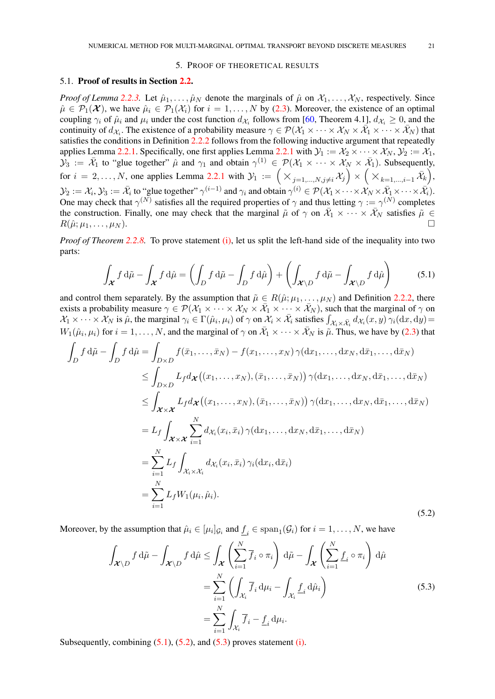#### 5. PROOF OF THEORETICAL RESULTS

#### <span id="page-20-5"></span><span id="page-20-1"></span><span id="page-20-0"></span>5.1. Proof of results in Section [2.2.](#page-4-2)

*Proof of Lemma* [2.2.3.](#page-4-1) Let  $\hat{\mu}_1, \dots, \hat{\mu}_N$  denote the marginals of  $\hat{\mu}$  on  $\mathcal{X}_1, \dots, \mathcal{X}_N$ , respectively. Since  $\hat{\mu} \in \mathcal{P}_1(\mathcal{X})$ , we have  $\hat{\mu}_i \in \mathcal{P}_1(\mathcal{X}_i)$  for  $i = 1, ..., N$  by [\(2.3\)](#page-3-1). Moreover, the existence of an optimal coupling  $\gamma_i$  of  $\hat{\mu}_i$  and  $\mu_i$  under the cost function  $d_{\mathcal{X}_i}$  follows from [\[60,](#page-47-2) Theorem 4.1],  $d_{\mathcal{X}_i} \ge 0$ , and the continuity of  $d_{\mathcal{X}_i}$ . The existence of a probability measure  $\gamma \in \mathcal{P}(\mathcal{X}_1 \times \cdots \times \mathcal{X}_N \times \overline{\mathcal{X}}_1 \times \cdots \times \overline{\mathcal{X}}_N)$  that satisfies the conditions in Definition [2.2.2](#page-4-0) follows from the following inductive argument that repeatedly applies Lemma [2.2.1.](#page-4-5) Specifically, one first applies Lemma [2.2.1](#page-4-5) with  $\mathcal{Y}_1 := \mathcal{X}_2 \times \cdots \times \mathcal{X}_N$ ,  $\mathcal{Y}_2 := \mathcal{X}_1$ ,  $\mathcal{Y}_3 := \overline{\mathcal{X}}_1$  to "glue together"  $\hat{\mu}$  and  $\gamma_1$  and obtain  $\gamma^{(1)} \in \mathcal{P}(\mathcal{X}_1 \times \cdots \times \mathcal{X}_N \times \overline{\mathcal{X}}_1)$ . Subsequently, for  $i = 2, ..., N$ , one applies Lemma [2.2.1](#page-4-5) with  $\mathcal{Y}_1 := \left( \times_{j=1,...,N, j \neq i} \mathcal{X}_j \right) \times \left( \times_{k=1,...,i-1} \overline{\mathcal{X}}_k \right)$ ,  $\mathcal{Y}_2 := \mathcal{X}_i, \mathcal{Y}_3 := \bar{\mathcal{X}}_i$  to "glue together"  $\gamma^{(i-1)}$  and  $\gamma_i$  and obtain  $\gamma^{(i)} \in \mathcal{P}(\mathcal{X}_1 \times \cdots \times \mathcal{X}_N \times \bar{\mathcal{X}}_1 \times \cdots \times \bar{\mathcal{X}}_i)$ . One may check that  $\gamma^{(N)}$  satisfies all the required properties of  $\gamma$  and thus letting  $\gamma := \gamma^{(N)}$  completes the construction. Finally, one may check that the marginal  $\tilde{\mu}$  of  $\gamma$  on  $\overline{X}_1 \times \cdots \times \overline{X}_N$  satisfies  $\tilde{\mu} \in$  $R(\hat{\mu}; \mu_1, \ldots, \mu_N).$ 

*Proof of Theorem* [2.2.8.](#page-6-0) To prove statement [\(i\),](#page-6-4) let us split the left-hand side of the inequality into two parts:

<span id="page-20-2"></span>
$$
\int_{\mathcal{X}} f d\tilde{\mu} - \int_{\mathcal{X}} f d\hat{\mu} = \left( \int_{D} f d\tilde{\mu} - \int_{D} f d\hat{\mu} \right) + \left( \int_{\mathcal{X} \backslash D} f d\tilde{\mu} - \int_{\mathcal{X} \backslash D} f d\hat{\mu} \right) \tag{5.1}
$$

and control them separately. By the assumption that  $\tilde{\mu} \in R(\hat{\mu}; \mu_1, \dots, \mu_N)$  and Definition [2.2.2,](#page-4-0) there exists a probability measure  $\gamma \in \mathcal{P}(\mathcal{X}_1 \times \cdots \times \mathcal{X}_N \times \overline{\mathcal{X}}_1 \times \cdots \times \overline{\mathcal{X}}_N)$ , such that the marginal of  $\gamma$  on  $\mathcal{X}_1 \times \cdots \times \mathcal{X}_N$  is  $\hat{\mu}$ , the marginal  $\gamma_i \in \Gamma(\hat{\mu}_i, \mu_i)$  of  $\gamma$  on  $\mathcal{X}_i \times \bar{\mathcal{X}}_i$  satisfies  $\int_{\mathcal{X}_i \times \bar{\mathcal{X}}_i} d_{\mathcal{X}_i}(x, y) \gamma_i(\mathrm{d}x, \mathrm{d}y) =$  $W_1(\hat{\mu}_i, \mu_i)$  for  $i = 1, \ldots, N$ , and the marginal of  $\gamma$  on  $\bar{\mathcal{X}}_1 \times \cdots \times \bar{\mathcal{X}}_N$  is  $\tilde{\mu}$ . Thus, we have by [\(2.3\)](#page-3-1) that

$$
\int_{D} f d\tilde{\mu} - \int_{D} f d\hat{\mu} = \int_{D \times D} f(\bar{x}_{1}, \dots, \bar{x}_{N}) - f(x_{1}, \dots, x_{N}) \gamma(dx_{1}, \dots, dx_{N}, d\bar{x}_{1}, \dots, d\bar{x}_{N})
$$
\n
$$
\leq \int_{D \times D} L_{f} d\chi ((x_{1}, \dots, x_{N}), (\bar{x}_{1}, \dots, \bar{x}_{N})) \gamma(dx_{1}, \dots, dx_{N}, d\bar{x}_{1}, \dots, d\bar{x}_{N})
$$
\n
$$
\leq \int_{\mathcal{X} \times \mathcal{X}} L_{f} d\chi ((x_{1}, \dots, x_{N}), (\bar{x}_{1}, \dots, \bar{x}_{N})) \gamma(dx_{1}, \dots, dx_{N}, d\bar{x}_{1}, \dots, d\bar{x}_{N})
$$
\n
$$
= L_{f} \int_{\mathcal{X} \times \mathcal{X}} \sum_{i=1}^{N} d\chi_{i} (x_{i}, \bar{x}_{i}) \gamma(dx_{1}, \dots, dx_{N}, d\bar{x}_{1}, \dots, d\bar{x}_{N})
$$
\n
$$
= \sum_{i=1}^{N} L_{f} \int_{\mathcal{X}_{i} \times \mathcal{X}_{i}} d\chi_{i} (x_{i}, \bar{x}_{i}) \gamma_{i} (dx_{i}, d\bar{x}_{i})
$$
\n
$$
= \sum_{i=1}^{N} L_{f} W_{1} (\mu_{i}, \hat{\mu}_{i}). \tag{5.2}
$$

Moreover, by the assumption that  $\hat{\mu}_i \in [\mu_i]_{\mathcal{G}_i}$  and  $\underline{f}_i \in \text{span}_1(\mathcal{G}_i)$  for  $i = 1, \dots, N$ , we have

<span id="page-20-4"></span><span id="page-20-3"></span>
$$
\int_{\mathcal{X}\backslash D} f d\tilde{\mu} - \int_{\mathcal{X}\backslash D} f d\hat{\mu} \le \int_{\mathcal{X}} \left( \sum_{i=1}^{N} \overline{f}_{i} \circ \pi_{i} \right) d\tilde{\mu} - \int_{\mathcal{X}} \left( \sum_{i=1}^{N} \underline{f}_{i} \circ \pi_{i} \right) d\hat{\mu}
$$
\n
$$
= \sum_{i=1}^{N} \left( \int_{\mathcal{X}_{i}} \overline{f}_{i} d\mu_{i} - \int_{\mathcal{X}_{i}} \underline{f}_{i} d\hat{\mu}_{i} \right)
$$
\n
$$
= \sum_{i=1}^{N} \int_{\mathcal{X}_{i}} \overline{f}_{i} - \underline{f}_{i} d\mu_{i}.
$$
\n(5.3)

Subsequently, combining  $(5.1)$ ,  $(5.2)$ , and  $(5.3)$  proves statement [\(i\).](#page-6-4)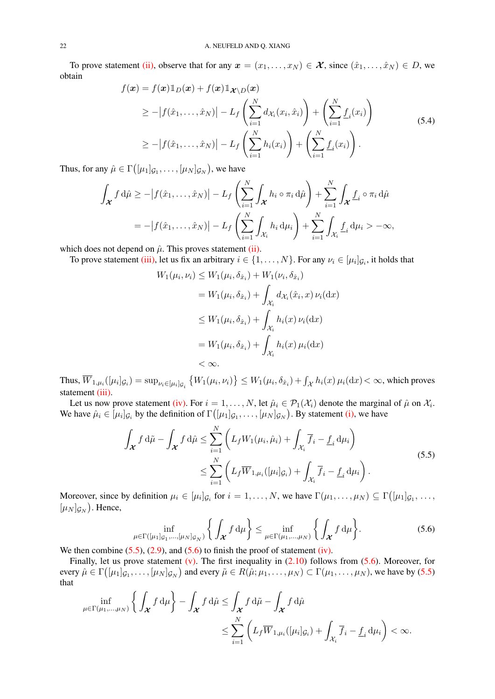To prove statement [\(ii\),](#page-6-3) observe that for any  $x = (x_1, \ldots, x_N) \in \mathcal{X}$ , since  $(\hat{x}_1, \ldots, \hat{x}_N) \in D$ , we obtain

<span id="page-21-0"></span>
$$
f(\boldsymbol{x}) = f(\boldsymbol{x}) \mathbb{1}_D(\boldsymbol{x}) + f(\boldsymbol{x}) \mathbb{1}_{\boldsymbol{\mathcal{X}} \setminus D}(\boldsymbol{x})
$$
  
\n
$$
\geq -|f(\hat{x}_1, \dots, \hat{x}_N)| - L_f \left( \sum_{i=1}^N d_{\mathcal{X}_i}(x_i, \hat{x}_i) \right) + \left( \sum_{i=1}^N \underline{f}_i(x_i) \right)
$$
  
\n
$$
\geq -|f(\hat{x}_1, \dots, \hat{x}_N)| - L_f \left( \sum_{i=1}^N h_i(x_i) \right) + \left( \sum_{i=1}^N \underline{f}_i(x_i) \right).
$$
\n(5.4)

Thus, for any  $\hat{\mu} \in \Gamma\left( [\mu_1]_{\mathcal{G}_1}, \ldots, [\mu_N]_{\mathcal{G}_N} \right)$ , we have

$$
\int_{\mathcal{X}} f d\hat{\mu} \ge -|f(\hat{x}_1, \dots, \hat{x}_N)| - L_f \left( \sum_{i=1}^N \int_{\mathcal{X}} h_i \circ \pi_i d\hat{\mu} \right) + \sum_{i=1}^N \int_{\mathcal{X}} \underline{f}_i \circ \pi_i d\hat{\mu}
$$
  
= -|f(\hat{x}\_1, \dots, \hat{x}\_N)| - L\_f \left( \sum\_{i=1}^N \int\_{\mathcal{X}\_i} h\_i d\mu\_i \right) + \sum\_{i=1}^N \int\_{\mathcal{X}\_i} \underline{f}\_i d\mu\_i > -\infty,

which does not depend on  $\hat{\mu}$ . This proves statement [\(ii\).](#page-6-3)

To prove statement [\(iii\),](#page-6-5) let us fix an arbitrary  $i \in \{1, ..., N\}$ . For any  $\nu_i \in [\mu_i]_{\mathcal{G}_i}$ , it holds that

$$
W_1(\mu_i, \nu_i) \le W_1(\mu_i, \delta_{\hat{x}_i}) + W_1(\nu_i, \delta_{\hat{x}_i})
$$
  
\n
$$
= W_1(\mu_i, \delta_{\hat{x}_i}) + \int_{\mathcal{X}_i} d_{\mathcal{X}_i}(\hat{x}_i, x) \nu_i(\mathrm{d}x)
$$
  
\n
$$
\le W_1(\mu_i, \delta_{\hat{x}_i}) + \int_{\mathcal{X}_i} h_i(x) \nu_i(\mathrm{d}x)
$$
  
\n
$$
= W_1(\mu_i, \delta_{\hat{x}_i}) + \int_{\mathcal{X}_i} h_i(x) \mu_i(\mathrm{d}x)
$$
  
\n
$$
< \infty.
$$

Thus,  $\overline{W}_{1,\mu_i}([\mu_i]_{\mathcal{G}_i}) = \sup_{\nu_i \in [\mu_i]_{\mathcal{G}_i}} \left\{ W_1(\mu_i, \nu_i) \right\} \leq W_1(\mu_i, \delta_{\hat{x}_i}) + \int_{\mathcal{X}} h_i(x) \, \mu_i(\mathrm{d}x) < \infty$ , which proves statement *(iii)*.

Let us now prove statement [\(iv\).](#page-6-1) For  $i = 1, ..., N$ , let  $\hat{\mu}_i \in \mathcal{P}_1(\mathcal{X}_i)$  denote the marginal of  $\hat{\mu}$  on  $\mathcal{X}_i$ . We have  $\hat{\mu}_i \in [\mu_i]_{\mathcal{G}_i}$  by the definition of  $\Gamma([\mu_1]_{\mathcal{G}_1}, \ldots, [\mu_N]_{\mathcal{G}_N})$ . By statement [\(i\),](#page-6-4) we have

$$
\int_{\mathcal{X}} f d\tilde{\mu} - \int_{\mathcal{X}} f d\hat{\mu} \le \sum_{i=1}^{N} \left( L_f W_1(\mu_i, \hat{\mu}_i) + \int_{\mathcal{X}_i} \overline{f}_i - \underline{f}_i d\mu_i \right)
$$
\n
$$
\le \sum_{i=1}^{N} \left( L_f \overline{W}_{1,\mu_i}([\mu_i] \mathcal{G}_i) + \int_{\mathcal{X}_i} \overline{f}_i - \underline{f}_i d\mu_i \right).
$$
\n(5.5)

Moreover, since by definition  $\mu_i \in [\mu_i]_{\mathcal{G}_i}$  for  $i = 1, \dots, N$ , we have  $\Gamma(\mu_1, \dots, \mu_N) \subseteq \Gamma([\mu_1]_{\mathcal{G}_1}, \dots, \Gamma(\mu_N)$  $[\mu_N]_{\mathcal{G}_N}$ ). Hence,

<span id="page-21-2"></span><span id="page-21-1"></span>
$$
\inf_{\mu \in \Gamma([\mu_1]_{\mathcal{G}_1}, \dots, [\mu_N]_{\mathcal{G}_N})} \left\{ \int_{\mathcal{X}} f d\mu \right\} \le \inf_{\mu \in \Gamma(\mu_1, \dots, \mu_N)} \left\{ \int_{\mathcal{X}} f d\mu \right\}.
$$
\n(5.6)

We then combine  $(5.5)$ ,  $(2.9)$ , and  $(5.6)$  to finish the proof of statement [\(iv\).](#page-6-1)

Finally, let us prove statement  $(v)$ . The first inequality in  $(2.10)$  follows from  $(5.6)$ . Moreover, for every  $\hat{\mu} \in \Gamma([{\mu_1}]_{\mathcal{G}_1}, \ldots, [{\mu_N}]_{\mathcal{G}_N})$  and every  $\tilde{\mu} \in R(\hat{\mu}; \mu_1, \ldots, \mu_N) \subset \Gamma(\mu_1, \ldots, \mu_N)$ , we have by [\(5.5\)](#page-21-1) that

$$
\inf_{\mu \in \Gamma(\mu_1, \dots, \mu_N)} \left\{ \int_{\mathcal{X}} f d\mu \right\} - \int_{\mathcal{X}} f d\hat{\mu} \le \int_{\mathcal{X}} f d\tilde{\mu} - \int_{\mathcal{X}} f d\hat{\mu} \n\le \sum_{i=1}^N \left( L_f \overline{W}_{1, \mu_i}([\mu_i]_{\mathcal{G}_i}) + \int_{\mathcal{X}_i} \overline{f}_i - \underline{f}_i d\mu_i \right) < \infty.
$$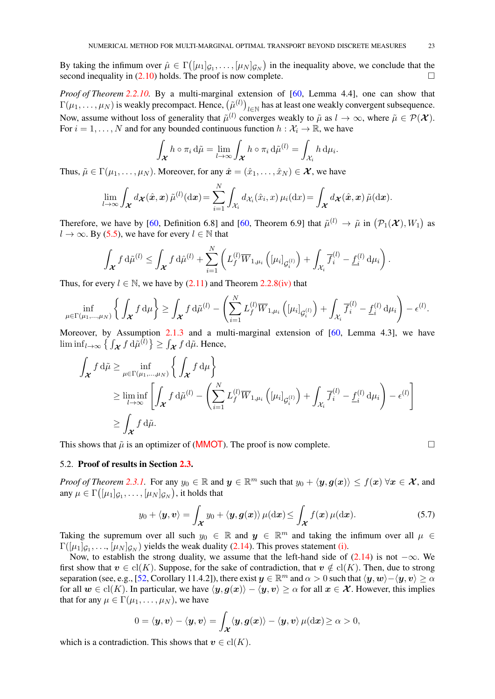<span id="page-22-1"></span>By taking the infimum over  $\hat{\mu} \in \Gamma([{\mu_1}]_{\mathcal{G}_1}, \ldots, [{\mu_N}]_{\mathcal{G}_N})$  in the inequality above, we conclude that the second inequality in  $(2.10)$  holds. The proof is now complete.

*Proof of Theorem [2.2.10.](#page-8-2)* By a multi-marginal extension of [\[60,](#page-47-2) Lemma 4.4], one can show that  $\Gamma(\mu_1,\ldots,\mu_N)$  is weakly precompact. Hence,  $(\tilde{\mu}^{(l)})_{l\in\mathbb{N}}$  has at least one weakly convergent subsequence. Now, assume without loss of generality that  $\tilde{\mu}^{(l)}$  converges weakly to  $\tilde{\mu}$  as  $l \to \infty$ , where  $\tilde{\mu} \in \mathcal{P}(\mathcal{X})$ . For  $i = 1, ..., N$  and for any bounded continuous function  $h : \mathcal{X}_i \to \mathbb{R}$ , we have

$$
\int_{\boldsymbol{\mathcal{X}}} h \circ \pi_i \, \mathrm{d}\tilde{\mu} = \lim_{l \to \infty} \int_{\boldsymbol{\mathcal{X}}} h \circ \pi_i \, \mathrm{d}\tilde{\mu}^{(l)} = \int_{\mathcal{X}_i} h \, \mathrm{d}\mu_i.
$$

Thus,  $\tilde{\mu} \in \Gamma(\mu_1, \ldots, \mu_N)$ . Moreover, for any  $\hat{\mathbf{x}} = (\hat{x}_1, \ldots, \hat{x}_N) \in \mathcal{X}$ , we have

$$
\lim_{l\to\infty}\int_{\mathcal{X}}d_{\mathcal{X}}(\hat{\boldsymbol{x}},\boldsymbol{x})\,\tilde{\mu}^{(l)}(\mathrm{d}\boldsymbol{x})=\sum_{i=1}^N\int_{\mathcal{X}_i}d_{\mathcal{X}_i}(\hat{x}_i,x)\,\mu_i(\mathrm{d} x)=\int_{\mathcal{X}}d_{\mathcal{X}}(\hat{\boldsymbol{x}},\boldsymbol{x})\,\tilde{\mu}(\mathrm{d}\boldsymbol{x}).
$$

Therefore, we have by [\[60,](#page-47-2) Definition 6.8] and [60, Theorem 6.9] that  $\tilde{\mu}^{(l)} \to \tilde{\mu}$  in  $(\mathcal{P}_1(\mathcal{X}), W_1)$  as  $l \to \infty$ . By [\(5.5\)](#page-21-1), we have for every  $l \in \mathbb{N}$  that

$$
\int_{\boldsymbol{\mathcal{X}}} f d\tilde{\mu}^{(l)} \leq \int_{\boldsymbol{\mathcal{X}}} f d\hat{\mu}^{(l)} + \sum_{i=1}^N \left( L_f^{(l)} \overline{W}_{1,\mu_i} \left( [\mu_i]_{\mathcal{G}_i^{(l)}} \right) + \int_{\mathcal{X}_i} \overline{f}_i^{(l)} - \underline{f}_i^{(l)} d\mu_i \right).
$$

Thus, for every  $l \in \mathbb{N}$ , we have by [\(2.11\)](#page-8-2) and Theorem [2.2.8](#page-6-0)[\(iv\)](#page-6-1) that

$$
\inf_{\mu \in \Gamma(\mu_1, \ldots, \mu_N)} \left\{ \int_{\mathcal{X}} f d\mu \right\} \geq \int_{\mathcal{X}} f d\tilde{\mu}^{(l)} - \left( \sum_{i=1}^N L_f^{(l)} \overline{W}_{1,\mu_i} \left( [\mu_i]_{\mathcal{G}_i^{(l)}} \right) + \int_{\mathcal{X}_i} \overline{f}_i^{(l)} - \underline{f}_i^{(l)} d\mu_i \right) - \epsilon^{(l)}.
$$

Moreover, by Assumption [2.1.3](#page-4-3) and a multi-marginal extension of [\[60,](#page-47-2) Lemma 4.3], we have  $\liminf_{l\to\infty}\left\{\int_{\mathcal{X}}f\,\mathrm{d}\tilde{\mu}^{(l)}\right\}\geq\int_{\mathcal{X}}f\,\mathrm{d}\tilde{\mu}$ . Hence,

$$
\int_{\mathcal{X}} f d\tilde{\mu} \ge \inf_{\mu \in \Gamma(\mu_1, \dots, \mu_N)} \left\{ \int_{\mathcal{X}} f d\mu \right\}
$$
\n
$$
\ge \liminf_{l \to \infty} \left[ \int_{\mathcal{X}} f d\tilde{\mu}^{(l)} - \left( \sum_{i=1}^N L_f^{(l)} \overline{W}_{1, \mu_i} \left( [\mu_i]_{\mathcal{G}_i^{(l)}} \right) + \int_{\mathcal{X}_i} \overline{f}_i^{(l)} - \underline{f}_i^{(l)} d\mu_i \right) - \epsilon^{(l)} \right]
$$
\n
$$
\ge \int_{\mathcal{X}} f d\tilde{\mu}.
$$

This shows that  $\tilde{\mu}$  is an optimizer of (**[MMOT](#page-4-4)**). The proof is now complete.

$$
\overline{\Box}
$$

#### <span id="page-22-0"></span>5.2. Proof of results in Section [2.3.](#page-8-1)

*Proof of Theorem [2.3.1.](#page-9-0)* For any  $y_0 \in \mathbb{R}$  and  $y \in \mathbb{R}^m$  such that  $y_0 + \langle y, g(x) \rangle \le f(x) \,\forall x \in \mathcal{X}$ , and any  $\mu \in \Gamma\big( [\mu_1]_{\mathcal{G}_1}, \dots, [\mu_N]_{\mathcal{G}_N} \big),$  it holds that

$$
y_0 + \langle \mathbf{y}, \mathbf{v} \rangle = \int_{\mathcal{X}} y_0 + \langle \mathbf{y}, \mathbf{g}(\mathbf{x}) \rangle \, \mu(\mathrm{d}\mathbf{x}) \le \int_{\mathcal{X}} f(\mathbf{x}) \, \mu(\mathrm{d}\mathbf{x}). \tag{5.7}
$$

Taking the supremum over all such  $y_0 \in \mathbb{R}$  and  $y \in \mathbb{R}^m$  and taking the infimum over all  $\mu \in$  $\Gamma([\mu_1]_{\mathcal{G}_1},...,[\mu_N]_{\mathcal{G}_N})$  yields the weak duality [\(2.14\)](#page-8-5). This proves statement [\(i\).](#page-8-7)

Now, to establish the strong duality, we assume that the left-hand side of  $(2.14)$  is not  $-\infty$ . We first show that  $v \in \text{cl}(K)$ . Suppose, for the sake of contradiction, that  $v \notin \text{cl}(K)$ . Then, due to strong separation (see, e.g., [\[52,](#page-47-12) Corollary 11.4.2]), there exist  $y \in \mathbb{R}^m$  and  $\alpha > 0$  such that  $\langle y, w \rangle - \langle y, v \rangle \ge \alpha$ for all  $w \in \text{cl}(K)$ . In particular, we have  $\langle y, q(x) \rangle - \langle y, v \rangle > \alpha$  for all  $x \in \mathcal{X}$ . However, this implies that for any  $\mu \in \Gamma(\mu_1, \ldots, \mu_N)$ , we have

$$
0 = \langle \boldsymbol{y}, \boldsymbol{v} \rangle - \langle \boldsymbol{y}, \boldsymbol{v} \rangle = \int_{\boldsymbol{\mathcal{X}}} \langle \boldsymbol{y}, \boldsymbol{g}(\boldsymbol{x}) \rangle - \langle \boldsymbol{y}, \boldsymbol{v} \rangle \, \mu(\mathrm d \boldsymbol{x}) \geq \alpha > 0,
$$

which is a contradiction. This shows that  $v \in cl(K)$ .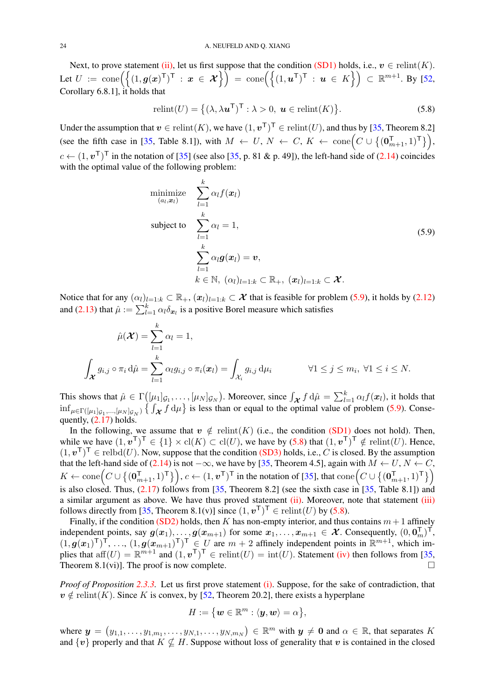<span id="page-23-2"></span>Next, to prove statement [\(ii\),](#page-9-7) let us first suppose that the condition [\(SD1\)](#page-9-2) holds, i.e.,  $v \in$  relint(K). Let  $U := \text{cone}\Big(\big\{(1, g(x)^{\top})^{\top} : x \in \mathcal{X}\big\}\Big) = \text{cone}\Big(\big\{(1, u^{\top})^{\top} : u \in K\big\}\Big) \subset \mathbb{R}^{m+1}$ . By [\[52,](#page-47-12) Corollary 6.8.1], it holds that

<span id="page-23-1"></span>
$$
\text{relint}(U) = \{ (\lambda, \lambda \mathbf{u}^{\mathsf{T}})^{\mathsf{T}} : \lambda > 0, \ \mathbf{u} \in \text{relint}(K) \}. \tag{5.8}
$$

Under the assumption that  $v \in \text{relint}(K)$ , we have  $(1, v^{\top})^{\top} \in \text{relint}(U)$ , and thus by [\[35,](#page-46-20) Theorem 8.2] (see the fifth case in [\[35,](#page-46-20) Table 8.1]), with  $M \leftarrow U, N \leftarrow C, K \leftarrow \text{cone}\Big(C \cup \{(\mathbf{0}_{m+1}^T, 1)^T\}\Big),$  $c \leftarrow (1, v^{\mathsf{T}})^{\mathsf{T}}$  in the notation of [\[35\]](#page-46-20) (see also [\[35,](#page-46-20) p. 81 & p. 49]), the left-hand side of [\(2.14\)](#page-8-5) coincides with the optimal value of the following problem:

<span id="page-23-0"></span>minimize 
$$
\sum_{l=1}^{k} \alpha_l f(\boldsymbol{x}_l)
$$
  
subject to 
$$
\sum_{l=1}^{k} \alpha_l = 1,
$$

$$
\sum_{l=1}^{k} \alpha_l g(\boldsymbol{x}_l) = \boldsymbol{v},
$$

$$
k \in \mathbb{N}, (\alpha_l)_{l=1:k} \subset \mathbb{R}_+, (\boldsymbol{x}_l)_{l=1:k} \subset \boldsymbol{\mathcal{X}}.
$$

Notice that for any  $(\alpha_l)_{l=1:k} \subset \mathbb{R}_+$ ,  $(\mathbf{x}_l)_{l=1:k} \subset \mathcal{X}$  that is feasible for problem [\(5.9\)](#page-23-0), it holds by [\(2.12\)](#page-8-3) and [\(2.13\)](#page-8-4) that  $\hat{\mu} := \sum_{l=1}^{k} \alpha_l \delta_{x_l}$  is a positive Borel measure which satisfies

$$
\hat{\mu}(\mathcal{X}) = \sum_{l=1}^{k} \alpha_l = 1,
$$
\n
$$
\int_{\mathcal{X}} g_{i,j} \circ \pi_i d\hat{\mu} = \sum_{l=1}^{k} \alpha_l g_{i,j} \circ \pi_i(\boldsymbol{x}_l) = \int_{\mathcal{X}_i} g_{i,j} d\mu_i \qquad \forall 1 \leq j \leq m_i, \ \forall 1 \leq i \leq N.
$$

This shows that  $\hat{\mu} \in \Gamma([{\mu_1}]_{\mathcal{G}_1}, \ldots, [{\mu_N}]_{\mathcal{G}_N})$ . Moreover, since  $\int_{\mathcal{X}} f d\hat{\mu} = \sum_{l=1}^k \alpha_l f(\mathbf{x}_l)$ , it holds that  $\inf_{\mu \in \Gamma([\mu_1]_{\mathcal{G}_1},\ldots,[\mu_N]_{\mathcal{G}_N})} \left\{ \int_{\mathcal{X}} f d\mu \right\}$  is less than or equal to the optimal value of problem [\(5.9\)](#page-23-0). Consequently,  $(2.17)$  holds.

In the following, we assume that  $v \notin \text{relint}(K)$  (i.e., the condition [\(SD1\)](#page-9-2) does not hold). Then, while we have  $(1, v^{\mathsf{T}})^{\mathsf{T}} \in \{1\} \times \text{cl}(K) \subset \text{cl}(U)$ , we have by  $(5.8)$  that  $(1, v^{\mathsf{T}})^{\mathsf{T}} \notin \text{relint}(U)$ . Hence,  $(1, v^{\mathsf{T}})^{\mathsf{T}} \in \text{relbd}(U)$ . Now, suppose that the condition [\(SD3\)](#page-9-4) holds, i.e., C is closed. By the assumption that the left-hand side of [\(2.14\)](#page-8-5) is not  $-\infty$ , we have by [\[35,](#page-46-20) Theorem 4.5], again with  $M \leftarrow U, N \leftarrow C$ ,  $K \leftarrow \text{cone}\Big(C \cup \big\{(\mathbf{0}_{m+1}^{\textsf{T}},1)^{\textsf{T}}\big\}\Big), c \leftarrow (1,\boldsymbol{v}^{\textsf{T}})^{\textsf{T}}$  in the notation of [\[35\]](#page-46-20), that  $\text{cone}\Big(C \cup \big\{(\mathbf{0}_{m+1}^{\textsf{T}},1)^{\textsf{T}}\big\}\Big)$ is also closed. Thus,  $(2.17)$  follows from [\[35,](#page-46-20) Theorem 8.2] (see the sixth case in [35, Table 8.1]) and a similar argument as above. We have thus proved statement [\(ii\).](#page-9-7) Moreover, note that statement [\(iii\)](#page-9-9) follows directly from [\[35,](#page-46-20) Theorem 8.1(v)] since  $(1, v^{\mathsf{T}})^{\mathsf{T}} \in \text{relint}(U)$  by [\(5.8\)](#page-23-1).

Finally, if the condition [\(SD2\)](#page-9-3) holds, then K has non-empty interior, and thus contains  $m + 1$  affinely independent points, say  $g(x_1), \ldots, g(x_{m+1})$  for some  $x_1, \ldots, x_{m+1} \in \mathcal{X}$ . Consequently,  $(0, \mathbf{0}_m^{\mathsf{T}})^{\mathsf{T}}$ ,  $(1, g(x_1)^T)^T, \ldots, (1, g(x_{m+1})^T)^T \in U$  are  $m+2$  affinely independent points in  $\mathbb{R}^{m+1}$ , which implies that  $\text{aff}(U) = \mathbb{R}^{m+1}$  and  $(1, v^{\mathsf{T}})^{\mathsf{T}} \in \text{relint}(U) = \text{int}(U)$ . Statement [\(iv\)](#page-9-0) then follows from [\[35,](#page-46-20) Theorem 8.1(vi)]. The proof is now complete.  $\Box$ 

*Proof of Proposition [2.3.3.](#page-9-1)* Let us first prove statement [\(i\).](#page-9-6) Suppose, for the sake of contradiction, that  $v \notin$  relint(K). Since K is convex, by [\[52,](#page-47-12) Theorem 20.2], there exists a hyperplane

$$
H:=\big\{\boldsymbol w\in\mathbb{R}^m: \langle \boldsymbol y,\boldsymbol w\rangle=\alpha\big\},
$$

where  $y = (y_{1,1}, \ldots, y_{1,m_1}, \ldots, y_{N,1}, \ldots, y_{N,m_N}) \in \mathbb{R}^m$  with  $y \neq 0$  and  $\alpha \in \mathbb{R}$ , that separates K and  $\{v\}$  properly and that  $K \nsubseteq H$ . Suppose without loss of generality that v is contained in the closed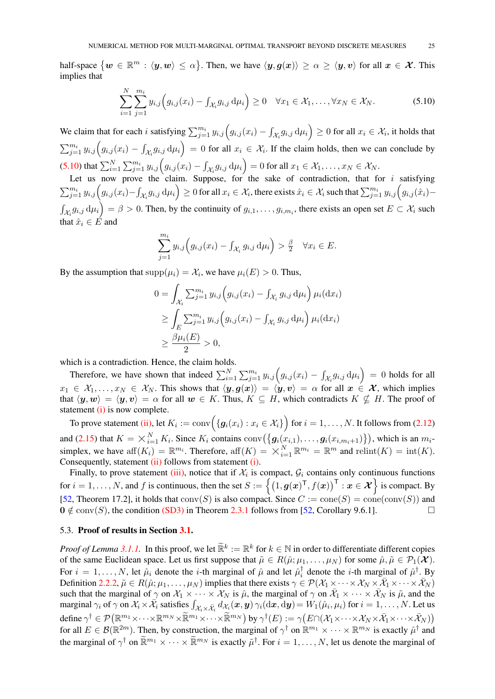<span id="page-24-2"></span>half-space  $\{w \in \mathbb{R}^m : \langle y, w \rangle \leq \alpha\}$ . Then, we have  $\langle y, g(x) \rangle \geq \alpha \geq \langle y, v \rangle$  for all  $x \in \mathcal{X}$ . This implies that

$$
\sum_{i=1}^N \sum_{j=1}^{m_i} y_{i,j} \Big( g_{i,j}(x_i) - \int_{\mathcal{X}_i} g_{i,j} \, \mathrm{d} \mu_i \Big) \ge 0 \quad \forall x_1 \in \mathcal{X}_1, \dots, \forall x_N \in \mathcal{X}_N. \tag{5.10}
$$

We claim that for each i satisfying  $\sum_{j=1}^{m_i} y_{i,j} (g_{i,j}(x_i) - \int_{\mathcal{X}_i} g_{i,j} \, \mathrm{d}\mu_i) \ge 0$  for all  $x_i \in \mathcal{X}_i$ , it holds that  $\sum_{j=1}^{m_i} y_{i,j} \Big(g_{i,j}(x_i) - \int_{\mathcal{X}_i} g_{i,j} d\mu_i\Big) = 0$  for all  $x_i \in \mathcal{X}_i$ . If the claim holds, then we can conclude by [\(5.10\)](#page-24-1) that  $\sum_{i=1}^N \sum_{j=1}^{m_i} y_{i,j} \Big(g_{i,j}(x_i) - \int_{\mathcal{X}_i} g_{i,j} \, \mathrm{d}\mu_i\Big) = 0$  for all  $x_1 \in \mathcal{X}_1, \dots, x_N \in \mathcal{X}_N$ .

Let us now prove the claim. Suppose, for the sake of contradiction, that for  $i$  satisfying  $\sum_{j=1}^{m_i} y_{i,j} \Big( g_{i,j}(x_i) - \int_{\mathcal{X}_i} g_{i,j} \, \mathrm{d} \mu_i \Big) \geq 0$  for all  $x_i \in \mathcal{X}_i$ , there exists  $\hat{x}_i \in \mathcal{X}_i$  such that  $\sum_{j=1}^{m_i} y_{i,j} \Big( g_{i,j}(\hat{x}_i) - \Big)$  $\int_{\mathcal{X}_i} g_{i,j} d\mu_i = \beta > 0$ . Then, by the continuity of  $g_{i,1}, \ldots, g_{i,m_i}$ , there exists an open set  $E \subset \mathcal{X}_i$  such that  $\hat{x}_i \in \hat{E}$  and

<span id="page-24-1"></span>
$$
\sum_{j=1}^{m_i} y_{i,j} \Big( g_{i,j}(x_i) - \int_{\mathcal{X}_i} g_{i,j} \, \mathrm{d}\mu_i \Big) > \frac{\beta}{2} \quad \forall x_i \in E.
$$

By the assumption that  $\text{supp}(\mu_i) = \mathcal{X}_i$ , we have  $\mu_i(E) > 0$ . Thus,

$$
0 = \int_{\mathcal{X}_i} \sum_{j=1}^{m_i} y_{i,j} \left( g_{i,j}(x_i) - \int_{\mathcal{X}_i} g_{i,j} d\mu_i \right) \mu_i(dx_i)
$$
  
\n
$$
\geq \int_E \sum_{j=1}^{m_i} y_{i,j} \left( g_{i,j}(x_i) - \int_{\mathcal{X}_i} g_{i,j} d\mu_i \right) \mu_i(dx_i)
$$
  
\n
$$
\geq \frac{\beta \mu_i(E)}{2} > 0,
$$

which is a contradiction. Hence, the claim holds.

Therefore, we have shown that indeed  $\sum_{i=1}^{N} \sum_{j=1}^{m_i} y_{i,j} \left( g_{i,j}(x_i) - \int_{\mathcal{X}_i} g_{i,j} \, d\mu_i \right) = 0$  holds for all  $x_1 \in \mathcal{X}_1, \ldots, x_N \in \mathcal{X}_N$ . This shows that  $\langle y, g(x) \rangle = \langle y, v \rangle = \alpha$  for all  $x \in \mathcal{X}$ , which implies that  $\langle y, w \rangle = \langle y, v \rangle = \alpha$  for all  $w \in K$ . Thus,  $K \subseteq H$ , which contradicts  $K \nsubseteq H$ . The proof of statement  $(i)$  is now complete.

To prove statement [\(ii\),](#page-9-10) let  $K_i := {\rm conv}\Big(\{ \bm{g}_i(x_i) : x_i \in \mathcal{X}_i \} \Big)$  for  $i=1,\ldots,N.$  It follows from [\(2.12\)](#page-8-3) and [\(2.15\)](#page-8-8) that  $K = \times_{i=1}^{N}$  $\{K_i\}_{i=1}^N K_i$ . Since  $K_i$  contains  $\text{conv}\big(\big\{\bm{g}_i(x_{i,1}),\ldots,\bm{g}_i(x_{i,m_i+1})\big\}\big)$ , which is an  $m_i$ . simplex, we have aff $(K_i) = \mathbb{R}^{m_i}$ . Therefore, aff $(K) = \times_{i=1}^N \mathbb{R}^{m_i} = \mathbb{R}^m$  and relint $(K) = \text{int}(K)$ . Consequently, statement [\(ii\)](#page-9-10) follows from statement [\(i\).](#page-9-6)

Finally, to prove statement [\(iii\),](#page-9-1) notice that if  $\mathcal{X}_i$  is compact,  $\mathcal{G}_i$  contains only continuous functions for  $i = 1, \ldots, N$ , and f is continuous, then the set  $S := \{(1, g(x)^{\top}, f(x))^{\top} : x \in \mathcal{X}\}\)$  is compact. By [\[52,](#page-47-12) Theorem 17.2], it holds that  $conv(S)$  is also compact. Since  $C := cone(S) = cone(conv(S))$  and  $0 \notin \text{conv}(S)$ , the condition [\(SD3\)](#page-9-4) in Theorem [2.3.1](#page-9-0) follows from [\[52,](#page-47-12) Corollary 9.6.1].

# <span id="page-24-0"></span>5.3. Proof of results in Section [3.1.](#page-10-1)

*Proof of Lemma [3.1.1.](#page-10-0)* In this proof, we let  $\mathbb{R}^k := \mathbb{R}^k$  for  $k \in \mathbb{N}$  in order to differentiate different copies of the same Euclidean space. Let us first suppose that  $\tilde{\mu} \in R(\hat{\mu}; \mu_1, \dots, \mu_N)$  for some  $\hat{\mu}, \tilde{\mu} \in \mathcal{P}_1(\mathcal{X})$ . For  $i = 1, \ldots, N$ , let  $\hat{\mu}_i$  denote the *i*-th marginal of  $\hat{\mu}$  and let  $\hat{\mu}_i^{\dagger}$  $i_i^{\dagger}$  denote the *i*-th marginal of  $\hat{\mu}^{\dagger}$ . By Definition [2.2.2,](#page-4-0)  $\tilde{\mu} \in R(\hat{\mu}; \mu_1, \dots, \mu_N)$  implies that there exists  $\gamma \in \mathcal{P}(\mathcal{X}_1 \times \dots \times \mathcal{X}_N \times \overline{\mathcal{X}}_1 \times \dots \times \overline{\mathcal{X}}_N)$ such that the marginal of  $\gamma$  on  $\mathcal{X}_1 \times \cdots \times \mathcal{X}_N$  is  $\hat{\mu}$ , the marginal of  $\gamma$  on  $\bar{\mathcal{X}}_1 \times \cdots \times \bar{\mathcal{X}}_N$  is  $\tilde{\mu}$ , and the marginal  $\gamma_i$  of  $\gamma$  on  $\mathcal{X}_i \times \overline{\mathcal{X}}_i$  satisfies  $\int_{\mathcal{X}_i \times \overline{\mathcal{X}}_i} d\mathcal{X}_i(x, y) \gamma_i(\mathrm{d}x, \mathrm{d}y) = W_1(\hat{\mu}_i, \mu_i)$  for  $i = 1, \ldots, N$ . Let us define  $\gamma^{\dagger} \in \mathcal{P}(\mathbb{R}^{m_1} \times \cdots \times \mathbb{R}^{m_N} \times \mathbb{R}^{m_1} \times \cdots \times \mathbb{R}^{m_N})$  by  $\gamma^{\dagger}(E) := \gamma(E \cap (\mathcal{X}_1 \times \cdots \times \mathcal{X}_N \times \bar{\mathcal{X}}_1 \times \cdots \times \bar{\mathcal{X}}_N))$ for all  $E \in \mathcal{B}(\mathbb{R}^{2m})$ . Then, by construction, the marginal of  $\gamma^{\dagger}$  on  $\mathbb{R}^{m_1} \times \cdots \times \mathbb{R}^{m_N}$  is exactly  $\hat{\mu}^{\dagger}$  and the marginal of  $\gamma^{\dagger}$  on  $\widetilde{\mathbb{R}}^{m_1} \times \cdots \times \widetilde{\mathbb{R}}^{m_N}$  is exactly  $\tilde{\mu}^{\dagger}$ . For  $i = 1, \ldots, N$ , let us denote the marginal of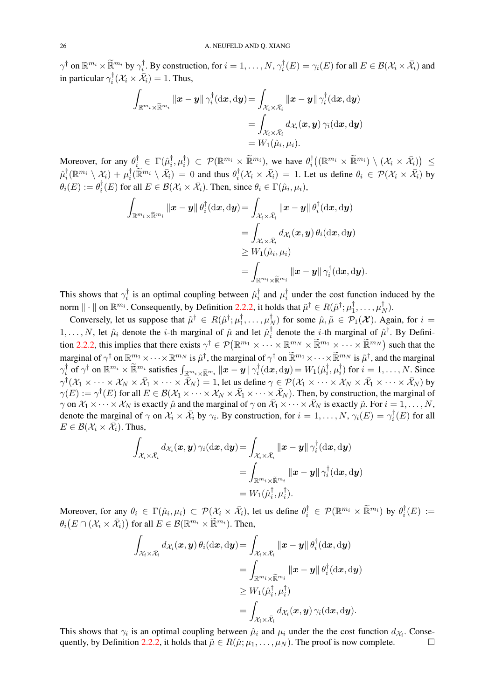$\gamma^\dagger$  on  $\mathbb{R}^{m_i} \times \widetilde{\mathbb{R}}^{m_i}$  by  $\gamma^\dagger_{i}$  $i_i^{\dagger}$ . By construction, for  $i = 1, \ldots, N, \gamma_i^{\dagger}$  $i_i^\dagger(E) = \gamma_i(E)$  for all  $E \in \mathcal{B}(\mathcal{X}_i \times \bar{\mathcal{X}}_i)$  and in particular  $\gamma_i^{\dagger}$  $\mathcal{X}_i^{\dagger}(\mathcal{X}_i \times \bar{\mathcal{X}}_i) = 1$ . Thus,

$$
\int_{\mathbb{R}^{m_i}\times\widetilde{\mathbb{R}}^{m_i}}\|\boldsymbol{x}-\boldsymbol{y}\|\,\gamma_i^\dagger(\mathrm{d}\boldsymbol{x},\mathrm{d}\boldsymbol{y})\!=\!\int_{\mathcal{X}_i\times\bar{\mathcal{X}}_i}\|\boldsymbol{x}-\boldsymbol{y}\|\,\gamma_i^\dagger(\mathrm{d}\boldsymbol{x},\mathrm{d}\boldsymbol{y})\!=\!\int_{\mathcal{X}_i\times\bar{\mathcal{X}}_i}d_{\mathcal{X}_i}(\boldsymbol{x},\boldsymbol{y})\,\gamma_i(\mathrm{d}\boldsymbol{x},\mathrm{d}\boldsymbol{y})\!=\!W_1(\hat{\mu}_i,\mu_i).
$$

Moreover, for any  $\theta_i^{\dagger} \in \Gamma(\hat{\mu}_i^{\dagger})$  $_{i}^{\dagger},\mu_{i}^{\dagger}$  $\begin{array}{c} \n\phi_i^{\dagger} \end{array}$   $\subset \mathcal{P}(\mathbb{R}^{m_i} \times \widetilde{\mathbb{R}}^{m_i})$ , we have  $\theta_i^{\dagger}$  $\begin{array}{ccl} \nabla^{\dagger}_{i} \big( (\mathbb{R}^{m_{i}} \times \widetilde{\mathbb{R}}^{m_{i}}) \setminus (\mathcal{X}_{i} \times \bar{\mathcal{X}_{i}}) \big) & \leq \ \nabla \big\{ \mathbb{R}^{m_{i}} \setminus \mathbb{R}^{m_{i}} \big\} \end{array}$  $\hat{\mu}_i^\dagger$  $\begin{aligned} \tfrac{1}{i}(\mathbb{R}^{m_{i}}\setminus\mathcal{X}_{i})+\mu_{i}^{\dagger} \end{aligned}$  $\int_{i}^{\dagger} (\widetilde{\mathbb{R}}^{m_i} \setminus \overline{\mathcal{X}}_i) = 0$  and thus  $\theta_i^{\dagger}$  $\hat{X}_i^{\dagger}(\mathcal{X}_i \times \bar{\mathcal{X}}_i) = 1$ . Let us define  $\theta_i \in \mathcal{P}(\mathcal{X}_i \times \bar{\mathcal{X}}_i)$  by  $\theta_i(E):=\theta_i^\dagger$  $\overline{f}_i^{\dagger}(E)$  for all  $E \in \mathcal{B}(\mathcal{X}_i \times \overline{\mathcal{X}}_i)$ . Then, since  $\theta_i \in \Gamma(\hat{\mu}_i, \mu_i)$ ,

$$
\int_{\mathbb{R}^{m_i}\times\widetilde{\mathbb{R}}^{m_i}}\|\boldsymbol{x}-\boldsymbol{y}\|\,\theta_i^\dagger(\mathrm{d}\boldsymbol{x},\mathrm{d}\boldsymbol{y})\!=\!\int_{\mathcal{X}_i\times\bar{\mathcal{X}}_i}\|\boldsymbol{x}-\boldsymbol{y}\|\,\theta_i^\dagger(\mathrm{d}\boldsymbol{x},\mathrm{d}\boldsymbol{y})\\\!=\!\int_{\mathcal{X}_i\times\bar{\mathcal{X}}_i}d_{\mathcal{X}_i}(\boldsymbol{x},\boldsymbol{y})\,\theta_i(\mathrm{d}\boldsymbol{x},\mathrm{d}\boldsymbol{y})\\\geq W_1(\hat{\mu}_i,\mu_i)\\\!=\!\int_{\mathbb{R}^{m_i}\times\widetilde{\mathbb{R}}^{m_i}}\|\boldsymbol{x}-\boldsymbol{y}\|\,\gamma_i^\dagger(\mathrm{d}\boldsymbol{x},\mathrm{d}\boldsymbol{y}).
$$

This shows that  $\gamma_i^{\dagger}$  $\hat{i}_i^{\dagger}$  is an optimal coupling between  $\hat{\mu}_i^{\dagger}$  $\mu_i^{\dagger}$  and  $\mu_i^{\dagger}$  $\frac{1}{i}$  under the cost function induced by the norm  $\|\cdot\|$  on  $\mathbb{R}^{m_i}$ . Consequently, by Definition [2.2.2,](#page-4-0) it holds that  $\tilde{\mu}^\dagger \in R(\hat{\mu}^\dagger; \mu_1^\dagger)$  $\mu_1^\dagger,\ldots,\mu_I^\dagger$  $\frac{1}{N}$ ).

Conversely, let us suppose that  $\tilde{\mu}^{\dagger} \in R(\hat{\mu}^{\dagger}; \mu_1^{\dagger})$  $\frac{1}{1},\ldots,\mu_I^\dagger$  $N(N)$  for some  $\hat{\mu}, \tilde{\mu} \in \mathcal{P}_1(\mathcal{X})$ . Again, for  $i =$  $1, \ldots, N$ , let  $\hat{\mu}_i$  denote the *i*-th marginal of  $\hat{\mu}$  and let  $\hat{\mu}_i^{\dagger}$  $\hat{i}$  denote the *i*-th marginal of  $\hat{\mu}^{\dagger}$ . By Defini-tion [2.2.2,](#page-4-0) this implies that there exists  $\gamma^{\dagger} \in \mathcal{P}(\mathbb{R}^{m_1} \times \cdots \times \mathbb{R}^{m_N} \times \widetilde{\mathbb{R}}^{m_1} \times \cdots \times \widetilde{\mathbb{R}}^{m_N})$  such that the marginal of  $\gamma^{\dagger}$  on  $\mathbb{R}^{m_1} \times \cdots \times \mathbb{R}^{m_N}$  is  $\hat{\mu}^{\dagger}$ , the marginal of  $\gamma^{\dagger}$  on  $\mathbb{R}^{m_1} \times \cdots \times \mathbb{R}^{m_N}$  is  $\tilde{\mu}^{\dagger}$ , and the marginal  $\gamma_i^\dagger$  $\int_{\vec{i}}^{\vec{i}}$  of  $\gamma^{\dagger}$  on  $\mathbb{R}^{m_i} \times \widetilde{\mathbb{R}}^{m_i}$  satisfies  $\int_{\mathbb{R}^{m_i} \times \widetilde{\mathbb{R}}^{m_i}} ||\boldsymbol{x} - \boldsymbol{y}|| \gamma_i^{\dagger}$  $\iota_i^\dagger(\mathrm d\boldsymbol{x},\mathrm d\boldsymbol{y})=W_1(\hat\mu_i^\dagger)$  $_{i}^{\dagger},\mu_{i}^{\dagger}$  $\binom{7}{i}$  for  $i = 1, \ldots, N$ . Since  $\gamma^{\dagger}(\mathcal{X}_1\times\cdots\times\mathcal{X}_N\times\bar{\mathcal{X}}_1\times\cdots\times\bar{\mathcal{X}}_N)=1$ , let us define  $\gamma\in\mathcal{P}(\mathcal{X}_1\times\cdots\times\mathcal{X}_N\times\bar{\mathcal{X}}_1\times\cdots\times\bar{\mathcal{X}}_N)$  by  $\gamma(E) := \gamma^{\dagger}(E)$  for all  $E \in \mathcal{B}(\mathcal{X}_1 \times \cdots \times \mathcal{X}_N \times \bar{\mathcal{X}}_1 \times \cdots \times \bar{\mathcal{X}}_N)$ . Then, by construction, the marginal of  $\gamma$  on  $X_1 \times \cdots \times X_N$  is exactly  $\hat{\mu}$  and the marginal of  $\gamma$  on  $\bar{X}_1 \times \cdots \times \bar{X}_N$  is exactly  $\tilde{\mu}$ . For  $i = 1, \ldots, N$ , denote the marginal of  $\gamma$  on  $\mathcal{X}_i \times \overline{\mathcal{X}}_i$  by  $\gamma_i$ . By construction, for  $i = 1, \ldots, N$ ,  $\gamma_i(E) = \gamma_i^{\dagger}$  $C_i^{\intercal}(E)$  for all  $E \in \mathcal{B}(\mathcal{X}_i \times \overline{\mathcal{X}_i})$ . Thus,

$$
\int_{\mathcal{X}_i \times \bar{\mathcal{X}}_i} d_{\mathcal{X}_i}(\boldsymbol{x}, \boldsymbol{y}) \, \gamma_i(\mathrm{d}\boldsymbol{x}, \mathrm{d}\boldsymbol{y}) \! = \! \int_{\mathcal{X}_i \times \bar{\mathcal{X}}_i} \|\boldsymbol{x} - \boldsymbol{y}\| \, \gamma_i^\dagger(\mathrm{d}\boldsymbol{x}, \mathrm{d}\boldsymbol{y}) \\ = \int_{\mathbb{R}^{m_i} \times \widetilde{\mathbb{R}}^{m_i}} \|\boldsymbol{x} - \boldsymbol{y}\| \, \gamma_i^\dagger(\mathrm{d}\boldsymbol{x}, \mathrm{d}\boldsymbol{y}) \\ = W_1(\hat{\mu}_i^\dagger, \mu_i^\dagger).
$$

Moreover, for any  $\theta_i \in \Gamma(\hat{\mu}_i, \mu_i) \subset \mathcal{P}(\mathcal{X}_i \times \bar{\mathcal{X}}_i)$ , let us define  $\theta_i^{\dagger} \in \mathcal{P}(\mathbb{R}^{m_i} \times \tilde{\mathbb{R}}^{m_i})$  by  $\theta_i^{\dagger}$  $Q_i^{\dagger}(E)\, :=\,$  $\theta_i\big(E\cap(\mathcal{X}_i\times\bar{\mathcal{X}}_i)\big)$  for all  $E\in\mathcal{B}(\mathbb{R}^{m_i}\times\widetilde{\mathbb{R}}^{m_i}).$  Then,

$$
\int_{\mathcal{X}_{i}\times\bar{\mathcal{X}}_{i}}d_{\mathcal{X}_{i}}(\boldsymbol{x},\boldsymbol{y})\,\theta_{i}(\mathrm{d}\boldsymbol{x},\mathrm{d}\boldsymbol{y})=\int_{\mathcal{X}_{i}\times\bar{\mathcal{X}}_{i}}\|\boldsymbol{x}-\boldsymbol{y}\|\,\theta_{i}^{\dagger}(\mathrm{d}\boldsymbol{x},\mathrm{d}\boldsymbol{y})\\=\int_{\mathbb{R}^{m_{i}}\times\widetilde{\mathbb{R}}^{m_{i}}}\|\boldsymbol{x}-\boldsymbol{y}\|\,\theta_{i}^{\dagger}(\mathrm{d}\boldsymbol{x},\mathrm{d}\boldsymbol{y})\\ \geq W_{1}(\hat{\mu}_{i}^{\dagger},\mu_{i}^{\dagger})\\=\int_{\mathcal{X}_{i}\times\bar{\mathcal{X}}_{i}}d_{\mathcal{X}_{i}}(\boldsymbol{x},\boldsymbol{y})\,\gamma_{i}(\mathrm{d}\boldsymbol{x},\mathrm{d}\boldsymbol{y}).
$$

This shows that  $\gamma_i$  is an optimal coupling between  $\hat{\mu}_i$  and  $\mu_i$  under the the cost function  $d_{\mathcal{X}_i}$ . Conse-quently, by Definition [2.2.2,](#page-4-0) it holds that  $\tilde{\mu} \in R(\hat{\mu}; \mu_1, \dots, \mu_N)$ . The proof is now complete.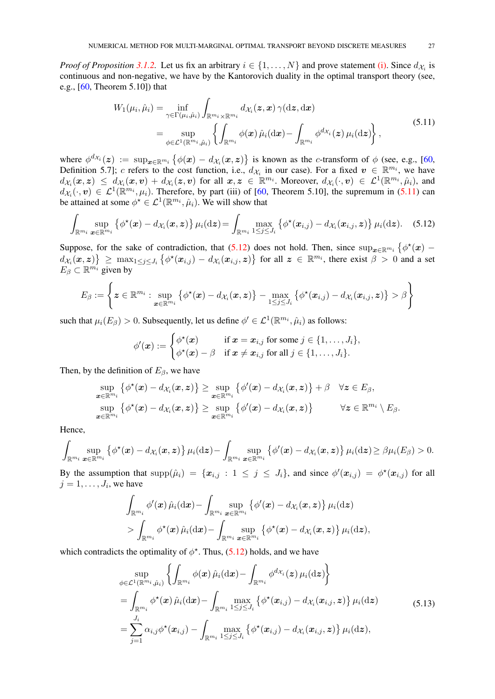<span id="page-26-3"></span>*Proof of Proposition* [3.1.2.](#page-11-0) Let us fix an arbitrary  $i \in \{1, ..., N\}$  and prove statement [\(i\).](#page-10-5) Since  $d_{\mathcal{X}_i}$  is continuous and non-negative, we have by the Kantorovich duality in the optimal transport theory (see, e.g., [\[60,](#page-47-2) Theorem 5.10]) that

<span id="page-26-0"></span>
$$
W_1(\mu_i, \hat{\mu}_i) = \inf_{\gamma \in \Gamma(\mu_i, \hat{\mu}_i)} \int_{\mathbb{R}^{m_i} \times \mathbb{R}^{m_i}} d\chi_i(z, x) \gamma(\mathrm{d}z, \mathrm{d}x)
$$
  
= 
$$
\sup_{\phi \in \mathcal{L}^1(\mathbb{R}^{m_i}, \hat{\mu}_i)} \left\{ \int_{\mathbb{R}^{m_i}} \phi(x) \hat{\mu}_i(\mathrm{d}x) - \int_{\mathbb{R}^{m_i}} \phi^{d\chi_i}(z) \mu_i(\mathrm{d}z) \right\},
$$
(5.11)

where  $\phi^{d_{\mathcal{X}_i}}(z) := \sup_{x \in \mathbb{R}^{m_i}} \{\phi(x) - d_{\mathcal{X}_i}(x, z)\}\$ is known as the c-transform of  $\phi$  (see, e.g., [\[60,](#page-47-2) Definition 5.7]; c refers to the cost function, i.e.,  $d_{\mathcal{X}_i}$  in our case). For a fixed  $v \in \mathbb{R}^{m_i}$ , we have  $d_{\mathcal{X}_i}(\bm{x}, \bm{z}) \ \leq \ d_{\mathcal{X}_i}(\bm{x}, \bm{v}) + d_{\mathcal{X}_i}(\bm{z}, \bm{v})$  for all  $\bm{x}, \bm{z} \in \mathbb{R}^{m_i}$ . Moreover,  $d_{\mathcal{X}_i}(\cdot, \bm{v}) \in \mathcal{L}^1(\mathbb{R}^{m_i}, \hat{\mu}_i)$ , and  $d_{\mathcal{X}_i}(\cdot,\boldsymbol{v}) \in \mathcal{L}^1(\mathbb{R}^{m_i},\mu_i)$ . Therefore, by part (iii) of [\[60,](#page-47-2) Theorem 5.10], the supremum in [\(5.11\)](#page-26-0) can be attained at some  $\phi^* \in \mathcal{L}^1(\mathbb{R}^{m_i}, \hat{\mu}_i)$ . We will show that

$$
\int_{\mathbb{R}^{m_i}} \sup_{\boldsymbol{x}\in\mathbb{R}^{m_i}} \left\{ \phi^{\star}(\boldsymbol{x}) - d_{\mathcal{X}_i}(\boldsymbol{x}, \boldsymbol{z}) \right\} \mu_i(\mathrm{d}\boldsymbol{z}) = \int_{\mathbb{R}^{m_i}} \max_{1\leq j\leq J_i} \left\{ \phi^{\star}(\boldsymbol{x}_{i,j}) - d_{\mathcal{X}_i}(\boldsymbol{x}_{i,j}, \boldsymbol{z}) \right\} \mu_i(\mathrm{d}\boldsymbol{z}). \quad (5.12)
$$

Suppose, for the sake of contradiction, that [\(5.12\)](#page-26-1) does not hold. Then, since  $\sup_{x \in \mathbb{R}^{m_i}} \{ \phi^*(x)$  $d_{\mathcal{X}_i}(\bm{x}, \bm{z})$   $\geq$  max $_{1 \leq j \leq J_i}$  { $\phi^{\star}(\bm{x}_{i,j}) - d_{\mathcal{X}_i}(\bm{x}_{i,j}, \bm{z})$ } for all  $\bm{z} \in \mathbb{R}^{m_i}$ , there exist  $\beta > 0$  and a set  $E_{\beta} \subset \mathbb{R}^{m_i}$  given by

$$
E_\beta:=\left\{\boldsymbol{z}\in\mathbb{R}^{m_i}: \sup_{\boldsymbol{x}\in\mathbb{R}^{m_i}}\left\{\phi^\star(\boldsymbol{x})-d_{\mathcal{X}_i}(\boldsymbol{x},\boldsymbol{z})\right\}-\max_{1\leq j\leq J_i}\left\{\phi^\star(\boldsymbol{x}_{i,j})-d_{\mathcal{X}_i}(\boldsymbol{x}_{i,j},\boldsymbol{z})\right\}>\beta\right\}
$$

such that  $\mu_i(E_\beta) > 0$ . Subsequently, let us define  $\phi' \in \mathcal{L}^1(\mathbb{R}^{m_i}, \hat{\mu}_i)$  as follows:

<span id="page-26-1"></span>
$$
\phi'(\boldsymbol{x}) := \begin{cases} \phi^{\star}(\boldsymbol{x}) & \text{if } \boldsymbol{x} = \boldsymbol{x}_{i,j} \text{ for some } j \in \{1, \ldots, J_i\}, \\ \phi^{\star}(\boldsymbol{x}) - \beta & \text{if } \boldsymbol{x} \neq \boldsymbol{x}_{i,j} \text{ for all } j \in \{1, \ldots, J_i\}. \end{cases}
$$

Then, by the definition of  $E_\beta$ , we have

$$
\sup_{\boldsymbol{x}\in\mathbb{R}^{m_i}}\left\{\phi^{\star}(\boldsymbol{x})-d_{\mathcal{X}_i}(\boldsymbol{x},\boldsymbol{z})\right\}\geq \sup_{\boldsymbol{x}\in\mathbb{R}^{m_i}}\left\{\phi'(\boldsymbol{x})-d_{\mathcal{X}_i}(\boldsymbol{x},\boldsymbol{z})\right\}+\beta\quad\forall\boldsymbol{z}\in E_{\beta},
$$
\n
$$
\sup_{\boldsymbol{x}\in\mathbb{R}^{m_i}}\left\{\phi^{\star}(\boldsymbol{x})-d_{\mathcal{X}_i}(\boldsymbol{x},\boldsymbol{z})\right\}\geq \sup_{\boldsymbol{x}\in\mathbb{R}^{m_i}}\left\{\phi'(\boldsymbol{x})-d_{\mathcal{X}_i}(\boldsymbol{x},\boldsymbol{z})\right\}\qquad\forall\boldsymbol{z}\in\mathbb{R}^{m_i}\setminus E_{\beta}.
$$

Hence,

$$
\int_{\mathbb{R}^{m_i}} \sup_{\boldsymbol{x}\in\mathbb{R}^{m_i}} \left\{ \phi^{\star}(\boldsymbol{x}) - d_{\mathcal{X}_i}(\boldsymbol{x}, \boldsymbol{z}) \right\} \mu_i(\mathrm{d}\boldsymbol{z}) - \int_{\mathbb{R}^{m_i}} \sup_{\boldsymbol{x}\in\mathbb{R}^{m_i}} \left\{ \phi'(\boldsymbol{x}) - d_{\mathcal{X}_i}(\boldsymbol{x}, \boldsymbol{z}) \right\} \mu_i(\mathrm{d}\boldsymbol{z}) \geq \beta \mu_i(E_\beta) > 0.
$$

By the assumption that  $\text{supp}(\hat{\mu}_i) = \{x_{i,j} : 1 \leq j \leq J_i\}$ , and since  $\phi'(\mathbf{x}_{i,j}) = \phi^*(\mathbf{x}_{i,j})$  for all  $j = 1, \ldots, J_i$ , we have

$$
\int_{\mathbb{R}^{m_i}} \phi'(\boldsymbol{x})\,\hat{\mu}_i(\mathrm{d}\boldsymbol{x})\!-\!\int_{\mathbb{R}^{m_i}} \sup_{\boldsymbol{x}\in\mathbb{R}^{m_i}}\left\{\phi'(\boldsymbol{x})-d_{\mathcal{X}_i}(\boldsymbol{x},\boldsymbol{z})\right\}\mu_i(\mathrm{d}\boldsymbol{z})\\\!>\!\int_{\mathbb{R}^{m_i}} \phi^\star(\boldsymbol{x})\,\hat{\mu}_i(\mathrm{d}\boldsymbol{x})\!-\!\int_{\mathbb{R}^{m_i}} \sup_{\boldsymbol{x}\in\mathbb{R}^{m_i}}\left\{\phi^\star(\boldsymbol{x})-d_{\mathcal{X}_i}(\boldsymbol{x},\boldsymbol{z})\right\}\mu_i(\mathrm{d}\boldsymbol{z}),
$$

which contradicts the optimality of  $\phi^*$ . Thus, [\(5.12\)](#page-26-1) holds, and we have

<span id="page-26-2"></span>
$$
\sup_{\phi \in \mathcal{L}^{1}(\mathbb{R}^{m_{i}},\hat{\mu}_{i})} \left\{ \int_{\mathbb{R}^{m_{i}}} \phi(\boldsymbol{x}) \hat{\mu}_{i}(\mathrm{d}\boldsymbol{x}) - \int_{\mathbb{R}^{m_{i}}} \phi^{d_{\mathcal{X}_{i}}}(\boldsymbol{z}) \mu_{i}(\mathrm{d}\boldsymbol{z}) \right\}
$$
\n
$$
= \int_{\mathbb{R}^{m_{i}}} \phi^{\star}(\boldsymbol{x}) \hat{\mu}_{i}(\mathrm{d}\boldsymbol{x}) - \int_{\mathbb{R}^{m_{i}}} \max_{1 \leq j \leq J_{i}} \left\{ \phi^{\star}(\boldsymbol{x}_{i,j}) - d_{\mathcal{X}_{i}}(\boldsymbol{x}_{i,j},\boldsymbol{z}) \right\} \mu_{i}(\mathrm{d}\boldsymbol{z}) \tag{5.13}
$$
\n
$$
= \sum_{j=1}^{J_{i}} \alpha_{i,j} \phi^{\star}(\boldsymbol{x}_{i,j}) - \int_{\mathbb{R}^{m_{i}}} \max_{1 \leq j \leq J_{i}} \left\{ \phi^{\star}(\boldsymbol{x}_{i,j}) - d_{\mathcal{X}_{i}}(\boldsymbol{x}_{i,j},\boldsymbol{z}) \right\} \mu_{i}(\mathrm{d}\boldsymbol{z}),
$$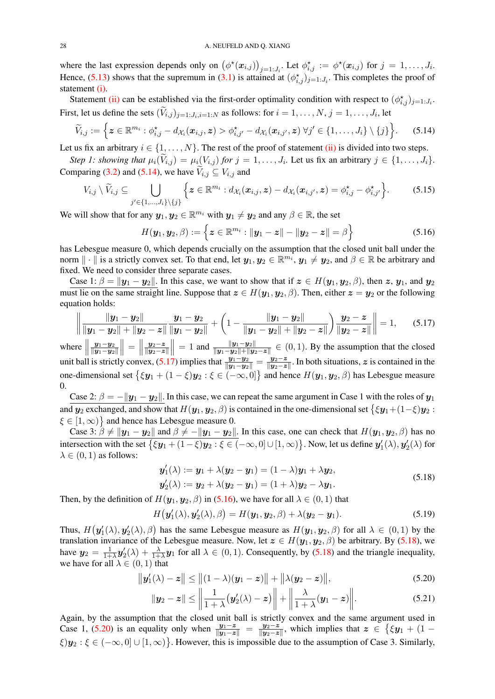where the last expression depends only on  $(\phi^*(x_{i,j}))_{j=1:J_i}$ . Let  $\phi^*_{i,j} := \phi^*(x_{i,j})$  for  $j = 1, \ldots, J_i$ . Hence, [\(5.13\)](#page-26-2) shows that the supremum in [\(3.1\)](#page-10-3) is attained at  $(\phi_{i,j}^{\star})_{j=1:J_i}$ . This completes the proof of statement [\(i\).](#page-10-5)

Statement [\(ii\)](#page-10-6) can be established via the first-order optimality condition with respect to  $(\phi_{i,j}^{\star})_{j=1:J_i}$ . First, let us define the sets  $(V_{i,j})_{j=1:J_i,i=1:N}$  as follows: for  $i=1,\ldots,N, j=1,\ldots,J_i$ , let

$$
\widetilde{V}_{i,j} := \Big\{ \boldsymbol{z} \in \mathbb{R}^{m_i} : \phi^{\star}_{i,j} - d_{\mathcal{X}_i}(\boldsymbol{x}_{i,j},\boldsymbol{z}) > \phi^{\star}_{i,j'} - d_{\mathcal{X}_i}(\boldsymbol{x}_{i,j'},\boldsymbol{z}) \ \forall j' \in \{1,\ldots,J_i\} \setminus \{j\} \Big\}.
$$
 (5.14)

Let us fix an arbitrary  $i \in \{1, \ldots, N\}$ . The rest of the proof of statement [\(ii\)](#page-10-6) is divided into two steps.

*Step 1: showing that*  $\mu_i(V_{i,j}) = \mu_i(V_{i,j})$  *for*  $j = 1, \ldots, J_i$ . Let us fix an arbitrary  $j \in \{1, \ldots, J_i\}$ . Comparing [\(3.2\)](#page-10-4) and [\(5.14\)](#page-27-0), we have  $\widetilde{V}_{i,j} \subseteq V_{i,j}$  and

$$
V_{i,j} \setminus \widetilde{V}_{i,j} \subseteq \bigcup_{j' \in \{1,\ldots,J_i\} \setminus \{j\}} \left\{ \boldsymbol{z} \in \mathbb{R}^{m_i} : d_{\mathcal{X}_i}(\boldsymbol{x}_{i,j},\boldsymbol{z}) - d_{\mathcal{X}_i}(\boldsymbol{x}_{i,j'},\boldsymbol{z}) = \phi_{i,j}^{\star} - \phi_{i,j'}^{\star} \right\}.
$$
 (5.15)

We will show that for any  $y_1, y_2 \in \mathbb{R}^{m_i}$  with  $y_1 \neq y_2$  and any  $\beta \in \mathbb{R}$ , the set

<span id="page-27-6"></span><span id="page-27-2"></span><span id="page-27-1"></span><span id="page-27-0"></span>
$$
H(\mathbf{y}_1, \mathbf{y}_2, \beta) := \left\{ \mathbf{z} \in \mathbb{R}^{m_i} : ||\mathbf{y}_1 - \mathbf{z}|| - ||\mathbf{y}_2 - \mathbf{z}|| = \beta \right\}
$$
(5.16)

has Lebesgue measure 0, which depends crucially on the assumption that the closed unit ball under the norm  $\|\cdot\|$  is a strictly convex set. To that end, let  $y_1, y_2 \in \mathbb{R}^{m_i}$ ,  $y_1 \neq y_2$ , and  $\beta \in \mathbb{R}$  be arbitrary and fixed. We need to consider three separate cases.

Case 1:  $\beta = ||y_1 - y_2||$ . In this case, we want to show that if  $z \in H(y_1, y_2, \beta)$ , then  $z, y_1$ , and  $y_2$ must lie on the same straight line. Suppose that  $z \in H(y_1, y_2, \beta)$ . Then, either  $z = y_2$  or the following equation holds:

$$
\left\| \frac{\|y_1 - y_2\|}{\|y_1 - y_2\| + \|y_2 - z\|} \frac{y_1 - y_2}{\|y_1 - y_2\|} + \left(1 - \frac{\|y_1 - y_2\|}{\|y_1 - y_2\| + \|y_2 - z\|}\right) \frac{y_2 - z}{\|y_2 - z\|} \right\| = 1, \quad (5.17)
$$

where  $\parallel$  $y_1-y_2$  $\left\| \boldsymbol{y}_1{-}\boldsymbol{y}_2 \right\|$  $\| = \|$  $y_2-z$  $\| \bm{y}_2{-}\bm{z} \|$  $\frac{1}{2}$  $= 1$  and  $\frac{\|y_1 - y_2\|}{\|y_1 - y_2\| + \|y_2 - z\|}$  ∈ (0, 1). By the assumption that the closed unit ball is strictly convex, [\(5.17\)](#page-27-1) implies that  $\frac{y_1 - y_2}{\|y_1 - y_2\|} = \frac{y_2 - z_2}{\|y_2 - z_2\|}$  $\frac{y_2-z}{\|y_2-z\|}$ . In both situations, z is contained in the one-dimensional set  $\{\xi y_1 + (1 - \xi)y_2 : \xi \in (-\infty, 0]\}$  and hence  $H(y_1, y_2, \beta)$  has Lebesgue measure 0.

Case 2:  $\beta = -||y_1 - y_2||$ . In this case, we can repeat the same argument in Case 1 with the roles of  $y_1$ and  $y_2$  exchanged, and show that  $H(y_1, y_2, \beta)$  is contained in the one-dimensional set  $\{\xi y_1 + (1-\xi)y_2\}$ :  $\xi \in [1, \infty)$  and hence has Lebesgue measure 0.

Case 3:  $\beta \neq ||y_1 - y_2||$  and  $\beta \neq -||y_1 - y_2||$ . In this case, one can check that  $H(y_1, y_2, \beta)$  has no intersection with the set  $\big\{\xi\bm{y}_1+(1-\xi)\bm{y}_2:\xi\in(-\infty,0]\cup[1,\infty)\big\}.$  Now, let us define  $\bm{y}'_1(\lambda),\bm{y}'_2(\lambda)$  for  $\lambda \in (0, 1)$  as follows:

<span id="page-27-3"></span>
$$
\mathbf{y}'_1(\lambda) := \mathbf{y}_1 + \lambda(\mathbf{y}_2 - \mathbf{y}_1) = (1 - \lambda)\mathbf{y}_1 + \lambda\mathbf{y}_2,\n\mathbf{y}'_2(\lambda) := \mathbf{y}_2 + \lambda(\mathbf{y}_2 - \mathbf{y}_1) = (1 + \lambda)\mathbf{y}_2 - \lambda\mathbf{y}_1.
$$
\n(5.18)

Then, by the definition of  $H(\mathbf{y}_1, \mathbf{y}_2, \beta)$  in [\(5.16\)](#page-27-2), we have for all  $\lambda \in (0, 1)$  that

$$
H(\boldsymbol{y}_1'(\lambda), \boldsymbol{y}_2'(\lambda), \beta) = H(\boldsymbol{y}_1, \boldsymbol{y}_2, \beta) + \lambda(\boldsymbol{y}_2 - \boldsymbol{y}_1). \tag{5.19}
$$

Thus,  $H(\mathbf{y}_1'(\lambda), \mathbf{y}_2'(\lambda), \beta)$  has the same Lebesgue measure as  $H(\mathbf{y}_1, \mathbf{y}_2, \beta)$  for all  $\lambda \in (0, 1)$  by the translation invariance of the Lebesgue measure. Now, let  $z \in H(\mathbf{y}_1, \mathbf{y}_2, \beta)$  be arbitrary. By [\(5.18\)](#page-27-3), we have  $y_2 = \frac{1}{1+1}$  $\frac{1}{1+\lambda}$  $y_2'(\lambda) + \frac{\lambda}{1+\lambda}y_1$  for all  $\lambda \in (0,1)$ . Consequently, by [\(5.18\)](#page-27-3) and the triangle inequality, we have for all  $\lambda \in (0, 1)$  that

$$
\|\mathbf{y}'_1(\lambda) - \mathbf{z}\| \le \| (1 - \lambda)(\mathbf{y}_1 - \mathbf{z}) \| + \| \lambda(\mathbf{y}_2 - \mathbf{z}) \|,
$$
\n(5.20)

<span id="page-27-5"></span><span id="page-27-4"></span>
$$
\|\mathbf{y}_2 - \mathbf{z}\| \le \left\|\frac{1}{1+\lambda}(\mathbf{y}_2'(\lambda)-\mathbf{z})\right\| + \left\|\frac{\lambda}{1+\lambda}(\mathbf{y}_1-\mathbf{z})\right\|. \tag{5.21}
$$

Again, by the assumption that the closed unit ball is strictly convex and the same argument used in Case 1, [\(5.20\)](#page-27-4) is an equality only when  $\frac{y_1-z}{\|y_1-z\|} = \frac{y_2-z}{\|y_2-z\|}$  $\frac{\bm{y}_2-\bm{z}}{\|\bm{y}_2-\bm{z}\|}$ , which implies that  $\bm{z}$  ∈ { $\xi\bm{y}_1 + (1-\bm{z})$  $\xi$ ) $y_2$ :  $\xi \in (-\infty, 0] \cup [1, \infty)$ . However, this is impossible due to the assumption of Case 3. Similarly,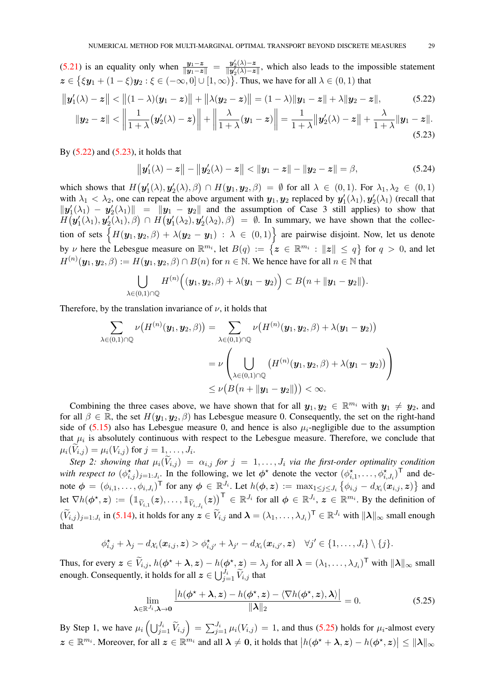[\(5.21\)](#page-27-5) is an equality only when  $\frac{y_1-z}{\|y_1-z\|} = \frac{y_2'(\lambda)-z}{\|y_2'(\lambda)-z\|}$  $\frac{y_2(\lambda)-z}{\|y_2(\lambda)-z\|}$ , which also leads to the impossible statement  $z \in \{\xi y_1 + (1 - \xi)y_2 : \xi \in (-\infty, 0] \cup [1, \infty)\}\.$  Thus, we have for all  $\lambda \in (0, 1)$  that

$$
\|y_1'(\lambda) - z\| < \|(1 - \lambda)(y_1 - z)\| + \|\lambda(y_2 - z)\| = (1 - \lambda)\|y_1 - z\| + \lambda\|y_2 - z\|,\tag{5.22}
$$

$$
\|\mathbf{y}_2 - \mathbf{z}\| < \left\|\frac{1}{1+\lambda}(\mathbf{y}_2'(\lambda)-\mathbf{z})\right\| + \left\|\frac{\lambda}{1+\lambda}(\mathbf{y}_1-\mathbf{z})\right\| = \frac{1}{1+\lambda}\|\mathbf{y}_2'(\lambda)-\mathbf{z}\| + \frac{\lambda}{1+\lambda}\|\mathbf{y}_1-\mathbf{z}\|.\tag{5.23}
$$

By  $(5.22)$  and  $(5.23)$ , it holds that

<span id="page-28-1"></span><span id="page-28-0"></span>
$$
\|\mathbf{y}_1'(\lambda)-\mathbf{z}\| - \|\mathbf{y}_2'(\lambda)-\mathbf{z}\| < \|\mathbf{y}_1-\mathbf{z}\| - \|\mathbf{y}_2-\mathbf{z}\| = \beta,
$$
\n(5.24)

which shows that  $H(\mathbf{y}'_1(\lambda), \mathbf{y}'_2(\lambda), \beta) \cap H(\mathbf{y}_1, \mathbf{y}_2, \beta) = \emptyset$  for all  $\lambda \in (0, 1)$ . For  $\lambda_1, \lambda_2 \in (0, 1)$ with  $\lambda_1 < \lambda_2$ , one can repeat the above argument with  $y_1, y_2$  replaced by  $y_1'(\lambda_1), y_2'(\lambda_1)$  (recall that  $\|\mathbf{y}'_1(\lambda_1) - \mathbf{y}'_2(\lambda_1)\| = \|\mathbf{y}_1 - \mathbf{y}_2\|$  and the assumption of Case 3 still applies) to show that  $H(\bm{y}'_1(\lambda_1), \bm{y}'_2(\lambda_1), \beta) \cap H(\bm{y}'_1(\lambda_2), \bm{y}'_2(\lambda_2), \beta) = \emptyset$ . In summary, we have shown that the collection of sets  $\{H(\bm{y}_1, \bm{y}_2, \beta) + \lambda(\bm{y}_2 - \bm{y}_1) : \lambda \in (0, 1)\}$  are pairwise disjoint. Now, let us denote by v here the Lebesgue measure on  $\mathbb{R}^{m_i}$ , let  $B(q) := \{z \in \mathbb{R}^{m_i} : ||z|| \le q\}$  for  $q > 0$ , and let  $H^{(n)}(\bm{y}_1,\bm{y}_2,\beta) := H(\bm{y}_1,\bm{y}_2,\beta) \cap B(n)$  for  $n \in \mathbb{N}$ . We hence have for all  $n \in \mathbb{N}$  that

$$
\bigcup_{\lambda\in(0,1)\cap\mathbb{Q}}H^{(n)}\Big((\boldsymbol{y_1},\boldsymbol{y_2},\beta)+\lambda(\boldsymbol{y_1}-\boldsymbol{y_2})\Big)\subset B\big(n+\|\boldsymbol{y_1}-\boldsymbol{y_2}\|\big).
$$

Therefore, by the translation invariance of  $\nu$ , it holds that

$$
\sum_{\lambda \in (0,1) \cap \mathbb{Q}} \nu(H^{(n)}(\mathbf{y}_1, \mathbf{y}_2, \beta)) = \sum_{\lambda \in (0,1) \cap \mathbb{Q}} \nu(H^{(n)}(\mathbf{y}_1, \mathbf{y}_2, \beta) + \lambda(\mathbf{y}_1 - \mathbf{y}_2))
$$
  
= 
$$
\nu \left( \bigcup_{\lambda \in (0,1) \cap \mathbb{Q}} (H^{(n)}(\mathbf{y}_1, \mathbf{y}_2, \beta) + \lambda(\mathbf{y}_1 - \mathbf{y}_2)) \right)
$$
  

$$
\leq \nu(B(n + \|\mathbf{y}_1 - \mathbf{y}_2\|)) < \infty.
$$

Combining the three cases above, we have shown that for all  $y_1, y_2 \in \mathbb{R}^{m_i}$  with  $y_1 \neq y_2$ , and for all  $\beta \in \mathbb{R}$ , the set  $H(\mathbf{y}_1, \mathbf{y}_2, \beta)$  has Lebesgue measure 0. Consequently, the set on the right-hand side of [\(5.15\)](#page-27-6) also has Lebesgue measure 0, and hence is also  $\mu_i$ -negligible due to the assumption that  $\mu_i$  is absolutely continuous with respect to the Lebesgue measure. Therefore, we conclude that  $\mu_i(V_{i,j}) = \mu_i(V_{i,j})$  for  $j = 1, \ldots, J_i$ .

*Step 2: showing that*  $\mu_i(V_{i,j}) = \alpha_{i,j}$  *for*  $j = 1, \ldots, J_i$  *via the first-order optimality condition* with respect to  $(\phi_{i,j}^*)_{j=1:J_i}$ . In the following, we let  $\phi^*$  denote the vector  $(\phi_{i,1}^*,\ldots,\phi_{i,J_i}^*)^\text{T}$  and denote  $\phi = (\phi_{i,1}, \dots, \phi_{i,J_i})^{\mathsf{T}}$  for any  $\phi \in \mathbb{R}^{J_i}$ . Let  $h(\phi, z) := \max_{1 \leq j \leq J_i} {\{\phi_{i,j} - d_{\mathcal{X}_i}(x_{i,j}, z)\}}$  and let  $\nabla h(\phi^*, z) := (\mathbb{1}_{\widetilde{V}_{i,1}}(z), \dots, \mathbb{1}_{\widetilde{V}_{i,J_i}}(z))^{\top} \in \mathbb{R}^{J_i}$  for all  $\phi \in \mathbb{R}^{J_i}$ ,  $z \in \mathbb{R}^{m_i}$ . By the definition of  $(\widetilde{V}_{i,j})_{j=1:J_i}$  in [\(5.14\)](#page-27-0), it holds for any  $\boldsymbol{z} \in \widetilde{V}_{i,j}$  and  $\boldsymbol{\lambda} = (\lambda_1, \dots, \lambda_{J_i})^{\mathsf{T}} \in \mathbb{R}^{J_i}$  with  $\|\boldsymbol{\lambda}\|_{\infty}$  small enough that

$$
\phi_{i,j}^{\star}+\lambda_j-d_{\mathcal{X}_i}(\boldsymbol{x}_{i,j},\boldsymbol{z})>\phi_{i,j'}^{\star}+\lambda_{j'}-d_{\mathcal{X}_i}(\boldsymbol{x}_{i,j'},\boldsymbol{z})\quad\forall j'\in\{1,\ldots,J_i\}\setminus\{j\}.
$$

Thus, for every  $\mathbf{z} \in \widetilde{V}_{i,j}$ ,  $h(\boldsymbol{\phi}^* + \boldsymbol{\lambda}, \mathbf{z}) - h(\boldsymbol{\phi}^*, \mathbf{z}) = \lambda_j$  for all  $\boldsymbol{\lambda} = (\lambda_1, \dots, \lambda_{J_i})^{\mathsf{T}}$  with  $\|\boldsymbol{\lambda}\|_{\infty}$  small enough. Consequently, it holds for all  $\boldsymbol{z} \in \bigcup_{j=1}^{J_i} \widetilde{V}_{i,j}$  that

<span id="page-28-2"></span>
$$
\lim_{\lambda \in \mathbb{R}^{J_i}, \lambda \to 0} \frac{\left| h(\phi^\star + \lambda, z) - h(\phi^\star, z) - \langle \nabla h(\phi^\star, z), \lambda \rangle \right|}{\|\lambda\|_2} = 0.
$$
\n(5.25)

By Step 1, we have  $\mu_i \left( \bigcup_{j=1}^{J_i} \tilde{V}_{i,j} \right) = \sum_{j=1}^{J_i} \mu_i(V_{i,j}) = 1$ , and thus [\(5.25\)](#page-28-2) holds for  $\mu_i$ -almost every  $z \in \mathbb{R}^{m_i}$ . Moreover, for all  $z \in \mathbb{R}^{m_i}$  and all  $\lambda \neq 0$ , it holds that  $|h(\phi^* + \lambda, z) - h(\phi^*, z)| \leq ||\lambda||_{\infty}$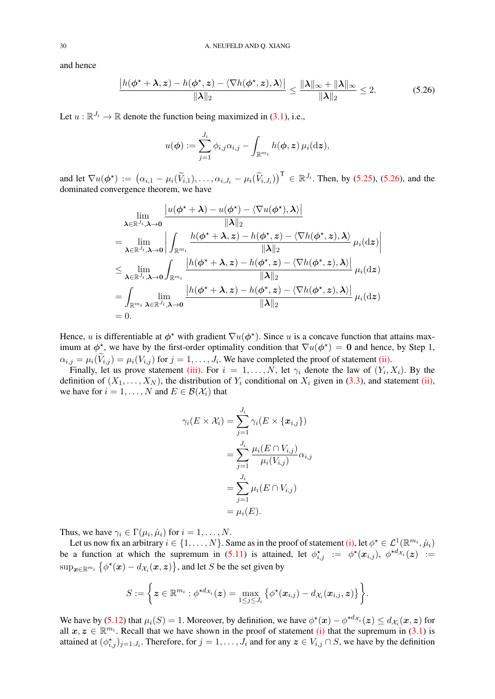and hence

$$
\frac{|h(\phi^* + \lambda, z) - h(\phi^*, z) - \langle \nabla h(\phi^*, z), \lambda \rangle|}{\|\lambda\|_2} \le \frac{\|\lambda\|_{\infty} + \|\lambda\|_{\infty}}{\|\lambda\|_2} \le 2.
$$
 (5.26)

Let  $u : \mathbb{R}^{J_i} \to \mathbb{R}$  denote the function being maximized in [\(3.1\)](#page-10-3), i.e.,

<span id="page-29-0"></span>
$$
u(\boldsymbol{\phi}) := \sum_{j=1}^{J_i} \phi_{i,j} \alpha_{i,j} - \int_{\mathbb{R}^{m_i}} h(\boldsymbol{\phi}, \boldsymbol{z}) \,\mu_i(\mathrm{d}\boldsymbol{z}),
$$

and let  $\nabla u(\phi^*) := (\alpha_{i,1} - \mu_i(\widetilde{V}_{i,1}), \dots, \alpha_{i,J_i} - \mu_i(\widetilde{V}_{i,J_i}))^{\top} \in \mathbb{R}^{J_i}$ . Then, by [\(5.25\)](#page-28-2), [\(5.26\)](#page-29-0), and the dominated convergence theorem, we have

$$
\lim_{\lambda \in \mathbb{R}^{J_i}, \lambda \to 0} \frac{|u(\phi^* + \lambda) - u(\phi^*) - \langle \nabla u(\phi^*), \lambda \rangle|}{\|\lambda\|_2}
$$
\n
$$
= \lim_{\lambda \in \mathbb{R}^{J_i}, \lambda \to 0} \left| \int_{\mathbb{R}^{m_i}} \frac{h(\phi^* + \lambda, z) - h(\phi^*, z) - \langle \nabla h(\phi^*, z), \lambda \rangle}{\|\lambda\|_2} \mu_i(\text{d}z) \right|
$$
\n
$$
\leq \lim_{\lambda \in \mathbb{R}^{J_i}, \lambda \to 0} \int_{\mathbb{R}^{m_i}} \frac{|h(\phi^* + \lambda, z) - h(\phi^*, z) - \langle \nabla h(\phi^*, z), \lambda \rangle|}{\|\lambda\|_2} \mu_i(\text{d}z)
$$
\n
$$
= \int_{\mathbb{R}^{m_i}} \lim_{\lambda \in \mathbb{R}^{J_i}, \lambda \to 0} \frac{|h(\phi^* + \lambda, z) - h(\phi^*, z) - \langle \nabla h(\phi^*, z), \lambda \rangle|}{\|\lambda\|_2} \mu_i(\text{d}z)
$$
\n= 0.

Hence, u is differentiable at  $\phi^*$  with gradient  $\nabla u(\phi^*)$ . Since u is a concave function that attains maximum at  $\phi^*$ , we have by the first-order optimality condition that  $\nabla u(\phi^*) = 0$  and hence, by Step 1,  $\alpha_{i,j} = \mu_i(V_{i,j}) = \mu_i(V_{i,j})$  for  $j = 1, \dots, J_i$ . We have completed the proof of statement [\(ii\).](#page-10-6)

Finally, let us prove statement [\(iii\).](#page-11-4) For  $i = 1, ..., N$ , let  $\gamma_i$  denote the law of  $(Y_i, X_i)$ . By the definition of  $(X_1, \ldots, X_N)$ , the distribution of  $Y_i$  conditional on  $X_i$  given in [\(3.3\)](#page-11-0), and statement [\(ii\),](#page-10-6) we have for  $i = 1, ..., N$  and  $E \in \mathcal{B}(\mathcal{X}_i)$  that

$$
\gamma_i(E \times \mathcal{X}_i) = \sum_{j=1}^{J_i} \gamma_i(E \times \{x_{i,j}\})
$$
  
= 
$$
\sum_{j=1}^{J_i} \frac{\mu_i(E \cap V_{i,j})}{\mu_i(V_{i,j})} \alpha_{i,j}
$$
  
= 
$$
\sum_{j=1}^{J_i} \mu_i(E \cap V_{i,j})
$$
  
= 
$$
\mu_i(E).
$$

Thus, we have  $\gamma_i \in \Gamma(\mu_i, \hat{\mu}_i)$  for  $i = 1, \dots, N$ .

Let us now fix an arbitrary  $i \in \{1, ..., N\}$ . Same as in the proof of statement [\(i\),](#page-10-5) let  $\phi^* \in \mathcal{L}^1(\mathbb{R}^{m_i}, \hat{\mu}_i)$ be a function at which the supremum in [\(5.11\)](#page-26-0) is attained, let  $\phi_{i,j}^{\star} := \phi^{\star}(x_{i,j}), \phi^{\star d_{\mathcal{X}_{i}}}(z) :=$  $\sup_{\bm{x}\in\mathbb{R}^{m_i}}\big\{\phi^{\star}(\bm{x})-d_{\mathcal{X}_i}(\bm{x},\bm{z})\big\},$  and let  $S$  be the set given by

$$
S := \left\{ \boldsymbol{z} \in \mathbb{R}^{m_i} : \phi^{\star d_{\mathcal{X}_i}}(\boldsymbol{z}) = \max_{1 \leq j \leq J_i} \left\{ \phi^{\star}(\boldsymbol{x}_{i,j}) - d_{\mathcal{X}_i}(\boldsymbol{x}_{i,j}, \boldsymbol{z}) \right\} \right\}.
$$

We have by [\(5.12\)](#page-26-1) that  $\mu_i(S) = 1$ . Moreover, by definition, we have  $\phi^*(x) - \phi^{*d_{\mathcal{X}_i}}(z) \leq d_{\mathcal{X}_i}(x, z)$  for all  $x, z \in \mathbb{R}^{m_i}$ . Recall that we have shown in the proof of statement [\(i\)](#page-10-5) that the supremum in [\(3.1\)](#page-10-3) is attained at  $(\phi_{i,j}^*)_{j=1:J_i}$ . Therefore, for  $j=1,\ldots,J_i$  and for any  $\boldsymbol{z} \in V_{i,j} \cap S$ , we have by the definition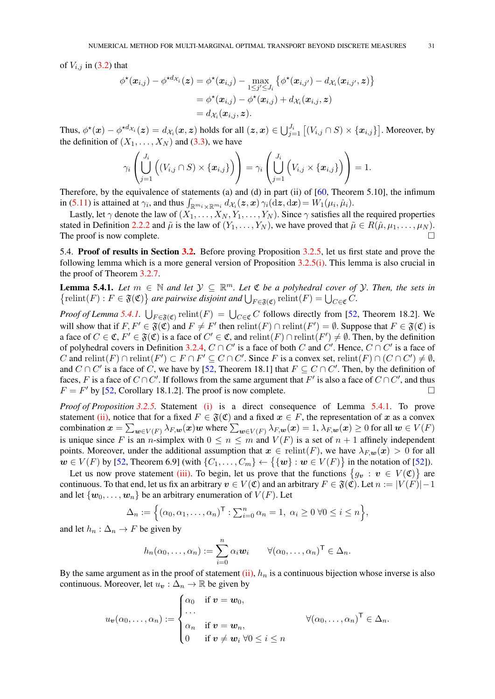<span id="page-30-2"></span>of  $V_{i,j}$  in [\(3.2\)](#page-10-4) that

$$
\phi^{\star}(\boldsymbol{x}_{i,j}) - \phi^{\star d_{\mathcal{X}_i}}(\boldsymbol{z}) = \phi^{\star}(\boldsymbol{x}_{i,j}) - \max_{1 \leq j' \leq J_i} \left\{ \phi^{\star}(\boldsymbol{x}_{i,j'}) - d_{\mathcal{X}_i}(\boldsymbol{x}_{i,j'}, \boldsymbol{z}) \right\}
$$
  
= 
$$
\phi^{\star}(\boldsymbol{x}_{i,j}) - \phi^{\star}(\boldsymbol{x}_{i,j}) + d_{\mathcal{X}_i}(\boldsymbol{x}_{i,j}, \boldsymbol{z})
$$
  
= 
$$
d_{\mathcal{X}_i}(\boldsymbol{x}_{i,j}, \boldsymbol{z}).
$$

Thus,  $\phi^\star(\bm{x}) - \phi^{\star d_{\mathcal{X}_i}}(\bm{z}) = d_{\mathcal{X}_i}(\bm{x}, \bm{z})$  holds for all  $(\bm{z}, \bm{x}) \in \bigcup_{j=1}^{J_i} \big[(V_{i,j} \cap S) \times \{\bm{x}_{i,j}\}\big]$ . Moreover, by the definition of  $(X_1, \ldots, X_N)$  and [\(3.3\)](#page-11-0), we have

$$
\gamma_i\left(\bigcup_{j=1}^{J_i}\left((V_{i,j}\cap S)\times\{\boldsymbol{x}_{i,j}\}\right)\right)=\gamma_i\left(\bigcup_{j=1}^{J_i}\left(V_{i,j}\times\{\boldsymbol{x}_{i,j}\}\right)\right)=1.
$$

Therefore, by the equivalence of statements (a) and (d) in part (ii) of [\[60,](#page-47-2) Theorem 5.10], the infimum in [\(5.11\)](#page-26-0) is attained at  $\gamma_i$ , and thus  $\int_{\mathbb{R}^{m_i} \times \mathbb{R}^{m_i}} d\chi_i(z, x) \gamma_i(\mathrm{d}z, \mathrm{d}x) = W_1(\mu_i, \hat{\mu}_i)$ .

Lastly, let  $\gamma$  denote the law of  $(X_1, \ldots, X_N, Y_1, \ldots, Y_N)$ . Since  $\gamma$  satisfies all the required properties stated in Definition [2.2.2](#page-4-0) and  $\tilde{\mu}$  is the law of  $(Y_1, \ldots, Y_N)$ , we have proved that  $\tilde{\mu} \in R(\hat{\mu}, \mu_1, \ldots, \mu_N)$ . The proof is now complete.  $\Box$ 

<span id="page-30-0"></span>5.4. Proof of results in Section [3.2.](#page-11-2) Before proving Proposition [3.2.5,](#page-12-1) let us first state and prove the following lemma which is a more general version of Proposition [3.2.5](#page-12-1)[\(i\).](#page-12-8) This lemma is also crucial in the proof of Theorem [3.2.7.](#page-13-1)

<span id="page-30-1"></span>**Lemma 5.4.1.** Let  $m \in \mathbb{N}$  and let  $\mathcal{Y} \subseteq \mathbb{R}^m$ . Let  $\mathfrak{C}$  be a polyhedral cover of  $\mathcal{Y}$ . Then, the sets in  $\{\text{relint}(F) : F \in \mathfrak{F}(\mathfrak{C})\}$  are pairwise disjoint and  $\bigcup_{F \in \mathfrak{F}(\mathfrak{C})} \text{relint}(F) = \bigcup_{C \in \mathfrak{C}} C$ .

*Proof of Lemma* [5.4.1.](#page-30-1)  $\bigcup_{F \in \mathfrak{F}(\mathfrak{C})}$  relint $(F) = \bigcup_{C \in \mathfrak{C}} C$  follows directly from [\[52,](#page-47-12) Theorem 18.2]. We will show that if  $F, F' \in \mathfrak{F}(\mathfrak{C})$  and  $F \neq F'$  then  $relint(F) \cap relint(F') = \emptyset$ . Suppose that  $F \in \mathfrak{F}(\mathfrak{C})$  is a face of  $C \in \mathfrak{C}$ ,  $F' \in \mathfrak{F}(\mathfrak{C})$  is a face of  $C' \in \mathfrak{C}$ , and  $relint(F) \cap relint(F') \neq \emptyset$ . Then, by the definition of polyhedral covers in Definition [3.2.4,](#page-12-0)  $C \cap C'$  is a face of both C and C'. Hence,  $C \cap C'$  is a face of C and  $relint(F) \cap relint(F') \subset F \cap F' \subseteq C \cap C'$ . Since F is a convex set,  $relint(F) \cap (C \cap C') \neq \emptyset$ , and  $C \cap C'$  is a face of C, we have by [\[52,](#page-47-12) Theorem 18.1] that  $F \subseteq C \cap C'$ . Then, by the definition of faces, F is a face of  $C \cap C'$ . If follows from the same argument that F' is also a face of  $C \cap C'$ , and thus  $F = F'$  by [\[52,](#page-47-12) Corollary 18.1.2]. The proof is now complete.

*Proof of Proposition [3.2.5.](#page-12-1)* Statement [\(i\)](#page-12-8) is a direct consequence of Lemma [5.4.1.](#page-30-1) To prove statement [\(ii\),](#page-12-7) notice that for a fixed  $F \in \mathfrak{F}(\mathfrak{C})$  and a fixed  $x \in F$ , the representation of x as a convex combination  $\bm{x}=\sum_{\bm{w}\in V(F)}\lambda_{F,\bm{w}}(\bm{x})\bm{w}$  where  $\sum_{\bm{w}\in V(F)}\lambda_{F,\bm{w}}(\bm{x})=1,$   $\lambda_{F,\bm{w}}(\bm{x})\geq 0$  for all  $\bm{w}\in V(F)$ is unique since F is an n-simplex with  $0 \le n \le m$  and  $V(F)$  is a set of  $n + 1$  affinely independent points. Moreover, under the additional assumption that  $x \in \text{relint}(F)$ , we have  $\lambda_{F,w}(x) > 0$  for all  $w \in V(F)$  by [\[52,](#page-47-12) Theorem 6.9] (with  $\{C_1, \ldots, C_m\} \leftarrow \{\{w\} : w \in V(F)\}\$ in the notation of [\[52\]](#page-47-12)).

Let us now prove statement [\(iii\).](#page-12-9) To begin, let us prove that the functions  $\{g_v : v \in V(\mathfrak{C})\}$  are continuous. To that end, let us fix an arbitrary  $v \in V(\mathfrak{C})$  and an arbitrary  $F \in \mathfrak{F}(\mathfrak{C})$ . Let  $n := |V(F)| - 1$ and let  $\{w_0, \ldots, w_n\}$  be an arbitrary enumeration of  $V(F)$ . Let

$$
\Delta_n := \left\{ (\alpha_0, \alpha_1, \dots, \alpha_n)^\mathsf{T} : \sum_{i=0}^n \alpha_i = 1, \ \alpha_i \geq 0 \ \forall 0 \leq i \leq n \right\},\
$$

and let  $h_n : \Delta_n \to F$  be given by

$$
h_n(\alpha_0,\ldots,\alpha_n):=\sum_{i=0}^n\alpha_i\mathbf{w}_i\qquad\forall(\alpha_0,\ldots,\alpha_n)^\mathsf{T}\in\Delta_n.
$$

By the same argument as in the proof of statement [\(ii\),](#page-12-7)  $h_n$  is a continuous bijection whose inverse is also continuous. Moreover, let  $u_v : \Delta_n \to \mathbb{R}$  be given by

$$
u_{\boldsymbol{v}}(\alpha_0,\ldots,\alpha_n) := \begin{cases} \alpha_0 & \text{if } \boldsymbol{v} = \boldsymbol{w}_0, \\ \ldots & \\ \alpha_n & \text{if } \boldsymbol{v} = \boldsymbol{w}_n, \\ 0 & \text{if } \boldsymbol{v} \neq \boldsymbol{w}_i \ \forall 0 \leq i \leq n \end{cases} \qquad \forall (\alpha_0,\ldots,\alpha_n)^\mathsf{T} \in \Delta_n.
$$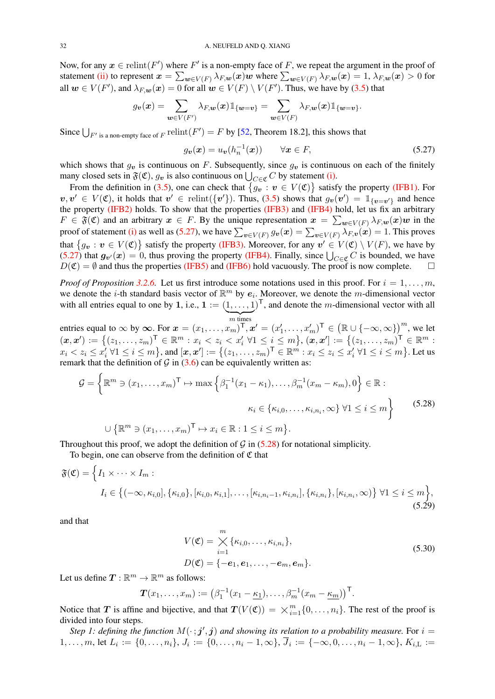<span id="page-31-4"></span>Now, for any  $x \in \text{relint}(F')$  where  $F'$  is a non-empty face of F, we repeat the argument in the proof of statement [\(ii\)](#page-12-7) to represent  $\bm{x}=\sum_{\bm{w}\in V(F)}\lambda_{F,\bm{w}}(\bm{x})\bm{w}$  where  $\sum_{\bm{w}\in V(F)}\lambda_{F,\bm{w}}(\bm{x})=1,$   $\lambda_{F,\bm{w}}(\bm{x})>0$  for all  $w \in V(F')$ , and  $\lambda_{F,w}(x) = 0$  for all  $w \in V(F) \setminus V(F')$ . Thus, we have by [\(3.5\)](#page-12-1) that

$$
g_{\boldsymbol{v}}(\boldsymbol{x})=\sum_{\boldsymbol{w}\in V(F')}\lambda_{F,\boldsymbol{w}}(\boldsymbol{x})\mathbbm{1}_{\{\boldsymbol{w}=\boldsymbol{v}\}}=\sum_{\boldsymbol{w}\in V(F)}\lambda_{F,\boldsymbol{w}}(\boldsymbol{x})\mathbbm{1}_{\{\boldsymbol{w}=\boldsymbol{v}\}}.
$$

Since  $\bigcup_{F' \text{ is a non-empty face of } F}$  relint $(F') = F$  by [\[52,](#page-47-12) Theorem 18.2], this shows that

<span id="page-31-0"></span>
$$
g_{\boldsymbol{v}}(\boldsymbol{x}) = u_{\boldsymbol{v}}(h_n^{-1}(\boldsymbol{x})) \qquad \forall \boldsymbol{x} \in F,
$$
\n(5.27)

which shows that  $g_v$  is continuous on F. Subsequently, since  $g_v$  is continuous on each of the finitely many closed sets in  $\mathfrak{F}(\mathfrak{C})$ ,  $g_v$  is also continuous on  $\bigcup_{C \in \mathfrak{C}} C$  by statement [\(i\).](#page-12-8)

From the definition in [\(3.5\)](#page-12-1), one can check that  $\{g_v : v \in V(\mathfrak{C})\}$  satisfy the property [\(IFB1\).](#page-11-3) For  $v, v' \in V(\mathfrak{C})$ , it holds that  $v' \in \text{relint}(\{v'\})$ . Thus, [\(3.5\)](#page-12-1) shows that  $g_v(v') = \mathbb{1}_{\{v=v'\}}$  and hence the property [\(IFB2\)](#page-12-2) holds. To show that the properties [\(IFB3\)](#page-12-3) and [\(IFB4\)](#page-12-4) hold, let us fix an arbitrary  $F \in \mathfrak{F}(\mathfrak{C})$  and an arbitrary  $x \in F$ . By the unique representation  $x = \sum_{w \in V(F)} \lambda_{F,w}(x)w$  in the proof of statement [\(i\)](#page-12-8) as well as [\(5.27\)](#page-31-0), we have  $\sum_{\bm v \in V(F)} g_{\bm v}(\bm x) = \sum_{\bm v \in V(F)} \lambda_{F,\bm v}(\bm x) = 1.$  This proves that  $\{g_v : v \in V(\mathfrak{C})\}$  satisfy the property [\(IFB3\).](#page-12-3) Moreover, for any  $v' \in V(\mathfrak{C}) \setminus V(F)$ , we have by [\(5.27\)](#page-31-0) that  $g_{v}(x) = 0$ , thus proving the property [\(IFB4\).](#page-12-4) Finally, since  $\bigcup_{C \in \mathfrak{C}} C$  is bounded, we have  $D(\mathfrak{C}) = \emptyset$  and thus the properties [\(IFB5\)](#page-12-5) and [\(IFB6\)](#page-12-0) hold vacuously. The proof is now complete.  $\square$ 

*Proof of Proposition* [3.2.6.](#page-13-0) Let us first introduce some notations used in this proof. For  $i = 1, \ldots, m$ , we denote the *i*-th standard basis vector of  $\mathbb{R}^m$  by  $e_i$ . Moreover, we denote the *m*-dimensional vector with all entries equal to one by 1, i.e.,  $\mathbf{1} := (1, \ldots, 1)^{\mathsf{T}}$ , and denote the *m*-dimensional vector with all  ${m}$  times

entries equal to  $\infty$  by  $\infty$ . For  $x = (x_1, \ldots, x_m)^T$ ,  $x' = (x'_1, \ldots, x'_m)^T \in (\mathbb{R} \cup \{-\infty, \infty\})^m$ , we let  $(\bm{x}, \bm{x}') := \{(z_1, \ldots, z_m)^\mathsf{T} \in \mathbb{R}^m : x_i < z_i < x'_i \; \forall 1 \leq i \leq m\}, (\bm{x}, \bm{x}'] := \{(z_1, \ldots, z_m)^\mathsf{T} \in \mathbb{R}^m : x_i < z_i < x'_i \; \forall 1 \leq i \leq m\}$  $x_i < z_i \leq x_i^j \; \forall 1 \leq i \leq m \big\}$ , and  $[\boldsymbol{x}, \boldsymbol{x}'] := \big\{ (z_1, \ldots, z_m)^\mathsf{T} \in \mathbb{R}^m : x_i \leq z_i \leq x_i^j \; \forall 1 \leq i \leq m \big\}$ . Let us remark that the definition of  $\mathcal G$  in [\(3.6\)](#page-13-0) can be equivalently written as:

$$
\mathcal{G} = \left\{ \mathbb{R}^m \ni (x_1, \dots, x_m)^{\mathsf{T}} \mapsto \max \left\{ \beta_1^{-1}(x_1 - \kappa_1), \dots, \beta_m^{-1}(x_m - \kappa_m), 0 \right\} \in \mathbb{R} : \right.
$$

$$
\kappa_i \in \{\kappa_{i,0}, \dots, \kappa_{i,n_i}, \infty\} \; \forall 1 \le i \le m \right\}
$$
(5.28)
$$
\cup \left\{ \mathbb{R}^m \ni (x_1, \dots, x_m)^{\mathsf{T}} \mapsto x_i \in \mathbb{R} : 1 \le i \le m \right\}.
$$

Throughout this proof, we adopt the definition of  $\mathcal G$  in [\(5.28\)](#page-31-1) for notational simplicity.

To begin, one can observe from the definition of  $\mathfrak C$  that

$$
\mathfrak{F}(\mathfrak{C}) = \Big\{ I_1 \times \cdots \times I_m : I_i \in \big\{ (-\infty, \kappa_{i,0}], \{\kappa_{i,0}\}, [\kappa_{i,0}, \kappa_{i,1}], \ldots, [\kappa_{i,n_i-1}, \kappa_{i,n_i}], \{\kappa_{i,n_i}\}, [\kappa_{i,n_i}, \infty) \big\} \ \forall 1 \leq i \leq m \Big\},
$$
\n(5.29)

and that

<span id="page-31-3"></span><span id="page-31-2"></span><span id="page-31-1"></span>
$$
V(\mathfrak{C}) = \bigtimes_{i=1}^{m} {\kappa_{i,0}, \ldots, \kappa_{i,n_i}},
$$
  
\n
$$
D(\mathfrak{C}) = \{-e_1, e_1, \ldots, -e_m, e_m\}.
$$
\n(5.30)

Let us define  $\mathbf{T} : \mathbb{R}^m \to \mathbb{R}^m$  as follows:

$$
\boldsymbol{T}(x_1,\ldots,x_m):=\big(\beta_1^{-1}(x_1-\underline{\kappa_1}),\ldots,\beta_m^{-1}(x_m-\underline{\kappa_m})\big)^{\mathsf{T}}.
$$

Notice that T is affine and bijective, and that  $T(V(\mathfrak{C})) = \times_{i=1}^{m} \{0, \ldots, n_i\}$ . The rest of the proof is divided into four steps.

Step 1: defining the function  $M(\cdot; j', j)$  and showing its relation to a probability measure. For  $i =$  $1,\ldots,m,$  let  $L_i:=\{0,\ldots,n_i\}, J_i:=\{0,\ldots,n_i-1,\infty\}, J_i:=\{-\infty,0,\ldots,n_i-1,\infty\}, K_{i,\text{L}}:=$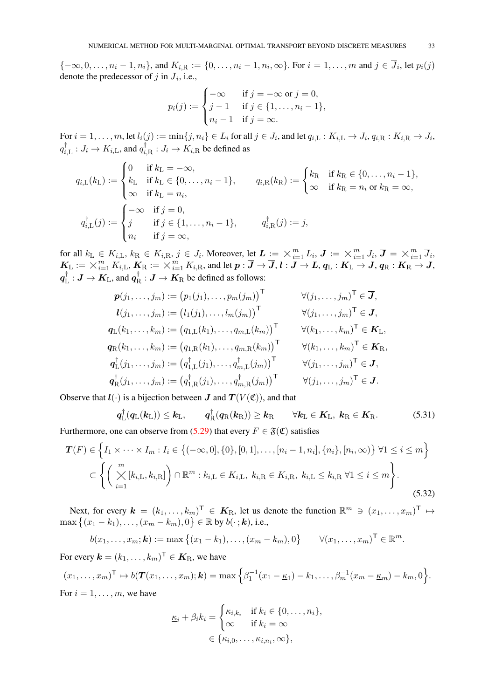${-\infty, 0, \ldots, n_i-1, n_i}$ , and  $K_{i,\text{R}} := \{0, \ldots, n_i-1, n_i, \infty\}$ . For  $i = 1, \ldots, m$  and  $j \in \overline{J}_i$ , let  $p_i(j)$ denote the predecessor of  $j$  in  $J_i$ , i.e.,

$$
p_i(j) := \begin{cases} -\infty & \text{if } j = -\infty \text{ or } j = 0, \\ j - 1 & \text{if } j \in \{1, ..., n_i - 1\}, \\ n_i - 1 & \text{if } j = \infty. \end{cases}
$$

For  $i=1,\ldots,m,$  let  $l_i(j):=\min\{j,n_i\}\in L_i$  for all  $j\in J_i,$  and let  $q_{i,\mathrm{L}}:K_{i,\mathrm{L}}\to J_i,$   $q_{i,\mathrm{R}}:K_{i,\mathrm{R}}\to J_i,$  $q_i^{\dagger}$  $\big\langle \dot{v}_{i,\rm L}^{\dagger}:J_i\rightarrow K_{i,\rm L},$  and  $q_i^{\dagger}$  $\bar{i}_{, \rm R}: J_i \rightarrow K_{i,\rm R}$  be defined as

$$
q_{i,\mathcal{L}}(k_{\mathcal{L}}) := \begin{cases} 0 & \text{if } k_{\mathcal{L}} = -\infty, \\ k_{\mathcal{L}} & \text{if } k_{\mathcal{L}} \in \{0, \ldots, n_{i} - 1\}, \\ \infty & \text{if } k_{\mathcal{L}} = n_{i}, \end{cases} \qquad q_{i,\mathcal{R}}(k_{\mathcal{R}}) := \begin{cases} k_{\mathcal{R}} & \text{if } k_{\mathcal{R}} \in \{0, \ldots, n_{i} - 1\}, \\ \infty & \text{if } k_{\mathcal{R}} = n_{i} \text{ or } k_{\mathcal{R}} = \infty, \end{cases}
$$

$$
q_{i,\mathcal{L}}^{\dagger}(j) := \begin{cases} -\infty & \text{if } j = 0, \\ j & \text{if } j \in \{1, \ldots, n_{i} - 1\}, \\ n_{i} & \text{if } j = \infty, \end{cases} \qquad q_{i,\mathcal{R}}^{\dagger}(j) := j,
$$

for all  $k_L \in K_{i,L}$ ,  $k_R \in K_{i,R}$ ,  $j \in J_i$ . Moreover, let  $\boldsymbol{L} := \times_{i=1}^m L_i$ ,  $\boldsymbol{J} := \times_{i=1}^m J_i$ ,  $\boldsymbol{\overline{J}} = \times_{i=1}^m J_i$  $\frac{m}{i=1} J_i$ For all  $k_L \in K_{i,L}$ ,  $k_R \in K_{i,R}$ ,  $j \in J_i$ . Moreover, let  $L := \times_{i=1}^{\infty} L_i$ ,  $J := \times_{i=1}^{\infty} J_i$ ,  $J = \times_{i=1}^{\infty} J_i$ ,  $K_L := \times_{i=1}^m K_{i,L}$ ,  $K_R := \times_{i=1}^m K_{i,R}$ , and let  $p : \overline{J} \to \overline{J}$ ,  $l : J \to L$ ,  $q_L : K_L \to J$ ,  $q_R : K_R \to J$ ,  $\boldsymbol{q}^\dagger_{\text{I}}$  $L^{\dagger} : \boldsymbol{J} \to \boldsymbol{K}_{\text{L}} ,$  and  $\boldsymbol{q}_{\text{F}}^{\dagger}$  $R_{\rm R}^{\dagger}$  :  $\boldsymbol{J} \to \boldsymbol{K}_{\rm R}$  be defined as follows:

$$
\begin{aligned}\n\boldsymbol{p}(j_1,\ldots,j_m) &:= \left(p_1(j_1),\ldots,p_m(j_m)\right)^{\mathsf{T}} & \forall (j_1,\ldots,j_m)^{\mathsf{T}} \in \overline{\boldsymbol{J}}, \\
\boldsymbol{l}(j_1,\ldots,j_m) &:= \left(l_1(j_1),\ldots,l_m(j_m)\right)^{\mathsf{T}} & \forall (j_1,\ldots,j_m)^{\mathsf{T}} \in \boldsymbol{J}, \\
\boldsymbol{q}_{\mathsf{L}}(k_1,\ldots,k_m) &:= \left(q_{1,\mathsf{L}}(k_1),\ldots,q_{m,\mathsf{L}}(k_m)\right)^{\mathsf{T}} & \forall (k_1,\ldots,k_m)^{\mathsf{T}} \in \boldsymbol{K}_{\mathsf{L}}, \\
\boldsymbol{q}_{\mathsf{R}}(k_1,\ldots,k_m) &:= \left(q_{1,\mathsf{R}}(k_1),\ldots,q_{m,\mathsf{R}}(k_m)\right)^{\mathsf{T}} & \forall (k_1,\ldots,k_m)^{\mathsf{T}} \in \boldsymbol{K}_{\mathsf{R}}, \\
\boldsymbol{q}_{\mathsf{L}}^{\dagger}(j_1,\ldots,j_m) &:= \left(q_{1,\mathsf{L}}^{\dagger}(j_1),\ldots,q_{m,\mathsf{L}}^{\dagger}(j_m)\right)^{\mathsf{T}} & \forall (j_1,\ldots,j_m)^{\mathsf{T}} \in \boldsymbol{J}, \\
\boldsymbol{q}_{\mathsf{R}}^{\dagger}(j_1,\ldots,j_m) &:= \left(q_{1,\mathsf{R}}^{\dagger}(j_1),\ldots,q_{m,\mathsf{R}}^{\dagger}(j_m)\right)^{\mathsf{T}} & \forall (j_1,\ldots,j_m)^{\mathsf{T}} \in \boldsymbol{J}.\n\end{aligned}
$$

Observe that  $l(\cdot)$  is a bijection between  $J$  and  $T(V(\mathfrak{C}))$ , and that

<span id="page-32-1"></span>
$$
q_{\text{L}}^{\dagger}(q_{\text{L}}(k_{\text{L}})) \leq k_{\text{L}}, \qquad q_{\text{R}}^{\dagger}(q_{\text{R}}(k_{\text{R}})) \geq k_{\text{R}} \qquad \forall k_{\text{L}} \in K_{\text{L}}, \ k_{\text{R}} \in K_{\text{R}}.
$$

Furthermore, one can observe from [\(5.29\)](#page-31-2) that every  $F \in \mathfrak{F}(\mathfrak{C})$  satisfies

$$
\mathbf{T}(F) \in \left\{ I_1 \times \cdots \times I_m : I_i \in \left\{ (-\infty, 0], \{0\}, [0, 1], \dots, [n_i - 1, n_i], \{n_i\}, [n_i, \infty) \right\} \forall 1 \le i \le m \right\}
$$
  

$$
\subset \left\{ \left( \bigtimes_{i=1}^m [k_{i, \text{L}}, k_{i, \text{R}}] \right) \cap \mathbb{R}^m : k_{i, \text{L}} \in K_{i, \text{L}}, k_{i, \text{R}} \in K_{i, \text{R}}, k_{i, \text{L}} \le k_{i, \text{R}} \forall 1 \le i \le m \right\}.
$$
\n(5.32)

Next, for every  $\mathbf{k} = (k_1, \ldots, k_m)^\mathsf{T} \in \mathbf{K}_{\rm R}$ , let us denote the function  $\mathbb{R}^m \ni (x_1, \ldots, x_m)^\mathsf{T} \mapsto$  $\max\left\{(x_1-k_1),\ldots,(x_m-k_m),0\right\}\in\mathbb{R}$  by  $b(\cdot\,;\boldsymbol{k}),$  i.e.,

$$
b(x_1,...,x_m; \mathbf{k}) := \max \{(x_1 - k_1),..., (x_m - k_m), 0\} \qquad \forall (x_1,...,x_m)^\top \in \mathbb{R}^m.
$$

For every  $\boldsymbol{k}=(k_1,\ldots,k_m)^\mathsf{T}\in \boldsymbol{K}_\mathrm{R}$ , we have

$$
(x_1, \ldots, x_m)^{\mathsf{T}} \mapsto b(\mathbf{T}(x_1, \ldots, x_m); \mathbf{k}) = \max \Big\{ \beta_1^{-1}(x_1 - \underline{\kappa}_1) - k_1, \ldots, \beta_m^{-1}(x_m - \underline{\kappa}_m) - k_m, 0 \Big\}.
$$

For  $i = 1, \ldots, m$ , we have

<span id="page-32-0"></span>
$$
\underline{\kappa}_i + \beta_i k_i = \begin{cases} \kappa_{i,k_i} & \text{if } k_i \in \{0, \dots, n_i\}, \\ \infty & \text{if } k_i = \infty \end{cases}
$$

$$
\in \{\kappa_{i,0}, \dots, \kappa_{i,n_i}, \infty\},
$$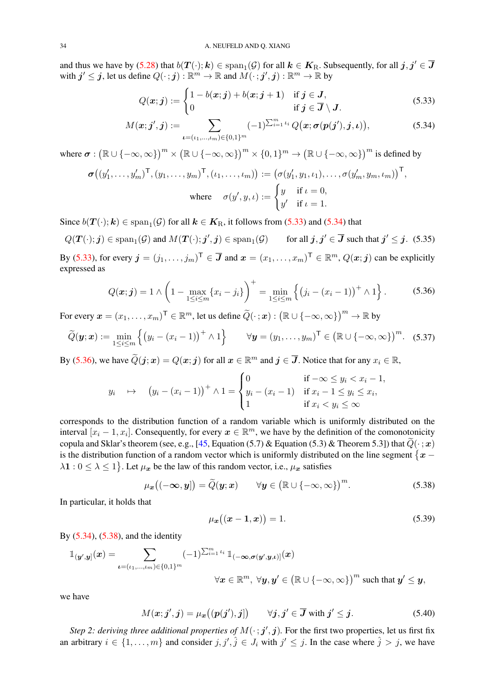<span id="page-33-7"></span>and thus we have by [\(5.28\)](#page-31-1) that  $b(T(\cdot); k) \in \text{span}_{1}(\mathcal{G})$  for all  $k \in K_{\text{R}}$ . Subsequently, for all  $j, j' \in \overline{J}$ with  $j' \leq j$ , let us define  $Q(\cdot; j) : \mathbb{R}^m \to \mathbb{R}$  and  $\overline{M}(\cdot; j', j) : \mathbb{R}^m \to \mathbb{R}$  by

$$
Q(\boldsymbol{x};\boldsymbol{j}) := \begin{cases} 1 - b(\boldsymbol{x};\boldsymbol{j}) + b(\boldsymbol{x};\boldsymbol{j} + 1) & \text{if } \boldsymbol{j} \in \boldsymbol{J}, \\ 0 & \text{if } \boldsymbol{j} \in \boldsymbol{\overline{J}} \setminus \boldsymbol{J}. \end{cases} \tag{5.33}
$$

$$
M(\boldsymbol{x};\boldsymbol{j}',\boldsymbol{j}) := \sum_{\boldsymbol{\iota}=(\iota_1,\ldots,\iota_m)\in\{0,1\}^m} (-1)^{\sum_{i=1}^m \iota_i} Q(\boldsymbol{x};\boldsymbol{\sigma}(\boldsymbol{p}(\boldsymbol{j}'),\boldsymbol{j},\boldsymbol{\iota})),
$$
(5.34)

<span id="page-33-6"></span><span id="page-33-2"></span><span id="page-33-1"></span><span id="page-33-0"></span>,

where  $\sigma: (\mathbb{R} \cup \{-\infty, \infty\})^m \times (\mathbb{R} \cup \{-\infty, \infty\})^m \times \{0, 1\}^m \to (\mathbb{R} \cup \{-\infty, \infty\})^m$  is defined by

$$
\sigma\big((y'_1,\ldots,y'_m)^\mathsf{T},(y_1,\ldots,y_m)^\mathsf{T},(\iota_1,\ldots,\iota_m)\big) := \big(\sigma(y'_1,y_1,\iota_1),\ldots,\sigma(y'_m,y_m,\iota_m)\big)^\mathsf{T}
$$
  
where 
$$
\sigma(y',y,\iota) := \begin{cases} y & \text{if } \iota = 0, \\ y' & \text{if } \iota = 1. \end{cases}
$$

Since  $b(T(\cdot); k) \in \text{span}_{1}(\mathcal{G})$  for all  $k \in K_{\text{R}}$ , it follows from [\(5.33\)](#page-33-0) and [\(5.34\)](#page-33-1) that

$$
Q(T(\cdot); j) \in \text{span}_{1}(\mathcal{G})
$$
 and  $M(T(\cdot); j', j) \in \text{span}_{1}(\mathcal{G})$  for all  $j, j' \in \overline{J}$  such that  $j' \leq j$ . (5.35)

By [\(5.33\)](#page-33-0), for every  $\mathbf{j} = (j_1, \dots, j_m)^\mathsf{T} \in \mathbf{\overline{J}}$  and  $\mathbf{x} = (x_1, \dots, x_m)^\mathsf{T} \in \mathbb{R}^m$ ,  $Q(\mathbf{x}; \mathbf{j})$  can be explicitly expressed as

$$
Q(\boldsymbol{x};\boldsymbol{j}) = 1 \wedge \left(1 - \max_{1 \leq i \leq m} \{x_i - j_i\}\right)^+ = \min_{1 \leq i \leq m} \left\{ \left(j_i - (x_i - 1)\right)^+ \wedge 1 \right\}.
$$
 (5.36)

For every  $\boldsymbol{x}=(x_1,\ldots,x_m)^\mathsf{T}\in\mathbb{R}^m$ , let us define  $\widetilde{Q}(\cdot\,;\boldsymbol{x}):\big(\mathbb{R}\cup\{-\infty,\infty\}\big)^m\to\mathbb{R}$  by

$$
\widetilde{Q}(\mathbf{y};\mathbf{x}) := \min_{1 \leq i \leq m} \left\{ \left( y_i - (x_i - 1) \right)^+ \wedge 1 \right\} \qquad \forall \mathbf{y} = (y_1, \dots, y_m)^{\mathsf{T}} \in \left( \mathbb{R} \cup \{-\infty, \infty\} \right)^m. \tag{5.37}
$$

By [\(5.36\)](#page-33-2), we have  $\widetilde{Q}(\bm{j};\bm{x})=Q(\bm{x};\bm{j})$  for all  $\bm{x}\in\mathbb{R}^m$  and  $\bm{j}\in\overline{\bm{J}}$ . Notice that for any  $x_i\in\mathbb{R}$ ,

$$
y_i \quad \mapsto \quad (y_i - (x_i - 1))^+ \wedge 1 = \begin{cases} 0 & \text{if } -\infty \le y_i < x_i - 1, \\ y_i - (x_i - 1) & \text{if } x_i - 1 \le y_i \le x_i, \\ 1 & \text{if } x_i < y_i \le \infty \end{cases}
$$

corresponds to the distribution function of a random variable which is uniformly distributed on the interval  $[x_i - 1, x_i]$ . Consequently, for every  $x \in \mathbb{R}^m$ , we have by the definition of the comonotonicity copula and Sklar's theorem (see, e.g., [\[45,](#page-46-18) Equation (5.7) & Equation (5.3) & Theorem 5.3]) that  $\tilde{Q}(\cdot; x)$ is the distribution function of a random vector which is uniformly distributed on the line segment  $\{x \lambda$ 1 :  $0 \le \lambda \le 1$ . Let  $\mu_x$  be the law of this random vector, i.e.,  $\mu_x$  satisfies

$$
\mu_{\boldsymbol{x}}\big((-\infty,\boldsymbol{y}]\big)=\widetilde{Q}(\boldsymbol{y};\boldsymbol{x})\qquad\forall\boldsymbol{y}\in\big(\mathbb{R}\cup\{-\infty,\infty\}\big)^{m}.\tag{5.38}
$$

In particular, it holds that

<span id="page-33-5"></span><span id="page-33-4"></span><span id="page-33-3"></span>
$$
\mu_x((x-1,x)) = 1. \tag{5.39}
$$

By [\(5.34\)](#page-33-1), [\(5.38\)](#page-33-3), and the identity

$$
\mathbb{1}_{(\mathbf{y}',\mathbf{y}]}(\mathbf{x}) = \sum_{\mathbf{t}=(t_1,\ldots,t_m)\in\{0,1\}^m} (-1)^{\sum_{i=1}^m t_i} \mathbb{1}_{(-\infty,\sigma(\mathbf{y}',\mathbf{y},\mathbf{t})]}(\mathbf{x})
$$

$$
\forall \mathbf{x} \in \mathbb{R}^m, \ \forall \mathbf{y},\mathbf{y}' \in (\mathbb{R}\cup\{-\infty,\infty\})^m \text{ such that } \mathbf{y}' \leq \mathbf{y},
$$

we have

$$
M(\boldsymbol{x};\boldsymbol{j}',\boldsymbol{j}) = \mu_{\boldsymbol{x}}\big((\boldsymbol{p}(\boldsymbol{j}'),\boldsymbol{j}]\big) \qquad \forall \boldsymbol{j},\boldsymbol{j}' \in \overline{\boldsymbol{J}} \text{ with } \boldsymbol{j}' \leq \boldsymbol{j}. \tag{5.40}
$$

*Step 2: deriving three additional properties of*  $M(\cdot; j', j)$ *. For the first two properties, let us first fix* an arbitrary  $i \in \{1, \ldots, m\}$  and consider  $j, j', \hat{j} \in J_i$  with  $j' \leq j$ . In the case where  $\hat{j} > j$ , we have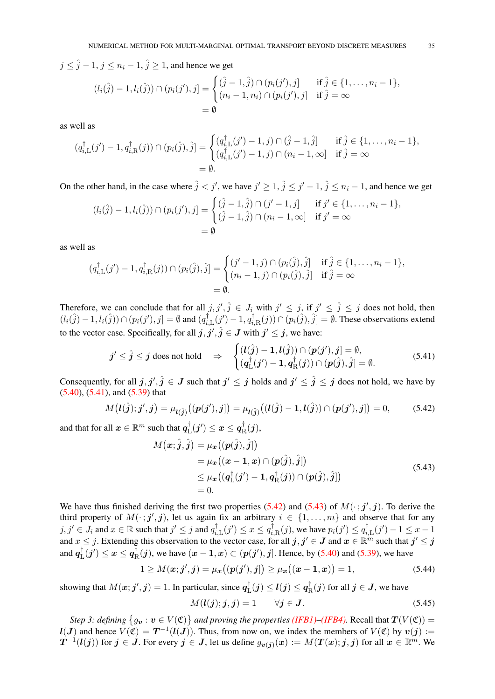$j \leq \hat{j} - 1$ ,  $j \leq n_i - 1$ ,  $\hat{j} > 1$ , and hence we get

$$
(l_i(\hat{j}) - 1, l_i(\hat{j})) \cap (p_i(j'), j] = \begin{cases} (\hat{j} - 1, \hat{j}) \cap (p_i(j'), j] & \text{if } \hat{j} \in \{1, ..., n_i - 1\}, \\ (n_i - 1, n_i) \cap (p_i(j'), j] & \text{if } \hat{j} = \infty \end{cases}
$$
  
=  $\emptyset$ 

as well as

$$
(q_{i,\mathrm{L}}^{\dagger}(j')-1, q_{i,\mathrm{R}}^{\dagger}(j)) \cap (p_i(\hat{j}), \hat{j}] = \begin{cases} (q_{i,\mathrm{L}}^{\dagger}(j')-1, j) \cap (\hat{j}-1, \hat{j}) & \text{if } \hat{j} \in \{1, \ldots, n_i-1\}, \\ (q_{i,\mathrm{L}}^{\dagger}(j')-1, j) \cap (n_i-1, \infty) & \text{if } \hat{j} = \infty \end{cases}
$$
  
=  $\emptyset$ .

On the other hand, in the case where  $\hat{j} < j'$ , we have  $j' \ge 1$ ,  $\hat{j} \le j' - 1$ ,  $\hat{j} \le n_i - 1$ , and hence we get

$$
(l_i(\hat{j}) - 1, l_i(\hat{j})) \cap (p_i(j'), j] = \begin{cases} (\hat{j} - 1, \hat{j}) \cap (j' - 1, j] & \text{if } j' \in \{1, ..., n_i - 1\}, \\ (\hat{j} - 1, \hat{j}) \cap (n_i - 1, \infty] & \text{if } j' = \infty \end{cases}
$$
  
=  $\emptyset$ 

as well as

$$
(q_{i,\mathcal{L}}^{\dagger}(j') - 1, q_{i,\mathcal{R}}^{\dagger}(j)) \cap (p_i(\hat{j}), \hat{j}] = \begin{cases} (j' - 1, j) \cap (p_i(\hat{j}), \hat{j}] & \text{if } \hat{j} \in \{1, \dots, n_i - 1\}, \\ (n_i - 1, j) \cap (p_i(\hat{j}), \hat{j}] & \text{if } \hat{j} = \infty \end{cases}
$$
  
=  $\emptyset$ .

Therefore, we can conclude that for all  $j, j', \hat{j} \in J_i$  with  $j' \leq j$ , if  $j' \leq \hat{j} \leq j$  does not hold, then  $(l_i(\hat{j}) - 1, l_i(\hat{j})) \cap (p_i(j'), j] = \emptyset$  and  $(q_i^{\dagger})$  $q_{i,\text{L}}^\dagger(j')-1, q_i^\dagger$  $i_{i,R}^{\dagger}(j) \cap (p_i(\hat{j}), \hat{j}] = \emptyset$ . These observations extend to the vector case. Specifically, for all  $j, j', \hat{j} \in J$  with  $j' \leq j$ , we have:

$$
j' \leq \hat{j} \leq j \text{ does not hold} \quad \Rightarrow \quad \begin{cases} (l(\hat{j}) - 1, l(\hat{j})) \cap (p(j'), j] = \emptyset, \\ (q_L^{\dagger}(j') - 1, q_R^{\dagger}(j)) \cap (p(\hat{j}), \hat{j}] = \emptyset. \end{cases} \tag{5.41}
$$

Consequently, for all  $j, j', \hat{j} \in J$  such that  $j' \leq j$  holds and  $j' \leq \hat{j} \leq j$  does not hold, we have by [\(5.40\)](#page-33-4), [\(5.41\)](#page-34-0), and [\(5.39\)](#page-33-5) that

$$
M(l(\hat{j});j',j) = \mu_{l(\hat{j})}((p(j'),j]) = \mu_{l(\hat{j})}((l(\hat{j}) - 1, l(\hat{j})) \cap (p(j'),j]) = 0,
$$
 (5.42)

and that for all  $\boldsymbol{x} \in \mathbb{R}^m$  such that  $\boldsymbol{q}^\dagger_{\rm I}$  $q_{\text{L}}^{\dagger} (j') \leq x \leq q_{\text{F}}^{\dagger}$  $R^{\!\top\!}_{\rm R}({\bm j}),$ 

<span id="page-34-2"></span><span id="page-34-1"></span><span id="page-34-0"></span>
$$
M(\boldsymbol{x}; \hat{j}, \hat{j}) = \mu_{\boldsymbol{x}}((\boldsymbol{p}(\hat{j}), \hat{j}])
$$
  
\n
$$
= \mu_{\boldsymbol{x}}((\boldsymbol{x} - \mathbf{1}, \boldsymbol{x}) \cap (\boldsymbol{p}(\hat{j}), \hat{j}))
$$
  
\n
$$
\leq \mu_{\boldsymbol{x}}((\boldsymbol{q}_{\mathrm{L}}^{\dagger}(\boldsymbol{j}') - \mathbf{1}, \boldsymbol{q}_{\mathrm{R}}^{\dagger}(\boldsymbol{j})) \cap (\boldsymbol{p}(\hat{j}), \hat{j}])
$$
  
\n
$$
= 0.
$$
\n(5.43)

We have thus finished deriving the first two properties [\(5.42\)](#page-34-1) and [\(5.43\)](#page-34-2) of  $M(\cdot; j', j)$ . To derive the third property of  $M(\cdot; j', j)$ , let us again fix an arbitrary  $i \in \{1, \ldots, m\}$  and observe that for any  $j, j' \in J_i$  and  $x \in \mathbb{R}$  such that  $j' \leq j$  and  $q_i^{\dagger}$  $a_{i,\mathrm{L}}^{\dagger}(j') \leq x \leq q_i^{\dagger}$  $p_i^{\dagger}_{i,\text{R}}(j)$ , we have  $p_i(j') \leq q_i^{\dagger}$  $a_{i,\mathrm{L}}^{\dagger}(j')-1 \leq x-1$ and  $x \leq j$ . Extending this observation to the vector case, for all  $j, j' \in J$  and  $x \in \mathbb{R}^m$  such that  $j' \leq j$ and  $q_{I}^{\dagger}$  $\frac{1}{\ln} (j') \leq x \leq q_{\rm F}^\dagger$  $R^{\dagger}(j)$ , we have  $(x-1,x) \subset (p(j'),j]$ . Hence, by [\(5.40\)](#page-33-4) and [\(5.39\)](#page-33-5), we have

$$
1 \ge M(\mathbf{x}; \mathbf{j}', \mathbf{j}) = \mu_{\mathbf{x}}\big((\mathbf{p}(\mathbf{j}'), \mathbf{j}]\big) \ge \mu_{\mathbf{x}}\big((\mathbf{x} - \mathbf{1}, \mathbf{x})\big) = 1,\tag{5.44}
$$

showing that  $M(x; j', j) = 1$ . In particular, since  $q_1^{\dagger}$  $q_{\text{L}}^{\dagger}(j) \leq \bm{l}(j) \leq q_{\text{F}}^{\dagger}$  $\bar{f}_{\rm R}^{\dagger}({\bm j})$  for all  ${\bm j} \in {\bm J},$  we have

<span id="page-34-4"></span><span id="page-34-3"></span>
$$
M(\mathbf{l}(j);j,j) = 1 \qquad \forall j \in \mathbf{J}.\tag{5.45}
$$

*Step 3: defining*  $\{g_v : v \in V(\mathfrak{C})\}$  *and proving the properties [\(IFB1\)](#page-11-3)[–\(IFB4\).](#page-12-4)* Recall that  $T(V(\mathfrak{C}))$  =  $l(J)$  and hence  $V(\mathfrak{C}) = T^{-1}(l(J))$ . Thus, from now on, we index the members of  $V(\mathfrak{C})$  by  $v(j) :=$  $T^{-1}(l(j))$  for  $j \in J$ . For every  $j \in J$ , let us define  $g_{\boldsymbol{v}(j)}(\boldsymbol{x}):=M(T(\boldsymbol{x});j,j)$  for all  $\boldsymbol{x} \in \mathbb{R}^m$ . We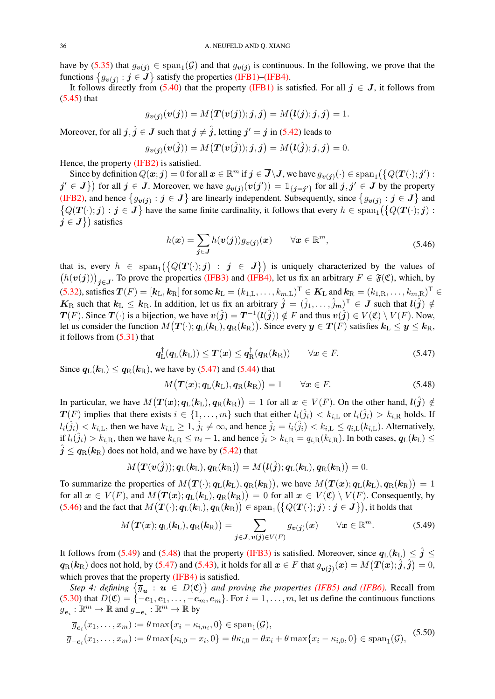have by [\(5.35\)](#page-33-6) that  $g_{v(j)} \in \text{span}_{1}(G)$  and that  $g_{v(j)}$  is continuous. In the following, we prove that the functions  $\{g_{\boldsymbol{v}(j)} : j \in \boldsymbol{J}\}$  satisfy the properties [\(IFB1\)–](#page-11-3)[\(IFB4\).](#page-12-4)

It follows directly from [\(5.40\)](#page-33-4) that the property [\(IFB1\)](#page-11-3) is satisfied. For all  $j \in J$ , it follows from [\(5.45\)](#page-34-3) that

$$
g_{\boldsymbol{v}(\boldsymbol{j})}(\boldsymbol{v}(\boldsymbol{j})) = M\big(\boldsymbol{T}(\boldsymbol{v}(\boldsymbol{j})); \boldsymbol{j}, \boldsymbol{j}\big) = M\big(\boldsymbol{l}(\boldsymbol{j}); \boldsymbol{j}, \boldsymbol{j}\big) = 1.
$$

Moreover, for all  $j$  ,  $\hat{j} \in J$  such that  $j \neq \hat{j}$  , letting  $j' = j$  in [\(5.42\)](#page-34-1) leads to

$$
g_{\boldsymbol{v}(\boldsymbol{j})}(\boldsymbol{v}(\hat{\boldsymbol{j}})) = M\big(\boldsymbol{T}(\boldsymbol{v}(\hat{\boldsymbol{j}})); \boldsymbol{j}, \boldsymbol{j}\big) = M\big(\boldsymbol{l}(\hat{\boldsymbol{j}}); \boldsymbol{j}, \boldsymbol{j}\big) = 0.
$$

Hence, the property [\(IFB2\)](#page-12-2) is satisfied.

Since by definition  $Q(x; j) = 0$  for all  $x \in \mathbb{R}^m$  if  $j \in \overline{J} \setminus J$ , we have  $g_{v(j)}(\cdot) \in \text{span}_{1}(\big\{Q(T(\cdot); j') :$  $j' \in J$  for all  $j \in J$ . Moreover, we have  $g_{v(j)}(v(j')) = \mathbb{1}_{\{j=j'\}}$  for all  $j, j' \in J$  by the property [\(IFB2\),](#page-12-2) and hence  $\{g_{\bm{v}(j)} : j \in J\}$  are linearly independent. Subsequently, since  $\{g_{\bm{v}(j)} : j \in J\}$  and  $\{Q(T(\cdot); j) : j \in J\}$  have the same finite cardinality, it follows that every  $h \in \text{span}_{1}(\{Q(T(\cdot); j) : j \in J\})$  $j \in J$ } satisfies

<span id="page-35-1"></span>
$$
h(\boldsymbol{x}) = \sum_{\boldsymbol{j} \in \boldsymbol{J}} h(\boldsymbol{v}(\boldsymbol{j})) g_{\boldsymbol{v}(\boldsymbol{j})}(\boldsymbol{x}) \qquad \forall \boldsymbol{x} \in \mathbb{R}^m,
$$
\n(5.46)

that is, every  $h \in \text{span}_{1}(\{Q(T(\cdot); j) : j \in J\})$  is uniquely characterized by the values of  $(h(v(j)))_{j\in J}$ . To prove the properties [\(IFB3\)](#page-12-3) and [\(IFB4\),](#page-12-4) let us fix an arbitrary  $F \in \mathfrak{F}(\mathfrak{C})$ , which, by [\(5.32\)](#page-32-0), satisfies  $\bm{T}(F) = [\bm{k}_{\mathrm{L}}, \bm{k}_{\mathrm{R}}]$  for some  $\bm{k}_{\mathrm{L}} = (k_{1,\mathrm{L}}, \ldots, k_{m,\mathrm{L}})^{\mathsf{T}} \in \bm{K}_{\mathrm{L}}$  and  $\bm{k}_{\mathrm{R}} = (k_{1,\mathrm{R}}, \ldots, k_{m,\mathrm{R}})^{\mathsf{T}} \in$  $K_{\rm R}$  such that  $k_{\rm L} \leq k_{\rm R}$ . In addition, let us fix an arbitrary  $\hat{j} = (\hat{j}_1, \ldots, \hat{j}_m)^{\sf T} \in J$  such that  $l(\hat{j}) \notin J$  $T(F)$ . Since  $T(\cdot)$  is a bijection, we have  $v(\hat{j}) = T^{-1}(l(\hat{j})) \notin F$  and thus  $v(\hat{j}) \in V(\mathfrak{C}) \setminus V(F)$ . Now, let us consider the function  $M\big(\bm{T}(\cdot);\bm{q}_{\mathrm{L}}(\bm{k}_{\mathrm{L}}),\bm{q}_{\mathrm{R}}(\bm{k}_{\mathrm{R}})\big).$  Since every  $\bm{y}\in\bm{T}(F)$  satisfies  $\bm{k}_{\mathrm{L}}\leq\bm{y}\leq\bm{k}_{\mathrm{R}},$ it follows from [\(5.31\)](#page-32-1) that

$$
\boldsymbol{q}_{\mathrm{L}}^{\dagger}(\boldsymbol{q}_{\mathrm{L}}(\boldsymbol{k}_{\mathrm{L}})) \leq \boldsymbol{T}(\boldsymbol{x}) \leq \boldsymbol{q}_{\mathrm{R}}^{\dagger}(\boldsymbol{q}_{\mathrm{R}}(\boldsymbol{k}_{\mathrm{R}})) \qquad \forall \boldsymbol{x} \in F. \tag{5.47}
$$

Since  $q_L(k_L) \leq q_R(k_R)$ , we have by [\(5.47\)](#page-35-0) and [\(5.44\)](#page-34-4) that

<span id="page-35-3"></span><span id="page-35-2"></span><span id="page-35-0"></span>
$$
M\big(\boldsymbol{T}(\boldsymbol{x});\boldsymbol{q}_{\mathrm{L}}(\boldsymbol{k}_{\mathrm{L}}),\boldsymbol{q}_{\mathrm{R}}(\boldsymbol{k}_{\mathrm{R}})\big)=1 \qquad \forall \boldsymbol{x} \in F. \tag{5.48}
$$

In particular, we have  $M\big(\bm{T}(\bm{x});\bm{q}_\text{L}(\bm{k}_\text{L}),\bm{q}_\text{R}(\bm{k}_\text{R})\big) = 1$  for all  $\bm{x} \in V(F)$ . On the other hand,  $\bm{l}(\hat{\bm{j}}) \notin$  $T(F)$  implies that there exists  $i \in \{1, \ldots, m\}$  such that either  $l_i(\hat{j}_i) < k_{i,\text{L}}$  or  $l_i(\hat{j}_i) > k_{i,\text{R}}$  holds. If  $l_i(j_i) < k_{i,L}$ , then we have  $k_{i,L} \geq 1$ ,  $\hat{j}_i \neq \infty$ , and hence  $\hat{j}_i = l_i(j_i) < k_{i,L} \leq q_{i,L}(k_{i,L})$ . Alternatively, if  $l_i(j_i) > k_{i,R}$ , then we have  $k_{i,R} \leq n_i - 1$ , and hence  $j_i > k_{i,R} = q_{i,R}(k_{i,R})$ . In both cases,  $q_L(k_L) \leq$  $\hat{j} \leq q_{\rm R}(k_{\rm R})$  does not hold, and we have by [\(5.42\)](#page-34-1) that

$$
M\big(\boldsymbol{T}(\boldsymbol{v}(\hat{\boldsymbol{j}}));\boldsymbol{q}_{\text{L}}(\boldsymbol{k}_{\text{L}}),\boldsymbol{q}_{\text{R}}(\boldsymbol{k}_{\text{R}})\big)=M\big(\boldsymbol{l}(\hat{\boldsymbol{j}});\boldsymbol{q}_{\text{L}}(\boldsymbol{k}_{\text{L}}),\boldsymbol{q}_{\text{R}}(\boldsymbol{k}_{\text{R}})\big)=0.
$$

To summarize the properties of  $M(T(\cdot); q_{\rm L}(\mathbf{k}_{\rm L}), q_{\rm R}(\mathbf{k}_{\rm R}))$ , we have  $M(T(\bm{x}); q_{\rm L}(\mathbf{k}_{\rm L}), q_{\rm R}(\mathbf{k}_{\rm R})) = 1$ for all  $x \in V(F)$ , and  $M\big(\bm{T}(\bm{x}); \bm{q}_{\text{L}}(\bm{k}_{\text{L}}), \bm{q}_{\text{R}}(\bm{k}_{\text{R}})\big) = 0$  for all  $\bm{x} \in V(\mathfrak{C}) \setminus V(F)$ . Consequently, by [\(5.46\)](#page-35-1) and the fact that  $M\bigl(\bm{T}(\cdot);\bm{q}_{\text{L}}(\bm{k}_{\text{L}}),\bm{q}_{\text{R}}(\bm{k}_{\text{R}})\bigr)\in \text{span}_{1}\bigl(\bigl\{Q(\bm{T}(\cdot);\bm{j}): \bm{j}\in\bm{J}\bigr\}\bigr)$ , it holds that

<span id="page-35-4"></span>
$$
M\big(\boldsymbol{T}(\boldsymbol{x});\boldsymbol{q}_{\mathrm{L}}(\boldsymbol{k}_{\mathrm{L}}),\boldsymbol{q}_{\mathrm{R}}(\boldsymbol{k}_{\mathrm{R}})\big)=\sum_{\boldsymbol{j}\in\boldsymbol{J},\,\boldsymbol{v}(\boldsymbol{j})\in V(F)}g_{\boldsymbol{v}(\boldsymbol{j})}(\boldsymbol{x})\qquad\forall\boldsymbol{x}\in\mathbb{R}^m.\tag{5.49}
$$

It follows from [\(5.49\)](#page-35-2) and [\(5.48\)](#page-35-3) that the property [\(IFB3\)](#page-12-3) is satisfied. Moreover, since  $q_L(k_L) \leq j \leq$  $q_\text{R}(k_\text{R})$  does not hold, by [\(5.47\)](#page-35-0) and [\(5.43\)](#page-34-2), it holds for all  $x\in F$  that  $g_{\bm{v}(\hat{\bm{j}})}(x)=M\big(\bm{T}(\bm{x});\hat{\bm{j}},\hat{\bm{j}}\big)=0,$ which proves that the property [\(IFB4\)](#page-12-4) is satisfied.

*Step 4: defining*  $\{\overline{g}_{u} : u \in D(\mathfrak{C})\}$  *and proving the properties [\(IFB5\)](#page-12-5) and [\(IFB6\).](#page-12-0)* Recall from [\(5.30\)](#page-31-3) that  $D(\mathfrak{C}) = \{-e_1, e_1, \ldots, -e_m, e_m\}$ . For  $i = 1, \ldots, m$ , let us define the continuous functions  $\overline{g}_{\bm{e}_i}:\mathbb{R}^m\to\mathbb{R}$  and  $\overline{g}_{-\bm{e}_i}:\mathbb{R}^m\to\mathbb{R}$  by

$$
\overline{g}_{\mathbf{e}_i}(x_1, \dots, x_m) := \theta \max\{x_i - \kappa_{i, n_i}, 0\} \in \text{span}_{1}(\mathcal{G}),
$$
\n
$$
\overline{g}_{-\mathbf{e}_i}(x_1, \dots, x_m) := \theta \max\{\kappa_{i,0} - x_i, 0\} = \theta \kappa_{i,0} - \theta x_i + \theta \max\{x_i - \kappa_{i,0}, 0\} \in \text{span}_{1}(\mathcal{G}),
$$
\n(5.50)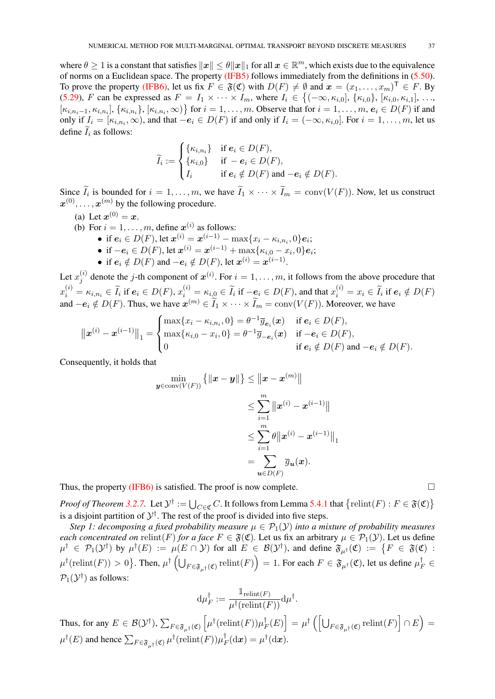where  $\theta \geq 1$  is a constant that satisfies  $||x|| \leq \theta ||x||_1$  for all  $x \in \mathbb{R}^m$ , which exists due to the equivalence of norms on a Euclidean space. The property [\(IFB5\)](#page-12-5) follows immediately from the definitions in [\(5.50\)](#page-35-4). To prove the property [\(IFB6\),](#page-12-0) let us fix  $F \in \mathfrak{F}(\mathfrak{C})$  with  $D(F) \neq \emptyset$  and  $\mathfrak{x} = (x_1, \dots, x_m)^\top \in F$ . By [\(5.29\)](#page-31-2), F can be expressed as  $F = I_1 \times \cdots \times I_m$ , where  $I_i \in \{(-\infty, \kappa_{i,0}], \{\kappa_{i,0}\}, [\kappa_{i,0}, \kappa_{i,1}], \ldots,$  $\{\kappa_{i,n_i-1},\kappa_{i,n_i}\},\{\kappa_{i,n_i},\infty)\}\$  for  $i=1,\ldots,m$ . Observe that for  $i=1,\ldots,m$ ,  $e_i\in D(F)$  if and only if  $I_i = [\kappa_{i,n_i}, \infty)$ , and that  $-e_i \in D(F)$  if and only if  $I_i = (-\infty, \kappa_{i,0}]$ . For  $i = 1, \ldots, m$ , let us define  $\widetilde{I}_i$  as follows:

$$
\widetilde{I}_i := \begin{cases}\n\{\kappa_{i,n_i}\} & \text{if } \mathbf{e}_i \in D(F), \\
\{\kappa_{i,0}\} & \text{if } -\mathbf{e}_i \in D(F), \\
I_i & \text{if } \mathbf{e}_i \notin D(F) \text{ and } -\mathbf{e}_i \notin D(F).\n\end{cases}
$$

Since  $I_i$  is bounded for  $i = 1, ..., m$ , we have  $I_1 \times \cdots \times I_m = \text{conv}(V(F))$ . Now, let us construct  $x^{(0)}, \ldots, x^{(m)}$  by the following procedure.

- (a) Let  $x^{(0)} = x$ .
- (b) For  $i = 1, \ldots, m$ , define  $\boldsymbol{x}^{(i)}$  as follows:
	- if  $e_i \in D(F)$ , let  $\mathbf{x}^{(i)} = \mathbf{x}^{(i-1)} \max\{x_i \kappa_{i,n_i}, 0\}e_i;$
	- if  $-e_i \in D(F)$ , let  $\mathbf{x}^{(i)} = \mathbf{x}^{(i-1)} + \max\{\kappa_{i,0} x_i, 0\}e_i;$
	- if  $e_i \notin D(F)$  and  $-e_i \notin D(F)$ , let  $\mathbf{x}^{(i)} = \mathbf{x}^{(i-1)}$ .

Let  $x_i^{(i)}$  $j_j^{(i)}$  denote the *j*-th component of  $x^{(i)}$ . For  $i = 1, ..., m$ , it follows from the above procedure that  $x_i^{(i)} = \kappa_{i,n_i} \in \widetilde{I}_i$  if  $e_i \in D(F)$ ,  $x_i^{(i)} = \kappa_{i,0} \in \widetilde{I}_i$  if  $-e_i \in D(F)$ , and that  $x_i^{(i)} = x_i \in \widetilde{I}_i$  if  $e_i \notin D(F)$ and  $-e_i \notin D(F)$ . Thus, we have  $\mathbf{x}^{(m)} \in \widetilde{I}_1 \times \cdots \times \widetilde{I}_m = \text{conv}(V(F))$ . Moreover, we have

$$
\|x^{(i)} - x^{(i-1)}\|_1 = \begin{cases} \max\{x_i - \kappa_{i,n_i}, 0\} = \theta^{-1} \overline{g}_{\mathbf{e}_i}(\mathbf{x}) & \text{if } \mathbf{e}_i \in D(F), \\ \max\{\kappa_{i,0} - x_i, 0\} = \theta^{-1} \overline{g}_{-\mathbf{e}_i}(\mathbf{x}) & \text{if } -\mathbf{e}_i \in D(F), \\ 0 & \text{if } \mathbf{e}_i \notin D(F) \text{ and } -\mathbf{e}_i \notin D(F). \end{cases}
$$

Consequently, it holds that

$$
\begin{aligned} \min_{\boldsymbol{y} \in \operatorname{conv}(V(F))} \left\{ \left\| \boldsymbol{x} - \boldsymbol{y} \right\| \right\} &\leq \left\| \boldsymbol{x} - \boldsymbol{x}^{(m)} \right\| \\ &\leq \sum_{i=1}^m \left\| \boldsymbol{x}^{(i)} - \boldsymbol{x}^{(i-1)} \right\| \\ &\leq \sum_{i=1}^m \theta \left\| \boldsymbol{x}^{(i)} - \boldsymbol{x}^{(i-1)} \right\|_1 \\ &= \sum_{\boldsymbol{u} \in D(F)} \overline{g}_{\boldsymbol{u}}(\boldsymbol{x}). \end{aligned}
$$

Thus, the property [\(IFB6\)](#page-12-0) is satisfied. The proof is now complete.  $\Box$ 

*Proof of Theorem* [3.2.7.](#page-13-1) Let  $\mathcal{Y}^{\dagger} := \bigcup_{C \in \mathfrak{C}} C$ . It follows from Lemma [5.4.1](#page-30-1) that  $\{\text{relint}(F) : F \in \mathfrak{F}(\mathfrak{C})\}$ is a disjoint partition of  $\mathcal{Y}^{\dagger}$ . The rest of the proof is divided into five steps.

*Step 1: decomposing a fixed probability measure*  $\mu \in \mathcal{P}_1(\mathcal{Y})$  *into a mixture of probability measures each concentrated on* relint(F) *for a face*  $F \in \mathfrak{F}(\mathfrak{C})$ . Let us fix an arbitrary  $\mu \in \mathcal{P}_1(\mathcal{Y})$ . Let us define  $\mu^{\dagger} \in \mathcal{P}_1(\mathcal{Y}^{\dagger})$  by  $\mu^{\dagger}(E) := \mu(E \cap \mathcal{Y})$  for all  $E \in \mathcal{B}(\mathcal{Y}^{\dagger})$ , and define  $\mathfrak{F}_{\mu^{\dagger}}(\mathfrak{C}) := \{ F \in \mathfrak{F}(\mathfrak{C}) :$  $\mu^\dagger(\mathrm{relint}(F))>0\big\}$ . Then,  $\mu^\dagger\left(\bigcup_{F\in\mathfrak{F}_{\mu^\dagger}(\mathfrak{C})}\mathrm{relint}(F)\right)=1$ . For each  $F\in\mathfrak{F}_{\mu^\dagger}(\mathfrak{C})$ , let us define  $\mu_F^\dagger\in\mathfrak{F}_{\mu^\dagger}$  $\mathcal{P}_1(\mathcal{Y}^{\dagger})$  as follows:

$$
\mathrm{d}\mu_F^\dagger := \frac{\mathbb{1}_{\mathrm{relint}(F)}}{\mu^\dagger(\mathrm{relint}(F))} \mathrm{d}\mu^\dagger.
$$

Thus, for any  $E \in \mathcal{B}(\mathcal{Y}^{\dagger}), \sum_{F \in \mathfrak{F}_{\mu^{\dagger}}(\mathfrak{C})}$  $\left[\mu^{\dagger}(\text{relint}(F))\mu_{R}^{\dagger}\right]$  $\Big[ \frac{1}{F}(E) \Big] = \mu^\dagger \left( \left[ \bigcup_{F \in \mathfrak{F}_{\mu^\dagger}(\mathfrak{C})} \mathrm{relint}(F) \right] \cap E \right) =$  $\mu^{\dagger}(E)$  and hence  $\sum_{F \in \mathfrak{F}_{\mu^{\dagger}}(\mathfrak{C})} \mu^{\dagger}(\mathrm{relint}(F)) \mu^{\dagger}_F$  $_{F}^{\dagger}(\mathrm{d}\boldsymbol{x})=\mu^{\dagger}(\mathrm{d}\boldsymbol{x}).$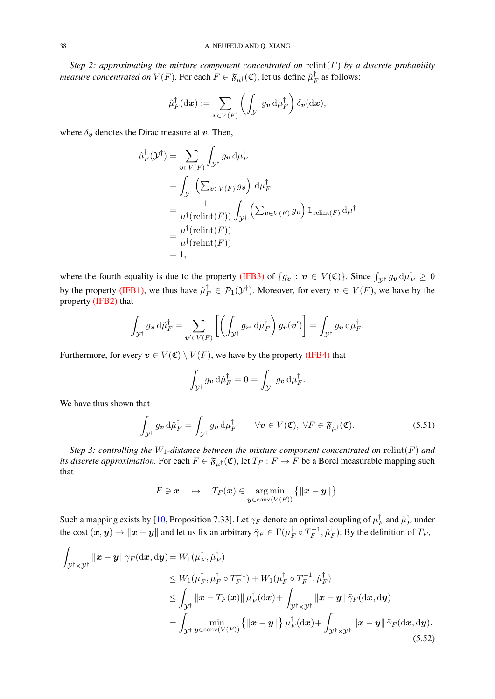<span id="page-37-2"></span>*Step 2: approximating the mixture component concentrated on* relint(F) *by a discrete probability measure concentrated on*  $V(F)$ *. For each*  $F\in \mathfrak{F}_{\mu^{\dagger}}(\mathfrak{C}),$  *let us define*  $\hat{\mu}_I^{\dagger}$  $\frac{1}{F}$  as follows:

$$
\hat{\mu}_F^{\dagger}(\mathrm{d}\boldsymbol{x}):=\sum_{\boldsymbol{v}\in V(F)}\left(\int_{\mathcal{Y}^{\dagger}}g_{\boldsymbol{v}}\,\mathrm{d}\mu_F^{\dagger}\right)\delta_{\boldsymbol{v}}(\mathrm{d}\boldsymbol{x}),
$$

where  $\delta_{v}$  denotes the Dirac measure at v. Then,

$$
\hat{\mu}_F^{\dagger}(\mathcal{Y}^{\dagger}) = \sum_{\mathbf{v} \in V(F)} \int_{\mathcal{Y}^{\dagger}} g_{\mathbf{v}} d\mu_F^{\dagger} \n= \int_{\mathcal{Y}^{\dagger}} \left( \sum_{\mathbf{v} \in V(F)} g_{\mathbf{v}} \right) d\mu_F^{\dagger} \n= \frac{1}{\mu^{\dagger}(\text{relint}(F))} \int_{\mathcal{Y}^{\dagger}} \left( \sum_{\mathbf{v} \in V(F)} g_{\mathbf{v}} \right) \mathbb{1}_{\text{relint}(F)} d\mu^{\dagger} \n= \frac{\mu^{\dagger}(\text{relint}(F))}{\mu^{\dagger}(\text{relint}(F))} \n= 1,
$$

where the fourth equality is due to the property [\(IFB3\)](#page-12-3) of  $\{g_v : v \in V(\mathfrak{C})\}$ . Since  $\int_{\mathcal{Y}^{\dagger}} g_v \, \mathrm{d} \mu_F^{\dagger} \geq 0$ by the property [\(IFB1\),](#page-11-3) we thus have  $\hat{\mu}_F^{\dagger} \in \mathcal{P}_1(\mathcal{Y}^{\dagger})$ . Moreover, for every  $v \in V(F)$ , we have by the property [\(IFB2\)](#page-12-2) that

$$
\int_{\mathcal{Y}^{\dagger}} g_{\boldsymbol{v}} \, d\hat{\mu}_F^{\dagger} = \sum_{\boldsymbol{v}' \in V(F)} \left[ \left( \int_{\mathcal{Y}^{\dagger}} g_{\boldsymbol{v}'} \, d\mu_F^{\dagger} \right) g_{\boldsymbol{v}}(\boldsymbol{v}') \right] = \int_{\mathcal{Y}^{\dagger}} g_{\boldsymbol{v}} \, d\mu_F^{\dagger}.
$$

Furthermore, for every  $v \in V(\mathfrak{C}) \setminus V(F)$ , we have by the property [\(IFB4\)](#page-12-4) that

<span id="page-37-1"></span>
$$
\int_{\mathcal{Y}^{\dagger}} g_{\boldsymbol{v}} \, d\hat{\mu}_F^{\dagger} = 0 = \int_{\mathcal{Y}^{\dagger}} g_{\boldsymbol{v}} \, d\mu_F^{\dagger}.
$$

We have thus shown that

$$
\int_{\mathcal{Y}^{\dagger}} g_{\mathbf{v}} \, d\hat{\mu}_F^{\dagger} = \int_{\mathcal{Y}^{\dagger}} g_{\mathbf{v}} \, d\mu_F^{\dagger} \qquad \forall \mathbf{v} \in V(\mathfrak{C}), \ \forall F \in \mathfrak{F}_{\mu^{\dagger}}(\mathfrak{C}). \tag{5.51}
$$

*Step 3: controlling the*  $W_1$ -distance between the mixture component concentrated on relint(F) and *its discrete approximation.* For each  $F \in \mathfrak{F}_{\mu^{\dagger}}(\mathfrak{C})$ , let  $T_F : F \to F$  be a Borel measurable mapping such that

<span id="page-37-0"></span>
$$
F\ni \boldsymbol{x}\quad \mapsto\quad T_F(\boldsymbol{x})\in \argmin_{\boldsymbol{y}\in \operatorname{conv}(V(F))}\big\{\|\boldsymbol{x}-\boldsymbol{y}\|\big\}.
$$

Such a mapping exists by [\[10,](#page-45-20) Proposition 7.33]. Let  $\gamma_F$  denote an optimal coupling of  $\mu_I^{\dagger}$  $_{F}^{\dagger}$  and  $\hat{\mu}^{\dagger}_{I}$  $E_F^{\dagger}$  under the cost  $(\bm x,\bm y)\mapsto \|\bm x-\bm y\|$  and let us fix an arbitrary  $\tilde\gamma_F\in\Gamma(\mu_R^\dagger)$  $_{F}^{\dagger}\circ T_{F}^{-1}$  $\hat{\mu}_F^{-1}, \hat{\mu}_I^{\dagger}$  $T_F$ ). By the definition of  $T_F$ ,

$$
\int_{\mathcal{Y}^{\dagger} \times \mathcal{Y}^{\dagger}} \|\mathbf{x} - \mathbf{y}\| \gamma_F(\mathrm{d}\mathbf{x}, \mathrm{d}\mathbf{y}) = W_1(\mu_F^{\dagger}, \hat{\mu}_F^{\dagger})
$$
\n
$$
\leq W_1(\mu_F^{\dagger}, \mu_F^{\dagger} \circ T_F^{-1}) + W_1(\mu_F^{\dagger} \circ T_F^{-1}, \hat{\mu}_F^{\dagger})
$$
\n
$$
\leq \int_{\mathcal{Y}^{\dagger}} \|\mathbf{x} - T_F(\mathbf{x})\| \mu_F^{\dagger}(\mathrm{d}\mathbf{x}) + \int_{\mathcal{Y}^{\dagger} \times \mathcal{Y}^{\dagger}} \|\mathbf{x} - \mathbf{y}\| \tilde{\gamma}_F(\mathrm{d}\mathbf{x}, \mathrm{d}\mathbf{y})
$$
\n
$$
= \int_{\mathcal{Y}^{\dagger}} \min_{\mathbf{y} \in \operatorname{conv}(V(F))} \left\{ \|\mathbf{x} - \mathbf{y}\| \right\} \mu_F^{\dagger}(\mathrm{d}\mathbf{x}) + \int_{\mathcal{Y}^{\dagger} \times \mathcal{Y}^{\dagger}} \|\mathbf{x} - \mathbf{y}\| \tilde{\gamma}_F(\mathrm{d}\mathbf{x}, \mathrm{d}\mathbf{y}). \tag{5.52}
$$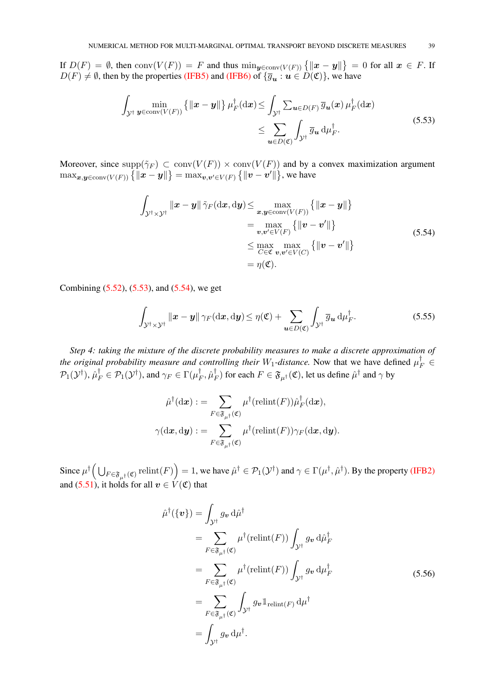If  $D(F) = \emptyset$ , then  $\text{conv}(V(F)) = F$  and thus  $\min_{\mathbf{y} \in \text{conv}(V(F))} \{ ||\mathbf{x} - \mathbf{y}|| \} = 0$  for all  $\mathbf{x} \in F$ . If  $D(F) \neq \emptyset$ , then by the properties [\(IFB5\)](#page-12-5) and [\(IFB6\)](#page-12-0) of  ${\overline{g_u : u \in D(\mathfrak{C})}}$ , we have

$$
\int_{\mathcal{Y}^{\dagger}} \min_{\mathbf{y} \in \operatorname{conv}(V(F))} \left\{ \|\mathbf{x} - \mathbf{y}\| \right\} \mu_F^{\dagger}(\mathrm{d}\mathbf{x}) \le \int_{\mathcal{Y}^{\dagger}} \sum_{\mathbf{u} \in D(F)} \overline{g}_{\mathbf{u}}(\mathbf{x}) \mu_F^{\dagger}(\mathrm{d}\mathbf{x}) \le \sum_{\mathbf{u} \in D(\mathfrak{C})} \int_{\mathcal{Y}^{\dagger}} \overline{g}_{\mathbf{u}} \, \mathrm{d}\mu_F^{\dagger}.
$$
\n(5.53)

Moreover, since  $supp(\tilde{\gamma}_F) \subset conv(V(F)) \times conv(V(F))$  and by a convex maximization argument  $\max_{\bm{x},\bm{y}\in\text{conv}(V(F))}\left\{\|\bm{x}-\bm{y}\|\right\} = \max_{\bm{v},\bm{v}'\in V(F)}\left\{\|\bm{v}-\bm{v}'\|\right\}$ , we have

<span id="page-38-1"></span><span id="page-38-0"></span>
$$
\int_{\mathcal{Y}^{\dagger} \times \mathcal{Y}^{\dagger}} ||\mathbf{x} - \mathbf{y}|| \tilde{\gamma}_F(\mathrm{d}\mathbf{x}, \mathrm{d}\mathbf{y}) \le \max_{\mathbf{x}, \mathbf{y} \in \mathrm{conv}(V(F))} \{ ||\mathbf{x} - \mathbf{y}|| \}
$$
\n
$$
= \max_{\mathbf{v}, \mathbf{v}' \in V(F)} \{ ||\mathbf{v} - \mathbf{v}'|| \}
$$
\n
$$
\le \max_{C \in \mathfrak{C}} \max_{\mathbf{v}, \mathbf{v}' \in V(C)} \{ ||\mathbf{v} - \mathbf{v}'|| \}
$$
\n
$$
= \eta(\mathfrak{C}).
$$
\n(5.54)

Combining [\(5.52\)](#page-37-0), [\(5.53\)](#page-38-0), and [\(5.54\)](#page-38-1), we get

<span id="page-38-2"></span>
$$
\int_{\mathcal{Y}^{\dagger}\times\mathcal{Y}^{\dagger}}\|\boldsymbol{x}-\boldsymbol{y}\|\,\gamma_F(\mathrm{d}\boldsymbol{x},\mathrm{d}\boldsymbol{y})\leq \eta(\mathfrak{C})+\sum_{\boldsymbol{u}\in D(\mathfrak{C})}\int_{\mathcal{Y}^{\dagger}}\overline{g}_{\boldsymbol{u}}\,\mathrm{d}\mu_F^{\dagger}.
$$
\n(5.55)

*Step 4: taking the mixture of the discrete probability measures to make a discrete approximation of the original probability measure and controlling their*  $W_1$ -distance. Now that we have defined  $\mu_F^{\dagger} \in$  $\mathcal{P}_1(\mathcal{Y}^{\dagger}), \hat{\mu}_F^{\dagger} \in \mathcal{P}_1(\mathcal{Y}^{\dagger}),$  and  $\gamma_F \in \Gamma(\mu_F^{\dagger})$  $_{F}^{\dagger},\hat{\mu}_{I}^{\dagger}$  $_{F}^{\dagger})$  for each  $F\in\mathfrak{F}_{\mu^{\dagger}}(\mathfrak{C}),$  let us define  $\hat{\mu}^{\dagger}$  and  $\gamma$  by

$$
\hat{\mu}^\dagger(\mathrm{d}\boldsymbol{x}) := \sum_{F \in \mathfrak{F}_{\mu^\dagger}(\mathfrak{C})} \mu^\dagger(\mathrm{relint}(F)) \hat{\mu}_F^\dagger(\mathrm{d}\boldsymbol{x}),
$$

$$
\gamma(\mathrm{d}\boldsymbol{x},\mathrm{d}\boldsymbol{y}) := \sum_{F \in \mathfrak{F}_{\mu^\dagger}(\mathfrak{C})} \mu^\dagger(\mathrm{relint}(F)) \gamma_F(\mathrm{d}\boldsymbol{x},\mathrm{d}\boldsymbol{y}).
$$

Since  $\mu^{\dagger}(\bigcup_{F \in \mathfrak{F}_{\mu^{\dagger}}(\mathfrak{C})} \operatorname{relint}(F) \Big) = 1$ , we have  $\hat{\mu}^{\dagger} \in \mathcal{P}_1(\mathcal{Y}^{\dagger})$  and  $\gamma \in \Gamma(\mu^{\dagger}, \hat{\mu}^{\dagger})$ . By the property [\(IFB2\)](#page-12-2) and [\(5.51\)](#page-37-1), it holds for all  $v \in V(\mathfrak{C})$  that

<span id="page-38-3"></span>
$$
\hat{\mu}^{\dagger}(\{\mathbf{v}\}) = \int_{\mathcal{Y}^{\dagger}} g_{\mathbf{v}} \, d\hat{\mu}^{\dagger} \n= \sum_{F \in \mathfrak{F}_{\mu^{\dagger}}(\mathfrak{C})} \mu^{\dagger}(\mathrm{relint}(F)) \int_{\mathcal{Y}^{\dagger}} g_{\mathbf{v}} \, d\hat{\mu}^{\dagger}_{F} \n= \sum_{F \in \mathfrak{F}_{\mu^{\dagger}}(\mathfrak{C})} \mu^{\dagger}(\mathrm{relint}(F)) \int_{\mathcal{Y}^{\dagger}} g_{\mathbf{v}} \, d\mu^{\dagger}_{F} \n= \sum_{F \in \mathfrak{F}_{\mu^{\dagger}}(\mathfrak{C})} \int_{\mathcal{Y}^{\dagger}} g_{\mathbf{v}} \mathbb{1}_{\mathrm{relint}(F)} \, d\mu^{\dagger} \n= \int_{\mathcal{Y}^{\dagger}} g_{\mathbf{v}} \, d\mu^{\dagger}.
$$
\n(5.56)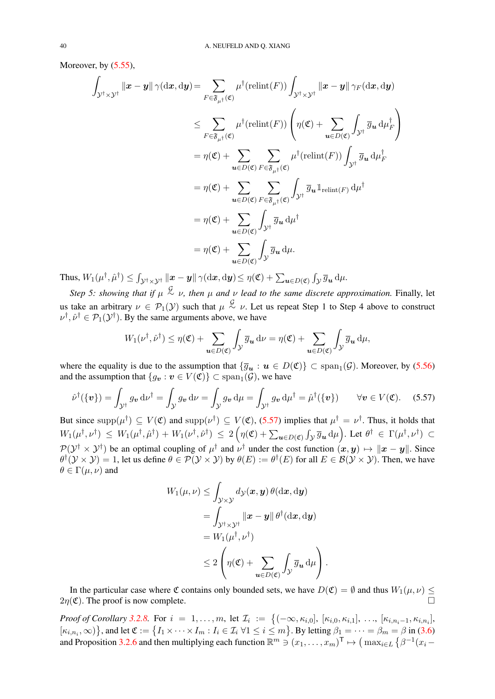Moreover, by  $(5.55)$ ,

$$
\int_{\mathcal{Y}^{\dagger} \times \mathcal{Y}^{\dagger}} \|\mathbf{x} - \mathbf{y}\| \gamma(\mathrm{d}\mathbf{x}, \mathrm{d}\mathbf{y}) = \sum_{F \in \mathfrak{F}_{\mu^{\dagger}}(\mathfrak{C})} \mu^{\dagger}(\mathrm{relint}(F)) \int_{\mathcal{Y}^{\dagger} \times \mathcal{Y}^{\dagger}} \|\mathbf{x} - \mathbf{y}\| \gamma_F(\mathrm{d}\mathbf{x}, \mathrm{d}\mathbf{y})
$$
\n
$$
\leq \sum_{F \in \mathfrak{F}_{\mu^{\dagger}}(\mathfrak{C})} \mu^{\dagger}(\mathrm{relint}(F)) \left(\eta(\mathfrak{C}) + \sum_{\mathbf{u} \in D(\mathfrak{C})} \int_{\mathcal{Y}^{\dagger}} \overline{g}_{\mathbf{u}} \, \mathrm{d} \mu_F^{\dagger}\right)
$$
\n
$$
= \eta(\mathfrak{C}) + \sum_{\mathbf{u} \in D(\mathfrak{C})} \sum_{F \in \mathfrak{F}_{\mu^{\dagger}}(\mathfrak{C})} \mu^{\dagger}(\mathrm{relint}(F)) \int_{\mathcal{Y}^{\dagger}} \overline{g}_{\mathbf{u}} \, \mathrm{d} \mu_F^{\dagger}
$$
\n
$$
= \eta(\mathfrak{C}) + \sum_{\mathbf{u} \in D(\mathfrak{C})} \sum_{F \in \mathfrak{F}_{\mu^{\dagger}}(\mathfrak{C})} \int_{\mathcal{Y}^{\dagger}} \overline{g}_{\mathbf{u}} \mathbb{1}_{\mathrm{relint}(F)} \, \mathrm{d} \mu^{\dagger}
$$
\n
$$
= \eta(\mathfrak{C}) + \sum_{\mathbf{u} \in D(\mathfrak{C})} \int_{\mathcal{Y}^{\dagger}} \overline{g}_{\mathbf{u}} \, \mathrm{d} \mu^{\dagger}
$$
\n
$$
= \eta(\mathfrak{C}) + \sum_{\mathbf{u} \in D(\mathfrak{C})} \int_{\mathcal{Y}} \overline{g}_{\mathbf{u}} \, \mathrm{d} \mu.
$$

Thus,  $W_1(\mu^\dagger, \hat{\mu}^\dagger) \leq \int_{\mathcal{Y}^\dagger \times \mathcal{Y}^\dagger} ||\bm{x} - \bm{y}|| \, \gamma(\mathrm{d}\bm{x}, \mathrm{d}\bm{y}) \leq \eta(\mathfrak{C}) + \sum_{\bm{u} \in D(\mathfrak{C})} \int_{\mathcal{Y}} \overline{g}_{\bm{u}} \, \mathrm{d}\mu.$ 

*Step 5: showing that if*  $\mu \stackrel{G}{\sim} \nu$ , then  $\mu$  *and*  $\nu$  *lead to the same discrete approximation.* Finally, let us take an arbitrary  $\nu \in \mathcal{P}_1(\mathcal{Y})$  such that  $\mu \stackrel{\mathcal{G}}{\sim} \nu$ . Let us repeat Step 1 to Step 4 above to construct  $\nu^{\dagger}$ ,  $\hat{\nu}^{\dagger} \in \mathcal{P}_1(\mathcal{Y}^{\dagger})$ . By the same arguments above, we have

$$
W_1(\nu^{\dagger}, \hat{\nu}^{\dagger}) \leq \eta(\mathfrak{C}) + \sum_{\mathbf{u} \in D(\mathfrak{C})} \int_{\mathcal{Y}} \overline{g}_{\mathbf{u}} \, d\nu = \eta(\mathfrak{C}) + \sum_{\mathbf{u} \in D(\mathfrak{C})} \int_{\mathcal{Y}} \overline{g}_{\mathbf{u}} \, d\mu,
$$

where the equality is due to the assumption that  $\{\overline{g}_{u} : u \in D(\mathfrak{C})\} \subset \text{span}_{1}(\mathcal{G})$ . Moreover, by [\(5.56\)](#page-38-3) and the assumption that  $\{g_{\boldsymbol{v}} : \boldsymbol{v} \in V(\mathfrak{C})\} \subset \text{span}_1(\mathcal{G})$ , we have

$$
\hat{\nu}^{\dagger}(\{\mathbf{v}\}) = \int_{\mathcal{Y}^{\dagger}} g_{\mathbf{v}} \, \mathrm{d} \nu^{\dagger} = \int_{\mathcal{Y}} g_{\mathbf{v}} \, \mathrm{d} \nu = \int_{\mathcal{Y}} g_{\mathbf{v}} \, \mathrm{d} \mu = \int_{\mathcal{Y}^{\dagger}} g_{\mathbf{v}} \, \mathrm{d} \mu^{\dagger} = \hat{\mu}^{\dagger}(\{\mathbf{v}\}) \qquad \forall \mathbf{v} \in V(\mathfrak{C}). \tag{5.57}
$$

But since  $\text{supp}(\mu^{\dagger}) \subseteq V(\mathfrak{C})$  and  $\text{supp}(\nu^{\dagger}) \subseteq V(\mathfrak{C})$ , [\(5.57\)](#page-39-0) implies that  $\mu^{\dagger} = \nu^{\dagger}$ . Thus, it holds that  $W_1(\mu^\dagger, \nu^\dagger) \ \leq \ W_1(\mu^\dagger, \hat{\mu}^\dagger) + W_1(\nu^\dagger, \hat{\nu}^\dagger) \ \leq \ 2 \left( \eta(\mathfrak{C}) + \sum_{\bm{u} \in D(\mathfrak{C})} \int_{\mathcal{Y}} \overline{g}_{\bm{u}} \, \mathrm{d} \mu \right) .$  Let  $\theta^\dagger \ \in \ \Gamma(\mu^\dagger, \nu^\dagger) \ \subset$  $\mathcal{P}(\mathcal{Y}^{\dagger} \times \mathcal{Y}^{\dagger})$  be an optimal coupling of  $\mu^{\dagger}$  and  $\nu^{\dagger}$  under the cost function  $(x, y) \mapsto ||x - y||$ . Since  $\theta^{\dagger}(\mathcal{Y} \times \mathcal{Y}) = 1$ , let us define  $\theta \in \mathcal{P}(\mathcal{Y} \times \mathcal{Y})$  by  $\theta(E) := \theta^{\dagger}(E)$  for all  $E \in \mathcal{B}(\mathcal{Y} \times \mathcal{Y})$ . Then, we have  $\theta \in \Gamma(\mu, \nu)$  and

<span id="page-39-0"></span>
$$
W_1(\mu, \nu) \leq \int_{\mathcal{Y} \times \mathcal{Y}} d\mathcal{Y}(\boldsymbol{x}, \boldsymbol{y}) \, \theta(\mathrm{d}\boldsymbol{x}, \mathrm{d}\boldsymbol{y})
$$
  
= 
$$
\int_{\mathcal{Y}^\dagger \times \mathcal{Y}^\dagger} \|\boldsymbol{x} - \boldsymbol{y}\| \, \theta^\dagger(\mathrm{d}\boldsymbol{x}, \mathrm{d}\boldsymbol{y})
$$
  
= 
$$
W_1(\mu^\dagger, \nu^\dagger)
$$
  

$$
\leq 2 \left( \eta(\mathfrak{C}) + \sum_{\boldsymbol{u} \in D(\mathfrak{C})} \int_{\mathcal{Y}} \overline{g}_{\boldsymbol{u}} \, \mathrm{d}\mu \right).
$$

In the particular case where  $\mathfrak C$  contains only bounded sets, we have  $D(\mathfrak C) = \emptyset$  and thus  $W_1(\mu, \nu) \leq$  $2\eta(\mathfrak{C})$ . The proof is now complete.

*Proof of Corollary* [3.2.8.](#page-13-2) For  $i = 1, ..., m$ , let  $\mathcal{I}_i := \{(-\infty, \kappa_{i,0}], [\kappa_{i,0}, \kappa_{i,1}], ..., [\kappa_{i,n_i-1}, \kappa_{i,n_i}],\}$  $\{\kappa_{i,n_i},\infty)\}\$ , and let  $\mathfrak{C}:=\left\{I_1\times\dots\times I_m: I_i\in\mathcal{I}_i\;\forall 1\leq i\leq m\right\}\right\}$ . By letting  $\beta_1=\dots=\beta_m=\beta$  in [\(3.6\)](#page-13-0) and Proposition [3.2.6](#page-13-0) and then multiplying each function  $\mathbb{R}^m \ni (x_1, \dots, x_m)^\top \mapsto (\max_{i \in L} {\{\beta^{-1}(x_i - \beta_i)\}})$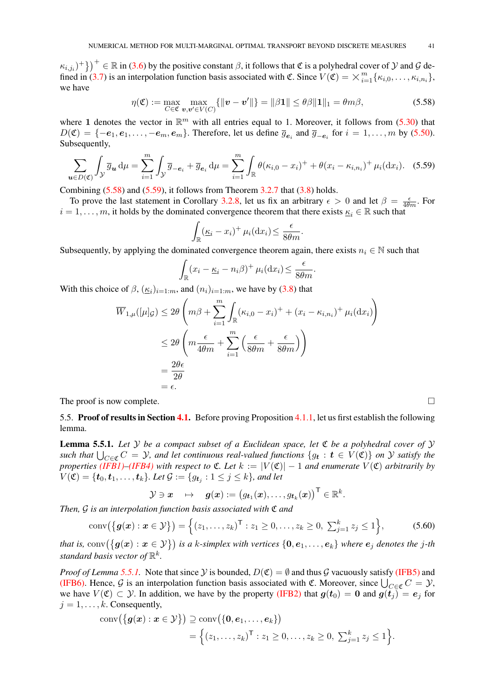$\{(\kappa_{i,j_i})^+\}^+ \in \mathbb{R}$  in [\(3.6\)](#page-13-0) by the positive constant  $\beta$ , it follows that  $\mathfrak C$  is a polyhedral cover of  $\mathcal Y$  and  $\mathcal G$  de- $\kappa_{i,j_i}$ )<sup> $\top$ </sup>})  $\in \mathbb{R}$  in (3.6) by the positive constant  $\beta$ , it follows that  $\mathfrak{C}$  is a polyhedral cover of  $\mathcal Y$  and  $\mathcal G$  defined in [\(3.7\)](#page-13-3) is an interpolation function basis associated with  $\mathfrak{C}$ . Si we have

$$
\eta(\mathfrak{C}) := \max_{C \in \mathfrak{C}} \max_{\boldsymbol{v}, \boldsymbol{v}' \in V(C)} \{ ||\boldsymbol{v} - \boldsymbol{v}'|| \} = ||\beta \mathbf{1}|| \le \theta \beta ||\mathbf{1}||_1 = \theta m \beta,
$$
\n(5.58)

where 1 denotes the vector in  $\mathbb{R}^m$  with all entries equal to 1. Moreover, it follows from [\(5.30\)](#page-31-3) that  $D(\mathfrak{C}) = \{-e_1, e_1, \ldots, -e_m, e_m\}$ . Therefore, let us define  $\overline{g}_{e_i}$  and  $\overline{g}_{-e_i}$  for  $i = 1, \ldots, m$  by [\(5.50\)](#page-35-4). Subsequently,

$$
\sum_{\mathbf{u}\in D(\mathfrak{C})} \int_{\mathcal{Y}} \overline{g}_{\mathbf{u}} d\mu = \sum_{i=1}^{m} \int_{\mathcal{Y}} \overline{g}_{-\mathbf{e}_i} + \overline{g}_{\mathbf{e}_i} d\mu = \sum_{i=1}^{m} \int_{\mathbb{R}} \theta(\kappa_{i,0} - x_i)^+ + \theta(x_i - \kappa_{i,n_i})^+ \mu_i(dx_i). \quad (5.59)
$$

Combining  $(5.58)$  and  $(5.59)$ , it follows from Theorem [3.2.7](#page-13-1) that  $(3.8)$  holds.

To prove the last statement in Corollary [3.2.8,](#page-13-2) let us fix an arbitrary  $\epsilon > 0$  and let  $\beta = \frac{\epsilon}{4\theta m}$ . For  $i = 1, \ldots, m$ , it holds by the dominated convergence theorem that there exists  $\underline{\kappa}_i \in \mathbb{R}$  such that

<span id="page-40-2"></span><span id="page-40-1"></span>
$$
\int_{\mathbb{R}} (\underline{\kappa}_i - x_i)^+ \mu_i(\mathrm{d}x_i) \le \frac{\epsilon}{8\theta m}.
$$

Subsequently, by applying the dominated convergence theorem again, there exists  $n_i \in \mathbb{N}$  such that

$$
\int_{\mathbb{R}} (x_i - \underline{\kappa}_i - n_i \beta)^+ \mu_i(\mathrm{d}x_i) \le \frac{\epsilon}{8\theta m}.
$$

With this choice of  $\beta$ ,  $(\underline{\kappa}_i)_{i=1:m}$ , and  $(n_i)_{i=1:m}$ , we have by [\(3.8\)](#page-13-2) that

$$
\overline{W}_{1,\mu}([\mu]_{\mathcal{G}}) \leq 2\theta \left( m\beta + \sum_{i=1}^{m} \int_{\mathbb{R}} (\kappa_{i,0} - x_i)^{+} + (x_i - \kappa_{i,n_i})^{+} \mu_i(\mathrm{d}x_i) \right)
$$
\n
$$
\leq 2\theta \left( m \frac{\epsilon}{4\theta m} + \sum_{i=1}^{m} \left( \frac{\epsilon}{8\theta m} + \frac{\epsilon}{8\theta m} \right) \right)
$$
\n
$$
= \frac{2\theta \epsilon}{2\theta}
$$
\n
$$
= \epsilon.
$$

The proof is now complete.  $\Box$ 

<span id="page-40-0"></span>5.5. Proof of results in Section [4.1.](#page-15-2) Before proving Proposition [4.1.1,](#page-15-4) let us first establish the following lemma.

Lemma 5.5.1. *Let* Y *be a compact subset of a Euclidean space, let* C *be a polyhedral cover of* Y such that  $\bigcup_{C\in\mathfrak{C}}C=\mathcal{Y}$ , and let continuous real-valued functions  $\{g_{\bf t}: {\bf t}\in V(\mathfrak{C})\}$  on  $\mathcal Y$  satisfy the *properties* (*IFB1*)–*[\(IFB4\)](#page-12-4)* with respect to  $\mathfrak{C}$ *. Let*  $k := |V(\mathfrak{C})| - 1$  *and enumerate*  $V(\mathfrak{C})$  *arbitrarily by*  $V(\mathfrak{C}) = \{\boldsymbol{t}_0, \boldsymbol{t}_1, \dots, \boldsymbol{t}_k\}$ . Let  $\mathcal{G} := \{g_{\boldsymbol{t}_j} : 1 \leq j \leq k\}$ , and let

<span id="page-40-3"></span>
$$
\mathcal{Y} \ni \boldsymbol{x} \quad \mapsto \quad \boldsymbol{g}(\boldsymbol{x}) := \big(g_{\boldsymbol{t}_1}(\boldsymbol{x}), \ldots, g_{\boldsymbol{t}_k}(\boldsymbol{x})\big)^\mathsf{T} \in \mathbb{R}^k.
$$

*Then,* G *is an interpolation function basis associated with* C *and*

conv(
$$
\{g(x) : x \in Y\}
$$
) = { $(z_1, ..., z_k)^\top : z_1 \ge 0, ..., z_k \ge 0, \sum_{j=1}^k z_j \le 1$ }, (5.60)

*that is,* conv $(\{g(x) : x \in Y\})$  *is a k-simplex with vertices*  $\{0, e_1, \ldots, e_k\}$  *where*  $e_j$  *denotes the* j-th standard basis vector of  $\mathbb{R}^k$ .

*Proof of Lemma* [5.5.1.](#page-40-3) Note that since  $\mathcal Y$  is bounded,  $D(\mathfrak{C}) = \emptyset$  and thus  $\mathcal G$  vacuously satisfy [\(IFB5\)](#page-12-5) and [\(IFB6\).](#page-12-0) Hence, G is an interpolation function basis associated with  $\mathfrak{C}$ . Moreover, since  $\bigcup_{C \in \mathfrak{C}} C = \mathcal{Y}$ , we have  $V(\mathfrak{C}) \subset \mathcal{Y}$ . In addition, we have by the property [\(IFB2\)](#page-12-2) that  $g(t_0) = 0$  and  $g(t_i) = e_i$  for  $j = 1, \ldots, k$ . Consequently,

$$
\operatorname{conv}(\{\boldsymbol{g}(\boldsymbol{x}): \boldsymbol{x} \in \mathcal{Y}\}) \supseteq \operatorname{conv}(\{\boldsymbol{0}, \boldsymbol{e}_1, \ldots, \boldsymbol{e}_k\})
$$
  
=  $\Big\{(z_1, \ldots, z_k)^\top : z_1 \geq 0, \ldots, z_k \geq 0, \sum_{j=1}^k z_j \leq 1\Big\}.$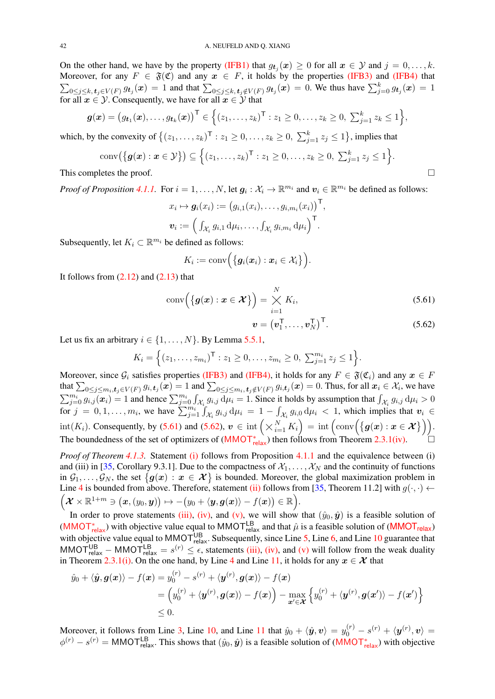<span id="page-41-2"></span>On the other hand, we have by the property [\(IFB1\)](#page-11-3) that  $g_{t_j}(x) \ge 0$  for all  $x \in \mathcal{Y}$  and  $j = 0, \ldots, k$ . Moreover, for any  $F \in \mathfrak{F}(\mathfrak{C})$  and any  $x \in F$ , it holds by the properties [\(IFB3\)](#page-12-3) and [\(IFB4\)](#page-12-4) that  $\sum_{0\leq j\leq k,\,t_j\in V(F)} g_{t_j}(x) = 1$  and that  $\sum_{0\leq j\leq k,\,t_j\notin V(F)} g_{t_j}(x) = 0$ . We thus have  $\sum_{j=0}^k g_{t_j}(x) = 1$ for all  $x \in \mathcal{Y}$ . Consequently, we have for all  $x \in \mathcal{Y}$  that

$$
\boldsymbol{g}(\boldsymbol{x}) = (g_{\boldsymbol{t}_1}(\boldsymbol{x}), \ldots, g_{\boldsymbol{t}_k}(\boldsymbol{x}))^\mathsf{T} \in \left\{ (z_1, \ldots, z_k)^\mathsf{T} : z_1 \geq 0, \ldots, z_k \geq 0, \ \sum_{j=1}^k z_k \leq 1 \right\},\
$$

which, by the convexity of  $\{(z_1,\ldots,z_k)^\top : z_1 \geq 0,\ldots,z_k \geq 0, \sum_{j=1}^k z_j \leq 1\}$ , implies that

$$
conv(\{g(x) : x \in \mathcal{Y}\}) \subseteq \left\{(z_1, \dots, z_k)^\top : z_1 \ge 0, \dots, z_k \ge 0, \sum_{j=1}^k z_j \le 1\right\}.
$$
  
This completes the proof.

*Proof of Proposition [4.1.1.](#page-15-4)* For  $i = 1, ..., N$ , let  $g_i : \mathcal{X}_i \to \mathbb{R}^{m_i}$  and  $v_i \in \mathbb{R}^{m_i}$  be defined as follows:

$$
x_i \mapsto \boldsymbol{g}_i(x_i) := (g_{i,1}(x_i), \ldots, g_{i,m_i}(x_i))^{\mathsf{T}},
$$
  

$$
\boldsymbol{v}_i := \left(\int_{\mathcal{X}_i} g_{i,1} \, \mathrm{d}\mu_i, \ldots, \int_{\mathcal{X}_i} g_{i,m_i} \, \mathrm{d}\mu_i\right)^{\mathsf{T}}.
$$

Subsequently, let  $K_i \subset \mathbb{R}^{m_i}$  be defined as follows:

$$
K_i := \mathrm{conv}\Big(\big\{\boldsymbol{g}_i(\boldsymbol{x}_i):\boldsymbol{x}_i\in\mathcal{X}_i\big\}\Big).
$$

It follows from  $(2.12)$  and  $(2.13)$  that

$$
conv(\{g(x): x \in \mathcal{X}\}) = \bigtimes_{i=1}^{N} K_i,
$$
\n(5.61)

<span id="page-41-1"></span><span id="page-41-0"></span>
$$
\boldsymbol{v} = (\boldsymbol{v}_1^{\mathsf{T}}, \dots, \boldsymbol{v}_N^{\mathsf{T}})^{\mathsf{T}}.
$$
 (5.62)

Let us fix an arbitrary  $i \in \{1, \ldots, N\}$ . By Lemma [5.5.1,](#page-40-3)

$$
K_i = \Big\{ (z_1, \ldots, z_{m_i})^{\mathsf{T}} : z_1 \geq 0, \ldots, z_{m_i} \geq 0, \ \sum_{j=1}^{m_i} z_j \leq 1 \Big\}.
$$

Moreover, since  $G_i$  satisfies properties [\(IFB3\)](#page-12-3) and [\(IFB4\),](#page-12-4) it holds for any  $F \in \mathfrak{F}(\mathfrak{C}_i)$  and any  $x \in F$ that  $\sum_{0\leq j\leq m_i,\boldsymbol{t}_j\in V(F)}g_{i,\boldsymbol{t}_j}(\boldsymbol{x})=1$  and  $\sum_{0\leq j\leq m_i,\boldsymbol{t}_j\notin V(F)}g_{i,\boldsymbol{t}_j}(\boldsymbol{x})=0.$  Thus, for all  $\boldsymbol{x}_i\in\mathcal{X}_i,$  we have  $\sum_{j=0}^{m_i} g_{i,j}(\boldsymbol{x}_i) = 1$  and hence  $\sum_{j=0}^{m_i} \int_{\mathcal{X}_i} g_{i,j} \, d\mu_i = 1$ . Since it holds by assumption that  $\int_{\mathcal{X}_i} g_{i,j} \, d\mu_i > 0$ for  $j = 0, 1, \ldots, m_i$ , we have  $\sum_{j=1}^{m_i} \int_{\mathcal{X}_i} g_{i,j} d\mu_i = 1 - \int_{\mathcal{X}_i} g_{i,0} d\mu_i < 1$ , which implies that  $v_i \in$  $\text{int}(K_i)$ . Consequently, by [\(5.61\)](#page-41-0) and [\(5.62\)](#page-41-1),  $\mathbf{v} \in \text{int}\left(\times_{i=1}^N K_i\right) = \text{int}\left(\text{conv}\left(\left\{\mathbf{g}(\mathbf{x}): \mathbf{x} \in \mathcal{X}\right\}\right)\right)$ . The boundedness of the set of optimizers of  $(MMOT_{relax}^*)$  $(MMOT_{relax}^*)$  $(MMOT_{relax}^*)$  then follows from Theorem [2.3.1\(iv\).](#page-9-0)

*Proof of Theorem [4.1.3.](#page-16-0)* Statement [\(i\)](#page-16-2) follows from Proposition [4.1.1](#page-15-4) and the equivalence between (i) and (iii) in [\[35,](#page-46-20) Corollary 9.3.1]. Due to the compactness of  $\mathcal{X}_1, \ldots, \mathcal{X}_N$  and the continuity of functions in  $\mathcal{G}_1,\ldots,\mathcal{G}_N$ , the set  $\{g(x): x \in \mathcal{X}\}\$ is bounded. Moreover, the global maximization problem in Line [4](#page-15-8) is bounded from above. Therefore, statement [\(ii\)](#page-16-6) follows from [\[35,](#page-46-20) Theorem 11.2] with  $g(\cdot, \cdot) \leftarrow$  $\left(\boldsymbol{\mathcal{X}}\times\mathbb{R}^{1+m}\ni\left(\boldsymbol{x},\left(y_0,\boldsymbol{y}\right)\right)\mapsto-\left(y_0+\left\langle \boldsymbol{y},\boldsymbol{g}(\boldsymbol{x})\right\rangle -f(\boldsymbol{x})\right)\in\mathbb{R}\right).$ 

In order to prove statements [\(iii\),](#page-16-3) [\(iv\),](#page-16-4) and [\(v\),](#page-16-0) we will show that  $(\hat{y}_0, \hat{y})$  is a feasible solution of ([MMOT](#page-5-0)<sub>relax</sub>) with objective value equal to MMOT<sup>LB</sup><sub>relax</sub> and that  $\hat{\mu}$  is a feasible solution of (MMOT<sub>relax</sub>) with objective value equal to MMOT $_{\text{relax}}^{\text{UB}}$ . Subsequently, since Line [5,](#page-15-11) Line [6,](#page-15-12) and Line [10](#page-15-3) guarantee that MMOT<sup>UB</sup><sub>relax</sub> – MMOT<sup>LB</sup><sub>relax</sub> =  $s^{(r)} \leq \epsilon$ , statements [\(iii\),](#page-16-3) [\(iv\),](#page-16-4) and [\(v\)](#page-16-0) will follow from the weak duality in Theorem [2.3.1](#page-9-0)[\(i\).](#page-8-7) On the one hand, by Line [4](#page-15-8) and Line [11,](#page-15-9) it holds for any  $x \in \mathcal{X}$  that

$$
\hat{y}_0 + \langle \hat{\mathbf{y}}, \mathbf{g}(\mathbf{x}) \rangle - f(\mathbf{x}) = y_0^{(r)} - s^{(r)} + \langle \mathbf{y}^{(r)}, \mathbf{g}(\mathbf{x}) \rangle - f(\mathbf{x})
$$
\n
$$
= \left( y_0^{(r)} + \langle \mathbf{y}^{(r)}, \mathbf{g}(\mathbf{x}) \rangle - f(\mathbf{x}) \right) - \max_{\mathbf{x}' \in \mathcal{X}} \left\{ y_0^{(r)} + \langle \mathbf{y}^{(r)}, \mathbf{g}(\mathbf{x}') \rangle - f(\mathbf{x}') \right\}
$$
\n
$$
\leq 0.
$$

Moreover, it follows from Line [3,](#page-15-6) Line [10,](#page-15-3) and Line [11](#page-15-9) that  $\hat{y}_0 + \langle \hat{y}, v \rangle = y_0^{(r)} - s^{(r)} + \langle y^{(r)}, v \rangle =$  $\phi^{(r)} - s^{(r)} = M M O T_{\text{relax}}^{\text{LB}}$ . This shows that  $(\hat{y}_0, \hat{y})$  is a feasible solution of ([MMOT](#page-8-0)<sub>relax</sub>) with objective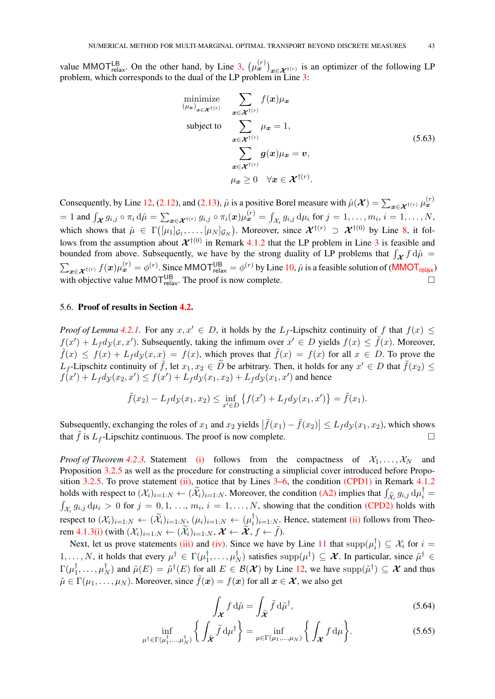value MMOT<sup>LB</sup><sub>relax</sub>. On the other hand, by Line [3,](#page-15-6)  $(\mu_x^{(r)})_{x \in \mathcal{X}^{\dagger(r)}}$  is an optimizer of the following LP problem, which corresponds to the dual of the LP problem in Line [3:](#page-15-6)

minimize  
\n
$$
\sum_{(\mu_x)_{x \in \mathcal{X}^{\dagger(r)}}} f(x) \mu_x
$$
\nsubject to  
\n
$$
\sum_{x \in \mathcal{X}^{\dagger(r)}} \mu_x = 1,
$$
\n
$$
\sum_{x \in \mathcal{X}^{\dagger(r)}} g(x) \mu_x = v,
$$
\n
$$
\mu_x \geq 0 \quad \forall x \in \mathcal{X}^{\dagger(r)}.
$$
\n(5.63)

Consequently, by Line [12,](#page-15-10) [\(2.12\)](#page-8-3), and [\(2.13\)](#page-8-4),  $\hat{\mu}$  is a positive Borel measure with  $\hat{\mu}(\mathcal{X}) = \sum_{x \in \mathcal{X}^{\dagger(r)}} \mu_x^{(r)}$  $\mathcal{L} = 1$  and  $\int_{\mathcal{X}} g_{i,j} \circ \pi_i \, d\hat{\mu} = \sum_{\bm{x} \in \mathcal{X}^{\dagger(r)}} g_{i,j} \circ \pi_i(\bm{x}) \mu_{\bm{x}}^{(r)} = \int_{\mathcal{X}_i} g_{i,j} \, d\mu_i$  for  $j = 1, \ldots, m_i, i = 1, \ldots, N$ , which shows that  $\hat{\mu} \in \Gamma([\mu_1]_{\mathcal{G}_1}, \ldots, [\mu_N]_{\mathcal{G}_N})$ . Moreover, since  $\mathcal{X}^{\dagger(r)} \supset \mathcal{X}^{\dagger(0)}$  by Line [8,](#page-15-13) it follows from the assumption about  $\mathcal{X}^{\dagger(0)}$  in Remark [4.1.2](#page-15-1) that the LP problem in Line [3](#page-15-6) is feasible and bounded from above. Subsequently, we have by the strong duality of LP problems that  $\int_{\mathcal{X}} f d\hat{\mu} =$  $\sum_{\bm{x}\in\bm{\mathcal{X}}^{\dagger(r)}} f(\bm{x})\mu^{(r)}_{\bm{x}} = \phi^{(r)}$ . Since [MMOT](#page-5-0) $_{\sf relax}^{\sf UB} = \phi^{(r)}$  by Line [10,](#page-15-3)  $\hat{\mu}$  is a feasible solution of (MMOT $_{\sf relax}$ ) with objective value MMOT $_{\text{relax}}^{\text{UB}}$ . The proof is now complete.

### <span id="page-42-0"></span>5.6. Proof of results in Section [4.2.](#page-16-1)

*Proof of Lemma* [4.2.1.](#page-16-5) For any  $x, x' \in D$ , it holds by the  $L_f$ -Lipschitz continuity of f that  $f(x) \leq$  $f(x') + L_f dy(x, x')$ . Subsequently, taking the infimum over  $x' \in D$  yields  $f(x) \le \tilde{f}(x)$ . Moreover,  $\tilde{f}(x) \leq f(x) + L_f d_{\mathcal{Y}}(x, x) = f(x)$ , which proves that  $\tilde{f}(x) = f(x)$  for all  $x \in D$ . To prove the  $L_f$ -Lipschitz continuity of  $\tilde{f}$ , let  $x_1, x_2 \in \tilde{D}$  be arbitrary. Then, it holds for any  $x' \in D$  that  $\tilde{f}(x_2) \le$  $f(x') + L_f dy(x_2, x') \le f(x') + L_f dy(x_1, x_2) + L_f dy(x_1, x')$  and hence

$$
\tilde{f}(x_2) - L_f dy(x_1, x_2) \le \inf_{x' \in D} \{ f(x') + L_f dy(x_1, x') \} = \tilde{f}(x_1).
$$

Subsequently, exchanging the roles of  $x_1$  and  $x_2$  yields  $|\tilde{f}(x_1) - \tilde{f}(x_2)| \leq L_f dy(x_1, x_2)$ , which shows that  $\tilde{f}$  is  $L_f$ -Lipschitz continuous. The proof is now complete.

*Proof of Theorem [4.2.3.](#page-18-0)* Statement [\(i\)](#page-18-2) follows from the compactness of  $X_1, \ldots, X_N$  and Proposition [3.2.5](#page-12-1) as well as the procedure for constructing a simplicial cover introduced before Propo-sition [3.2.5.](#page-12-1) To prove statement [\(ii\),](#page-18-3) notice that by Lines [3](#page-17-4)[–6,](#page-17-2) the condition [\(CPD1\)](#page-15-5) in Remark [4.1.2](#page-15-1) holds with respect to  $(\mathcal{X}_i)_{i=1:N} \leftarrow (\widetilde{\mathcal{X}}_i)_{i=1:N}$ . Moreover, the condition [\(A2\)](#page-17-9) implies that  $\int_{\widetilde{\mathcal{X}}_i} g_{i,j} d\mu_i^{\dagger} =$  $\int_{\mathcal{X}_i} g_{i,j} d\mu_i > 0$  for  $j = 0, 1, ..., m_i, i = 1, ..., N$ , showing that the condition [\(CPD2\)](#page-15-1) holds with respect to  $(\mathcal{X}_i)_{i=1:N} \leftarrow (\widetilde{\mathcal{X}}_i)_{i=1:N}, (\mu_i)_{i=1:N} \leftarrow (\mu_i^{\dagger})$  $\begin{bmatrix} 1 \\ i \end{bmatrix}$ <sub>i=1:N</sub>. Hence, statement [\(ii\)](#page-18-3) follows from Theo-rem [4.1.3](#page-16-0)[\(i\)](#page-16-2) (with  $(\mathcal{X}_i)_{i=1:N} \leftarrow (\widetilde{\mathcal{X}}_i)_{i=1:N}, \mathcal{X} \leftarrow \widetilde{\mathcal{X}}, f \leftarrow \widetilde{f}).$ 

Next, let us prove statements [\(iii\)](#page-18-4) and [\(iv\).](#page-18-0) Since we have by Line [11](#page-17-12) that  $supp(\mu_i^{\dagger})$  $\mathcal{X}_i^{\dagger}$ )  $\subseteq$   $\mathcal{X}_i$  for  $i =$  $1, \ldots, N$ , it holds that every  $\mu^{\dagger} \in \Gamma(\mu_1^{\dagger})$  $\mu_1^\dagger,\ldots,\mu_I^\dagger$  $N^{\dagger}$ ) satisfies supp $(\mu^{\dagger}) \subseteq \mathcal{X}$ . In particular, since  $\tilde{\mu}^{\dagger} \in$  $\Gamma(\mu_1^\dagger$  $\frac{1}{1}, \ldots, \mu_I^{\dagger}$  $N(N)$  and  $\tilde{\mu}(E) = \tilde{\mu}^{\dagger}(E)$  for all  $E \in \mathcal{B}(\mathcal{X})$  by Line [12,](#page-17-13) we have  $supp(\tilde{\mu}^{\dagger}) \subseteq \mathcal{X}$  and thus  $\tilde{\mu} \in \Gamma(\mu_1, \dots, \mu_N)$ . Moreover, since  $\tilde{f}(\boldsymbol{x}) = f(\boldsymbol{x})$  for all  $\boldsymbol{x} \in \mathcal{X}$ , we also get

<span id="page-42-1"></span> $\cdot$ 

<span id="page-42-2"></span>
$$
\int_{\mathcal{X}} f \, \mathrm{d}\tilde{\mu} = \int_{\widetilde{\mathcal{X}}} \tilde{f} \, \mathrm{d}\tilde{\mu}^{\dagger},\tag{5.64}
$$

$$
\inf_{\mu^{\dagger} \in \Gamma(\mu_1^{\dagger}, \dots, \mu_N^{\dagger})} \left\{ \int_{\widetilde{\mathcal{X}}} \widetilde{f} \, \mathrm{d}\mu^{\dagger} \right\} = \inf_{\mu \in \Gamma(\mu_1, \dots, \mu_N)} \left\{ \int_{\mathcal{X}} f \, \mathrm{d}\mu \right\}. \tag{5.65}
$$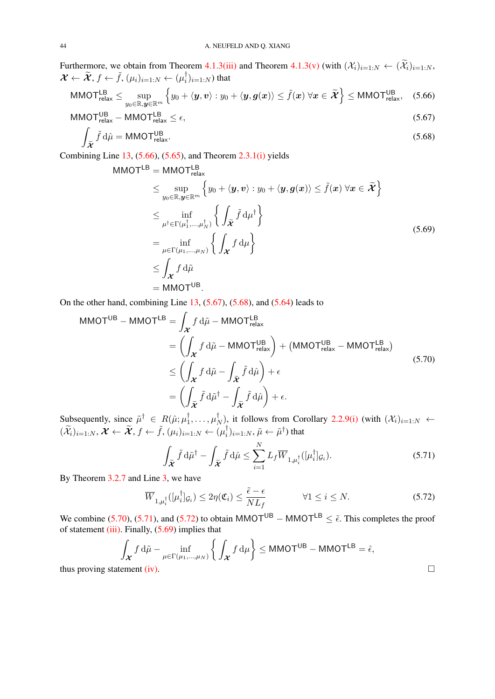Furthermore, we obtain from Theorem [4.1.3](#page-16-0)[\(iii\)](#page-16-3) and Theorem [4.1.3\(v\)](#page-16-0) (with  $(\mathcal{X}_i)_{i=1:N} \leftarrow (\widetilde{\mathcal{X}}_i)_{i=1:N}$ ,  $\mathcal{X} \leftarrow \widetilde{\mathcal{X}}, f \leftarrow \tilde{f}, (\mu_i)_{i=1:N} \leftarrow (\mu_i^{\dagger})$  $_{i}^{\dagger})_{i=1:N}$ ) that

$$
\mathsf{MMOT}_{\mathsf{relax}}^{\mathsf{LB}} \leq \sup_{y_0 \in \mathbb{R}, \mathbf{y} \in \mathbb{R}^m} \left\{ y_0 + \langle \mathbf{y}, \mathbf{v} \rangle : y_0 + \langle \mathbf{y}, \mathbf{g}(\mathbf{x}) \rangle \leq \tilde{f}(\mathbf{x}) \; \forall \mathbf{x} \in \widetilde{\mathcal{X}} \right\} \leq \mathsf{MMOT}_{\mathsf{relax}}^{\mathsf{UB}}, \quad (5.66)
$$

$$
MMOT_{relax}^{UB} - MMOT_{relax}^{LB} \le \epsilon,
$$
\n(5.67)

$$
\int_{\tilde{\mathcal{X}}} \tilde{f} \, d\hat{\mu} = \text{MMOT}^{\text{UB}}_{\text{relax}}.
$$
\n(5.68)

Combining Line [13,](#page-17-11)  $(5.66)$ ,  $(5.65)$ , and Theorem [2.3.1](#page-9-0)[\(i\)](#page-8-7) yields

<span id="page-43-6"></span><span id="page-43-2"></span><span id="page-43-1"></span><span id="page-43-0"></span>
$$
\begin{aligned}\n\text{MMOT}^{\text{LB}} &= \text{MMOT}^{\text{LB}}_{\text{relax}} \\
&\leq \sup_{y_0 \in \mathbb{R}, y \in \mathbb{R}^m} \left\{ y_0 + \langle y, v \rangle : y_0 + \langle y, g(x) \rangle \leq \tilde{f}(x) \,\forall x \in \tilde{\mathcal{X}} \right\} \\
&\leq \inf_{\mu^{\dagger} \in \Gamma(\mu_1^{\dagger}, \dots, \mu_N^{\dagger})} \left\{ \int_{\tilde{\mathcal{X}}} \tilde{f} \, \mathrm{d}\mu^{\dagger} \right\} \\
&= \inf_{\mu \in \Gamma(\mu_1, \dots, \mu_N)} \left\{ \int_{\mathcal{X}} f \, \mathrm{d}\mu \right\} \\
&\leq \int_{\mathcal{X}} f \, \mathrm{d}\tilde{\mu} \\
&= \text{MMOT}^{\text{UB}}.\n\end{aligned} \tag{5.69}
$$

On the other hand, combining Line  $13$ ,  $(5.67)$ ,  $(5.68)$ , and  $(5.64)$  leads to

$$
\begin{split} \text{MMOT}^{\text{UB}} - \text{MMOT}^{\text{LB}} &= \int_{\mathcal{X}} f \, \mathrm{d}\tilde{\mu} - \text{MMOT}^{\text{LB}}_{\text{relax}} \\ &= \left( \int_{\mathcal{X}} f \, \mathrm{d}\tilde{\mu} - \text{MMOT}^{\text{UB}}_{\text{relax}} \right) + \left( \text{MMOT}^{\text{UB}}_{\text{relax}} - \text{MMOT}^{\text{LB}}_{\text{relax}} \right) \\ &\le \left( \int_{\mathcal{X}} f \, \mathrm{d}\tilde{\mu} - \int_{\tilde{\mathcal{X}}} \tilde{f} \, \mathrm{d}\hat{\mu} \right) + \epsilon \\ &= \left( \int_{\tilde{\mathcal{X}}} \tilde{f} \, \mathrm{d}\tilde{\mu}^{\dagger} - \int_{\tilde{\mathcal{X}}} \tilde{f} \, \mathrm{d}\hat{\mu} \right) + \epsilon. \end{split} \tag{5.70}
$$

Subsequently, since  $\tilde{\mu}^{\dagger} \in R(\hat{\mu}; \mu_1^{\dagger})$  $\mu_1^\dagger,\ldots,\mu_I^\dagger$  $(X_i)$ , it follows from Corollary [2.2.9](#page-7-0)[\(i\)](#page-7-1) (with  $(X_i)_{i=1:N}$   $\leftarrow$  $(\widetilde{\mathcal{X}}_i)_{i=1:N}, \mathcal{X} \leftarrow \widetilde{\mathcal{X}}, f \leftarrow \widetilde{f}, (\mu_i)_{i=1:N} \leftarrow (\mu_i^{\dagger})$  $(\bar{i}_i)_{i=1:N}, \tilde{\mu} \leftarrow \tilde{\mu}^{\dagger})$  that

<span id="page-43-5"></span><span id="page-43-4"></span><span id="page-43-3"></span>
$$
\int_{\widetilde{\mathbf{\mathcal{X}}}} \widetilde{f} \, \mathrm{d}\widetilde{\mu}^{\dagger} - \int_{\widetilde{\mathbf{\mathcal{X}}}} \widetilde{f} \, \mathrm{d}\widehat{\mu} \le \sum_{i=1}^{N} L_f \overline{W}_{1,\mu_i^{\dagger}}([\mu_i^{\dagger}]_{\mathcal{G}_i}). \tag{5.71}
$$

By Theorem [3.2.7](#page-13-1) and Line [3,](#page-17-4) we have

$$
\overline{W}_{1,\mu_i^{\dagger}}([\mu_i^{\dagger}]_{\mathcal{G}_i}) \le 2\eta(\mathfrak{C}_i) \le \frac{\tilde{\epsilon} - \epsilon}{NL_f} \qquad \forall 1 \le i \le N. \tag{5.72}
$$

We combine [\(5.70\)](#page-43-3), [\(5.71\)](#page-43-4), and [\(5.72\)](#page-43-5) to obtain MMOT<sup>UB</sup> – MMOT<sup>LB</sup>  $\leq \tilde{\epsilon}$ . This completes the proof of statement  $(iii)$ . Finally,  $(5.69)$  implies that

$$
\int_{\mathcal{X}} f \, d\tilde{\mu} - \inf_{\mu \in \Gamma(\mu_1, \dots, \mu_N)} \left\{ \int_{\mathcal{X}} f \, d\mu \right\} \le \text{MMOT}^{\text{UB}} - \text{MMOT}^{\text{LB}} = \hat{\epsilon},
$$
\ntement (iv).

thus proving statement [\(iv\).](#page-18-0)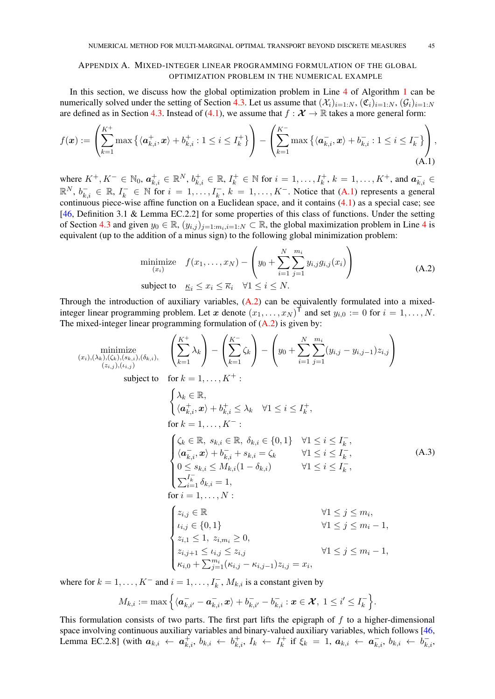# <span id="page-44-3"></span><span id="page-44-0"></span>APPENDIX A. MIXED-INTEGER LINEAR PROGRAMMING FORMULATION OF THE GLOBAL OPTIMIZATION PROBLEM IN THE NUMERICAL EXAMPLE

In this section, we discuss how the global optimization problem in Line [4](#page-15-8) of Algorithm [1](#page-15-0) can be numerically solved under the setting of Section [4.3.](#page-18-1) Let us assume that  $(\mathcal{X}_i)_{i=1:N}$ ,  $(\mathfrak{C}_i)_{i=1:N}$ ,  $(\mathcal{G}_i)_{i=1:N}$ are defined as in Section [4.3.](#page-18-1) Instead of [\(4.1\)](#page-18-6), we assume that  $f : \mathcal{X} \to \mathbb{R}$  takes a more general form:

$$
f(\boldsymbol{x}) := \left(\sum_{k=1}^{K^{+}} \max\left\{\langle \boldsymbol{a}_{k,i}^{+}, \boldsymbol{x}\rangle + b_{k,i}^{+} : 1 \leq i \leq I_{k}^{+}\right\}\right) - \left(\sum_{k=1}^{K^{-}} \max\left\{\langle \boldsymbol{a}_{k,i}^{-}, \boldsymbol{x}\rangle + b_{k,i}^{-} : 1 \leq i \leq I_{k}^{-}\right\}\right),\tag{A.1}
$$

where  $K^+, K^- \in \mathbb{N}_0$ ,  $a^+_{k,i} \in \mathbb{R}^N$ ,  $b^+_{k,i} \in \mathbb{R}$ ,  $I^+_k \in \mathbb{N}$  for  $i = 1, \ldots, I^+_k$ ,  $k = 1, \ldots, K^+$ , and  $a^-_{k,i} \in$  $\mathbb{R}^N$ ,  $b_{k,i}^- \in \mathbb{R}$ ,  $I_k^- \in \mathbb{N}$  for  $i = 1, \ldots, I_k^-, k = 1, \ldots, K^-$ . Notice that [\(A.1\)](#page-44-1) represents a general continuous piece-wise affine function on a Euclidean space, and it contains [\(4.1\)](#page-18-6) as a special case; see [\[46,](#page-46-19) Definition 3.1 & Lemma EC.2.2] for some properties of this class of functions. Under the setting of Section [4.3](#page-18-1) and given  $y_0 \in \mathbb{R}$ ,  $(y_{i,j})_{j=1:m_i,i=1:N} \subset \mathbb{R}$ , the global maximization problem in Line [4](#page-15-8) is equivalent (up to the addition of a minus sign) to the following global minimization problem:

$$
\underset{(x_i)}{\text{minimize}} \quad f(x_1, \dots, x_N) - \left( y_0 + \sum_{i=1}^N \sum_{j=1}^{m_i} y_{i,j} g_{i,j}(x_i) \right)
$$
\n
$$
\text{subject to} \quad \underline{\kappa}_i \le x_i \le \overline{\kappa}_i \quad \forall 1 \le i \le N. \tag{A.2}
$$

Through the introduction of auxiliary variables,  $(A.2)$  can be equivalently formulated into a mixedinteger linear programming problem. Let x denote  $(x_1, \ldots, x_N)^\mathsf{T}$  and set  $y_{i,0} := 0$  for  $i = 1, \ldots, N$ . The mixed-integer linear programming formulation of [\(A.2\)](#page-44-2) is given by:

 $\sim 100$ 

<span id="page-44-2"></span><span id="page-44-1"></span> $\overline{1}$ 

$$
\begin{aligned}\n\text{minimize} & \left( \sum_{k=1}^{K^{+}} \lambda_{k} \right) - \left( \sum_{k=1}^{K^{-}} \zeta_{k} \right) - \left( y_{0} + \sum_{i=1}^{N} \sum_{j=1}^{m_{i}} (y_{i,j} - y_{i,j-1}) z_{i,j} \right) \\
\text{subject to} & \text{for } k = 1, \ldots, K^{+}: \\
&\left( \lambda_{k} \in \mathbb{R}, \\
&\left( \alpha_{k,i}^{+}, x \right) + b_{k,i}^{+} \leq \lambda_{k} \quad \forall 1 \leq i \leq I_{k}^{+}, \\
&\text{for } k = 1, \ldots, K^{-}: \\
&\left( \zeta_{k} \in \mathbb{R}, s_{k,i} \in \mathbb{R}, \delta_{k,i} \in \{0, 1\} \quad \forall 1 \leq i \leq I_{k}^{-}, \\
&\left( \alpha_{k,i}^{-}, x \right) + b_{k,i}^{-} + s_{k,i} = \zeta_{k} \quad \forall 1 \leq i \leq I_{k}^{-}, \\
&\left( \alpha_{k,i}^{-}, x \right) + b_{k,i}^{-} + s_{k,i} = \zeta_{k} \quad \forall 1 \leq i \leq I_{k}^{-}, \\
&\left( \sum_{i=1}^{I_{k}} \delta_{k,i} = 1, \\
&\left( \sum_{i=1}^{I_{k}} \delta_{k,i} = 1, \\
&\text{for } i = 1, \ldots, N: \\
&\left( z_{i,j} \in \mathbb{R} \quad \forall 1 \leq j \leq m_{i}, \\
&\left( z_{i,j} \in \mathbb{R}, z_{i,m_{i}} \geq 0, \\
&\left( z_{i,j+1} \leq l_{i,j} \leq z_{i,j} \quad \forall 1 \leq j \leq m_{i} - 1, \\
&\left( z_{i,j+1} \leq l_{i,j} \leq z_{i,j} \quad \forall 1 \leq j \leq m_{i} - 1, \\
&\left( z_{i,j+1} \leq l_{i,j} \leq z_{i,j} \quad \forall 1 \leq j \leq m_{i} - 1, \right. \\
&\left( z_{i,j+1} \leq l_{i,j} - \kappa_{i,j-1} \right) z_{i,j} = x_{i},\n\end{aligned}
$$

where for  $k = 1, ..., K^-$  and  $i = 1, ..., I_k^-, M_{k,i}$  is a constant given by

$$
M_{k,i}:=\max\Big\{\langle\boldsymbol{a}_{k,i'}^-\boldsymbol{-a}_{k,i}^-\boldsymbol{x}\rangle+b_{k,i'}^-\boldsymbol{-b}_{k,i}^-\colon\boldsymbol{x}\in\boldsymbol{\mathcal{X}},\ 1\leq i'\leq I_k^-\Big\}.
$$

This formulation consists of two parts. The first part lifts the epigraph of  $f$  to a higher-dimensional space involving continuous auxiliary variables and binary-valued auxiliary variables, which follows [\[46,](#page-46-19) Lemma EC.2.8] (with  $a_{k,i} \leftarrow a_{k,i}^+$ ,  $b_{k,i} \leftarrow b_{k,i}^+$ ,  $I_k \leftarrow I_k^+$  $\mathbf{a}_{k}^{+}$  if  $\xi_{k} = 1, a_{k,i} \leftarrow a_{k,i}^{-}, b_{k,i} \leftarrow b_{k,i}^{-}$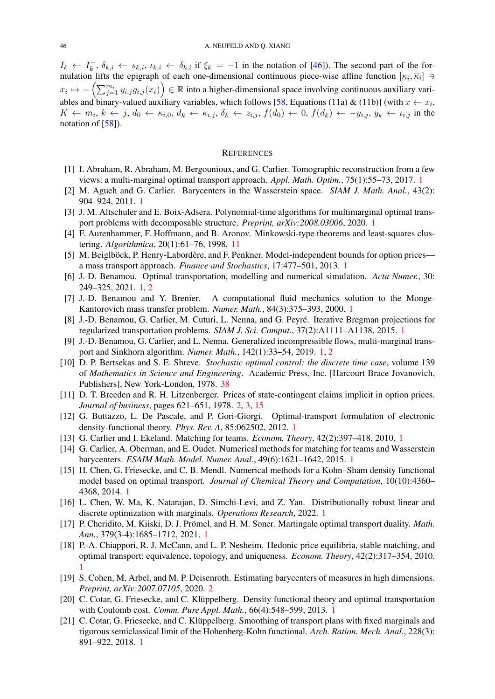<span id="page-45-21"></span> $I_k \leftarrow I_k^ \overline{k}_i, \delta_{k,i} \leftarrow s_{k,i}, \iota_{k,i} \leftarrow \delta_{k,i}$  if  $\xi_k = -1$  in the notation of [\[46\]](#page-46-19)). The second part of the formulation lifts the epigraph of each one-dimensional continuous piece-wise affine function  $[\underline{\kappa}_i, \overline{\kappa}_i] \ni$  $x_i \mapsto -\left(\sum_{j=1}^{m_i} y_{i,j} g_{i,j}(x_i)\right) \in \mathbb{R}$  into a higher-dimensional space involving continuous auxiliary vari-ables and binary-valued auxiliary variables, which follows [\[58,](#page-47-14) Equations (11a) & (11b)] (with  $x \leftarrow x_i$ ,  $K \leftarrow m_i, k \leftarrow j, d_0 \leftarrow \kappa_{i,0}, d_k \leftarrow \kappa_{i,j}, \delta_k \leftarrow z_{i,j}, f(d_0) \leftarrow 0, f(d_k) \leftarrow -y_{i,j}, y_k \leftarrow \iota_{i,j}$  in the notation of [\[58\]](#page-47-14)).

#### **REFERENCES**

- <span id="page-45-12"></span>[1] I. Abraham, R. Abraham, M. Bergounioux, and G. Carlier. Tomographic reconstruction from a few views: a multi-marginal optimal transport approach. *Appl. Math. Optim.*, 75(1):55–73, 2017. [1](#page-0-0)
- <span id="page-45-1"></span>[2] M. Agueh and G. Carlier. Barycenters in the Wasserstein space. *SIAM J. Math. Anal.*, 43(2): 904–924, 2011. [1](#page-0-0)
- <span id="page-45-14"></span>[3] J. M. Altschuler and E. Boix-Adsera. Polynomial-time algorithms for multimarginal optimal transport problems with decomposable structure. *Preprint, arXiv:2008.03006*, 2020. [1](#page-0-0)
- <span id="page-45-19"></span>[4] F. Aurenhammer, F. Hoffmann, and B. Aronov. Minkowski-type theorems and least-squares clustering. *Algorithmica*, 20(1):61–76, 1998. [11](#page-10-7)
- <span id="page-45-2"></span>[5] M. Beiglböck, P. Henry-Labordère, and F. Penkner. Model-independent bounds for option prices a mass transport approach. *Finance and Stochastics*, 17:477–501, 2013. [1](#page-0-0)
- <span id="page-45-0"></span>[6] J.-D. Benamou. Optimal transportation, modelling and numerical simulation. *Acta Numer.*, 30: 249–325, 2021. [1,](#page-0-0) [2](#page-1-0)
- <span id="page-45-9"></span>[7] J.-D. Benamou and Y. Brenier. A computational fluid mechanics solution to the Monge-Kantorovich mass transfer problem. *Numer. Math.*, 84(3):375–393, 2000. [1](#page-0-0)
- <span id="page-45-15"></span>[8] J.-D. Benamou, G. Carlier, M. Cuturi, L. Nenna, and G. Peyré. Iterative Bregman projections for regularized transportation problems. *SIAM J. Sci. Comput.*, 37(2):A1111–A1138, 2015. [1](#page-0-0)
- <span id="page-45-10"></span>[9] J.-D. Benamou, G. Carlier, and L. Nenna. Generalized incompressible flows, multi-marginal transport and Sinkhorn algorithm. *Numer. Math.*, 142(1):33–54, 2019. [1,](#page-0-0) [2](#page-1-0)
- <span id="page-45-20"></span>[10] D. P. Bertsekas and S. E. Shreve. *Stochastic optimal control: the discrete time case*, volume 139 of *Mathematics in Science and Engineering*. Academic Press, Inc. [Harcourt Brace Jovanovich, Publishers], New York-London, 1978. [38](#page-37-2)
- <span id="page-45-18"></span>[11] D. T. Breeden and R. H. Litzenberger. Prices of state-contingent claims implicit in option prices. *Journal of business*, pages 621–651, 1978. [2,](#page-1-0) [3,](#page-2-0) [15](#page-14-1)
- <span id="page-45-5"></span>[12] G. Buttazzo, L. De Pascale, and P. Gori-Giorgi. Optimal-transport formulation of electronic density-functional theory. *Phys. Rev. A*, 85:062502, 2012. [1](#page-0-0)
- <span id="page-45-3"></span>[13] G. Carlier and I. Ekeland. Matching for teams. *Econom. Theory*, 42(2):397–418, 2010. [1](#page-0-0)
- <span id="page-45-16"></span>[14] G. Carlier, A. Oberman, and E. Oudet. Numerical methods for matching for teams and Wasserstein barycenters. *ESAIM Math. Model. Numer. Anal.*, 49(6):1621–1642, 2015. [1](#page-0-0)
- <span id="page-45-6"></span>[15] H. Chen, G. Friesecke, and C. B. Mendl. Numerical methods for a Kohn–Sham density functional model based on optimal transport. *Journal of Chemical Theory and Computation*, 10(10):4360– 4368, 2014. [1](#page-0-0)
- <span id="page-45-13"></span>[16] L. Chen, W. Ma, K. Natarajan, D. Simchi-Levi, and Z. Yan. Distributionally robust linear and discrete optimization with marginals. *Operations Research*, 2022. [1](#page-0-0)
- <span id="page-45-11"></span>[17] P. Cheridito, M. Kiiski, D. J. Prömel, and H. M. Soner. Martingale optimal transport duality. *Math. Ann.*, 379(3-4):1685–1712, 2021. [1](#page-0-0)
- <span id="page-45-4"></span>[18] P.-A. Chiappori, R. J. McCann, and L. P. Nesheim. Hedonic price equilibria, stable matching, and optimal transport: equivalence, topology, and uniqueness. *Econom. Theory*, 42(2):317–354, 2010. [1](#page-0-0)
- <span id="page-45-17"></span>[19] S. Cohen, M. Arbel, and M. P. Deisenroth. Estimating barycenters of measures in high dimensions. *Preprint, arXiv:2007.07105*, 2020. [2](#page-1-0)
- <span id="page-45-7"></span>[20] C. Cotar, G. Friesecke, and C. Klüppelberg. Density functional theory and optimal transportation with Coulomb cost. *Comm. Pure Appl. Math.*, 66(4):548–599, 2013. [1](#page-0-0)
- <span id="page-45-8"></span>[21] C. Cotar, G. Friesecke, and C. Klüppelberg. Smoothing of transport plans with fixed marginals and rigorous semiclassical limit of the Hohenberg-Kohn functional. *Arch. Ration. Mech. Anal.*, 228(3): 891–922, 2018. [1](#page-0-0)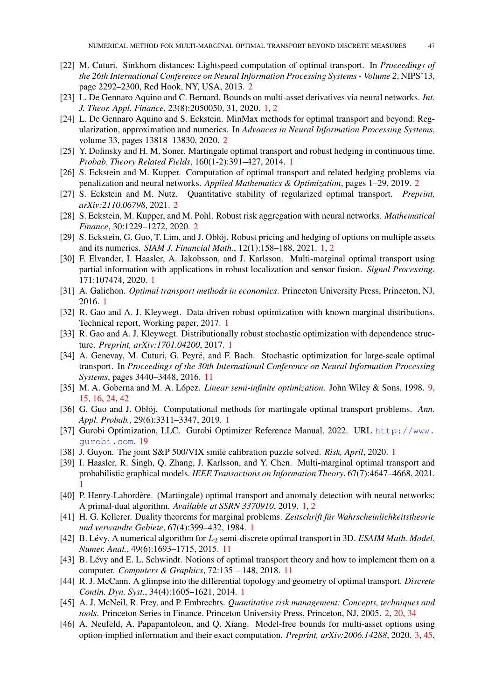- <span id="page-46-13"></span>[22] M. Cuturi. Sinkhorn distances: Lightspeed computation of optimal transport. In *Proceedings of the 26th International Conference on Neural Information Processing Systems - Volume 2*, NIPS'13, page 2292–2300, Red Hook, NY, USA, 2013. [2](#page-1-0)
- <span id="page-46-3"></span>[23] L. De Gennaro Aquino and C. Bernard. Bounds on multi-asset derivatives via neural networks. *Int. J. Theor. Appl. Finance*, 23(8):2050050, 31, 2020. [1,](#page-0-0) [2](#page-1-0)
- <span id="page-46-15"></span>[24] L. De Gennaro Aquino and S. Eckstein. MinMax methods for optimal transport and beyond: Regularization, approximation and numerics. In *Advances in Neural Information Processing Systems*, volume 33, pages 13818–13830, 2020. [2](#page-1-0)
- <span id="page-46-4"></span>[25] Y. Dolinsky and H. M. Soner. Martingale optimal transport and robust hedging in continuous time. *Probab. Theory Related Fields*, 160(1-2):391–427, 2014. [1](#page-0-0)
- <span id="page-46-16"></span>[26] S. Eckstein and M. Kupper. Computation of optimal transport and related hedging problems via penalization and neural networks. *Applied Mathematics & Optimization*, pages 1–29, 2019. [2](#page-1-0)
- <span id="page-46-14"></span>[27] S. Eckstein and M. Nutz. Quantitative stability of regularized optimal transport. *Preprint, arXiv:2110.06798*, 2021. [2](#page-1-0)
- <span id="page-46-17"></span>[28] S. Eckstein, M. Kupper, and M. Pohl. Robust risk aggregation with neural networks. *Mathematical Finance*, 30:1229–1272, 2020. [2](#page-1-0)
- <span id="page-46-5"></span>[29] S. Eckstein, G. Guo, T. Lim, and J. Obłój. Robust pricing and hedging of options on multiple assets and its numerics. *SIAM J. Financial Math.*, 12(1):158–188, 2021. [1,](#page-0-0) [2](#page-1-0)
- <span id="page-46-8"></span>[30] F. Elvander, I. Haasler, A. Jakobsson, and J. Karlsson. Multi-marginal optimal transport using partial information with applications in robust localization and sensor fusion. *Signal Processing*, 171:107474, 2020. [1](#page-0-0)
- <span id="page-46-2"></span>[31] A. Galichon. *Optimal transport methods in economics*. Princeton University Press, Princeton, NJ, 2016. [1](#page-0-0)
- <span id="page-46-10"></span>[32] R. Gao and A. J. Kleywegt. Data-driven robust optimization with known marginal distributions. Technical report, Working paper, 2017. [1](#page-0-0)
- <span id="page-46-11"></span>[33] R. Gao and A. J. Kleywegt. Distributionally robust stochastic optimization with dependence structure. *Preprint, arXiv:1701.04200*, 2017. [1](#page-0-0)
- <span id="page-46-21"></span>[34] A. Genevay, M. Cuturi, G. Peyré, and F. Bach. Stochastic optimization for large-scale optimal transport. In *Proceedings of the 30th International Conference on Neural Information Processing Systems*, pages 3440–3448, 2016. [11](#page-10-7)
- <span id="page-46-20"></span>[35] M. A. Goberna and M. A. López. *Linear semi-infinite optimization*. John Wiley & Sons, 1998. [9,](#page-8-9) [15,](#page-14-1) [16,](#page-15-14) [24,](#page-23-2) [42](#page-41-2)
- <span id="page-46-12"></span>[36] G. Guo and J. Obłój. Computational methods for martingale optimal transport problems. Ann. *Appl. Probab.*, 29(6):3311–3347, 2019. [1](#page-0-0)
- <span id="page-46-24"></span>[37] Gurobi Optimization, LLC. Gurobi Optimizer Reference Manual, 2022. URL [http://www.](http://www.gurobi.com) [gurobi.com](http://www.gurobi.com). [19](#page-18-7)
- <span id="page-46-6"></span>[38] J. Guyon. The joint S&P 500/VIX smile calibration puzzle solved. *Risk, April*, 2020. [1](#page-0-0)
- <span id="page-46-9"></span>[39] I. Haasler, R. Singh, Q. Zhang, J. Karlsson, and Y. Chen. Multi-marginal optimal transport and probabilistic graphical models. *IEEE Transactions on Information Theory*, 67(7):4647–4668, 2021. [1](#page-0-0)
- <span id="page-46-7"></span>[40] P. Henry-Labordère. (Martingale) optimal transport and anomaly detection with neural networks: A primal-dual algorithm. *Available at SSRN 3370910*, 2019. [1,](#page-0-0) [2](#page-1-0)
- <span id="page-46-1"></span>[41] H. G. Kellerer. Duality theorems for marginal problems. Zeitschrift für Wahrscheinlichkeitstheorie *und verwandte Gebiete*, 67(4):399–432, 1984. [1](#page-0-0)
- <span id="page-46-22"></span>[42] B. Lévy. A numerical algorithm for  $L_2$  semi-discrete optimal transport in 3D. *ESAIM Math. Model. Numer. Anal.*, 49(6):1693–1715, 2015. [11](#page-10-7)
- <span id="page-46-23"></span>[43] B. Levy and E. L. Schwindt. Notions of optimal transport theory and how to implement them on a ´ computer. *Computers & Graphics*, 72:135 – 148, 2018. [11](#page-10-7)
- <span id="page-46-0"></span>[44] R. J. McCann. A glimpse into the differential topology and geometry of optimal transport. *Discrete Contin. Dyn. Syst.*, 34(4):1605–1621, 2014. [1](#page-0-0)
- <span id="page-46-18"></span>[45] A. J. McNeil, R. Frey, and P. Embrechts. *Quantitative risk management: Concepts, techniques and tools*. Princeton Series in Finance. Princeton University Press, Princeton, NJ, 2005. [2,](#page-1-0) [20,](#page-19-2) [34](#page-33-7)
- <span id="page-46-19"></span>[46] A. Neufeld, A. Papapantoleon, and Q. Xiang. Model-free bounds for multi-asset options using option-implied information and their exact computation. *Preprint, arXiv:2006.14288*, 2020. [3,](#page-2-0) [45,](#page-44-3)